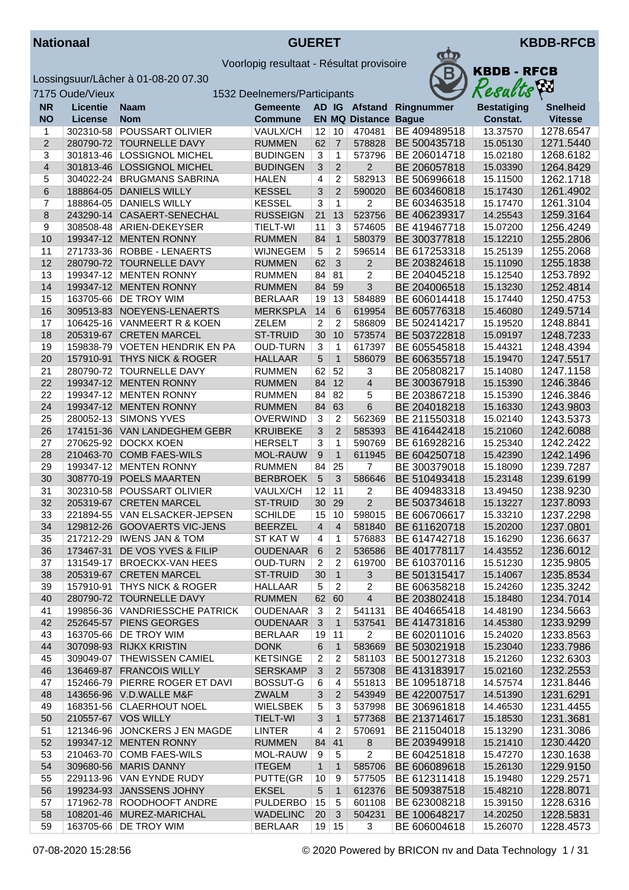



|                         | 7175 Oude/Vieux |                                | 1532 Deelnemers/Participants |                         |                |                         |              | Resacus            | $\mathcal{L}$   |
|-------------------------|-----------------|--------------------------------|------------------------------|-------------------------|----------------|-------------------------|--------------|--------------------|-----------------|
| <b>NR</b>               | <b>Licentie</b> | <b>Naam</b>                    | <b>Gemeente</b>              |                         |                | AD IG Afstand           | Ringnummer   | <b>Bestatiging</b> | <b>Snelheid</b> |
| <b>NO</b>               | <b>License</b>  | <b>Nom</b>                     | <b>Commune</b>               |                         |                | <b>EN MQ Distance</b>   | <b>Bague</b> | Constat.           | <b>Vitesse</b>  |
| 1                       | 302310-58       | POUSSART OLIVIER               | VAULX/CH                     | 12                      | 10             | 470481                  | BE 409489518 | 13.37570           | 1278.6547       |
| $\overline{2}$          | 280790-72       | <b>TOURNELLE DAVY</b>          | <b>RUMMEN</b>                | 62                      | $\overline{7}$ | 578828                  | BE 500435718 | 15.05130           | 1271.5440       |
| 3                       | 301813-46       | <b>LOSSIGNOL MICHEL</b>        | <b>BUDINGEN</b>              | 3                       | 1              | 573796                  | BE 206014718 | 15.02180           | 1268.6182       |
| $\overline{\mathbf{4}}$ | 301813-46       | <b>LOSSIGNOL MICHEL</b>        | <b>BUDINGEN</b>              | 3                       | $\overline{2}$ | $\overline{c}$          | BE 206057818 | 15.03390           | 1264.8429       |
| 5                       | 304022-24       | <b>BRUGMANS SABRINA</b>        | <b>HALEN</b>                 | 4                       | $\overline{c}$ | 582913                  | BE 506996618 | 15.11500           | 1262.1718       |
| 6                       | 188864-05       | <b>DANIELS WILLY</b>           | <b>KESSEL</b>                | $\mathbf{3}$            | $\overline{2}$ | 590020                  | BE 603460818 | 15.17430           | 1261.4902       |
| 7                       | 188864-05       | <b>DANIELS WILLY</b>           | <b>KESSEL</b>                | 3                       | $\mathbf{1}$   | 2                       | BE 603463518 | 15.17470           | 1261.3104       |
|                         |                 |                                |                              |                         |                |                         |              |                    |                 |
| 8                       | 243290-14       | CASAERT-SENECHAL               | <b>RUSSEIGN</b>              | 21                      | 13             | 523756                  | BE 406239317 | 14.25543           | 1259.3164       |
| 9                       | 308508-48       | ARIEN-DEKEYSER                 | TIELT-WI                     | 11                      | 3              | 574605                  | BE 419467718 | 15.07200           | 1256.4249       |
| 10                      | 199347-12       | <b>MENTEN RONNY</b>            | <b>RUMMEN</b>                | 84                      | $\mathbf{1}$   | 580379                  | BE 300377818 | 15.12210           | 1255.2806       |
| 11                      |                 | 271733-36   ROBBE - LENAERTS   | <b>WIJNEGEM</b>              | $\sqrt{5}$              | $\overline{c}$ | 596514                  | BE 617253318 | 15.25139           | 1255.2068       |
| 12                      |                 | 280790-72 TOURNELLE DAVY       | <b>RUMMEN</b>                | 62                      | 3              | $\overline{2}$          | BE 203824618 | 15.11090           | 1255.1838       |
| 13                      | 199347-12       | <b>MENTEN RONNY</b>            | <b>RUMMEN</b>                | 84                      | 81             | 2                       | BE 204045218 | 15.12540           | 1253.7892       |
| 14                      | 199347-12       | <b>MENTEN RONNY</b>            | <b>RUMMEN</b>                | 84                      | 59             | 3                       | BE 204006518 | 15.13230           | 1252.4814       |
| 15                      | 163705-66       | DE TROY WIM                    | <b>BERLAAR</b>               | 19                      | 13             | 584889                  | BE 606014418 | 15.17440           | 1250.4753       |
| 16                      |                 | 309513-83 NOEYENS-LENAERTS     | <b>MERKSPLA</b>              | 14                      | 6              | 619954                  | BE 605776318 | 15.46080           | 1249.5714       |
| 17                      |                 | 106425-16 VANMEERT R & KOEN    | ZELEM                        | $\overline{2}$          | $\overline{c}$ | 586809                  | BE 502414217 | 15.19520           | 1248.8841       |
| 18                      |                 | 205319-67 CRETEN MARCEL        | <b>ST-TRUID</b>              | 30                      | 10             | 573574                  | BE 503722818 | 15.09197           | 1248.7233       |
| 19                      | 159838-79       | <b>VOETEN HENDRIK EN PA</b>    | <b>OUD-TURN</b>              | 3                       | $\mathbf{1}$   | 617397                  | BE 605545818 | 15.44321           | 1248.4394       |
| 20                      | 157910-91       | <b>THYS NICK &amp; ROGER</b>   | <b>HALLAAR</b>               | 5                       | $\mathbf{1}$   | 586079                  | BE 606355718 | 15.19470           | 1247.5517       |
| 21                      | 280790-72       | <b>TOURNELLE DAVY</b>          | <b>RUMMEN</b>                | 62                      | 52             | 3                       | BE 205808217 | 15.14080           | 1247.1158       |
| 22                      | 199347-12       | <b>MENTEN RONNY</b>            | <b>RUMMEN</b>                | 84                      | 12             | $\overline{\mathbf{4}}$ | BE 300367918 | 15.15390           | 1246.3846       |
| 22                      | 199347-12       | <b>MENTEN RONNY</b>            | <b>RUMMEN</b>                | 84                      | 82             | 5                       | BE 203867218 | 15.15390           | 1246.3846       |
| 24                      | 199347-12       | <b>MENTEN RONNY</b>            | <b>RUMMEN</b>                | 84                      | 63             | $6\phantom{a}$          | BE 204018218 | 15.16330           | 1243.9803       |
| 25                      | 280052-13       | <b>SIMONS YVES</b>             | <b>OVERWIND</b>              | 3                       | $\overline{2}$ | 562369                  | BE 211550318 | 15.02140           | 1243.5373       |
| 26                      |                 | 174151-36 VAN LANDEGHEM GEBR   | <b>KRUIBEKE</b>              | 3                       | $\overline{2}$ | 585393                  | BE 416442418 | 15.21060           | 1242.6088       |
| 27                      | 270625-92       | <b>DOCKX KOEN</b>              | <b>HERSELT</b>               | 3                       | 1              | 590769                  | BE 616928216 | 15.25340           | 1242.2422       |
| 28                      |                 | 210463-70 COMB FAES-WILS       | MOL-RAUW                     | 9                       | $\mathbf{1}$   | 611945                  | BE 604250718 | 15.42390           | 1242.1496       |
| 29                      | 199347-12       | <b>MENTEN RONNY</b>            | <b>RUMMEN</b>                | 84                      | 25             | 7                       | BE 300379018 | 15.18090           | 1239.7287       |
| 30                      | 308770-19       | POELS MAARTEN                  | <b>BERBROEK</b>              | $\overline{5}$          | 3              | 586646                  | BE 510493418 | 15.23148           | 1239.6199       |
| 31                      | 302310-58       | POUSSART OLIVIER               | VAULX/CH                     | 12                      | 11             |                         | BE 409483318 | 13.49450           | 1238.9230       |
| 32                      | 205319-67       | <b>CRETEN MARCEL</b>           | <b>ST-TRUID</b>              | 30                      | 29             | 2<br>$\overline{2}$     | BE 503734618 | 15.13227           |                 |
|                         |                 |                                |                              |                         |                |                         |              |                    | 1237.8093       |
| 33                      | 221894-55       | <b>VAN ELSACKER-JEPSEN</b>     | <b>SCHILDE</b>               | 15                      | 10             | 598015                  | BE 606706617 | 15.33210           | 1237.2298       |
| 34                      |                 | 129812-26 GOOVAERTS VIC-JENS   | <b>BEERZEL</b>               | $\overline{4}$          | $\overline{4}$ | 581840                  | BE 611620718 | 15.20200           | 1237.0801       |
| 35                      | 217212-29       | <b>IWENS JAN &amp; TOM</b>     | <b>ST KAT W</b>              | 4                       | $\mathbf{1}$   | 576883                  | BE 614742718 | 15.16290           | 1236.6637       |
| 36                      | 173467-31       | DE VOS YVES & FILIP            | <b>OUDENAAR</b>              | 6                       | $\overline{2}$ | 536586                  | BE 401778117 | 14.43552           | 1236.6012       |
| 37                      |                 | 131549-17 BROECKX-VAN HEES     | OUD-TURN 2 2                 |                         |                | 619700                  | BE 610370116 | 15.51230           | 1235.9805       |
| 38                      |                 | 205319-67 CRETEN MARCEL        | ST-TRUID                     | 30                      | $\overline{1}$ | 3                       | BE 501315417 | 15.14067           | 1235.8534       |
| 39                      |                 | 157910-91   THYS NICK & ROGER  | HALLAAR                      | 5                       | $\overline{2}$ | $\overline{2}$          | BE 606358218 | 15.24260           | 1235.3242       |
| 40                      |                 | 280790-72 TOURNELLE DAVY       | <b>RUMMEN</b>                | 62                      | 60             | $\overline{4}$          | BE 203802418 | 15.18480           | 1234.7014       |
| 41                      |                 | 199856-36 VANDRIESSCHE PATRICK | OUDENAAR                     | 3                       | 2              | 541131                  | BE 404665418 | 14.48190           | 1234.5663       |
| 42                      |                 | 252645-57 PIENS GEORGES        | <b>OUDENAAR</b>              | 3                       | $\mathbf{1}$   | 537541                  | BE 414731816 | 14.45380           | 1233.9299       |
| 43                      |                 | 163705-66   DE TROY WIM        | <b>BERLAAR</b>               | 19                      | 11             | $\overline{2}$          | BE 602011016 | 15.24020           | 1233.8563       |
| 44                      |                 | 307098-93 RIJKX KRISTIN        | <b>DONK</b>                  | 6                       | $\mathbf{1}$   | 583669                  | BE 503021918 | 15.23040           | 1233.7986       |
| 45                      |                 | 309049-07 THEWISSEN CAMIEL     | <b>KETSINGE</b>              | 2                       | 2              | 581103                  | BE 500127318 | 15.21260           | 1232.6303       |
| 46                      |                 | 136469-87 FRANCOIS WILLY       | <b>SERSKAMP</b>              | $\mathbf{3}$            | $\overline{2}$ | 557308                  | BE 413183917 | 15.02160           | 1232.2553       |
| 47                      | 152466-79       | PIERRE ROGER ET DAVI           | <b>BOSSUT-G</b>              | 6                       | 4              | 551813                  | BE 109518718 | 14.57574           | 1231.8446       |
| 48                      |                 | 143656-96 V.D.WALLE M&F        | <b>ZWALM</b>                 | 3                       | $\overline{2}$ | 543949                  | BE 422007517 | 14.51390           | 1231.6291       |
| 49                      |                 | 168351-56 CLAERHOUT NOEL       | <b>WIELSBEK</b>              | 5                       | 3              | 537998                  | BE 306961818 | 14.46530           | 1231.4455       |
| 50                      |                 | 210557-67 VOS WILLY            | <b>TIELT-WI</b>              | 3                       | $\mathbf{1}$   | 577368                  | BE 213714617 | 15.18530           | 1231.3681       |
| 51                      |                 | 121346-96 JONCKERS J EN MAGDE  | <b>LINTER</b>                | $\overline{\mathbf{4}}$ | 2              | 570691                  | BE 211504018 | 15.13290           | 1231.3086       |
| 52                      |                 | 199347-12 MENTEN RONNY         | <b>RUMMEN</b>                | 84                      | 41             | $\bf 8$                 | BE 203949918 | 15.21410           | 1230.4420       |
| 53                      |                 | 210463-70 COMB FAES-WILS       | MOL-RAUW                     | 9                       | 5              | $\overline{c}$          | BE 604251818 | 15.47270           | 1230.1638       |
| 54                      |                 | 309680-56 MARIS DANNY          | <b>ITEGEM</b>                | $\mathbf{1}$            | $\mathbf{1}$   | 585706                  | BE 606089618 | 15.26130           | 1229.9150       |
| 55                      |                 | 229113-96 VAN EYNDE RUDY       | PUTTE(GR                     | 10                      | $9\,$          | 577505                  | BE 612311418 | 15.19480           | 1229.2571       |
| 56                      |                 | 199234-93 JANSSENS JOHNY       | <b>EKSEL</b>                 | 5                       | $\mathbf{1}$   | 612376                  | BE 509387518 | 15.48210           | 1228.8071       |
| 57                      |                 | 171962-78 ROODHOOFT ANDRE      | <b>PULDERBO</b>              | 15                      | 5              | 601108                  | BE 623008218 | 15.39150           | 1228.6316       |
| 58                      | 108201-46       | MUREZ-MARICHAL                 | <b>WADELINC</b>              | 20                      | 3              | 504231                  | BE 100648217 | 14.20250           | 1228.5831       |
| 59                      |                 | 163705-66 DE TROY WIM          | <b>BERLAAR</b>               | 19 15                   |                | 3                       | BE 606004618 | 15.26070           | 1228.4573       |
|                         |                 |                                |                              |                         |                |                         |              |                    |                 |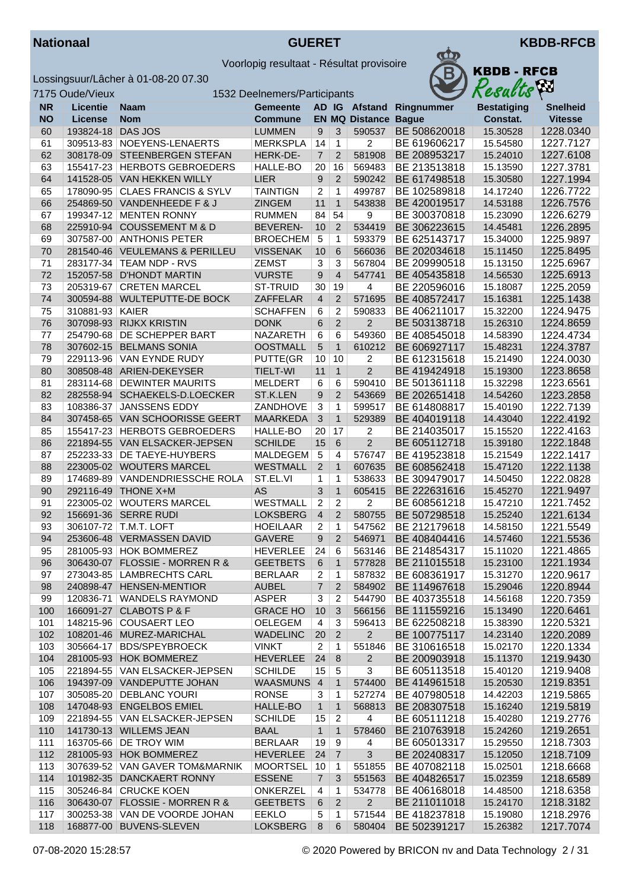



|           | 7175 Oude/Vieux | 1532 Deelnemers/Participants    |                 |                | Resacus        | $\mathbf{r}$          |              |                    |                 |
|-----------|-----------------|---------------------------------|-----------------|----------------|----------------|-----------------------|--------------|--------------------|-----------------|
| <b>NR</b> | <b>Licentie</b> | <b>Naam</b>                     | <b>Gemeente</b> |                |                | AD IG Afstand         | Ringnummer   | <b>Bestatiging</b> | <b>Snelheid</b> |
| <b>NO</b> | <b>License</b>  | <b>Nom</b>                      | <b>Commune</b>  |                |                | <b>EN MQ Distance</b> | <b>Bague</b> | Constat.           | <b>Vitesse</b>  |
| 60        | 193824-18       | DAS JOS                         | <b>LUMMEN</b>   | 9              | 3              | 590537                | BE 508620018 | 15.30528           | 1228.0340       |
| 61        | 309513-83       | NOEYENS-LENAERTS                | <b>MERKSPLA</b> | 14             | $\mathbf{1}$   | $\overline{2}$        | BE 619606217 | 15.54580           | 1227.7127       |
| 62        |                 | 308178-09 STEENBERGEN STEFAN    | HERK-DE-        | $\overline{7}$ | $\overline{2}$ | 581908                | BE 208953217 | 15.24010           | 1227.6108       |
| 63        | 155417-23       | <b>HERBOTS GEBROEDERS</b>       | HALLE-BO        | 20             | 16             | 569483                | BE 213513818 | 15.13590           | 1227.3781       |
| 64        |                 | 141528-05 VAN HEKKEN WILLY      | LIER            | 9              | $\overline{2}$ | 590242                | BE 617498518 | 15.30580           | 1227.1994       |
| 65        |                 | 178090-95 CLAES FRANCIS & SYLV  | <b>TAINTIGN</b> | $\overline{2}$ | $\mathbf{1}$   | 499787                | BE 102589818 | 14.17240           | 1226.7722       |
| 66        |                 | 254869-50 VANDENHEEDE F & J     | <b>ZINGEM</b>   | 11             | $\mathbf{1}$   | 543838                | BE 420019517 | 14.53188           | 1226.7576       |
| 67        |                 | 199347-12 MENTEN RONNY          | <b>RUMMEN</b>   | 84             | 54             | 9                     | BE 300370818 | 15.23090           | 1226.6279       |
| 68        |                 | 225910-94 COUSSEMENT M & D      | <b>BEVEREN-</b> | 10             | $\overline{2}$ | 534419                | BE 306223615 | 14.45481           | 1226.2895       |
| 69        | 307587-00       | <b>ANTHONIS PETER</b>           | <b>BROECHEM</b> | $\sqrt{5}$     | 1              | 593379                | BE 625143717 | 15.34000           | 1225.9897       |
| 70        |                 | 281540-46 VEULEMANS & PERILLEU  | <b>VISSENAK</b> | 10             | 6              | 566036                | BE 202034618 | 15.11450           | 1225.8495       |
| 71        |                 | 283177-34   TEAM NDP - RVS      | <b>ZEMST</b>    | 3              | 3              | 567804                | BE 209990518 | 15.13150           | 1225.6967       |
| 72        |                 | 152057-58 D'HONDT MARTIN        | <b>VURSTE</b>   | 9              | $\overline{4}$ | 547741                | BE 405435818 | 14.56530           | 1225.6913       |
| 73        | 205319-67       | <b>CRETEN MARCEL</b>            | ST-TRUID        | 30             | 19             | 4                     | BE 220596016 | 15.18087           | 1225.2059       |
| 74        |                 | 300594-88 WULTEPUTTE-DE BOCK    | ZAFFELAR        | $\overline{4}$ | 2              | 571695                | BE 408572417 | 15.16381           | 1225.1438       |
| 75        | 310881-93 KAIER |                                 | <b>SCHAFFEN</b> | 6              | $\overline{2}$ | 590833                | BE 406211017 | 15.32200           | 1224.9475       |
| 76        |                 | 307098-93 RIJKX KRISTIN         | <b>DONK</b>     | 6              | $\overline{2}$ | $\overline{2}$        | BE 503138718 | 15.26310           | 1224.8659       |
| 77        | 254790-68       | DE SCHEPPER BART                | NAZARETH        | 6              | 6              | 549360                | BE 408545018 | 14.58390           | 1224.4734       |
| 78        | 307602-15       | <b>BELMANS SONIA</b>            | <b>OOSTMALL</b> | $\overline{5}$ | $\mathbf{1}$   | 610212                | BE 606927117 | 15.48231           | 1224.3787       |
| 79        | 229113-96       | VAN EYNDE RUDY                  | PUTTE(GR        | 10             | 10             | 2                     | BE 612315618 | 15.21490           | 1224.0030       |
| 80        |                 | 308508-48 ARIEN-DEKEYSER        | <b>TIELT-WI</b> | 11             | $\mathbf{1}$   | $\overline{2}$        | BE 419424918 | 15.19300           | 1223.8658       |
| 81        | 283114-68       | <b>DEWINTER MAURITS</b>         | <b>MELDERT</b>  | 6              | 6              | 590410                | BE 501361118 | 15.32298           | 1223.6561       |
| 82        | 282558-94       | SCHAEKELS-D.LOECKER             | ST.K.LEN        | 9              | $\overline{2}$ | 543669                | BE 202651418 | 14.54260           | 1223.2858       |
| 83        | 108386-37       | <b>JANSSENS EDDY</b>            | ZANDHOVE        | 3              | 1              | 599517                | BE 614808817 | 15.40190           | 1222.7139       |
| 84        |                 | 307458-65 VAN SCHOORISSE GEERT  | <b>MAARKEDA</b> | $\mathfrak{S}$ | $\mathbf{1}$   | 529389                | BE 404019118 | 14.43040           | 1222.4192       |
| 85        |                 | 155417-23 HERBOTS GEBROEDERS    | HALLE-BO        | 20             | 17             | 2                     | BE 214035017 | 15.15520           | 1222.4163       |
| 86        |                 | 221894-55 VAN ELSACKER-JEPSEN   | <b>SCHILDE</b>  | 15             | 6              | $\overline{2}$        | BE 605112718 | 15.39180           | 1222.1848       |
| 87        | 252233-33       | DE TAEYE-HUYBERS                | <b>MALDEGEM</b> | $\overline{5}$ | 4              | 576747                | BE 419523818 | 15.21549           | 1222.1417       |
| 88        |                 | 223005-02 WOUTERS MARCEL        | WESTMALL        | $\overline{2}$ | $\mathbf{1}$   | 607635                | BE 608562418 | 15.47120           | 1222.1138       |
| 89        |                 | 174689-89 VANDENDRIESSCHE ROLA  | ST.EL.VI        | $\mathbf{1}$   | 1              | 538633                | BE 309479017 | 14.50450           | 1222.0828       |
| 90        |                 | 292116-49 THONE X+M             | <b>AS</b>       | 3              | $\mathbf{1}$   | 605415                | BE 222631616 | 15.45270           | 1221.9497       |
| 91        |                 | 223005-02 WOUTERS MARCEL        | WESTMALL        | $\overline{c}$ | 2              | 2                     | BE 608561218 | 15.47210           | 1221.7452       |
| 92        |                 | 156691-36 SERRE RUDI            | <b>LOKSBERG</b> | $\overline{4}$ | $\overline{2}$ | 580755                | BE 507298518 | 15.25240           | 1221.6134       |
| 93        |                 | 306107-72 T.M.T. LOFT           | <b>HOEILAAR</b> | $\overline{2}$ | $\mathbf{1}$   | 547562                | BE 212179618 | 14.58150           | 1221.5549       |
| 94        |                 | 253606-48 VERMASSEN DAVID       | <b>GAVERE</b>   | 9              | $\overline{2}$ | 546971                | BE 408404416 | 14.57460           | 1221.5536       |
| 95        |                 | 281005-93 HOK BOMMEREZ          | <b>HEVERLEE</b> | 24             | 6              | 563146                | BE 214854317 | 15.11020           | 1221.4865       |
| 96        |                 | 306430-07 FLOSSIE - MORREN R &  | GEETBETS        | 6              | 1              | 577828                | BE 211015518 | 15.23100           | 1221.1934       |
| 97        |                 | 273043-85   LAMBRECHTS CARL     | <b>BERLAAR</b>  | 2              | $\mathbf{1}$   | 587832                | BE 608361917 | 15.31270           | 1220.9617       |
| 98        |                 | 240898-47 HENSEN-MENTIOR        | <b>AUBEL</b>    | $\overline{7}$ | 2              | 584902                | BE 114967618 | 15.29046           | 1220.8944       |
| 99        |                 | 120836-71 WANDELS RAYMOND       | <b>ASPER</b>    | 3              | $\overline{2}$ | 544790                | BE 403735518 | 14.56168           | 1220.7359       |
| 100       |                 | 166091-27 CLABOTS P & F         | <b>GRACE HO</b> | 10             | 3              | 566156                | BE 111559216 | 15.13490           | 1220.6461       |
| 101       |                 | 148215-96 COUSAERT LEO          | OELEGEM         | 4              | 3              | 596413                | BE 622508218 | 15.38390           | 1220.5321       |
| 102       |                 | 108201-46 MUREZ-MARICHAL        | <b>WADELINC</b> | 20             | $\overline{2}$ | $\overline{2}$        | BE 100775117 | 14.23140           | 1220.2089       |
| 103       |                 | 305664-17 BDS/SPEYBROECK        | <b>VINKT</b>    | $\mathbf{2}$   | $\mathbf{1}$   | 551846                | BE 310616518 | 15.02170           | 1220.1334       |
| 104       |                 | 281005-93 HOK BOMMEREZ          | <b>HEVERLEE</b> | 24             | 8              | $\overline{2}$        | BE 200903918 | 15.11370           | 1219.9430       |
| 105       |                 | 221894-55   VAN ELSACKER-JEPSEN | <b>SCHILDE</b>  | 15             | 5              | 3                     | BE 605113518 | 15.40120           | 1219.9408       |
| 106       |                 | 194397-09 VANDEPUTTE JOHAN      | WAASMUNS 4      |                | $\mathbf{1}$   | 574400                | BE 414961518 | 15.20530           | 1219.8351       |
| 107       |                 | 305085-20 DEBLANC YOURI         | <b>RONSE</b>    | 3              | 1              | 527274                | BE 407980518 | 14.42203           | 1219.5865       |
| 108       |                 | 147048-93 ENGELBOS EMIEL        | HALLE-BO        | $\mathbf{1}$   | $\mathbf{1}$   | 568813                | BE 208307518 | 15.16240           | 1219.5819       |
| 109       |                 | 221894-55   VAN ELSACKER-JEPSEN | <b>SCHILDE</b>  | 15             | 2              | 4                     | BE 605111218 | 15.40280           | 1219.2776       |
| 110       |                 | 141730-13 WILLEMS JEAN          | <b>BAAL</b>     | $\mathbf{1}$   | $\mathbf{1}$   | 578460                | BE 210763918 | 15.24260           | 1219.2651       |
| 111       |                 | 163705-66   DE TROY WIM         | <b>BERLAAR</b>  | 19             | 9              | 4                     | BE 605013317 | 15.29550           | 1218.7303       |
| 112       |                 | 281005-93 HOK BOMMEREZ          | <b>HEVERLEE</b> | 24             | $\overline{7}$ | 3                     | BE 202408317 | 15.12050           | 1218.7109       |
| 113       |                 | 307639-52 VAN GAVER TOM&MARNIK  | MOORTSEL 10     |                | $\mathbf{1}$   | 551855                | BE 407082118 | 15.02501           | 1218.6668       |
| 114       |                 | 101982-35 DANCKAERT RONNY       | <b>ESSENE</b>   | $\overline{7}$ | 3              | 551563                | BE 404826517 | 15.02359           | 1218.6589       |
| 115       |                 | 305246-84 CRUCKE KOEN           | ONKERZEL        | 4              | 1              | 534778                | BE 406168018 | 14.48500           | 1218.6358       |
| 116       |                 | 306430-07 FLOSSIE - MORREN R &  | <b>GEETBETS</b> | 6              | $\overline{2}$ | 2 <sup>1</sup>        | BE 211011018 | 15.24170           | 1218.3182       |
| 117       |                 | 300253-38 VAN DE VOORDE JOHAN   | <b>EEKLO</b>    | 5              | 1              | 571544                | BE 418237818 | 15.19080           | 1218.2976       |
| 118       |                 | 168877-00 BUVENS-SLEVEN         | <b>LOKSBERG</b> | 8              | 6              | 580404                | BE 502391217 | 15.26382           | 1217.7074       |
|           |                 |                                 |                 |                |                |                       |              |                    |                 |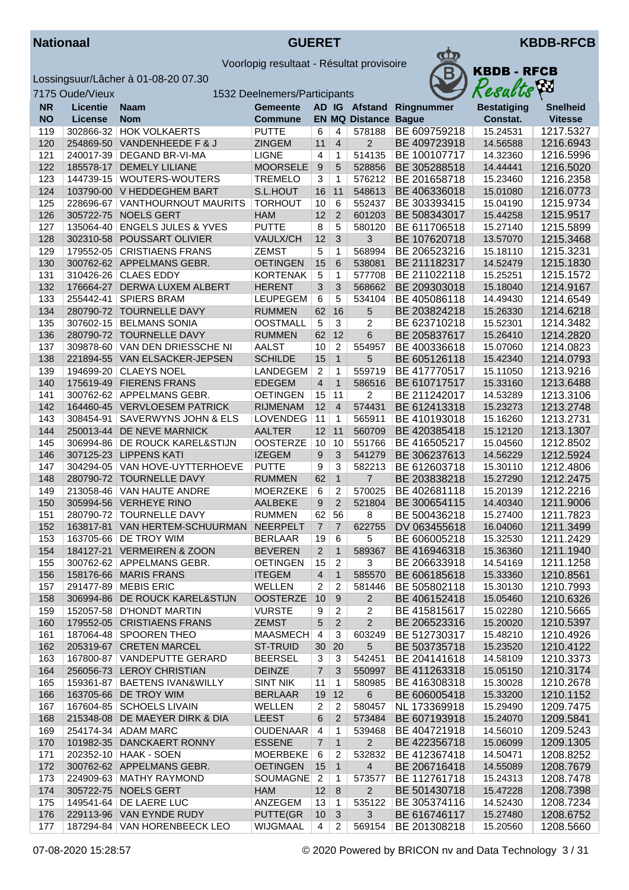



|            | 7175 Oude/Vieux        |                                                      | 1532 Deelnemers/Participants      |                      |                      |                       |                              | <b>Results</b>       |                        |
|------------|------------------------|------------------------------------------------------|-----------------------------------|----------------------|----------------------|-----------------------|------------------------------|----------------------|------------------------|
| <b>NR</b>  | <b>Licentie</b>        | <b>Naam</b>                                          | <b>Gemeente</b>                   |                      |                      | AD IG Afstand         | Ringnummer                   | <b>Bestatiging</b>   | <b>Snelheid</b>        |
| <b>NO</b>  | License                | <b>Nom</b>                                           | <b>Commune</b>                    |                      |                      | <b>EN MQ Distance</b> | <b>Bague</b>                 | Constat.             | <b>Vitesse</b>         |
| 119        |                        | 302866-32 HOK VOLKAERTS                              | <b>PUTTE</b>                      | 6                    | 4                    | 578188                | BE 609759218                 | 15.24531             | 1217.5327              |
| 120        |                        | 254869-50 VANDENHEEDE F & J                          | <b>ZINGEM</b>                     | 11                   | $\overline{4}$       | $\overline{2}$        | BE 409723918                 | 14.56588             | 1216.6943              |
| 121        |                        | 240017-39   DEGAND BR-VI-MA                          | <b>LIGNE</b>                      | $\overline{4}$       | $\mathbf{1}$         | 514135                | BE 100107717                 | 14.32360             | 1216.5996              |
| 122        | 185578-17              | <b>DEMELY LILIANE</b>                                | <b>MOORSELE</b>                   | 9                    | 5                    | 528856                | BE 305288518                 | 14.44441             | 1216.5020              |
| 123        |                        | 144739-15 WOUTERS-WOUTERS                            | <b>TREMELO</b>                    | 3                    | 1                    | 576212                | BE 201658718                 | 15.23460             | 1216.2358              |
| 124        |                        | 103790-00 V HEDDEGHEM BART                           | S.L.HOUT                          | 16                   | 11                   | 548613                | BE 406336018                 | 15.01080             | 1216.0773              |
| 125        | 228696-67              | <b>VANTHOURNOUT MAURITS</b>                          | <b>TORHOUT</b>                    | 10                   | 6                    | 552437                | BE 303393415                 | 15.04190             | 1215.9734              |
| 126        | 305722-75              | <b>NOELS GERT</b>                                    | <b>HAM</b>                        | 12                   | 2                    | 601203                | BE 508343017                 | 15.44258             | 1215.9517              |
| 127        |                        | 135064-40   ENGELS JULES & YVES                      | <b>PUTTE</b>                      | 8                    | 5                    | 580120                | BE 611706518                 | 15.27140             | 1215.5899              |
| 128        | 302310-58              | POUSSART OLIVIER                                     | VAULX/CH                          | 12                   | 3                    | 3                     | BE 107620718                 | 13.57070             | 1215.3468              |
| 129        | 179552-05              | <b>CRISTIAENS FRANS</b>                              | <b>ZEMST</b>                      | 5                    | 1                    | 568994                | BE 206523216                 | 15.18110             | 1215.3231              |
| 130        |                        | 300762-62 APPELMANS GEBR.                            | <b>OETINGEN</b>                   | 15                   | 6                    | 538081                | BE 211182317                 | 14.52479             | 1215.1830              |
| 131        |                        | 310426-26 CLAES EDDY                                 | <b>KORTENAK</b>                   | 5                    | $\mathbf{1}$         | 577708                | BE 211022118                 | 15.25251             | 1215.1572              |
| 132        | 176664-27              | DERWA LUXEM ALBERT                                   | <b>HERENT</b>                     | 3                    | 3                    | 568662                | BE 209303018                 | 15.18040             | 1214.9167              |
| 133        | 255442-41              | <b>SPIERS BRAM</b>                                   | <b>LEUPEGEM</b>                   | 6                    | 5                    | 534104                | BE 405086118                 | 14.49430             | 1214.6549              |
| 134        |                        | 280790-72 TOURNELLE DAVY                             | <b>RUMMEN</b>                     | 62                   | 16                   | 5                     | BE 203824218                 | 15.26330             | 1214.6218              |
| 135        |                        | 307602-15   BELMANS SONIA                            | <b>OOSTMALL</b>                   | 5                    | 3                    | 2                     | BE 623710218                 | 15.52301             | 1214.3482              |
| 136        |                        | 280790-72 TOURNELLE DAVY                             | <b>RUMMEN</b>                     | 62                   | 12                   | 6                     | BE 205837617                 | 15.26410             | 1214.2820              |
| 137        |                        | 309878-60 VAN DEN DRIESSCHE NI                       | <b>AALST</b>                      | 10                   | 2                    | 554957                | BE 400336618                 | 15.07060             | 1214.0823              |
| 138        | 221894-55              | <b>VAN ELSACKER-JEPSEN</b>                           | <b>SCHILDE</b>                    | 15                   | $\mathbf{1}$         | 5                     | BE 605126118                 | 15.42340             | 1214.0793              |
| 139        |                        | 194699-20 CLAEYS NOEL                                | LANDEGEM                          | $\overline{2}$       | 1                    | 559719                | BE 417770517                 | 15.11050             | 1213.9216              |
| 140        |                        | 175619-49 FIERENS FRANS                              | <b>EDEGEM</b>                     | $\overline{4}$       | $\mathbf{1}$         | 586516                | BE 610717517                 | 15.33160             | 1213.6488              |
| 141        |                        | 300762-62 APPELMANS GEBR.                            | <b>OETINGEN</b>                   | 15                   | 11                   | 2                     | BE 211242017                 | 14.53289             | 1213.3106              |
| 142        |                        | 164460-45 VERVLOESEM PATRICK                         | <b>RIJMENAM</b>                   | 12                   | $\overline{4}$       | 574431                | BE 612413318                 | 15.23273             | 1213.2748              |
| 143        | 308454-91              | SAVERWYNS JOHN & ELS                                 | <b>LOVENDEG</b>                   | 11                   | $\mathbf{1}$         | 565911                | BE 410193018                 | 15.16260             | 1213.2731              |
| 144        | 250013-44              | DE NEVE MARNICK                                      | <b>AALTER</b>                     | 12                   | 11                   | 560709                | BE 420385418                 | 15.12120             | 1213.1307              |
| 145        | 306994-86              | DE ROUCK KAREL&STIJN                                 | <b>OOSTERZE</b>                   | 10                   | 10                   | 551766                | BE 416505217                 | 15.04560             | 1212.8502              |
| 146        | 307125-23              | <b>LIPPENS KATI</b>                                  | <b>IZEGEM</b>                     | 9                    | 3                    | 541279                | BE 306237613                 | 14.56229             | 1212.5924              |
| 147        |                        | 304294-05   VAN HOVE-UYTTERHOEVE                     | <b>PUTTE</b>                      | 9                    | 3                    | 582213                | BE 612603718                 | 15.30110             | 1212.4806              |
| 148        |                        | 280790-72 TOURNELLE DAVY                             | <b>RUMMEN</b>                     | 62                   | $\mathbf{1}$         | 7                     | BE 203838218                 | 15.27290             | 1212.2475              |
| 149        |                        | 213058-46 VAN HAUTE ANDRE                            | <b>MOERZEKE</b>                   | 6                    | 2                    | 570025                | BE 402681118                 | 15.20139             | 1212.2216              |
| 150        |                        | 305994-56 VERHEYE RINO                               | <b>AALBEKE</b>                    | 9                    | $\overline{2}$       | 521804                | BE 300654115                 | 14.40340             | 1211.9006              |
| 151        |                        | 280790-72   TOURNELLE DAVY<br>VAN HERTEM-SCHUURMAN   | <b>RUMMEN</b>                     | 62<br>$\overline{7}$ | 56<br>$\overline{7}$ | 8                     | BE 500436218                 | 15.27400<br>16.04060 | 1211.7823              |
| 152<br>153 | 163817-81<br>163705-66 | <b>DE TROY WIM</b>                                   | <b>NEERPELT</b><br><b>BERLAAR</b> | 19                   | 6                    | 622755<br>5           | DV 063455618<br>BE 606005218 | 15.32530             | 1211.3499<br>1211.2429 |
| 154        |                        | 184127-21 VERMEIREN & ZOON                           | <b>BEVEREN</b>                    | $\overline{2}$       | $\mathbf{1}$         | 589367                | BE 416946318                 | 15.36360             | 1211.1940              |
|            |                        |                                                      | <b>OETINGEN</b>                   |                      |                      |                       |                              | 14.54169             |                        |
| 155<br>156 |                        | 300762-62   APPELMANS GEBR.<br>158176-66 MARIS FRANS | <b>ITEGEM</b>                     | 15<br>$\overline{4}$ | 2                    | 3<br>585570           | BE 206633918<br>BE 606185618 | 15.33360             | 1211.1258<br>1210.8561 |
| 157        |                        | 291477-89   MEBIS ERIC                               | WELLEN                            | $\overline{c}$       | 1<br>$\overline{c}$  | 581446                | BE 505802118                 | 15.30130             | 1210.7993              |
| 158        |                        | 306994-86 DE ROUCK KAREL&STIJN                       | <b>OOSTERZE</b>                   | 10                   | 9                    | $\overline{2}$        | BE 406152418                 | 15.05460             | 1210.6326              |
| 159        |                        | 152057-58   D'HONDT MARTIN                           | <b>VURSTE</b>                     | 9                    | $\overline{2}$       | $\overline{c}$        | BE 415815617                 | 15.02280             | 1210.5665              |
| 160        |                        | 179552-05 CRISTIAENS FRANS                           | <b>ZEMST</b>                      | 5                    | $\boldsymbol{2}$     | $\overline{2}$        | BE 206523316                 | 15.20020             | 1210.5397              |
| 161        |                        | 187064-48 SPOOREN THEO                               | <b>MAASMECH</b>                   | $\overline{a}$       | 3                    | 603249                | BE 512730317                 | 15.48210             | 1210.4926              |
| 162        |                        | 205319-67 CRETEN MARCEL                              | ST-TRUID                          | 30                   | 20                   | 5                     | BE 503735718                 | 15.23520             | 1210.4122              |
| 163        |                        | 167800-87   VANDEPUTTE GERARD                        | <b>BEERSEL</b>                    | 3                    | 3                    | 542451                | BE 204141618                 | 14.58109             | 1210.3373              |
| 164        |                        | 256056-73 LEROY CHRISTIAN                            | <b>DEINZE</b>                     | $\overline{7}$       | 3                    | 550997                | BE 411263318                 | 15.05150             | 1210.3174              |
| 165        |                        | 159361-87   BAETENS IVAN&WILLY                       | <b>SINT NIK</b>                   | 11                   | 1                    | 580985                | BE 416308318                 | 15.30028             | 1210.2678              |
| 166        |                        | 163705-66 DE TROY WIM                                | <b>BERLAAR</b>                    | 19                   | 12                   | 6                     | BE 606005418                 | 15.33200             | 1210.1152              |
| 167        |                        | 167604-85 SCHOELS LIVAIN                             | WELLEN                            | 2                    | $\overline{c}$       | 580457                | NL 173369918                 | 15.29490             | 1209.7475              |
| 168        |                        | 215348-08 DE MAEYER DIRK & DIA                       | <b>LEEST</b>                      | 6                    | $\overline{2}$       | 573484                | BE 607193918                 | 15.24070             | 1209.5841              |
| 169        |                        | 254174-34 ADAM MARC                                  | <b>OUDENAAR</b>                   | $\overline{4}$       | 1                    | 539468                | BE 404721918                 | 14.56010             | 1209.5243              |
| 170        |                        | 101982-35 DANCKAERT RONNY                            | <b>ESSENE</b>                     | $\overline{7}$       | $\mathbf{1}$         | $\overline{2}$        | BE 422356718                 | 15.06099             | 1209.1305              |
| 171        |                        | 202352-10 HAAK - SOEN                                | <b>MOERBEKE</b>                   | 6                    | 2                    | 532832                | BE 412367418                 | 14.50471             | 1208.8252              |
| 172        |                        | 300762-62 APPELMANS GEBR.                            | <b>OETINGEN</b>                   | 15                   | $\mathbf{1}$         | $\overline{4}$        | BE 206716418                 | 14.55089             | 1208.7679              |
| 173        |                        | 224909-63   MATHY RAYMOND                            | SOUMAGNE                          | $\overline{2}$       | 1                    | 573577                | BE 112761718                 | 15.24313             | 1208.7478              |
| 174        | 305722-75              | NOELS GERT                                           | <b>HAM</b>                        | 12                   | 8                    | $\overline{2}$        | BE 501430718                 | 15.47228             | 1208.7398              |
| 175        |                        | 149541-64 DE LAERE LUC                               | ANZEGEM                           | 13                   | $\mathbf{1}$         | 535122                | BE 305374116                 | 14.52430             | 1208.7234              |
| 176        |                        | 229113-96 VAN EYNDE RUDY                             | PUTTE(GR                          | 10                   | 3                    | 3                     | BE 616746117                 | 15.27480             | 1208.6752              |
| 177        |                        | 187294-84   VAN HORENBEECK LEO                       | WIJGMAAL                          | 4                    | 2                    | 569154                | BE 201308218                 | 15.20560             | 1208.5660              |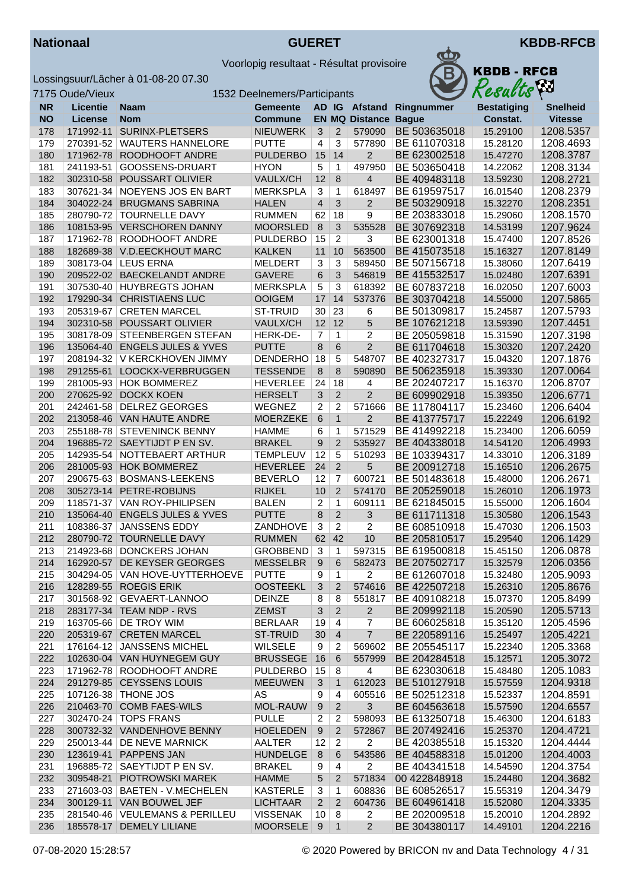



|            | 7175 Oude/Vieux |                                                             | 1532 Deelnemers/Participants       |                         |                     |                             | Results                      | Áл                   |                        |
|------------|-----------------|-------------------------------------------------------------|------------------------------------|-------------------------|---------------------|-----------------------------|------------------------------|----------------------|------------------------|
| <b>NR</b>  | <b>Licentie</b> | <b>Naam</b>                                                 | <b>Gemeente</b>                    |                         |                     |                             | AD IG Afstand Ringnummer     | <b>Bestatiging</b>   | <b>Snelheid</b>        |
| <b>NO</b>  | <b>License</b>  | <b>Nom</b>                                                  | Commune                            |                         |                     | <b>EN MQ Distance Bague</b> |                              | Constat.             | <b>Vitesse</b>         |
| 178        | 171992-11       | SURINX-PLETSERS                                             | <b>NIEUWERK</b>                    | 3                       | $\overline{2}$      | 579090                      | BE 503635018                 | 15.29100             | 1208.5357              |
| 179        |                 | 270391-52   WAUTERS HANNELORE                               | <b>PUTTE</b>                       | $\overline{4}$          | 3                   | 577890                      | BE 611070318                 | 15.28120             | 1208.4693              |
| 180        |                 | 171962-78 ROODHOOFT ANDRE                                   | <b>PULDERBO</b>                    | 15                      | 14                  | 2                           | BE 623002518                 | 15.47270             | 1208.3787              |
| 181        |                 | 241193-51 GOOSSENS-DRUART                                   | <b>HYON</b>                        | 5                       | $\mathbf{1}$        | 497950                      | BE 503650418                 | 14.22062             | 1208.3134              |
| 182        | 302310-58       | POUSSART OLIVIER                                            | VAULX/CH                           | 12                      | $\bf 8$             | $\overline{4}$              | BE 409483118                 | 13.59230             | 1208.2721              |
| 183        |                 | 307621-34 NOEYENS JOS EN BART                               | <b>MERKSPLA</b>                    | $\overline{3}$          | $\mathbf{1}$        | 618497                      | BE 619597517                 | 16.01540             | 1208.2379              |
| 184        | 304022-24       | <b>BRUGMANS SABRINA</b>                                     | <b>HALEN</b>                       | $\overline{\mathbf{r}}$ | $\mathfrak{Z}$      | $\overline{2}$              | BE 503290918                 | 15.32270             | 1208.2351              |
| 185        |                 | 280790-72 TOURNELLE DAVY<br>108153-95 VERSCHOREN DANNY      | <b>RUMMEN</b>                      | 62<br>8                 | 18                  | 9<br>535528                 | BE 203833018                 | 15.29060             | 1208.1570              |
| 186<br>187 |                 | 171962-78 ROODHOOFT ANDRE                                   | <b>MOORSLED</b><br><b>PULDERBO</b> | 15                      | 3<br>$\overline{c}$ | 3                           | BE 307692318<br>BE 623001318 | 14.53199<br>15.47400 | 1207.9624<br>1207.8526 |
| 188        |                 | 182689-38 V.D.EECKHOUT MARC                                 | <b>KALKEN</b>                      | 11                      | 10                  | 563500                      | BE 415073518                 | 15.16327             | 1207.8149              |
| 189        |                 | 308173-04 LEUS ERNA                                         | <b>MELDERT</b>                     | 3                       | 3                   | 589450                      | BE 507156718                 | 15.38060             | 1207.6419              |
| 190        |                 | 209522-02 BAECKELANDT ANDRE                                 | <b>GAVERE</b>                      | 6                       | 3                   | 546819                      | BE 415532517                 | 15.02480             | 1207.6391              |
| 191        |                 | 307530-40 HUYBREGTS JOHAN                                   | <b>MERKSPLA</b>                    | 5                       | 3                   | 618392                      | BE 607837218                 | 16.02050             | 1207.6003              |
| 192        | 179290-34       | <b>CHRISTIAENS LUC</b>                                      | <b>OOIGEM</b>                      | 17                      | 14                  | 537376                      | BE 303704218                 | 14.55000             | 1207.5865              |
| 193        | 205319-67       | <b>CRETEN MARCEL</b>                                        | ST-TRUID                           | 30                      | 23                  | 6                           | BE 501309817                 | 15.24587             | 1207.5793              |
| 194        |                 | 302310-58 POUSSART OLIVIER                                  | VAULX/CH                           | 12                      | 12                  | 5                           | BE 107621218                 | 13.59390             | 1207.4451              |
| 195        |                 | 308178-09 STEENBERGEN STEFAN                                | HERK-DE-                           | 7                       | 1                   | 2                           | BE 205059818                 | 15.31590             | 1207.3198              |
| 196        |                 | 135064-40 ENGELS JULES & YVES                               | <b>PUTTE</b>                       | 8                       | 6                   | $\overline{2}$              | BE 611704618                 | 15.30320             | 1207.2420              |
| 197        |                 | 208194-32 V KERCKHOVEN JIMMY                                | <b>DENDERHO</b>                    | 18                      | 5                   | 548707                      | BE 402327317                 | 15.04320             | 1207.1876              |
| 198        |                 | 291255-61 LOOCKX-VERBRUGGEN                                 | <b>TESSENDE</b>                    | $\,8\,$                 | 8                   | 590890                      | BE 506235918                 | 15.39330             | 1207.0064              |
| 199        |                 | 281005-93 HOK BOMMEREZ                                      | <b>HEVERLEE</b>                    | 24                      | 18                  | 4                           | BE 202407217                 | 15.16370             | 1206.8707              |
| 200        | 270625-92       | <b>DOCKX KOEN</b>                                           | <b>HERSELT</b>                     | 3                       | $\overline{2}$      | $\overline{2}$              | BE 609902918                 | 15.39350             | 1206.6771              |
| 201        | 242461-58       | <b>DELREZ GEORGES</b>                                       | WEGNEZ                             | 2                       | $\overline{c}$      | 571666                      | BE 117804117                 | 15.23460             | 1206.6404              |
| 202        |                 | 213058-46 VAN HAUTE ANDRE                                   | <b>MOERZEKE</b>                    | 6                       | $\mathbf{1}$        | $\overline{2}$              | BE 413775717                 | 15.22249             | 1206.6192              |
| 203        |                 | 255188-78 STEVENINCK BENNY                                  | <b>HAMME</b>                       | 6                       | 1                   | 571529                      | BE 414992218                 | 15.23400             | 1206.6059              |
| 204        | 196885-72       | SAEYTIJDT P EN SV.                                          | <b>BRAKEL</b>                      | 9                       | 2                   | 535927                      | BE 404338018                 | 14.54120             | 1206.4993              |
| 205        | 142935-54       | NOTTEBAERT ARTHUR                                           | <b>TEMPLEUV</b>                    | 12                      | 5                   | 510293                      | BE 103394317                 | 14.33010             | 1206.3189              |
| 206        | 281005-93       | <b>HOK BOMMEREZ</b>                                         | <b>HEVERLEE</b>                    | 24                      | 2                   | 5                           | BE 200912718                 | 15.16510             | 1206.2675              |
| 207        |                 | 290675-63 BOSMANS-LEEKENS                                   | <b>BEVERLO</b>                     | 12                      | $\overline{7}$      | 600721                      | BE 501483618                 | 15.48000             | 1206.2671              |
| 208        |                 | 305273-14 PETRE-ROBIJNS<br>118571-37 VAN ROY-PHILIPSEN      | <b>RIJKEL</b>                      | 10                      | $\overline{2}$      | 574170                      | BE 205259018<br>BE 621845015 | 15.26010             | 1206.1973<br>1206.1604 |
| 209<br>210 | 135064-40       | <b>ENGELS JULES &amp; YVES</b>                              | <b>BALEN</b><br><b>PUTTE</b>       | 2<br>8                  | 1<br>$\overline{2}$ | 609111<br>3                 | BE 611711318                 | 15.55000<br>15.30580 | 1206.1543              |
| 211        | 108386-37       | <b>JANSSENS EDDY</b>                                        | <b>ZANDHOVE</b>                    | 3                       | $\overline{2}$      | $\overline{c}$              | BE 608510918                 | 15.47030             | 1206.1503              |
| 212        |                 | 280790-72 TOURNELLE DAVY                                    | <b>RUMMEN</b>                      | 62                      | 42                  | 10                          | BE 205810517                 | 15.29540             | 1206.1429              |
| 213        |                 | 214923-68 DONCKERS JOHAN                                    | <b>GROBBEND</b>                    | 3                       | 1                   | 597315                      | BE 619500818                 | 15.45150             | 1206.0878              |
| 214        |                 | 162920-57 DE KEYSER GEORGES                                 | <b>MESSELBR</b>                    | 9                       | 6                   | 582473                      | BE 207502717                 | 15.32579             | 1206.0356              |
| 215        |                 | 304294-05   VAN HOVE-UYTTERHOEVE                            | <b>PUTTE</b>                       | 9                       | 1                   | 2                           | BE 612607018                 | 15.32480             | 1205.9093              |
| 216        |                 | 128289-55 ROEGIS ERIK                                       | <b>OOSTEEKL</b>                    | 3                       | $\overline{2}$      | 574616                      | BE 422507218                 | 15.26310             | 1205.8676              |
| 217        |                 | 301568-92 GEVAERT-LANNOO                                    | <b>DEINZE</b>                      | 8                       | 8                   | 551817                      | BE 409108218                 | 15.07370             | 1205.8499              |
| 218        |                 | 283177-34 TEAM NDP - RVS                                    | <b>ZEMST</b>                       | 3                       | $\overline{2}$      | $\overline{2}$              | BE 209992118                 | 15.20590             | 1205.5713              |
| 219        |                 | 163705-66 DE TROY WIM                                       | <b>BERLAAR</b>                     | 19                      | 4                   | 7                           | BE 606025818                 | 15.35120             | 1205.4596              |
| 220        |                 | 205319-67 CRETEN MARCEL                                     | ST-TRUID                           | 30                      | $\overline{4}$      | $\overline{7}$              | BE 220589116                 | 15.25497             | 1205.4221              |
| 221        |                 | 176164-12 JANSSENS MICHEL                                   | <b>WILSELE</b>                     | 9                       | $\overline{2}$      | 569602                      | BE 205545117                 | 15.22340             | 1205.3368              |
| 222        |                 | 102630-04 VAN HUYNEGEM GUY                                  | <b>BRUSSEGE</b>                    | 16                      | 6                   | 557999                      | BE 204284518                 | 15.12571             | 1205.3072              |
| 223        |                 | 171962-78 ROODHOOFT ANDRE                                   | <b>PULDERBO</b>                    | 15                      | 8                   | 4                           | BE 623030618                 | 15.48480             | 1205.1083              |
| 224        |                 | 291279-85 CEYSSENS LOUIS                                    | <b>MEEUWEN</b>                     | 3                       | $\mathbf{1}$        | 612023                      | BE 510127918                 | 15.57559             | 1204.9318              |
| 225        |                 | 107126-38   THONE JOS                                       | AS                                 | 9                       | 4                   | 605516                      | BE 502512318                 | 15.52337             | 1204.8591              |
| 226        |                 | 210463-70 COMB FAES-WILS                                    | MOL-RAUW                           | $\boldsymbol{9}$        | $\overline{2}$      | 3                           | BE 604563618                 | 15.57590             | 1204.6557              |
| 227        |                 | 302470-24   TOPS FRANS                                      | <b>PULLE</b>                       | 2                       | 2                   | 598093                      | BE 613250718                 | 15.46300             | 1204.6183              |
| 228        |                 | 300732-32 VANDENHOVE BENNY                                  | <b>HOELEDEN</b>                    | 9                       | $\boldsymbol{2}$    | 572867                      | BE 207492416                 | 15.25370             | 1204.4721              |
| 229        |                 | 250013-44   DE NEVE MARNICK                                 | AALTER                             | 12                      | $\overline{c}$      | $\overline{2}$              | BE 420385518                 | 15.15320             | 1204.4444              |
| 230        |                 | 123619-41 PAPPENS JAN                                       | <b>HUNDELGE</b>                    | 8                       | 6                   | 543586                      | BE 404588318                 | 15.01200             | 1204.4003              |
| 231        |                 | 196885-72   SAEYTIJDT P EN SV.                              | <b>BRAKEL</b>                      | 9                       | 4                   | 2                           | BE 404341518                 | 14.54590             | 1204.3754              |
| 232        |                 | 309548-21 PIOTROWSKI MAREK                                  | <b>HAMME</b>                       | 5                       | $\overline{2}$      | 571834                      | 00 422848918<br>BE 608526517 | 15.24480             | 1204.3682              |
| 233<br>234 |                 | 271603-03   BAETEN - V.MECHELEN<br>300129-11 VAN BOUWEL JEF | <b>KASTERLE</b><br><b>LICHTAAR</b> | 3<br>$\overline{2}$     | 1<br>$\overline{2}$ | 608836<br>604736            | BE 604961418                 | 15.55319<br>15.52080 | 1204.3479<br>1204.3335 |
| 235        |                 | 281540-46   VEULEMANS & PERILLEU                            | <b>VISSENAK</b>                    | 10                      | 8                   | 2                           | BE 202009518                 | 15.20010             | 1204.2892              |
| 236        |                 | 185578-17 DEMELY LILIANE                                    | <b>MOORSELE</b>                    | 9                       | $\mathbf{1}$        | $\overline{2}$              | BE 304380117                 | 14.49101             | 1204.2216              |
|            |                 |                                                             |                                    |                         |                     |                             |                              |                      |                        |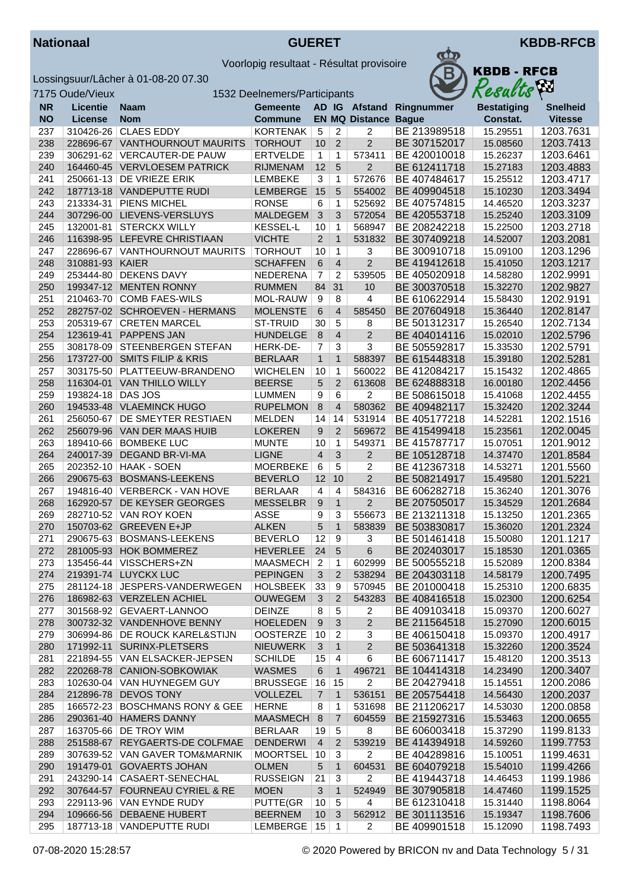



|           | 7175 Oude/Vieux   |                                  | 1532 Deelnemers/Participants |                  |                |                             |                          | Resacus            | $\mathbf{r}$    |
|-----------|-------------------|----------------------------------|------------------------------|------------------|----------------|-----------------------------|--------------------------|--------------------|-----------------|
| <b>NR</b> | <b>Licentie</b>   | Naam                             | <b>Gemeente</b>              |                  |                |                             | AD IG Afstand Ringnummer | <b>Bestatiging</b> | <b>Snelheid</b> |
| <b>NO</b> | License           | <b>Nom</b>                       | <b>Commune</b>               |                  |                | <b>EN MQ Distance Bague</b> |                          | Constat.           | <b>Vitesse</b>  |
| 237       | 310426-26         | <b>CLAES EDDY</b>                | KORTENAK                     | $\sqrt{5}$       | 2              | 2                           | BE 213989518             | 15.29551           | 1203.7631       |
| 238       |                   | 228696-67 VANTHOURNOUT MAURITS   | <b>TORHOUT</b>               | 10               | $\overline{2}$ | $\overline{2}$              | BE 307152017             | 15.08560           | 1203.7413       |
| 239       |                   | 306291-62 VERCAUTER-DE PAUW      | <b>ERTVELDE</b>              | $\mathbf{1}$     | 1              | 573411                      | BE 420010018             | 15.26237           | 1203.6461       |
| 240       |                   | 164460-45 VERVLOESEM PATRICK     | <b>RIJMENAM</b>              | 12               | 5              | $\overline{c}$              | BE 612411718             | 15.27183           | 1203.4883       |
| 241       |                   | 250661-13 DE VRIEZE ERIK         | <b>LEMBEKE</b>               | 3                | 1              | 572676                      | BE 407484617             | 15.25512           | 1203.4717       |
| 242       |                   | 187713-18 VANDEPUTTE RUDI        | LEMBERGE                     | 15               | 5              | 554002                      | BE 409904518             | 15.10230           | 1203.3494       |
| 243       |                   | 213334-31   PIENS MICHEL         | <b>RONSE</b>                 | 6                | $\mathbf{1}$   | 525692                      | BE 407574815             | 14.46520           | 1203.3237       |
| 244       |                   | 307296-00 LIEVENS-VERSLUYS       | <b>MALDEGEM</b>              | $\mathfrak{Z}$   | 3              | 572054                      | BE 420553718             | 15.25240           | 1203.3109       |
| 245       | 132001-81         | <b>STERCKX WILLY</b>             | <b>KESSEL-L</b>              | 10               | $\mathbf{1}$   | 568947                      | BE 208242218             | 15.22500           | 1203.2718       |
| 246       |                   | 116398-95 LEFEVRE CHRISTIAAN     | <b>VICHTE</b>                | $\overline{2}$   | $\mathbf{1}$   | 531832                      | BE 307409218             | 14.52007           | 1203.2081       |
| 247       | 228696-67         | <b>VANTHOURNOUT MAURITS</b>      | <b>TORHOUT</b>               | 10               | $\mathbf{1}$   | 3                           | BE 300910718             | 15.09100           | 1203.1296       |
| 248       | 310881-93 KAIER   |                                  | <b>SCHAFFEN</b>              | 6                | $\overline{4}$ | $\overline{2}$              | BE 419412618             | 15.41050           | 1203.1217       |
| 249       |                   | 253444-80 DEKENS DAVY            | NEDERENA                     | $\overline{7}$   | 2              | 539505                      | BE 405020918             | 14.58280           | 1202.9991       |
| 250       |                   | 199347-12 MENTEN RONNY           | <b>RUMMEN</b>                | 84               | 31             | 10                          | BE 300370518             | 15.32270           | 1202.9827       |
| 251       |                   | 210463-70 COMB FAES-WILS         | MOL-RAUW                     | 9                | 8              | 4                           | BE 610622914             | 15.58430           | 1202.9191       |
| 252       |                   | 282757-02 SCHROEVEN - HERMANS    | <b>MOLENSTE</b>              | $\,6\,$          | $\overline{4}$ | 585450                      | BE 207604918             | 15.36440           | 1202.8147       |
| 253       |                   | 205319-67 CRETEN MARCEL          | <b>ST-TRUID</b>              | 30               | 5              | 8                           | BE 501312317             | 15.26540           | 1202.7134       |
| 254       |                   | 123619-41 PAPPENS JAN            | <b>HUNDELGE</b>              | 8                | 4              | $\overline{2}$              | BE 404014116             | 15.02010           | 1202.5796       |
| 255       | 308178-09         | STEENBERGEN STEFAN               | HERK-DE-                     | 7                | 3              | 3                           | BE 505592817             | 15.33530           | 1202.5791       |
| 256       |                   | 173727-00 SMITS FILIP & KRIS     | <b>BERLAAR</b>               | $\mathbf{1}$     | $\mathbf{1}$   | 588397                      | BE 615448318             | 15.39180           | 1202.5281       |
| 257       |                   | 303175-50 PLATTEEUW-BRANDENO     | <b>WICHELEN</b>              | 10               | 1              | 560022                      | BE 412084217             | 15.15432           | 1202.4865       |
| 258       |                   | 116304-01 VAN THILLO WILLY       | <b>BEERSE</b>                | 5                | $\overline{2}$ | 613608                      | BE 624888318             | 16.00180           | 1202.4456       |
| 259       | 193824-18 DAS JOS |                                  | <b>LUMMEN</b>                | 9                | 6              | 2                           | BE 508615018             | 15.41068           | 1202.4455       |
| 260       |                   | 194533-48 VLAEMINCK HUGO         | <b>RUPELMON</b>              | $\,8\,$          | $\overline{4}$ | 580362                      | BE 409482117             | 15.32420           | 1202.3244       |
| 261       | 256050-67         | <b>DE SMEYTER RESTIAEN</b>       | <b>MELDEN</b>                | 14               | 14             | 531914                      | BE 405177218             | 14.52281           | 1202.1516       |
| 262       |                   | 256079-96 VAN DER MAAS HUIB      | <b>LOKEREN</b>               | $\boldsymbol{9}$ | $\overline{2}$ | 569672                      | BE 415499418             | 15.23561           | 1202.0045       |
| 263       |                   | 189410-66   BOMBEKE LUC          | <b>MUNTE</b>                 | 10               | $\mathbf{1}$   | 549371                      | BE 415787717             | 15.07051           | 1201.9012       |
| 264       |                   | 240017-39 DEGAND BR-VI-MA        | <b>LIGNE</b>                 | $\overline{4}$   | 3              | $\overline{2}$              | BE 105128718             | 14.37470           | 1201.8584       |
| 265       |                   | 202352-10   HAAK - SOEN          | <b>MOERBEKE</b>              | 6                | 5              | 2                           | BE 412367318             | 14.53271           | 1201.5560       |
| 266       |                   | 290675-63 BOSMANS-LEEKENS        | <b>BEVERLO</b>               | 12               | 10             | $\overline{2}$              | BE 508214917             | 15.49580           | 1201.5221       |
| 267       |                   | 194816-40   VERBERCK - VAN HOVE  | <b>BERLAAR</b>               | $\overline{4}$   | 4              | 584316                      | BE 606282718             | 15.36240           | 1201.3076       |
| 268       |                   | 162920-57 DE KEYSER GEORGES      | <b>MESSELBR</b>              | 9                | $\mathbf{1}$   | $\overline{c}$              | BE 207505017             | 15.34529           | 1201.2684       |
| 269       |                   | 282710-52   VAN ROY KOEN         | <b>ASSE</b>                  | 9                | 3              | 556673                      | BE 213211318             | 15.13250           | 1201.2365       |
| 270       |                   | 150703-62 GREEVEN E+JP           | <b>ALKEN</b>                 | 5                | $\mathbf{1}$   | 583839                      | BE 503830817             | 15.36020           | 1201.2324       |
| 271       |                   | 290675-63 BOSMANS-LEEKENS        | <b>BEVERLO</b>               | 12               | 9              | 3                           | BE 501461418             | 15.50080           | 1201.1217       |
| 272       |                   | 281005-93 HOK BOMMEREZ           | <b>HEVERLEE</b>              | 24               | 5              | 6                           | BE 202403017             | 15.18530           | 1201.0365       |
| 273       |                   | 135456-44 VISSCHERS+ZN           | MAASMECH 2 1                 |                  |                | 602999                      | BE 500555218             | 15.52089           | 1200.8384       |
| 274       |                   | 219391-74 LUYCKX LUC             | <b>PEPINGEN</b>              | 3                | $\overline{2}$ | 538294                      | BE 204303118             | 14.58179           | 1200.7495       |
| 275       |                   | 281124-18 JESPERS-VANDERWEGEN    | HOLSBEEK                     | 33               | 9              | 570945                      | BE 201000418             | 15.25310           | 1200.6835       |
| 276       |                   | 186982-63 VERZELEN ACHIEL        | <b>OUWEGEM</b>               | 3                | 2              | 543283                      | BE 408416518             | 15.02300           | 1200.6254       |
| 277       |                   | 301568-92 GEVAERT-LANNOO         | <b>DEINZE</b>                | 8                | 5              | 2                           | BE 409103418             | 15.09370           | 1200.6027       |
| 278       |                   | 300732-32 VANDENHOVE BENNY       | <b>HOELEDEN</b>              | 9                | 3              | $\boldsymbol{2}$            | BE 211564518             | 15.27090           | 1200.6015       |
| 279       |                   | 306994-86   DE ROUCK KAREL&STIJN | <b>OOSTERZE</b>              | 10               | 2              | 3                           | BE 406150418             | 15.09370           | 1200.4917       |
| 280       |                   | 171992-11 SURINX-PLETSERS        | <b>NIEUWERK</b>              | 3                | $\mathbf{1}$   | $\mathbf 2$                 | BE 503641318             | 15.32260           | 1200.3524       |
| 281       |                   | 221894-55   VAN ELSACKER-JEPSEN  | <b>SCHILDE</b>               | 15               | $\overline{4}$ | 6                           | BE 606711417             | 15.48120           | 1200.3513       |
| 282       |                   | 220268-78 CANION-SOBKOWIAK       | <b>WASMES</b>                | 6                | $\mathbf{1}$   | 496721                      | BE 104414318             | 14.23490           | 1200.3407       |
| 283       |                   | 102630-04 VAN HUYNEGEM GUY       | <b>BRUSSEGE</b>              | 16               | 15             | $\overline{c}$              | BE 204279418             | 15.14551           | 1200.2086       |
| 284       |                   | 212896-78 DEVOS TONY             | <b>VOLLEZEL</b>              | $\overline{7}$   | $\mathbf{1}$   | 536151                      | BE 205754418             | 14.56430           | 1200.2037       |
| 285       |                   | 166572-23 BOSCHMANS RONY & GEE   | <b>HERNE</b>                 | 8                | 1              | 531698                      | BE 211206217             | 14.53030           | 1200.0858       |
| 286       |                   | 290361-40 HAMERS DANNY           | <b>MAASMECH</b>              | 8                | 7              | 604559                      | BE 215927316             | 15.53463           | 1200.0655       |
| 287       |                   | 163705-66 DE TROY WIM            | <b>BERLAAR</b>               | 19               | 5              | 8                           | BE 606003418             | 15.37290           | 1199.8133       |
| 288       |                   | 251588-67 REYGAERTS-DE COLFMAE   | <b>DENDERWI</b>              | $\overline{4}$   | $\overline{c}$ | 539219                      | BE 414394918             | 14.59260           | 1199.7753       |
| 289       |                   | 307639-52 VAN GAVER TOM&MARNIK   | MOORTSEL                     | 10               | 3              | $\overline{2}$              | BE 404289816             | 15.10051           | 1199.4631       |
| 290       |                   | 191479-01 GOVAERTS JOHAN         | <b>OLMEN</b>                 | $\sqrt{5}$       | $\mathbf{1}$   | 604531                      | BE 604079218             | 15.54010           | 1199.4266       |
| 291       |                   | 243290-14 CASAERT-SENECHAL       | <b>RUSSEIGN</b>              | 21               | $\sqrt{3}$     | 2                           | BE 419443718             | 14.46453           | 1199.1986       |
| 292       |                   | 307644-57 FOURNEAU CYRIEL & RE   | <b>MOEN</b>                  | 3                | $\mathbf{1}$   | 524949                      | BE 307905818             | 14.47460           | 1199.1525       |
| 293       |                   | 229113-96   VAN EYNDE RUDY       | PUTTE(GR                     | 10               | 5              | 4                           | BE 612310418             | 15.31440           | 1198.8064       |
| 294       |                   | 109666-56 DEBAENE HUBERT         | <b>BEERNEM</b>               | 10               | 3              | 562912                      | BE 301113516             | 15.19347           | 1198.7606       |
| 295       |                   | 187713-18   VANDEPUTTE RUDI      | LEMBERGE   15                |                  | $\mathbf{1}$   | $\overline{2}$              | BE 409901518             | 15.12090           | 1198.7493       |
|           |                   |                                  |                              |                  |                |                             |                          |                    |                 |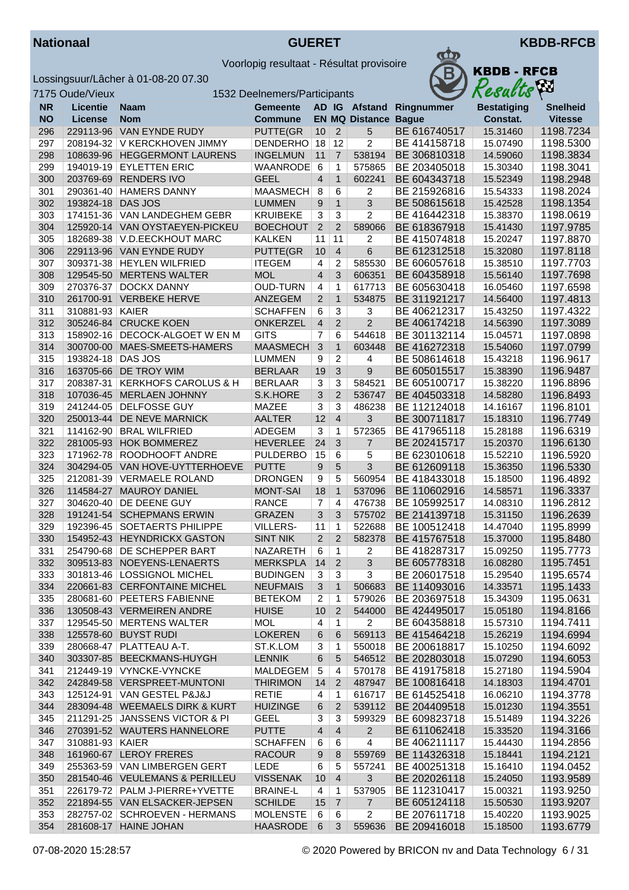



| <b>N KBDB - RFCB</b><br>Results |  |
|---------------------------------|--|
|                                 |  |
| Rostatining                     |  |

|            | 7175 Oude/Vieux   |                                                                | 1532 Deelnemers/Participants       |                         |                     |                             |                              | Results              | Áл                     |
|------------|-------------------|----------------------------------------------------------------|------------------------------------|-------------------------|---------------------|-----------------------------|------------------------------|----------------------|------------------------|
| <b>NR</b>  | <b>Licentie</b>   | Naam                                                           | <b>Gemeente</b>                    |                         |                     |                             | AD IG Afstand Ringnummer     | <b>Bestatiging</b>   | <b>Snelheid</b>        |
| <b>NO</b>  | License           | <b>Nom</b>                                                     | <b>Commune</b>                     |                         |                     | <b>EN MQ Distance Bague</b> |                              | Constat.             | <b>Vitesse</b>         |
| 296        |                   | 229113-96 VAN EYNDE RUDY                                       | PUTTE(GR                           | 10                      | $\overline{2}$      | 5                           | BE 616740517                 | 15.31460             | 1198.7234              |
| 297        |                   | 208194-32 V KERCKHOVEN JIMMY                                   | DENDERHO 18                        |                         | 12                  | $\overline{2}$              | BE 414158718                 | 15.07490             | 1198.5300              |
| 298        |                   | 108639-96 HEGGERMONT LAURENS                                   | <b>INGELMUN</b>                    | 11                      | $\overline{7}$      | 538194                      | BE 306810318                 | 14.59060             | 1198.3834              |
| 299        |                   | 194019-19 EYLETTEN ERIC                                        | WAANRODE                           | $6\phantom{1}6$         | $\mathbf{1}$        | 575865                      | BE 203405018                 | 15.30340             | 1198.3041              |
| 300        | 203769-69         | <b>RENDERS IVO</b>                                             | <b>GEEL</b>                        | $\overline{4}$          | $\mathbf{1}$        | 602241                      | BE 604343718                 | 15.52349             | 1198.2948              |
| 301        |                   | 290361-40   HAMERS DANNY                                       | <b>MAASMECH</b>                    | 8                       | 6                   | 2                           | BE 215926816                 | 15.54333             | 1198.2024              |
| 302        | 193824-18         | DAS JOS                                                        | <b>LUMMEN</b>                      | 9                       | $\mathbf{1}$        | 3                           | BE 508615618                 | 15.42528             | 1198.1354              |
| 303<br>304 |                   | 174151-36 VAN LANDEGHEM GEBR<br>125920-14 VAN OYSTAEYEN-PICKEU | <b>KRUIBEKE</b><br><b>BOECHOUT</b> | 3<br>$\overline{2}$     | 3<br>2              | 2<br>589066                 | BE 416442318<br>BE 618367918 | 15.38370<br>15.41430 | 1198.0619<br>1197.9785 |
| 305        |                   | 182689-38 V.D.EECKHOUT MARC                                    | <b>KALKEN</b>                      | 11                      | 11                  | 2                           | BE 415074818                 | 15.20247             | 1197.8870              |
| 306        |                   | 229113-96 VAN EYNDE RUDY                                       | PUTTE(GR                           | 10                      | $\overline{4}$      | 6                           | BE 612312518                 | 15.32080             | 1197.8118              |
| 307        |                   | 309371-38   HEYLEN WILFRIED                                    | <b>ITEGEM</b>                      | 4                       | $\overline{2}$      | 585530                      | BE 606057618                 | 15.38510             | 1197.7703              |
| 308        |                   | 129545-50 MERTENS WALTER                                       | <b>MOL</b>                         | $\overline{4}$          | 3                   | 606351                      | BE 604358918                 | 15.56140             | 1197.7698              |
| 309        |                   | 270376-37 DOCKX DANNY                                          | <b>OUD-TURN</b>                    | $\overline{\mathbf{4}}$ | 1                   | 617713                      | BE 605630418                 | 16.05460             | 1197.6598              |
| 310        |                   | 261700-91 VERBEKE HERVE                                        | ANZEGEM                            | $\overline{2}$          | $\mathbf{1}$        | 534875                      | BE 311921217                 | 14.56400             | 1197.4813              |
| 311        | 310881-93 KAIER   |                                                                | <b>SCHAFFEN</b>                    | 6                       | 3                   | 3                           | BE 406212317                 | 15.43250             | 1197.4322              |
| 312        |                   | 305246-84 CRUCKE KOEN                                          | <b>ONKERZEL</b>                    | $\overline{4}$          | 2                   | $\overline{2}$              | BE 406174218                 | 14.56390             | 1197.3089              |
| 313        |                   | 158902-16 DECOCK-ALGOET W EN M                                 | <b>GITS</b>                        | 7                       | 6                   | 544618                      | BE 301132114                 | 15.04571             | 1197.0898              |
| 314        |                   | 300700-00 MAES-SMEETS-HAMERS                                   | <b>MAASMECH</b>                    | $\mathbf{3}$            | $\mathbf{1}$        | 603448                      | BE 416272318                 | 15.54060             | 1197.0799              |
| 315        | 193824-18 DAS JOS |                                                                | <b>LUMMEN</b>                      | 9                       | $\overline{c}$      | 4                           | BE 508614618                 | 15.43218             | 1196.9617              |
| 316        |                   | 163705-66 DE TROY WIM                                          | <b>BERLAAR</b>                     | 19                      | 3                   | 9                           | BE 605015517                 | 15.38390             | 1196.9487              |
| 317        |                   | 208387-31 KERKHOFS CAROLUS & H                                 | <b>BERLAAR</b>                     | 3                       | 3                   | 584521                      | BE 605100717                 | 15.38220             | 1196.8896              |
| 318        |                   | 107036-45 MERLAEN JOHNNY                                       | S.K.HORE                           | 3                       | 2                   | 536747                      | BE 404503318                 | 14.58280             | 1196.8493              |
| 319        |                   | 241244-05 DELFOSSE GUY                                         | MAZEE                              | 3                       | 3                   | 486238                      | BE 112124018                 | 14.16167             | 1196.8101              |
| 320        | 250013-44         | <b>DE NEVE MARNICK</b>                                         | <b>AALTER</b>                      | 12                      | $\overline{4}$      | 3                           | BE 300711817                 | 15.18310             | 1196.7749              |
| 321        |                   | 114162-90 BRAL WILFRIED                                        | <b>ADEGEM</b>                      | $\overline{3}$          | $\mathbf{1}$        | 572365                      | BE 417965118                 | 15.28188             | 1196.6319              |
| 322        |                   | 281005-93 HOK BOMMEREZ                                         | <b>HEVERLEE</b>                    | 24                      | 3                   | 7                           | BE 202415717                 | 15.20370             | 1196.6130              |
| 323        |                   | 171962-78 ROODHOOFT ANDRE                                      | <b>PULDERBO</b>                    | 15                      | 6                   | 5                           | BE 623010618                 | 15.52210             | 1196.5920              |
| 324        |                   | 304294-05 VAN HOVE-UYTTERHOEVE                                 | <b>PUTTE</b>                       | 9                       | $5\overline{)}$     | 3                           | BE 612609118                 | 15.36350             | 1196.5330              |
| 325<br>326 |                   | 212081-39 VERMAELE ROLAND<br>114584-27 MAUROY DANIEL           | <b>DRONGEN</b><br><b>MONT-SAI</b>  | 9<br>18                 | 5<br>$\mathbf{1}$   | 560954<br>537096            | BE 418433018<br>BE 110602916 | 15.18500<br>14.58571 | 1196.4892<br>1196.3337 |
| 327        |                   | 304620-40 DE DEENE GUY                                         | <b>RANCE</b>                       | 7                       | $\overline{4}$      | 476738                      | BE 105992517                 | 14.08310             | 1196.2812              |
| 328        |                   | 191241-54 SCHEPMANS ERWIN                                      | <b>GRAZEN</b>                      | 3                       | 3                   | 575702                      | BE 214139718                 | 15.31150             | 1196.2639              |
| 329        |                   | 192396-45 SOETAERTS PHILIPPE                                   | <b>VILLERS-</b>                    | 11                      | $\mathbf{1}$        | 522688                      | BE 100512418                 | 14.47040             | 1195.8999              |
| 330        |                   | 154952-43 HEYNDRICKX GASTON                                    | <b>SINT NIK</b>                    | 2                       | 2                   | 582378                      | BE 415767518                 | 15.37000             | 1195.8480              |
| 331        |                   | 254790-68 DE SCHEPPER BART                                     | NAZARETH                           | 6                       | 1                   | 2                           | BE 418287317                 | 15.09250             | 1195.7773              |
| 332        |                   | 309513-83 NOEYENS-LENAERTS                                     | MERKSPLA 14 2                      |                         |                     | $\overline{\overline{3}}$   | BE 605778318                 | 16.08280             | 1195.7451              |
| 333        |                   | 301813-46   LOSSIGNOL MICHEL                                   | <b>BUDINGEN</b>                    | 3                       | 3                   | 3                           | BE 206017518                 | 15.29540             | 1195.6574              |
| 334        |                   | 220661-83 CERFONTAINE MICHEL                                   | <b>NEUFMAIS</b>                    | 3                       | $\mathbf{1}$        | 506683                      | BE 114093016                 | 14.33571             | 1195.1433              |
| 335        |                   | 280681-60 PEETERS FABIENNE                                     | <b>BETEKOM</b>                     | 2                       | $\mathbf 1$         | 579026                      | BE 203697518                 | 15.34309             | 1195.0631              |
| 336        |                   | 130508-43 VERMEIREN ANDRE                                      | <b>HUISE</b>                       | 10                      | $\overline{2}$      | 544000                      | BE 424495017                 | 15.05180             | 1194.8166              |
| 337        |                   | 129545-50 MERTENS WALTER                                       | <b>MOL</b>                         | 4                       | $\mathbf{1}$        | $\overline{2}$              | BE 604358818                 | 15.57310             | 1194.7411              |
| 338        |                   | 125578-60 BUYST RUDI                                           | <b>LOKEREN</b>                     | 6                       | 6                   | 569113                      | BE 415464218                 | 15.26219             | 1194.6994              |
| 339        |                   | 280668-47   PLATTEAU A-T.                                      | ST.K.LOM                           | 3                       | $\mathbf{1}$        | 550018                      | BE 200618817                 | 15.10250             | 1194.6092              |
| 340        |                   | 303307-85 BEECKMANS-HUYGH                                      | <b>LENNIK</b>                      | 6                       | 5                   | 546512                      | BE 202803018                 | 15.07290             | 1194.6053              |
| 341        |                   | 212449-19 VYNCKE-VYNCKE                                        | MALDEGEM                           | $\sqrt{5}$              | 4                   | 570178                      | BE 419175818                 | 15.27180             | 1194.5904              |
| 342        |                   | 242849-58 VERSPREET-MUNTONI                                    | <b>THIRIMON</b>                    | 14                      | $\overline{2}$      | 487947                      | BE 100816418                 | 14.18303             | 1194.4701              |
| 343        |                   | 125124-91   VAN GESTEL P&J&J                                   | <b>RETIE</b>                       | 4                       | $\mathbf{1}$        | 616717                      | BE 614525418                 | 16.06210             | 1194.3778              |
| 344        |                   | 283094-48 WEEMAELS DIRK & KURT                                 | <b>HUIZINGE</b>                    | 6                       | $\overline{2}$      | 539112                      | BE 204409518                 | 15.01230             | 1194.3551              |
| 345        |                   | 211291-25 JANSSENS VICTOR & PI                                 | <b>GEEL</b>                        | 3                       | 3                   | 599329                      | BE 609823718                 | 15.51489             | 1194.3226              |
| 346        |                   | 270391-52 WAUTERS HANNELORE                                    | <b>PUTTE</b>                       | 4                       | $\overline{4}$      | $\overline{2}$              | BE 611062418                 | 15.33520             | 1194.3166              |
| 347        | 310881-93 KAIER   | 161960-67 LEROY FRERES                                         | <b>SCHAFFEN</b>                    | 6                       | 6                   | 4                           | BE 406211117                 | 15.44430             | 1194.2856              |
| 348<br>349 |                   | 255363-59 VAN LIMBERGEN GERT                                   | <b>RACOUR</b>                      | 9                       | 8                   | 559769<br>557241            | BE 114326318<br>BE 400251318 | 15.18441             | 1194.2121              |
| 350        |                   | 281540-46 VEULEMANS & PERILLEU                                 | LEDE<br><b>VISSENAK</b>            | 6<br>10                 | 5<br>$\overline{4}$ | 3                           | BE 202026118                 | 15.16410<br>15.24050 | 1194.0452<br>1193.9589 |
| 351        |                   | 226179-72   PALM J-PIERRE+YVETTE                               | <b>BRAINE-L</b>                    | 4                       | $\mathbf{1}$        | 537905                      | BE 112310417                 | 15.00321             | 1193.9250              |
| 352        |                   | 221894-55 VAN ELSACKER-JEPSEN                                  | <b>SCHILDE</b>                     | 15                      | $\overline{7}$      | $\overline{7}$              | BE 605124118                 | 15.50530             | 1193.9207              |
| 353        |                   | 282757-02   SCHROEVEN - HERMANS                                | <b>MOLENSTE</b>                    | 6                       | 6                   | $\overline{2}$              | BE 207611718                 | 15.40220             | 1193.9025              |
| 354        |                   | 281608-17 HAINE JOHAN                                          | <b>HAASRODE</b>                    | 6                       | 3                   | 559636                      | BE 209416018                 | 15.18500             | 1193.6779              |
|            |                   |                                                                |                                    |                         |                     |                             |                              |                      |                        |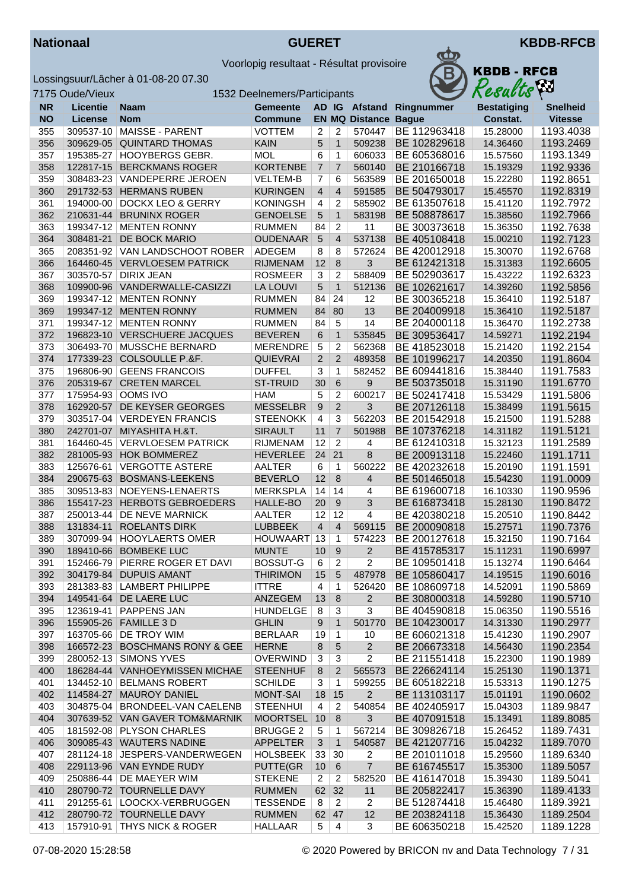



|           | 7175 Oude/Vieux |                                  | 1532 Deelnemers/Participants |                  |                   |                         |              | Resacus            | $\mathbf{r}$           |
|-----------|-----------------|----------------------------------|------------------------------|------------------|-------------------|-------------------------|--------------|--------------------|------------------------|
| <b>NR</b> | <b>Licentie</b> | <b>Naam</b>                      | <b>Gemeente</b>              |                  |                   | AD IG Afstand           | Ringnummer   | <b>Bestatiging</b> | <b>Snelheid</b>        |
| <b>NO</b> | License         | <b>Nom</b>                       | <b>Commune</b>               |                  |                   | <b>EN MQ Distance</b>   | <b>Bague</b> | Constat.           | <b>Vitesse</b>         |
| 355       | 309537-10       | MAISSE - PARENT                  | <b>VOTTEM</b>                | 2                | 2                 | 570447                  | BE 112963418 | 15.28000           | 1193.4038              |
| 356       | 309629-05       | <b>QUINTARD THOMAS</b>           | <b>KAIN</b>                  | 5                | $\mathbf{1}$      | 509238                  | BE 102829618 | 14.36460           | 1193.2469              |
| 357       | 195385-27       | HOOYBERGS GEBR.                  | <b>MOL</b>                   | 6                | 1                 | 606033                  | BE 605368016 | 15.57560           | 1193.1349              |
| 358       | 122817-15       | <b>BERCKMANS ROGER</b>           | <b>KORTENBE</b>              | $\overline{7}$   | $\overline{7}$    | 560140                  | BE 210166718 | 15.19329           | 1192.9336              |
| 359       | 308483-23       | VANDEPERRE JEROEN                | <b>VELTEM-B</b>              | 7                | 6                 | 563589                  | BE 201650018 | 15.22280           | 1192.8651              |
| 360       |                 | 291732-53 HERMANS RUBEN          | <b>KURINGEN</b>              | $\overline{4}$   | $\overline{4}$    | 591585                  | BE 504793017 | 15.45570           | 1192.8319              |
| 361       | 194000-00       | <b>DOCKX LEO &amp; GERRY</b>     | <b>KONINGSH</b>              | $\overline{4}$   | 2                 | 585902                  | BE 613507618 | 15.41120           | 1192.7972              |
| 362       | 210631-44       | <b>BRUNINX ROGER</b>             | <b>GENOELSE</b>              | $\sqrt{5}$       | $\mathbf{1}$      | 583198                  | BE 508878617 | 15.38560           | 1192.7966              |
| 363       | 199347-12       | <b>MENTEN RONNY</b>              | <b>RUMMEN</b>                | 84               | $\overline{c}$    | 11                      | BE 300373618 | 15.36350           | 1192.7638              |
| 364       | 308481-21       | DE BOCK MARIO                    | <b>OUDENAAR</b>              | $\overline{5}$   | $\overline{4}$    | 537138                  | BE 405108418 | 15.00210           | 1192.7123              |
| 365       |                 | 208351-92 VAN LANDSCHOOT ROBER   | ADEGEM                       | 8                | 8                 | 572624                  | BE 420012918 | 15.30070           | 1192.6768              |
| 366       |                 | 164460-45 VERVLOESEM PATRICK     | <b>RIJMENAM</b>              | 12               | 8                 | 3                       | BE 612421318 | 15.31383           | 1192.6605              |
| 367       | 303570-57       | <b>DIRIX JEAN</b>                | <b>ROSMEER</b>               | 3                | 2                 | 588409                  | BE 502903617 | 15.43222           | 1192.6323              |
| 368       |                 | 109900-96 VANDERWALLE-CASIZZI    | <b>LA LOUVI</b>              | 5                | $\mathbf{1}$      | 512136                  | BE 102621617 | 14.39260           | 1192.5856              |
| 369       |                 | 199347-12 MENTEN RONNY           | <b>RUMMEN</b>                | 84               | 24                | 12                      | BE 300365218 | 15.36410           | 1192.5187              |
| 369       |                 | 199347-12 MENTEN RONNY           | <b>RUMMEN</b>                | 84               | 80                | 13                      | BE 204009918 | 15.36410           | 1192.5187              |
| 371       |                 | 199347-12 MENTEN RONNY           | <b>RUMMEN</b>                | 84               | $\overline{5}$    | 14                      | BE 204000118 | 15.36470           | 1192.2738              |
| 372       |                 | 196823-10 VERSCHUERE JACQUES     |                              |                  | $\mathbf{1}$      |                         | BE 309536417 |                    | 1192.2194              |
|           |                 |                                  | <b>BEVEREN</b>               | 6                |                   | 535845                  |              | 14.59271           |                        |
| 373       | 306493-70       | MUSSCHE BERNARD                  | <b>MERENDRE</b>              | 5                | $\overline{2}$    | 562368                  | BE 418523018 | 15.21420           | 1192.2154              |
| 374       |                 | 177339-23 COLSOULLE P.&F.        | <b>QUIEVRAI</b>              | $\overline{2}$   | $\overline{2}$    | 489358                  | BE 101996217 | 14.20350           | 1191.8604              |
| 375       |                 | 196806-90 GEENS FRANCOIS         | <b>DUFFEL</b>                | 3                | 1                 | 582452                  | BE 609441816 | 15.38440           | 1191.7583              |
| 376       |                 | 205319-67 CRETEN MARCEL          | <b>ST-TRUID</b>              | 30               | 6                 | 9                       | BE 503735018 | 15.31190           | 1191.6770              |
| 377       |                 | 175954-93 OOMS IVO               | <b>HAM</b>                   | 5                | $\overline{c}$    | 600217                  | BE 502417418 | 15.53429           | 1191.5806              |
| 378       | 162920-57       | DE KEYSER GEORGES                | <b>MESSELBR</b>              | $\boldsymbol{9}$ | $\overline{2}$    | 3                       | BE 207126118 | 15.38499           | 1191.5615              |
| 379       |                 | 303517-04 VERDEYEN FRANCIS       | <b>STEENOKK</b>              | $\overline{4}$   | 3                 | 562203                  | BE 201542918 | 15.21500           | 1191.5288              |
| 380       |                 | 242701-07 MIYASHITA H.&T.        | <b>SIRAULT</b>               | 11               | $\overline{7}$    | 501988                  | BE 107376218 | 14.31182           | 1191.5121              |
| 381       | 164460-45       | <b>VERVLOESEM PATRICK</b>        | <b>RIJMENAM</b>              | 12               | $\overline{2}$    | 4                       | BE 612410318 | 15.32123           | 1191.2589              |
| 382       |                 | 281005-93 HOK BOMMEREZ           | <b>HEVERLEE</b>              | 24               | 21                | 8                       | BE 200913118 | 15.22460           | 1191.1711              |
| 383       | 125676-61       | <b>VERGOTTE ASTERE</b>           | <b>AALTER</b>                | 6                | $\mathbf{1}$      | 560222                  | BE 420232618 | 15.20190           | 1191.1591              |
| 384       | 290675-63       | <b>BOSMANS-LEEKENS</b>           | <b>BEVERLO</b>               | 12               | 8                 | $\overline{4}$          | BE 501465018 | 15.54230           | 1191.0009              |
| 385       |                 | 309513-83 NOEYENS-LENAERTS       | <b>MERKSPLA</b>              | 14               | 14                | 4                       | BE 619600718 | 16.10330           | 1190.9596              |
| 386       |                 | 155417-23 HERBOTS GEBROEDERS     | HALLE-BO                     | 20               | 9                 | 3                       | BE 616873418 | 15.28130           | 1190.8472              |
| 387       |                 | 250013-44 DE NEVE MARNICK        | <b>AALTER</b>                | 12               | 12                | $\overline{4}$          | BE 420380218 | 15.20510           | 1190.8442              |
| 388       | 131834-11       | <b>ROELANTS DIRK</b>             | <b>LUBBEEK</b>               | $\overline{4}$   | $\overline{4}$    | 569115                  | BE 200090818 | 15.27571           | 1190.7376              |
| 389       |                 | 307099-94   HOOYLAERTS OMER      | HOUWAART 13                  |                  | $\mathbf{1}$      | 574223                  | BE 200127618 | 15.32150           | 1190.7164              |
| 390       |                 | 189410-66 BOMBEKE LUC            | <b>MUNTE</b>                 | 10               | 9                 | $\overline{2}$          | BE 415785317 | 15.11231           | 1190.6997              |
| 391       |                 | 152466-79 PIERRE ROGER ET DAVI   | BOSSUT-G                     | $6\overline{6}$  | $\overline{2}$    | $\overline{\mathbf{c}}$ | BE 109501418 | 15.13274           | 1190.6464              |
| 392       |                 | 304179-84 DUPUIS AMANT           | <b>THIRIMON</b>              | 15               | 5                 | 487978                  | BE 105860417 | 14.19515           | 1190.6016              |
| 393       |                 | 281383-83   LAMBERT PHILIPPE     | <b>ITTRE</b>                 | 4                | 1                 | 526420                  | BE 108609718 | 14.52091           | 1190.5869              |
| 394       |                 | 149541-64 DE LAERE LUC           | ANZEGEM                      | 13               | 8                 | $\overline{2}$          | BE 308000318 | 14.59280           | 1190.5710              |
| 395       |                 | 123619-41   PAPPENS JAN          | <b>HUNDELGE</b>              | 8                | 3                 | 3                       | BE 404590818 | 15.06350           | 1190.5516              |
| 396       |                 | 155905-26 FAMILLE 3 D            | <b>GHLIN</b>                 | $9\,$            | $\mathbf{1}$      | 501770                  | BE 104230017 | 14.31330           | 1190.2977              |
| 397       |                 | 163705-66 DE TROY WIM            | <b>BERLAAR</b>               | 19               | 1                 | 10                      | BE 606021318 | 15.41230           | 1190.2907              |
| 398       |                 | 166572-23 BOSCHMANS RONY & GEE   | <b>HERNE</b>                 | $\bf 8$          | 5                 | $\overline{2}$          | BE 206673318 | 14.56430           | 1190.2354              |
| 399       |                 | 280052-13 SIMONS YVES            | <b>OVERWIND</b>              | 3                | 3                 | $\overline{c}$          | BE 211551418 | 15.22300           | 1190.1989              |
| 400       |                 | 186284-44 VANHOEYMISSEN MICHAE   | <b>STEENHUF</b>              | $\bf 8$          | $\overline{c}$    | 565573                  | BE 226624114 | 15.25130           | 1190.1371              |
| 401       |                 | 134452-10 BELMANS ROBERT         | <b>SCHILDE</b>               | 3                | 1                 | 599255                  | BE 605182218 | 15.53313           | 1190.1275              |
| 402       |                 | 114584-27 MAUROY DANIEL          | <b>MONT-SAI</b>              | 18               | 15                | $2^{\circ}$             | BE 113103117 | 15.01191           | 1190.0602              |
| 403       |                 | 304875-04   BRONDEEL-VAN CAELENB | <b>STEENHUI</b>              | 4                | 2                 | 540854                  | BE 402405917 | 15.04303           | 1189.9847              |
| 404       |                 | 307639-52 VAN GAVER TOM&MARNIK   | <b>MOORTSEL</b>              | 10               | 8                 | 3                       | BE 407091518 | 15.13491           | 1189.8085              |
|           |                 | 181592-08 PLYSON CHARLES         |                              |                  |                   | 567214                  | BE 309826718 |                    |                        |
| 405       |                 |                                  | <b>BRUGGE 2</b>              | 5                | 1<br>$\mathbf{1}$ |                         | BE 421207716 | 15.26452           | 1189.7431<br>1189.7070 |
| 406       |                 | 309085-43 WAUTERS NADINE         | <b>APPELTER</b>              | 3                |                   | 540587                  |              | 15.04232           |                        |
| 407       |                 | 281124-18   JESPERS-VANDERWEGEN  | <b>HOLSBEEK</b>              | 33               | 30                | 2                       | BE 201011018 | 15.29560           | 1189.6340              |
| 408       |                 | 229113-96 VAN EYNDE RUDY         | PUTTE(GR                     | 10               | 6                 | $\overline{7}$          | BE 616745517 | 15.35300           | 1189.5057              |
| 409       |                 | 250886-44 DE MAEYER WIM          | <b>STEKENE</b>               | $\overline{2}$   | 2                 | 582520                  | BE 416147018 | 15.39430           | 1189.5041              |
| 410       |                 | 280790-72 TOURNELLE DAVY         | <b>RUMMEN</b>                | 62               | 32                | 11                      | BE 205822417 | 15.36390           | 1189.4133              |
| 411       |                 | 291255-61   LOOCKX-VERBRUGGEN    | <b>TESSENDE</b>              | 8                | $\overline{2}$    | $\overline{2}$          | BE 512874418 | 15.46480           | 1189.3921              |
| 412       |                 | 280790-72 TOURNELLE DAVY         | <b>RUMMEN</b>                | 62               | 47                | 12                      | BE 203824118 | 15.36430           | 1189.2504              |
| 413       |                 | 157910-91 THYS NICK & ROGER      | <b>HALLAAR</b>               | 5                | 4                 | 3                       | BE 606350218 | 15.42520           | 1189.1228              |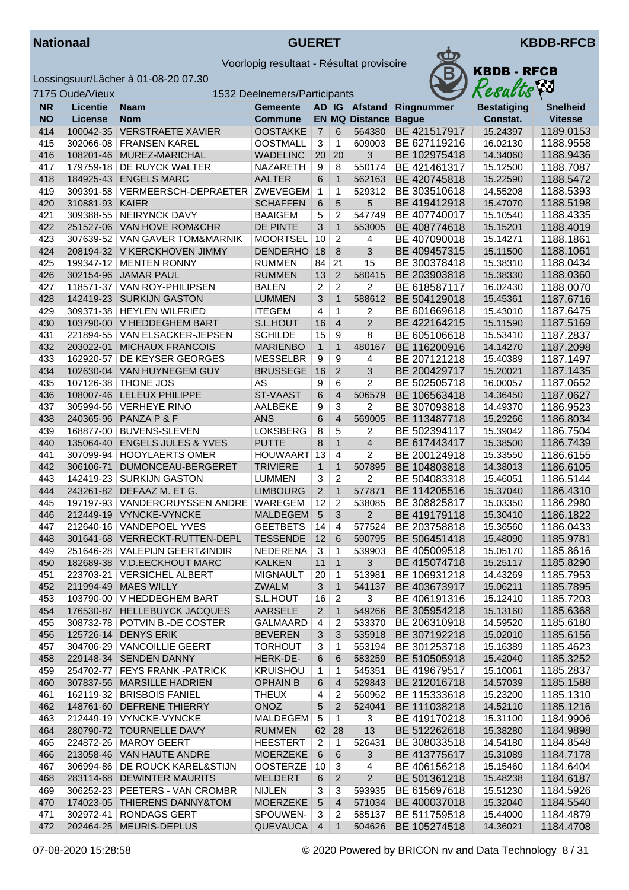



|           | 7175 Oude/Vieux |                                             | 1532 Deelnemers/Participants |                 |                         |                             |              | Resacus            |                 |
|-----------|-----------------|---------------------------------------------|------------------------------|-----------------|-------------------------|-----------------------------|--------------|--------------------|-----------------|
| <b>NR</b> | <b>Licentie</b> | Naam                                        | <b>Gemeente</b>              |                 |                         | AD IG Afstand               | Ringnummer   | <b>Bestatiging</b> | <b>Snelheid</b> |
| <b>NO</b> | License         | <b>Nom</b>                                  | <b>Commune</b>               |                 |                         | <b>EN MQ Distance Bague</b> |              | Constat.           | <b>Vitesse</b>  |
| 414       | 100042-35       | <b>VERSTRAETE XAVIER</b>                    | <b>OOSTAKKE</b>              | $\overline{7}$  | 6                       | 564380                      | BE 421517917 | 15.24397           | 1189.0153       |
| 415       |                 | 302066-08 FRANSEN KAREL                     | <b>OOSTMALL</b>              | $\overline{3}$  | 1                       | 609003                      | BE 627119216 | 16.02130           | 1188.9558       |
| 416       |                 | 108201-46 MUREZ-MARICHAL                    | <b>WADELINC</b>              | 20              | 20                      | 3                           | BE 102975418 | 14.34060           | 1188.9436       |
| 417       | 179759-18       | DE RUYCK WALTER                             | <b>NAZARETH</b>              | 9               | 8                       | 550174                      | BE 421461317 | 15.12500           | 1188.7087       |
| 418       |                 | 184925-43 ENGELS MARC                       | <b>AALTER</b>                | 6               | $\mathbf{1}$            | 562163                      | BE 420745818 | 15.22590           | 1188.5472       |
| 419       |                 | 309391-58   VERMEERSCH-DEPRAETER   ZWEVEGEM |                              | $\mathbf{1}$    | 1                       | 529312                      | BE 303510618 | 14.55208           | 1188.5393       |
| 420       | 310881-93 KAIER |                                             | <b>SCHAFFEN</b>              | 6               | 5                       | 5                           | BE 419412918 | 15.47070           | 1188.5198       |
|           |                 | 309388-55 NEIRYNCK DAVY                     |                              |                 |                         | 547749                      |              |                    |                 |
| 421       |                 | 251527-06 VAN HOVE ROM&CHR                  | <b>BAAIGEM</b>               | 5               | 2                       |                             | BE 407740017 | 15.10540           | 1188.4335       |
| 422       |                 |                                             | <b>DE PINTE</b>              | 3               | $\mathbf{1}$            | 553005                      | BE 408774618 | 15.15201           | 1188.4019       |
| 423       |                 | 307639-52 VAN GAVER TOM&MARNIK              | <b>MOORTSEL</b>              | 10              | $\overline{2}$          | 4                           | BE 407090018 | 15.14271           | 1188.1861       |
| 424       |                 | 208194-32 V KERCKHOVEN JIMMY                | DENDERHO <sub>18</sub>       |                 | 8                       | $\overline{3}$              | BE 409457315 | 15.11500           | 1188.1061       |
| 425       |                 | 199347-12 MENTEN RONNY                      | <b>RUMMEN</b>                | 84              | 21                      | 15                          | BE 300378418 | 15.38310           | 1188.0434       |
| 426       |                 | 302154-96 JAMAR PAUL                        | <b>RUMMEN</b>                | 13              | $\overline{2}$          | 580415                      | BE 203903818 | 15.38330           | 1188.0360       |
| 427       |                 | 118571-37 VAN ROY-PHILIPSEN                 | <b>BALEN</b>                 | $\overline{c}$  | $\overline{2}$          | 2                           | BE 618587117 | 16.02430           | 1188.0070       |
| 428       |                 | 142419-23 SURKIJN GASTON                    | <b>LUMMEN</b>                | $\mathbf{3}$    | $\mathbf{1}$            | 588612                      | BE 504129018 | 15.45361           | 1187.6716       |
| 429       |                 | 309371-38 HEYLEN WILFRIED                   | <b>ITEGEM</b>                | $\overline{4}$  | 1                       | $\overline{c}$              | BE 601669618 | 15.43010           | 1187.6475       |
| 430       |                 | 103790-00 V HEDDEGHEM BART                  | S.L.HOUT                     | 16              | $\overline{4}$          | $\overline{2}$              | BE 422164215 | 15.11590           | 1187.5169       |
| 431       |                 | 221894-55 VAN ELSACKER-JEPSEN               | <b>SCHILDE</b>               | 15              | 9                       | 8                           | BE 605106618 | 15.53410           | 1187.2837       |
| 432       | 203022-01       | <b>MICHAUX FRANCOIS</b>                     | <b>MARIENBO</b>              | $\mathbf{1}$    | $\mathbf{1}$            | 480167                      | BE 116200916 | 14.14270           | 1187.2098       |
| 433       | 162920-57       | DE KEYSER GEORGES                           | <b>MESSELBR</b>              | 9               | 9                       | 4                           | BE 207121218 | 15.40389           | 1187.1497       |
| 434       |                 | 102630-04 VAN HUYNEGEM GUY                  | <b>BRUSSEGE</b>              | 16              | $\overline{2}$          | 3                           | BE 200429717 | 15.20021           | 1187.1435       |
| 435       | 107126-38       | <b>THONE JOS</b>                            | AS                           | 9               | 6                       | 2                           | BE 502505718 | 16.00057           | 1187.0652       |
| 436       |                 | 108007-46 LELEUX PHILIPPE                   | ST-VAAST                     | 6               | $\overline{4}$          | 506579                      | BE 106563418 | 14.36450           | 1187.0627       |
| 437       |                 | 305994-56   VERHEYE RINO                    | AALBEKE                      | 9               | $\sqrt{3}$              | 2                           | BE 307093818 | 14.49370           | 1186.9523       |
| 438       |                 | 240365-96 PANZA P & F                       | <b>ANS</b>                   | 6               | $\overline{4}$          | 569005                      | BE 113487718 | 15.29266           | 1186.8034       |
| 439       |                 | 168877-00 BUVENS-SLEVEN                     | <b>LOKSBERG</b>              | 8               | 5                       | 2                           | BE 502394117 | 15.39042           | 1186.7504       |
| 440       | 135064-40       | <b>ENGELS JULES &amp; YVES</b>              | <b>PUTTE</b>                 | $\bf 8$         | $\mathbf{1}$            | $\overline{4}$              | BE 617443417 | 15.38500           | 1186.7439       |
| 441       | 307099-94       | <b>HOOYLAERTS OMER</b>                      | HOUWAART                     | 13              | 4                       | 2                           | BE 200124918 | 15.33550           | 1186.6155       |
| 442       | 306106-71       | DUMONCEAU-BERGERET                          | <b>TRIVIERE</b>              | $\mathbf{1}$    | $\mathbf{1}$            | 507895                      | BE 104803818 | 14.38013           | 1186.6105       |
| 443       |                 | 142419-23 SURKIJN GASTON                    | <b>LUMMEN</b>                | 3               | $\overline{\mathbf{c}}$ | 2                           | BE 504083318 | 15.46051           | 1186.5144       |
| 444       |                 | 243261-82 DEFAAZ M. ET G.                   | <b>LIMBOURG</b>              | $\overline{2}$  | $\mathbf{1}$            | 577871                      | BE 114205516 | 15.37040           | 1186.4310       |
| 445       |                 | 197197-93   VANDERCRUYSSEN ANDRE   WAREGEM  |                              | 12              | 2                       | 538085                      | BE 308825817 | 15.03350           | 1186.2980       |
| 446       |                 | 212449-19 VYNCKE-VYNCKE                     | <b>MALDEGEM</b>              | $\overline{5}$  | 3                       | $\overline{2}$              | BE 419179118 | 15.30410           | 1186.1822       |
| 447       |                 | 212640-16 VANDEPOEL YVES                    | <b>GEETBETS</b>              | 14              | $\overline{a}$          | 577524                      | BE 203758818 | 15.36560           | 1186.0433       |
| 448       |                 | 301641-68 VERRECKT-RUTTEN-DEPL              | <b>TESSENDE</b>              | 12              | 6                       | 590795                      | BE 506451418 | 15.48090           | 1185.9781       |
| 449       |                 | 251646-28 VALEPIJN GEERT&INDIR              | NEDERENA                     | 3               | $\mathbf{1}$            | 539903                      | BE 405009518 | 15.05170           | 1185.8616       |
| 450       |                 | 182689-38 V.D.EECKHOUT MARC                 | <b>KALKEN</b>                |                 | $11$ 1                  | $\mathbf{3}$                | BE 415074718 | 15.25117           | 1185.8290       |
| 451       |                 | 223703-21 VERSICHEL ALBERT                  | <b>MIGNAULT</b>              | 20              | $\mathbf{1}$            | 513981                      | BE 106931218 | 14.43269           | 1185.7953       |
| 452       |                 | 211994-49 MAES WILLY                        | <b>ZWALM</b>                 | 3               | $\mathbf{1}$            | 541137                      | BE 403673917 | 15.06211           | 1185.7895       |
| 453       |                 | 103790-00 V HEDDEGHEM BART                  | S.L.HOUT                     | 16              | $\overline{2}$          | 3                           | BE 406191316 | 15.12410           | 1185.7203       |
| 454       |                 | 176530-87 HELLEBUYCK JACQUES                | <b>AARSELE</b>               | $\overline{2}$  | $\mathbf{1}$            | 549266                      | BE 305954218 | 15.13160           | 1185.6368       |
| 455       |                 | 308732-78 POTVIN B.-DE COSTER               | GALMAARD                     | 4               | 2                       | 533370                      | BE 206310918 | 14.59520           | 1185.6180       |
| 456       |                 | 125726-14 DENYS ERIK                        | <b>BEVEREN</b>               | $\mathbf{3}$    | 3                       | 535918                      | BE 307192218 | 15.02010           | 1185.6156       |
| 457       |                 | 304706-29 VANCOILLIE GEERT                  | <b>TORHOUT</b>               | 3               | 1                       | 553194                      | BE 301253718 | 15.16389           | 1185.4623       |
| 458       |                 | 229148-34 SENDEN DANNY                      | HERK-DE-                     | 6               | 6                       | 583259                      | BE 510505918 | 15.42040           | 1185.3252       |
| 459       |                 | 254702-77 FEYS FRANK-PATRICK                | <b>KRUISHOU</b>              | 1               | 1                       | 545351                      | BE 419679517 | 15.10061           | 1185.2837       |
| 460       |                 | 307837-56 MARSILLE HADRIEN                  | <b>OPHAIN B</b>              | 6               | $\overline{4}$          | 529843                      | BE 212016718 | 14.57039           | 1185.1588       |
| 461       |                 | 162119-32 BRISBOIS FANIEL                   | <b>THEUX</b>                 | 4               | 2                       | 560962                      | BE 115333618 | 15.23200           | 1185.1310       |
| 462       |                 | 148761-60 DEFRENE THIERRY                   | ONOZ                         | 5               | 2                       | 524041                      | BE 111038218 | 14.52110           | 1185.1216       |
| 463       |                 | 212449-19 VYNCKE-VYNCKE                     | MALDEGEM                     | 5               | 1                       | 3                           | BE 419170218 | 15.31100           | 1184.9906       |
| 464       |                 | 280790-72 TOURNELLE DAVY                    | <b>RUMMEN</b>                | 62              | 28                      | 13                          | BE 512262618 | 15.38280           | 1184.9898       |
| 465       |                 | 224872-26   MAROY GEERT                     | <b>HEESTERT</b>              | 2               | $\mathbf{1}$            | 526431                      | BE 308033518 | 14.54180           | 1184.8548       |
| 466       |                 | 213058-46 VAN HAUTE ANDRE                   | MOERZEKE                     | 6               | 6                       | 3                           | BE 413775617 |                    | 1184.7178       |
|           |                 | 306994-86   DE ROUCK KAREL&STIJN            |                              |                 |                         |                             |              | 15.31089           |                 |
| 467       |                 |                                             | OOSTERZE   10                |                 | 3                       | 4                           | BE 406156218 | 15.15460           | 1184.6404       |
| 468       |                 | 283114-68 DEWINTER MAURITS                  | <b>MELDERT</b>               | 6               | $\sqrt{2}$              | $\overline{2}$              | BE 501361218 | 15.48238           | 1184.6187       |
| 469       |                 | 306252-23 PEETERS - VAN CROMBR              | <b>NIJLEN</b>                | 3               | 3                       | 593935                      | BE 615697618 | 15.51230           | 1184.5926       |
| 470       |                 | 174023-05 THIERENS DANNY&TOM                | <b>MOERZEKE</b>              | $5\overline{)}$ | $\overline{4}$          | 571034                      | BE 400037018 | 15.32040           | 1184.5540       |
| 471       |                 | 302972-41   RONDAGS GERT                    | SPOUWEN-                     | 3               | 2                       | 585137                      | BE 511759518 | 15.44000           | 1184.4879       |
| 472       |                 | 202464-25 MEURIS-DEPLUS                     | <b>QUEVAUCA</b>              | $\overline{4}$  | $\mathbf{1}$            | 504626                      | BE 105274518 | 14.36021           | 1184.4708       |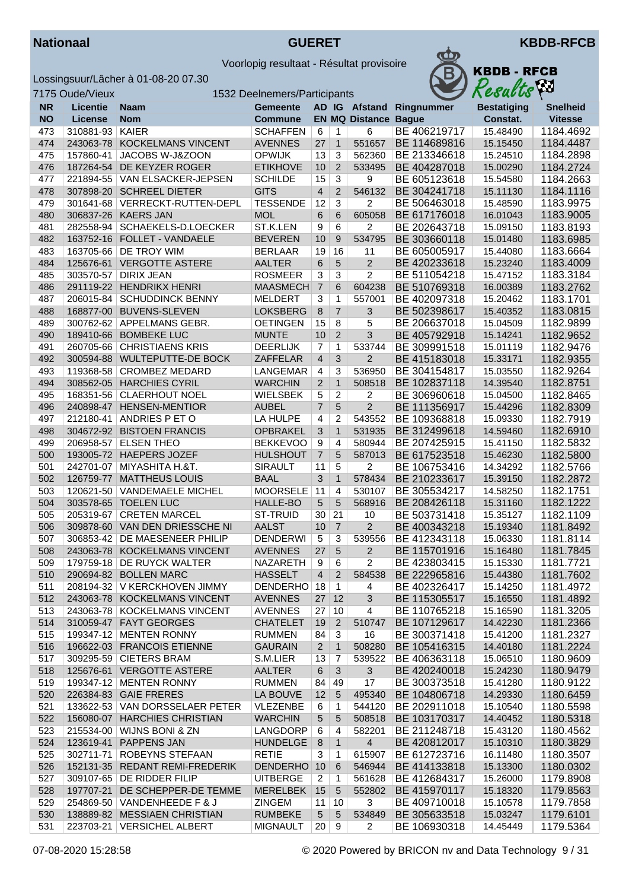



|           | 7175 Oude/Vieux |                                 | 1532 Deelnemers/Participants |                     |                         |                             |                          | Resacus            | $\sim$          |
|-----------|-----------------|---------------------------------|------------------------------|---------------------|-------------------------|-----------------------------|--------------------------|--------------------|-----------------|
| <b>NR</b> | <b>Licentie</b> | Naam                            | <b>Gemeente</b>              |                     |                         |                             | AD IG Afstand Ringnummer | <b>Bestatiging</b> | <b>Snelheid</b> |
| <b>NO</b> | <b>License</b>  | <b>Nom</b>                      | <b>Commune</b>               |                     |                         | <b>EN MQ Distance Bague</b> |                          | Constat.           | <b>Vitesse</b>  |
| 473       | 310881-93       | <b>KAIER</b>                    | <b>SCHAFFEN</b>              | 6                   | 1                       | 6                           | BE 406219717             | 15.48490           | 1184.4692       |
| 474       | 243063-78       | <b>KOCKELMANS VINCENT</b>       | <b>AVENNES</b>               | 27                  | $\mathbf{1}$            | 551657                      | BE 114689816             | 15.15450           | 1184.4487       |
| 475       | 157860-41       | JACOBS W-J&ZOON                 | <b>OPWIJK</b>                | 13                  | 3                       | 562360                      | BE 213346618             | 15.24510           | 1184.2898       |
| 476       | 187264-54       | DE KEYZER ROGER                 | <b>ETIKHOVE</b>              | 10                  | 2                       | 533495                      | BE 404287018             | 15.00290           | 1184.2724       |
| 477       | 221894-55       | VAN ELSACKER-JEPSEN             | <b>SCHILDE</b>               | 15                  | 3                       | 9                           | BE 605123618             | 15.54580           | 1184.2663       |
| 478       |                 | 307898-20 SCHREEL DIETER        | <b>GITS</b>                  | $\overline{4}$      | $\overline{2}$          | 546132                      | BE 304241718             | 15.11130           | 1184.1116       |
| 479       | 301641-68       | VERRECKT-RUTTEN-DEPL            | <b>TESSENDE</b>              | 12                  | 3                       | $\overline{2}$              | BE 506463018             | 15.48590           | 1183.9975       |
| 480       |                 | 306837-26 KAERS JAN             | <b>MOL</b>                   | 6                   | 6                       | 605058                      | BE 617176018             | 16.01043           | 1183.9005       |
| 481       | 282558-94       | SCHAEKELS-D.LOECKER             | ST.K.LEN                     | 9                   | 6                       | 2                           | BE 202643718             | 15.09150           | 1183.8193       |
| 482       | 163752-16       | <b>FOLLET - VANDAELE</b>        | <b>BEVEREN</b>               | 10                  | 9                       | 534795                      | BE 303660118             | 15.01480           | 1183.6985       |
| 483       |                 | 163705-66 DE TROY WIM           | <b>BERLAAR</b>               | 19                  | 16                      | 11                          | BE 605005917             | 15.44080           | 1183.6664       |
| 484       |                 | 125676-61 VERGOTTE ASTERE       | <b>AALTER</b>                | 6                   | 5                       | $\overline{2}$              | BE 420233618             | 15.23240           | 1183.4009       |
| 485       | 303570-57       | <b>DIRIX JEAN</b>               | <b>ROSMEER</b>               | 3                   | 3                       | 2                           | BE 511054218             | 15.47152           | 1183.3184       |
| 486       |                 | 291119-22 HENDRIKX HENRI        | <b>MAASMECH</b>              | $\overline{7}$      | 6                       | 604238                      | BE 510769318             | 16.00389           | 1183.2762       |
| 487       |                 | 206015-84 SCHUDDINCK BENNY      | <b>MELDERT</b>               | 3                   | 1                       | 557001                      | BE 402097318             | 15.20462           | 1183.1701       |
| 488       |                 | 168877-00 BUVENS-SLEVEN         | <b>LOKSBERG</b>              | 8                   | $\overline{7}$          | 3                           | BE 502398617             | 15.40352           | 1183.0815       |
| 489       |                 | 300762-62 APPELMANS GEBR.       | <b>OETINGEN</b>              | 15                  | 8                       | 5                           | BE 206637018             | 15.04509           | 1182.9899       |
| 490       |                 | 189410-66 BOMBEKE LUC           | <b>MUNTE</b>                 | 10                  | $\overline{2}$          | 3                           | BE 405792918             | 15.14241           | 1182.9652       |
| 491       | 260705-66       | <b>CHRISTIAENS KRIS</b>         | <b>DEERLIJK</b>              | $\overline{7}$      | 1                       | 533744                      | BE 309991518             | 15.01119           | 1182.9476       |
| 492       |                 | 300594-88 WULTEPUTTE-DE BOCK    | ZAFFELAR                     | $\overline{4}$      | 3                       | $\overline{2}$              | BE 415183018             | 15.33171           | 1182.9355       |
| 493       | 119368-58       | <b>CROMBEZ MEDARD</b>           | LANGEMAR                     | 4                   | 3                       | 536950                      | BE 304154817             | 15.03550           | 1182.9264       |
| 494       | 308562-05       | <b>HARCHIES CYRIL</b>           | <b>WARCHIN</b>               |                     | $\mathbf{1}$            | 508518                      | BE 102837118             | 14.39540           | 1182.8751       |
| 495       |                 | 168351-56 CLAERHOUT NOEL        | <b>WIELSBEK</b>              | $\overline{2}$<br>5 | $\overline{\mathbf{c}}$ | 2                           | BE 306960618             | 15.04500           | 1182.8465       |
|           |                 |                                 |                              |                     |                         | $\overline{2}$              |                          |                    |                 |
| 496       |                 | 240898-47 HENSEN-MENTIOR        | <b>AUBEL</b>                 | $\overline{7}$      | 5                       |                             | BE 111356917             | 15.44296           | 1182.8309       |
| 497       | 212180-41       | <b>ANDRIES P ET O</b>           | LA HULPE                     | 4                   | $\overline{c}$          | 543552                      | BE 109368818             | 15.09330           | 1182.7919       |
| 498       |                 | 304672-92 BISTOEN FRANCIS       | <b>OPBRAKEL</b>              | 3                   | $\mathbf{1}$            | 531935                      | BE 312499618             | 14.59460           | 1182.6910       |
| 499       | 206958-57       | <b>ELSEN THEO</b>               | <b>BEKKEVOO</b>              | 9                   | $\overline{4}$          | 580944                      | BE 207425915             | 15.41150           | 1182.5832       |
| 500       |                 | 193005-72 HAEPERS JOZEF         | <b>HULSHOUT</b>              | $\overline{7}$      | 5                       | 587013                      | BE 617523518             | 15.46230           | 1182.5800       |
| 501       | 242701-07       | MIYASHITA H.&T.                 | <b>SIRAULT</b>               | 11                  | 5                       | 2                           | BE 106753416             | 14.34292           | 1182.5766       |
| 502       |                 | 126759-77   MATTHEUS LOUIS      | <b>BAAL</b>                  | 3                   | $\mathbf{1}$            | 578434                      | BE 210233617             | 15.39150           | 1182.2872       |
| 503       |                 | 120621-50 VANDEMAELE MICHEL     | <b>MOORSELE</b>              | 11                  | 4                       | 530107                      | BE 305534217             | 14.58250           | 1182.1751       |
| 504       |                 | 303578-65 TOELEN LUC            | HALLE-BO                     | 5                   | 5                       | 568916                      | BE 208426118             | 15.31160           | 1182.1222       |
| 505       |                 | 205319-67 CRETEN MARCEL         | ST-TRUID                     | 30                  | 21                      | 10                          | BE 503731418             | 15.35127           | 1182.1109       |
| 506       |                 | 309878-60 VAN DEN DRIESSCHE NI  | <b>AALST</b>                 | 10                  | $\overline{7}$          | $\overline{2}$              | BE 400343218             | 15.19340           | 1181.8492       |
| 507       |                 | 306853-42   DE MAESENEER PHILIP | <b>DENDERWI</b>              | $\overline{5}$      | 3                       | 539556                      | BE 412343118             | 15.06330           | 1181.8114       |
| 508       |                 | 243063-78 KOCKELMANS VINCENT    | <b>AVENNES</b>               | 27                  | $5\phantom{1}$          | $\overline{2}$              | BE 115701916             | 15.16480           | 1181.7845       |
| 509       |                 | 179759-18 DE RUYCK WALTER       | NAZARETH                     | $9\,$               | $\,6$                   | $\overline{\mathbf{c}}$     | BE 423803415             | 15.15330           | 1181.7721       |
| 510       |                 | 290694-82 BOLLEN MARC           | <b>HASSELT</b>               | 4                   | $2^{\circ}$             | 584538                      | BE 222965816             | 15.44380           | 1181.7602       |
| 511       |                 | 208194-32   V KERCKHOVEN JIMMY  | DENDERHO 18                  |                     | $\overline{1}$          | 4                           | BE 402326417             | 15.14250           | 1181.4972       |
| 512       |                 | 243063-78 KOCKELMANS VINCENT    | <b>AVENNES</b>               | 27                  | 12                      | 3                           | BE 115305517             | 15.16550           | 1181.4892       |
| 513       |                 | 243063-78 KOCKELMANS VINCENT    | <b>AVENNES</b>               | 27                  | 10                      | 4                           | BE 110765218             | 15.16590           | 1181.3205       |
| 514       |                 | 310059-47 FAYT GEORGES          | <b>CHATELET</b>              | 19                  | $\overline{2}$          | 510747                      | BE 107129617             | 14.42230           | 1181.2366       |
| 515       |                 | 199347-12 MENTEN RONNY          | <b>RUMMEN</b>                | 84                  | 3                       | 16                          | BE 300371418             | 15.41200           | 1181.2327       |
| 516       |                 | 196622-03 FRANCOIS ETIENNE      | <b>GAURAIN</b>               | $\overline{2}$      | $\mathbf{1}$            | 508280                      | BE 105416315             | 14.40180           | 1181.2224       |
| 517       |                 | 309295-59 CIETERS BRAM          | S.M.LIER                     | 13                  | $\overline{7}$          | 539522                      | BE 406363118             | 15.06510           | 1180.9609       |
| 518       |                 | 125676-61 VERGOTTE ASTERE       | <b>AALTER</b>                | $\,6\,$             | 3                       | 3                           | BE 420240018             | 15.24230           | 1180.9479       |
| 519       |                 | 199347-12   MENTEN RONNY        | <b>RUMMEN</b>                | 84                  | 49                      | 17                          | BE 300373518             | 15.41280           | 1180.9122       |
| 520       |                 | 226384-83 GAIE FRERES           | LA BOUVE                     | 12                  | 5                       | 495340                      | BE 104806718             | 14.29330           | 1180.6459       |
| 521       |                 | 133622-53 VAN DORSSELAER PETER  | <b>VLEZENBE</b>              | 6                   | 1                       | 544120                      | BE 202911018             | 15.10540           | 1180.5598       |
| 522       |                 | 156080-07 HARCHIES CHRISTIAN    | <b>WARCHIN</b>               | 5                   | 5                       | 508518                      | BE 103170317             | 14.40452           | 1180.5318       |
| 523       |                 | 215534-00   WIJNS BONI & ZN     | LANGDORP                     | 6                   | 4                       | 582201                      | BE 211248718             | 15.43120           | 1180.4562       |
| 524       |                 | 123619-41 PAPPENS JAN           | <b>HUNDELGE</b>              | 8                   | $\mathbf{1}$            | $\overline{4}$              | BE 420812017             | 15.10310           | 1180.3829       |
| 525       |                 | 302711-71 ROBEYNS STEFAAN       | <b>RETIE</b>                 | 3                   | 1                       | 615907                      | BE 612723716             | 16.11480           | 1180.3507       |
| 526       |                 | 152131-35 REDANT REMI-FREDERIK  | <b>DENDERHO</b>              | 10                  | 6                       | 546944                      | BE 414133818             | 15.13300           | 1180.0302       |
| 527       |                 | 309107-65 DE RIDDER FILIP       | <b>UITBERGE</b>              | $\overline{2}$      | $\mathbf{1}$            | 561628                      | BE 412684317             | 15.26000           | 1179.8908       |
| 528       | 197707-21       | DE SCHEPPER-DE TEMME            | MERELBEK                     | 15                  | 5                       | 552802                      | BE 415970117             | 15.18320           | 1179.8563       |
| 529       |                 | 254869-50 VANDENHEEDE F & J     | <b>ZINGEM</b>                | 11                  | 10                      | 3                           | BE 409710018             | 15.10578           | 1179.7858       |
| 530       |                 | 138889-82 MESSIAEN CHRISTIAN    | <b>RUMBEKE</b>               | 5                   | 5                       | 534849                      | BE 305633518             | 15.03247           | 1179.6101       |
| 531       |                 | 223703-21 VERSICHEL ALBERT      | <b>MIGNAULT</b>              | 20                  | 9                       | 2                           | BE 106930318             | 14.45449           | 1179.5364       |
|           |                 |                                 |                              |                     |                         |                             |                          |                    |                 |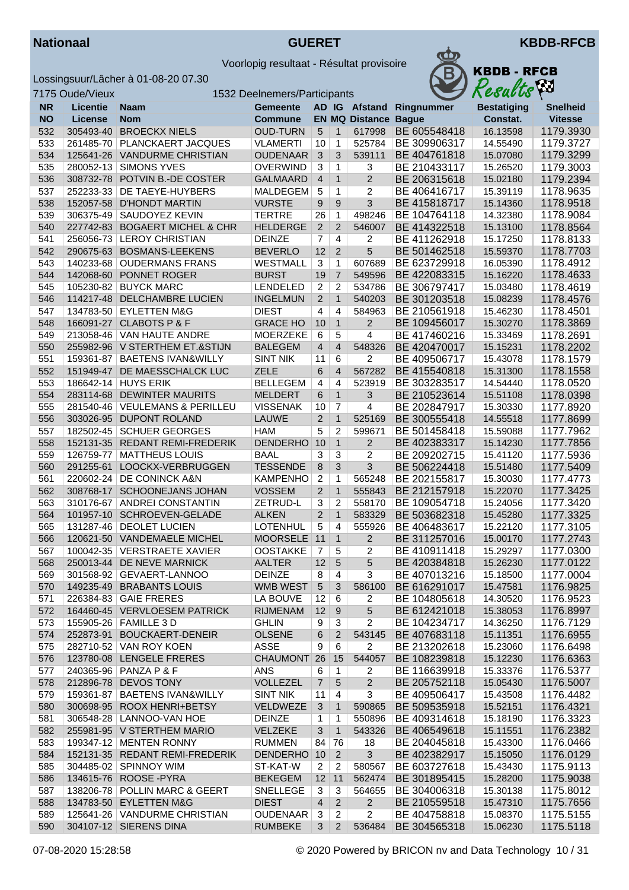



|           | 7175 Oude/Vieux |                                 | 1532 Deelnemers/Participants |                 |                |                       |              | Resacus            | $\mathbf{r}$    |
|-----------|-----------------|---------------------------------|------------------------------|-----------------|----------------|-----------------------|--------------|--------------------|-----------------|
| <b>NR</b> | <b>Licentie</b> | <b>Naam</b>                     | <b>Gemeente</b>              |                 |                | AD IG Afstand         | Ringnummer   | <b>Bestatiging</b> | <b>Snelheid</b> |
| <b>NO</b> | <b>License</b>  | <b>Nom</b>                      | <b>Commune</b>               |                 |                | <b>EN MQ Distance</b> | <b>Bague</b> | Constat.           | <b>Vitesse</b>  |
| 532       | 305493-40       | <b>BROECKX NIELS</b>            | <b>OUD-TURN</b>              | $\sqrt{5}$      | $\mathbf{1}$   | 617998                | BE 605548418 | 16.13598           | 1179.3930       |
| 533       | 261485-70       | PLANCKAERT JACQUES              | <b>VLAMERTI</b>              | 10              | 1              | 525784                | BE 309906317 | 14.55490           | 1179.3727       |
| 534       |                 | 125641-26 VANDURME CHRISTIAN    | <b>OUDENAAR</b>              | 3               | 3              | 539111                | BE 404761818 | 15.07080           | 1179.3299       |
| 535       | 280052-13       | <b>SIMONS YVES</b>              | <b>OVERWIND</b>              | 3               | 1              | 3                     | BE 210433117 | 15.26520           | 1179.3003       |
| 536       | 308732-78       | POTVIN B.-DE COSTER             | <b>GALMAARD</b>              | $\overline{4}$  | $\mathbf{1}$   | $\overline{2}$        | BE 206315618 | 15.02180           | 1179.2394       |
| 537       | 252233-33       | <b>DE TAEYE-HUYBERS</b>         | <b>MALDEGEM</b>              | 5               | 1              | 2                     | BE 406416717 | 15.39119           | 1178.9635       |
| 538       |                 | 152057-58 D'HONDT MARTIN        | <b>VURSTE</b>                | 9               | 9              | 3                     | BE 415818717 | 15.14360           | 1178.9518       |
| 539       | 306375-49       | <b>SAUDOYEZ KEVIN</b>           | <b>TERTRE</b>                | 26              | $\mathbf{1}$   | 498246                | BE 104764118 | 14.32380           | 1178.9084       |
| 540       | 227742-83       | <b>BOGAERT MICHEL &amp; CHR</b> | <b>HELDERGE</b>              | $\overline{2}$  | $\overline{2}$ | 546007                | BE 414322518 | 15.13100           | 1178.8564       |
| 541       | 256056-73       | <b>LEROY CHRISTIAN</b>          | <b>DEINZE</b>                | $\overline{7}$  | 4              | 2                     | BE 411262918 | 15.17250           | 1178.8133       |
| 542       |                 | 290675-63 BOSMANS-LEEKENS       | <b>BEVERLO</b>               | 12              | $\overline{2}$ | 5                     | BE 501462518 | 15.59370           | 1178.7703       |
| 543       |                 | 140233-68 OUDERMANS FRANS       | WESTMALL                     | 3               | 1              | 607689                | BE 623729918 | 16.05390           | 1178.4912       |
| 544       | 142068-60       | PONNET ROGER                    | <b>BURST</b>                 | 19              | $\overline{7}$ | 549596                | BE 422083315 | 15.16220           | 1178.4633       |
| 545       | 105230-82       | <b>BUYCK MARC</b>               | LENDELED                     | 2               | 2              | 534786                | BE 306797417 | 15.03480           | 1178.4619       |
| 546       |                 | 114217-48 DELCHAMBRE LUCIEN     | <b>INGELMUN</b>              | $\overline{2}$  | $\mathbf{1}$   | 540203                | BE 301203518 | 15.08239           | 1178.4576       |
| 547       |                 | 134783-50 EYLETTEN M&G          | <b>DIEST</b>                 | 4               | $\overline{4}$ | 584963                | BE 210561918 | 15.46230           | 1178.4501       |
| 548       |                 | 166091-27 CLABOTS P & F         | <b>GRACE HO</b>              | 10              | $\mathbf{1}$   | $\overline{2}$        | BE 109456017 | 15.30270           | 1178.3869       |
| 549       |                 | 213058-46 VAN HAUTE ANDRE       | MOERZEKE                     | 6               | 5              | 4                     | BE 417460216 | 15.33469           | 1178.2691       |
| 550       |                 | 255982-96 V STERTHEM ET.&STIJN  | <b>BALEGEM</b>               | $\overline{4}$  | $\overline{4}$ | 548326                | BE 420470017 | 15.15231           | 1178.2202       |
| 551       | 159361-87       | <b>BAETENS IVAN&amp;WILLY</b>   | <b>SINT NIK</b>              | 11              | 6              | 2                     | BE 409506717 | 15.43078           | 1178.1579       |
| 552       | 151949-47       | DE MAESSCHALCK LUC              | <b>ZELE</b>                  | 6               | 4              | 567282                | BE 415540818 | 15.31300           | 1178.1558       |
| 553       | 186642-14       | <b>HUYS ERIK</b>                | <b>BELLEGEM</b>              | 4               | 4              | 523919                | BE 303283517 | 14.54440           | 1178.0520       |
| 554       | 283114-68       | <b>DEWINTER MAURITS</b>         | <b>MELDERT</b>               | 6               | $\mathbf{1}$   | 3                     | BE 210523614 | 15.51108           | 1178.0398       |
|           |                 |                                 |                              |                 |                | $\overline{4}$        |              |                    |                 |
| 555       | 281540-46       | <b>VEULEMANS &amp; PERILLEU</b> | <b>VISSENAK</b>              | 10              | 7              |                       | BE 202847917 | 15.30330           | 1177.8920       |
| 556       | 303026-95       | <b>DUPONT ROLAND</b>            | <b>LAUWE</b>                 | $\overline{2}$  | $\mathbf{1}$   | 525169                | BE 300555418 | 14.55518           | 1177.8699       |
| 557       | 182502-45       | <b>SCHUER GEORGES</b>           | <b>HAM</b>                   | 5               | $\overline{c}$ | 599671                | BE 501458418 | 15.59088           | 1177.7962       |
| 558       |                 | 152131-35 REDANT REMI-FREDERIK  | <b>DENDERHO</b>              | 10              | $\mathbf{1}$   | $\overline{2}$        | BE 402383317 | 15.14230           | 1177.7856       |
| 559       | 126759-77       | <b>MATTHEUS LOUIS</b>           | <b>BAAL</b>                  | 3               | 3              | 2                     | BE 209202715 | 15.41120           | 1177.5936       |
| 560       | 291255-61       | LOOCKX-VERBRUGGEN               | <b>TESSENDE</b>              | 8               | 3              | 3                     | BE 506224418 | 15.51480           | 1177.5409       |
| 561       | 220602-24       | <b>DE CONINCK A&amp;N</b>       | <b>KAMPENHO</b>              | $\overline{2}$  | 1              | 565248                | BE 202155817 | 15.30030           | 1177.4773       |
| 562       |                 | 308768-17 SCHOONEJANS JOHAN     | <b>VOSSEM</b>                | $\overline{2}$  | $\mathbf{1}$   | 555843                | BE 212157918 | 15.22070           | 1177.3425       |
| 563       | 310176-67       | <b>ANDREI CONSTANTIN</b>        | ZETRUD-L                     | 3               | 2              | 558170                | BE 109054718 | 15.24056           | 1177.3420       |
| 564       |                 | 101957-10 SCHROEVEN-GELADE      | <b>ALKEN</b>                 | $\overline{2}$  | $\mathbf{1}$   | 583329                | BE 503682318 | 15.45280           | 1177.3325       |
| 565       |                 | 131287-46 DEOLET LUCIEN         | <b>LOTENHUL</b>              | $\overline{5}$  | 4              | 555926                | BE 406483617 | 15.22120           | 1177.3105       |
| 566       |                 | 120621-50 VANDEMAELE MICHEL     | MOORSELE 11                  |                 | $\mathbf{1}$   | $\overline{2}$        | BE 311257016 | 15.00170           | 1177.2743       |
| 567       |                 | 100042-35 VERSTRAETE XAVIER     | <b>OOSTAKKE</b>              | $\overline{7}$  | 5              | $\overline{2}$        | BE 410911418 | 15.29297           | 1177.0300       |
| 568       |                 | 250013-44 DE NEVE MARNICK       | <b>AALTER</b>                | 12              | $\sqrt{5}$     | 5                     | BE 420384818 | 15.26230           | 1177.0122       |
| 569       |                 | 301568-92 GEVAERT-LANNOO        | <b>DEINZE</b>                | 8               | 4              | 3                     | BE 407013216 | 15.18500           | 1177.0004       |
| 570       |                 | 149235-49 BRABANTS LOUIS        | WMB WEST                     | $5\phantom{.0}$ | 3              | 586100                | BE 616291017 | 15.47581           | 1176.9825       |
| 571       |                 | 226384-83 GAIE FRERES           | LA BOUVE                     | 12              | 6              | 2                     | BE 104805618 | 14.30520           | 1176.9523       |
| 572       |                 | 164460-45 VERVLOESEM PATRICK    | <b>RIJMENAM</b>              | 12              | 9              | 5                     | BE 612421018 | 15.38053           | 1176.8997       |
| 573       |                 | 155905-26   FAMILLE 3 D         | <b>GHLIN</b>                 | 9               | 3              | $\overline{2}$        | BE 104234717 | 14.36250           | 1176.7129       |
| 574       |                 | 252873-91 BOUCKAERT-DENEIR      | <b>OLSENE</b>                | $\,6\,$         | $\overline{c}$ | 543145                | BE 407683118 | 15.11351           | 1176.6955       |
| 575       |                 | 282710-52 VAN ROY KOEN          | ASSE                         | 9               | 6              | $\overline{2}$        | BE 213202618 | 15.23060           | 1176.6498       |
| 576       |                 | 123780-08 LENGELE FRERES        | CHAUMONT 26                  |                 | 15             | 544057                | BE 108239818 | 15.12230           | 1176.6363       |
| 577       |                 | 240365-96 PANZA P & F           | ANS                          | 6               | $\mathbf{1}$   | 2                     | BE 116639918 | 15.33376           | 1176.5377       |
| 578       |                 | 212896-78 DEVOS TONY            | <b>VOLLEZEL</b>              | $\overline{7}$  | 5              | $\overline{2}$        | BE 205752118 | 15.05430           | 1176.5007       |
| 579       | 159361-87       | <b>BAETENS IVAN&amp;WILLY</b>   | <b>SINT NIK</b>              | 11              | 4              | 3                     | BE 409506417 | 15.43508           | 1176.4482       |
| 580       |                 | 300698-95 ROOX HENRI+BETSY      | VELDWEZE                     | 3               | $\mathbf{1}$   | 590865                | BE 509535918 | 15.52151           | 1176.4321       |
| 581       |                 | 306548-28   LANNOO-VAN HOE      | <b>DEINZE</b>                | 1               | 1              | 550896                | BE 409314618 | 15.18190           | 1176.3323       |
| 582       |                 | 255981-95 V STERTHEM MARIO      | VELZEKE                      | 3               | $\mathbf{1}$   | 543326                | BE 406549618 | 15.11551           | 1176.2382       |
| 583       |                 | 199347-12 MENTEN RONNY          | <b>RUMMEN</b>                | 84              | 76             | 18                    | BE 204045818 | 15.43300           | 1176.0466       |
| 584       |                 | 152131-35 REDANT REMI-FREDERIK  | DENDERHO 10                  |                 | $\overline{2}$ | 3                     | BE 402382917 | 15.15050           | 1176.0129       |
| 585       |                 | 304485-02 SPINNOY WIM           | ST-KAT-W                     | $\overline{2}$  | 2              | 580567                | BE 603727618 | 15.43430           | 1175.9113       |
| 586       |                 | 134615-76 ROOSE - PYRA          | <b>BEKEGEM</b>               | 12              | 11             | 562474                | BE 301895415 | 15.28200           | 1175.9038       |
| 587       |                 | 138206-78 POLLIN MARC & GEERT   | <b>SNELLEGE</b>              | 3               | 3              | 564655                | BE 304006318 | 15.30138           | 1175.8012       |
| 588       |                 | 134783-50 EYLETTEN M&G          | <b>DIEST</b>                 | $\overline{4}$  | $\overline{2}$ | $\overline{2}$        | BE 210559518 | 15.47310           | 1175.7656       |
| 589       |                 | 125641-26   VANDURME CHRISTIAN  | <b>OUDENAAR</b>              | 3               | $\overline{2}$ | 2                     | BE 404758818 | 15.08370           | 1175.5155       |
| 590       |                 | 304107-12 SIERENS DINA          | <b>RUMBEKE</b>               | 3               | $\overline{2}$ | 536484                | BE 304565318 | 15.06230           | 1175.5118       |
|           |                 |                                 |                              |                 |                |                       |              |                    |                 |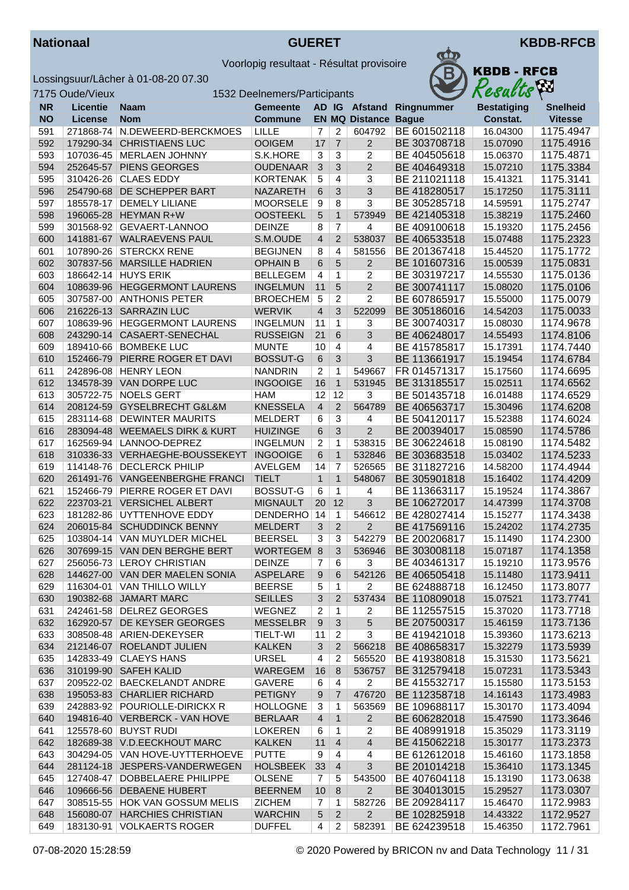



|            | 7175 Oude/Vieux        |                                                   | 1532 Deelnemers/Participants      |                     |                     |                          |                              | Results              | ÍМ                     |
|------------|------------------------|---------------------------------------------------|-----------------------------------|---------------------|---------------------|--------------------------|------------------------------|----------------------|------------------------|
| <b>NR</b>  | <b>Licentie</b>        | <b>Naam</b>                                       | Gemeente                          |                     |                     | AD IG Afstand            | Ringnummer                   | <b>Bestatiging</b>   | <b>Snelheid</b>        |
| <b>NO</b>  | License                | <b>Nom</b>                                        | <b>Commune</b>                    |                     |                     | <b>EN MQ Distance</b>    | <b>Bague</b>                 | Constat.             | <b>Vitesse</b>         |
| 591        | 271868-74              | N.DEWEERD-BERCKMOES                               | LILLE                             | 7                   | 2                   | 604792                   | BE 601502118                 | 16.04300             | 1175.4947              |
| 592        | 179290-34              | <b>CHRISTIAENS LUC</b>                            | <b>OOIGEM</b>                     | 17                  | $\overline{7}$      | $\overline{2}$           | BE 303708718                 | 15.07090             | 1175.4916              |
| 593        | 107036-45              | <b>MERLAEN JOHNNY</b>                             | S.K.HORE                          | 3                   | 3                   | 2                        | BE 404505618                 | 15.06370             | 1175.4871              |
| 594        | 252645-57              | PIENS GEORGES                                     | <b>OUDENAAR</b>                   | $\mathbf{3}$        | 3                   | $\overline{2}$           | BE 404649318                 | 15.07210             | 1175.3384              |
| 595        | 310426-26              | <b>CLAES EDDY</b>                                 | <b>KORTENAK</b>                   | 5                   | $\overline{4}$      | 3                        | BE 211021118                 | 15.41321             | 1175.3141              |
| 596        | 254790-68              | DE SCHEPPER BART                                  | <b>NAZARETH</b>                   | 6                   | 3                   | 3                        | BE 418280517                 | 15.17250             | 1175.3111              |
| 597        | 185578-17              | <b>DEMELY LILIANE</b>                             | <b>MOORSELE</b>                   | 9                   | 8                   | $\overline{3}$           | BE 305285718                 | 14.59591             | 1175.2747              |
| 598        | 196065-28              | <b>HEYMAN R+W</b>                                 | <b>OOSTEEKL</b>                   | 5                   | $\mathbf{1}$        | 573949                   | BE 421405318                 | 15.38219             | 1175.2460              |
| 599        | 301568-92              | GEVAERT-LANNOO                                    | <b>DEINZE</b>                     | 8                   | 7                   | 4                        | BE 409100618                 | 15.19320             | 1175.2456              |
| 600        | 141881-67              | <b>WALRAEVENS PAUL</b>                            | S.M.OUDE                          | $\overline{4}$      | $\overline{2}$      | 538037                   | BE 406533518                 | 15.07488             | 1175.2323              |
| 601        | 107890-26              | <b>STERCKX RENE</b>                               | <b>BEGIJNEN</b>                   | 8                   | 4                   | 581556                   | BE 201367418                 | 15.44520             | 1175.1772              |
| 602        | 307837-56              | <b>MARSILLE HADRIEN</b>                           | <b>OPHAIN B</b>                   | $6\phantom{1}$      | 5                   | $\overline{c}$           | BE 101607316                 | 15.00539             | 1175.0831              |
| 603        | 186642-14              | <b>HUYS ERIK</b>                                  | <b>BELLEGEM</b>                   | $\overline{4}$      | 1                   | 2                        | BE 303197217                 | 14.55530             | 1175.0136              |
| 604        | 108639-96              | <b>HEGGERMONT LAURENS</b>                         | <b>INGELMUN</b>                   | 11                  | 5                   | $\overline{2}$           | BE 300741117                 | 15.08020             | 1175.0106              |
| 605        | 307587-00              | <b>ANTHONIS PETER</b>                             | <b>BROECHEM</b>                   | 5                   | $\overline{c}$      | $\overline{c}$           | BE 607865917                 | 15.55000             | 1175.0079              |
| 606        | 216226-13              | <b>SARRAZIN LUC</b>                               | <b>WERVIK</b>                     | $\overline{4}$      | 3                   | 522099                   | BE 305186016                 | 14.54203             | 1175.0033              |
| 607        | 108639-96              | <b>HEGGERMONT LAURENS</b>                         | <b>INGELMUN</b>                   | 11                  | 1                   | 3                        | BE 300740317                 | 15.08030             | 1174.9678              |
| 608        | 243290-14              | CASAERT-SENECHAL                                  | <b>RUSSEIGN</b>                   | 21                  | 6                   | 3                        | BE 406248017                 | 14.55493             | 1174.8106              |
| 609<br>610 | 189410-66              | <b>BOMBEKE LUC</b><br>PIERRE ROGER ET DAVI        | <b>MUNTE</b>                      | 10                  | 4<br>3              | 4<br>3                   | BE 415785817<br>BE 113661917 | 15.17391<br>15.19454 | 1174.7440<br>1174.6784 |
|            | 152466-79              | <b>HENRY LEON</b>                                 | <b>BOSSUT-G</b>                   | 6<br>$\overline{2}$ | $\mathbf{1}$        |                          |                              |                      | 1174.6695              |
| 611<br>612 | 242896-08              | 134578-39 VAN DORPE LUC                           | <b>NANDRIN</b><br><b>INGOOIGE</b> | 16                  | $\mathbf{1}$        | 549667<br>531945         | FR 014571317<br>BE 313185517 | 15.17560<br>15.02511 | 1174.6562              |
| 613        |                        | 305722-75 NOELS GERT                              | <b>HAM</b>                        | 12                  | 12                  | 3                        | BE 501435718                 | 16.01488             | 1174.6529              |
| 614        | 208124-59              | GYSELBRECHT G&L&M                                 | <b>KNESSELA</b>                   | $\overline{4}$      | $\overline{2}$      | 564789                   | BE 406563717                 | 15.30496             | 1174.6208              |
| 615        | 283114-68              | <b>DEWINTER MAURITS</b>                           | <b>MELDERT</b>                    | 6                   | $\overline{3}$      | 4                        | BE 504120117                 | 15.52388             | 1174.6024              |
| 616        | 283094-48              | <b>WEEMAELS DIRK &amp; KURT</b>                   | <b>HUIZINGE</b>                   | 6                   | 3                   | $\overline{2}$           | BE 200394017                 | 15.08590             | 1174.5786              |
| 617        | 162569-94              | LANNOO-DEPREZ                                     | <b>INGELMUN</b>                   | $\overline{2}$      | 1                   | 538315                   | BE 306224618                 | 15.08190             | 1174.5482              |
| 618        | 310336-33              | VERHAEGHE-BOUSSEKEYT                              | <b>INGOOIGE</b>                   | 6                   | $\mathbf{1}$        | 532846                   | BE 303683518                 | 15.03402             | 1174.5233              |
| 619        | 114148-76              | <b>DECLERCK PHILIP</b>                            | <b>AVELGEM</b>                    | 14                  | $\overline{7}$      | 526565                   | BE 311827216                 | 14.58200             | 1174.4944              |
| 620        | 261491-76              | <b>VANGEENBERGHE FRANCI</b>                       | <b>TIELT</b>                      | $\mathbf{1}$        | $\mathbf{1}$        | 548067                   | BE 305901818                 | 15.16402             | 1174.4209              |
| 621        | 152466-79              | PIERRE ROGER ET DAVI                              | <b>BOSSUT-G</b>                   | 6                   | $\mathbf{1}$        | 4                        | BE 113663117                 | 15.19524             | 1174.3867              |
| 622        | 223703-21              | <b>VERSICHEL ALBERT</b>                           | <b>MIGNAULT</b>                   | 20                  | 12                  | 3                        | BE 106272017                 | 14.47399             | 1174.3708              |
| 623        | 181282-86              | UYTTENHOVE EDDY                                   | DENDERHO                          | 14                  | $\mathbf{1}$        | 546612                   | BE 428027414                 | 15.15277             | 1174.3438              |
| 624        | 206015-84              | <b>SCHUDDINCK BENNY</b>                           | <b>MELDERT</b>                    | 3                   | $\overline{2}$      | $\overline{2}$           | BE 417569116                 | 15.24202             | 1174.2735              |
| 625        | 103804-14              | VAN MUYLDER MICHEL                                | <b>BEERSEL</b>                    | 3                   | 3                   | 542279                   | BE 200206817                 | 15.11490             | 1174.2300              |
| 626        |                        | 307699-15 VAN DEN BERGHE BERT                     | WORTEGEM 8                        |                     | 3                   | 536946                   | BE 303008118                 | 15.07187             | 1174.1358              |
| 627        |                        | 256056-73 LEROY CHRISTIAN                         | <b>DEINZE</b>                     |                     | 6                   | 3                        | BE 403461317                 | 15.19210             | 1173.9576              |
| 628        |                        | 144627-00 VAN DER MAELEN SONIA                    | <b>ASPELARE</b>                   | 9                   | 6                   | 542126                   | BE 406505418                 | 15.11480             | 1173.9411              |
| 629        | 116304-01              | <b>VAN THILLO WILLY</b>                           | <b>BEERSE</b>                     | 5                   | 1                   | 2                        | BE 624888718                 | 16.12450             | 1173.8077              |
| 630        |                        | 190382-68 JAMART MARC                             | <b>SEILLES</b>                    | 3                   | $\overline{2}$      | 537434                   | BE 110809018                 | 15.07521             | 1173.7741              |
| 631        |                        | 242461-58 DELREZ GEORGES                          | WEGNEZ                            | 2                   | 1                   | 2                        | BE 112557515                 | 15.37020             | 1173.7718              |
| 632        | 162920-57              | DE KEYSER GEORGES                                 | <b>MESSELBR</b>                   | 9                   | 3                   | 5                        | BE 207500317                 | 15.46159             | 1173.7136              |
| 633        |                        | 308508-48   ARIEN-DEKEYSER                        | TIELT-WI                          | 11                  | 2                   | 3                        | BE 419421018                 | 15.39360             | 1173.6213              |
| 634        | 212146-07              | ROELANDT JULIEN                                   | <b>KALKEN</b>                     | 3                   | $\overline{2}$      | 566218                   | BE 408658317                 | 15.32279             | 1173.5939              |
| 635        |                        | 142833-49 CLAEYS HANS                             | <b>URSEL</b>                      | $\overline{4}$      | 2                   | 565520                   | BE 419380818                 | 15.31530             | 1173.5621              |
| 636        | 310199-90              | <b>SAFEH KALID</b>                                | <b>WAREGEM</b>                    | 16                  | 8                   | 536757                   | BE 312579418                 | 15.07231             | 1173.5343              |
| 637        |                        | 209522-02   BAECKELANDT ANDRE                     | <b>GAVERE</b>                     | 6                   | 4                   | 2                        | BE 415532717                 | 15.15580             | 1173.5153              |
| 638        |                        | 195053-83 CHARLIER RICHARD                        | <b>PETIGNY</b>                    | 9                   | 7                   | 476720                   | BE 112358718                 | 14.16143             | 1173.4983              |
| 639        |                        | 242883-92 POURIOLLE-DIRICKX R                     | <b>HOLLOGNE</b>                   | 3                   | 1                   | 563569                   | BE 109688117                 | 15.30170             | 1173.4094              |
| 640        |                        | 194816-40 VERBERCK - VAN HOVE                     | <b>BERLAAR</b>                    | 4                   | $\mathbf{1}$        | $\overline{2}$           | BE 606282018                 | 15.47590             | 1173.3646              |
| 641        |                        | 125578-60 BUYST RUDI                              | <b>LOKEREN</b>                    | 6                   | 1                   | 2                        | BE 408991918                 | 15.35029             | 1173.3119              |
| 642        |                        | 182689-38 V.D.EECKHOUT MARC                       | <b>KALKEN</b>                     | 11                  | 4                   | $\overline{\mathbf{4}}$  | BE 415062218                 | 15.30177             | 1173.2373              |
| 643        | 304294-05              | VAN HOVE-UYTTERHOEVE                              | <b>PUTTE</b>                      | 9                   | 4                   | 4                        | BE 612612018                 | 15.46160             | 1173.1858              |
| 644        |                        | 281124-18 JESPERS-VANDERWEGEN                     | <b>HOLSBEEK</b>                   | 33                  | $\overline{4}$      | 3                        | BE 201014218                 | 15.36410             | 1173.1345              |
| 645        | 127408-47              | DOBBELAERE PHILIPPE                               | <b>OLSENE</b>                     | 7                   | 5                   | 543500                   | BE 407604118                 | 15.13190             | 1173.0638              |
| 646        | 109666-56              | <b>DEBAENE HUBERT</b>                             | <b>BEERNEM</b>                    | 10                  | 8                   | $\overline{2}$           | BE 304013015                 | 15.29527             | 1173.0307              |
| 647        | 308515-55<br>156080-07 | HOK VAN GOSSUM MELIS<br><b>HARCHIES CHRISTIAN</b> | <b>ZICHEM</b><br><b>WARCHIN</b>   | 7                   | 1<br>$\overline{2}$ | 582726<br>$\overline{2}$ | BE 209284117<br>BE 102825918 | 15.46470<br>14.43322 | 1172.9983              |
| 648<br>649 | 183130-91              | <b>VOLKAERTS ROGER</b>                            | <b>DUFFEL</b>                     | 5<br>4              | 2                   | 582391                   | BE 624239518                 | 15.46350             | 1172.9527<br>1172.7961 |
|            |                        |                                                   |                                   |                     |                     |                          |                              |                      |                        |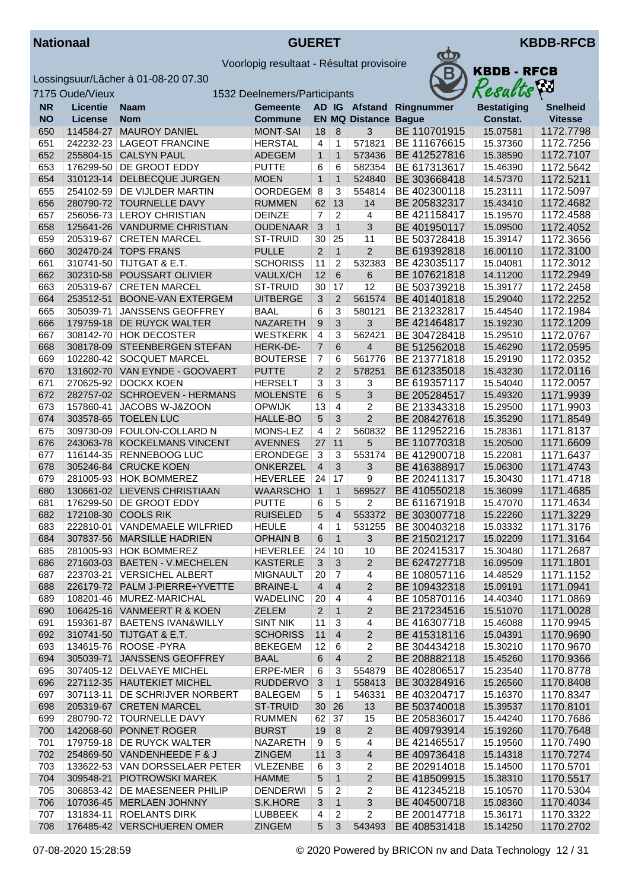



|           | 7175 Oude/Vieux |                                 | 1532 Deelnemers/Participants |                         |                 |                       |              | R esacis           | $\mathbf{r}$    |
|-----------|-----------------|---------------------------------|------------------------------|-------------------------|-----------------|-----------------------|--------------|--------------------|-----------------|
| <b>NR</b> | <b>Licentie</b> | <b>Naam</b>                     | <b>Gemeente</b>              |                         |                 | AD IG Afstand         | Ringnummer   | <b>Bestatiging</b> | <b>Snelheid</b> |
| <b>NO</b> | License         | <b>Nom</b>                      | <b>Commune</b>               |                         |                 | <b>EN MQ Distance</b> | <b>Bague</b> | Constat.           | <b>Vitesse</b>  |
| 650       | 114584-27       | <b>MAUROY DANIEL</b>            | <b>MONT-SAI</b>              | 18                      | 8               | 3                     | BE 110701915 | 15.07581           | 1172.7798       |
| 651       |                 | 242232-23 LAGEOT FRANCINE       | <b>HERSTAL</b>               | $\overline{\mathbf{4}}$ | 1               | 571821                | BE 111676615 | 15.37360           | 1172.7256       |
| 652       |                 | 255804-15 CALSYN PAUL           | <b>ADEGEM</b>                | $\mathbf{1}$            | $\mathbf{1}$    | 573436                | BE 412527816 | 15.38590           | 1172.7107       |
| 653       |                 | 176299-50 DE GROOT EDDY         | <b>PUTTE</b>                 | 6                       | 6               | 582354                | BE 617313617 | 15.46390           | 1172.5642       |
| 654       |                 | 310123-14 DELBECQUE JURGEN      | <b>MOEN</b>                  | $\mathbf{1}$            | $\mathbf{1}$    | 524840                | BE 303668418 | 14.57370           | 1172.5211       |
| 655       |                 | 254102-59   DE VIJLDER MARTIN   | OORDEGEM 8                   |                         | 3               | 554814                | BE 402300118 | 15.23111           | 1172.5097       |
| 656       |                 | 280790-72 TOURNELLE DAVY        | <b>RUMMEN</b>                | 62                      | 13              | 14                    | BE 205832317 | 15.43410           | 1172.4682       |
| 657       |                 | 256056-73 LEROY CHRISTIAN       | <b>DEINZE</b>                | $\overline{7}$          | 2               | 4                     | BE 421158417 | 15.19570           | 1172.4588       |
| 658       |                 | 125641-26 VANDURME CHRISTIAN    | <b>OUDENAAR</b>              | $\overline{3}$          | $\mathbf{1}$    | 3                     | BE 401950117 | 15.09500           | 1172.4052       |
| 659       |                 | 205319-67 CRETEN MARCEL         | <b>ST-TRUID</b>              | 30                      | 25              | 11                    | BE 503728418 | 15.39147           | 1172.3656       |
| 660       |                 | 302470-24 TOPS FRANS            | <b>PULLE</b>                 | $\overline{2}$          | $\mathbf{1}$    | $\overline{2}$        | BE 619392818 | 16.00110           | 1172.3100       |
| 661       |                 | 310741-50 TIJTGAT & E.T.        | <b>SCHORISS</b>              | 11                      | 2               | 532383                | BE 423035117 | 15.04081           | 1172.3012       |
| 662       |                 | 302310-58 POUSSART OLIVIER      | VAULX/CH                     | 12                      | 6               | 6                     | BE 107621818 | 14.11200           | 1172.2949       |
| 663       |                 | 205319-67 CRETEN MARCEL         | ST-TRUID                     | 30                      | 17              | 12                    | BE 503739218 | 15.39177           | 1172.2458       |
| 664       |                 | 253512-51 BOONE-VAN EXTERGEM    | <b>UITBERGE</b>              | 3                       | 2               | 561574                | BE 401401818 | 15.29040           | 1172.2252       |
|           |                 |                                 |                              |                         |                 |                       | BE 213232817 |                    |                 |
| 665       |                 | 305039-71 JANSSENS GEOFFREY     | <b>BAAL</b>                  | 6                       | 3               | 580121                |              | 15.44540           | 1172.1984       |
| 666       |                 | 179759-18 DE RUYCK WALTER       | NAZARETH                     | 9                       | $\mathfrak{S}$  | 3                     | BE 421464817 | 15.19230           | 1172.1209       |
| 667       |                 | 308142-70 HOK DECOSTER          | <b>WESTKERK</b>              | $\overline{4}$          | 3               | 562421                | BE 304728418 | 15.29510           | 1172.0767       |
| 668       | 308178-09       | STEENBERGEN STEFAN              | HERK-DE-                     | $\overline{7}$          | 6               | 4                     | BE 512562018 | 15.46290           | 1172.0595       |
| 669       |                 | 102280-42 SOCQUET MARCEL        | <b>BOUTERSE</b>              | $\overline{7}$          | 6               | 561776                | BE 213771818 | 15.29190           | 1172.0352       |
| 670       |                 | 131602-70 VAN EYNDE - GOOVAERT  | <b>PUTTE</b>                 | 2                       | $\overline{2}$  | 578251                | BE 612335018 | 15.43230           | 1172.0116       |
| 671       |                 | 270625-92 DOCKX KOEN            | <b>HERSELT</b>               | 3                       | 3               | 3                     | BE 619357117 | 15.54040           | 1172.0057       |
| 672       |                 | 282757-02 SCHROEVEN - HERMANS   | <b>MOLENSTE</b>              | 6                       | $5\overline{)}$ | 3                     | BE 205284517 | 15.49320           | 1171.9939       |
| 673       | 157860-41       | JACOBS W-J&ZOON                 | <b>OPWIJK</b>                | 13                      | $\overline{4}$  | 2                     | BE 213343318 | 15.29500           | 1171.9903       |
| 674       |                 | 303578-65 TOELEN LUC            | HALLE-BO                     | 5                       | $\mathfrak{B}$  | $\overline{2}$        | BE 208427618 | 15.35290           | 1171.8549       |
| 675       | 309730-09       | FOULON-COLLARD N                | MONS-LEZ                     | $\overline{4}$          | $\overline{2}$  | 560832                | BE 112952216 | 15.28361           | 1171.8137       |
| 676       |                 | 243063-78 KOCKELMANS VINCENT    | <b>AVENNES</b>               | 27                      | 11              | 5                     | BE 110770318 | 15.20500           | 1171.6609       |
| 677       | 116144-35       | RENNEBOOG LUC                   | <b>ERONDEGE</b>              | $\mathbf{3}$            | 3               | 553174                | BE 412900718 | 15.22081           | 1171.6437       |
| 678       |                 | 305246-84 CRUCKE KOEN           | <b>ONKERZEL</b>              | $\overline{4}$          | $\mathfrak{S}$  | 3                     | BE 416388917 | 15.06300           | 1171.4743       |
| 679       |                 | 281005-93 HOK BOMMEREZ          | <b>HEVERLEE</b>              | 24                      | 17              | 9                     | BE 202411317 | 15.30430           | 1171.4718       |
| 680       |                 | 130661-02 LIEVENS CHRISTIAAN    | <b>WAARSCHO</b>              | $\mathbf{1}$            | $\mathbf{1}$    | 569527                | BE 410550218 | 15.36099           | 1171.4685       |
| 681       |                 | 176299-50 DE GROOT EDDY         | <b>PUTTE</b>                 | 6                       | 5               | 2                     | BE 611671918 | 15.47070           | 1171.4634       |
| 682       |                 | 172108-30 COOLS RIK             | <b>RUISELED</b>              | 5                       | $\overline{4}$  | 553372                | BE 303007718 | 15.22260           | 1171.3229       |
| 683       |                 | 222810-01 VANDEMAELE WILFRIED   | <b>HEULE</b>                 | $\overline{4}$          | 1               | 531255                | BE 300403218 | 15.03332           | 1171.3176       |
| 684       |                 | 307837-56 MARSILLE HADRIEN      | <b>OPHAIN B</b>              | 6                       | $\mathbf{1}$    | 3                     | BE 215021217 | 15.02209           | 1171.3164       |
| 685       |                 | 281005-93 HOK BOMMEREZ          | <b>HEVERLEE</b>              | 24                      | 10              | 10                    | BE 202415317 | 15.30480           | 1171.2687       |
| 686       |                 | 271603-03 BAETEN - V.MECHELEN   | <b>KASTERLE</b>              | 3 <sup>1</sup>          | $\mathfrak{S}$  | $\overline{c}$        | BE 624727718 | 16.09509           | 1171.1801       |
| 687       |                 | 223703-21 VERSICHEL ALBERT      | <b>MIGNAULT</b>              | 20                      | 7               | 4                     | BE 108057116 | 14.48529           | 1171.1152       |
| 688       |                 | 226179-72 PALM J-PIERRE+YVETTE  | <b>BRAINE-L</b>              | $\overline{4}$          | $\overline{4}$  | 2                     | BE 109432318 | 15.09191           | 1171.0941       |
| 689       |                 | 108201-46 MUREZ-MARICHAL        | <b>WADELINC</b>              | 20                      | 4               | 4                     | BE 105870116 | 14.40340           | 1171.0869       |
| 690       |                 | 106425-16 VANMEERT R & KOEN     | <b>ZELEM</b>                 | $\overline{2}$          | $\mathbf{1}$    | 2                     | BE 217234516 | 15.51070           | 1171.0028       |
| 691       |                 | 159361-87   BAETENS IVAN&WILLY  | <b>SINT NIK</b>              | 11                      | 3               | 4                     | BE 416307718 | 15.46088           | 1170.9945       |
| 692       |                 | 310741-50 TIJTGAT & E.T.        | <b>SCHORISS</b>              | 11                      | $\overline{4}$  | $\overline{c}$        | BE 415318116 | 15.04391           | 1170.9690       |
| 693       |                 | 134615-76 ROOSE - PYRA          | <b>BEKEGEM</b>               | 12                      | 6               | 2                     | BE 304434218 | 15.30210           | 1170.9670       |
| 694       |                 | 305039-71 JANSSENS GEOFFREY     | <b>BAAL</b>                  | 6                       | $\overline{4}$  | $\overline{2}$        | BE 208882118 | 15.45260           | 1170.9366       |
|           |                 | 307405-12 DELVAEYE MICHEL       | ERPE-MER                     |                         | 3               | 554879                | BE 402806517 | 15.23540           | 1170.8778       |
| 695       |                 |                                 |                              | 6                       |                 |                       |              |                    |                 |
| 696       |                 | 227112-35 HAUTEKIET MICHEL      | <b>RUDDERVO</b>              | 3                       | $\mathbf{1}$    | 558413                | BE 303284916 | 15.26560           | 1170.8408       |
| 697       |                 | 307113-11 DE SCHRIJVER NORBERT  | <b>BALEGEM</b>               | 5                       | 1               | 546331                | BE 403204717 | 15.16370           | 1170.8347       |
| 698       |                 | 205319-67 CRETEN MARCEL         | ST-TRUID                     | 30                      | 26              | 13                    | BE 503740018 | 15.39537           | 1170.8101       |
| 699       |                 | 280790-72 TOURNELLE DAVY        | <b>RUMMEN</b>                | 62                      | 37              | 15                    | BE 205836017 | 15.44240           | 1170.7686       |
| 700       |                 | 142068-60 PONNET ROGER          | <b>BURST</b>                 | 19                      | $\, 8$          | $\boldsymbol{2}$      | BE 409793914 | 15.19260           | 1170.7648       |
| 701       |                 | 179759-18 DE RUYCK WALTER       | <b>NAZARETH</b>              | 9                       | 5               | 4                     | BE 421465517 | 15.19560           | 1170.7490       |
| 702       |                 | 254869-50 VANDENHEEDE F & J     | <b>ZINGEM</b>                | 11                      | 3               | 4                     | BE 409736418 | 15.14318           | 1170.7274       |
| 703       |                 | 133622-53 VAN DORSSELAER PETER  | <b>VLEZENBE</b>              | 6                       | 3               | 2                     | BE 202914018 | 15.14500           | 1170.5701       |
| 704       |                 | 309548-21 PIOTROWSKI MAREK      | <b>HAMME</b>                 | 5                       | $\mathbf{1}$    | $\boldsymbol{2}$      | BE 418509915 | 15.38310           | 1170.5517       |
| 705       |                 | 306853-42   DE MAESENEER PHILIP | <b>DENDERWI</b>              | 5                       | 2               | 2                     | BE 412345218 | 15.10570           | 1170.5304       |
| 706       |                 | 107036-45 MERLAEN JOHNNY        | S.K.HORE                     | 3                       | $\mathbf{1}$    | 3                     | BE 404500718 | 15.08360           | 1170.4034       |
| 707       |                 | 131834-11 ROELANTS DIRK         | LUBBEEK                      | 4                       | $\overline{2}$  | 2                     | BE 200147718 | 15.36171           | 1170.3322       |
| 708       |                 | 176485-42 VERSCHUEREN OMER      | <b>ZINGEM</b>                | 5 <sup>5</sup>          | $\mathfrak{Z}$  | 543493                | BE 408531418 | 15.14250           | 1170.2702       |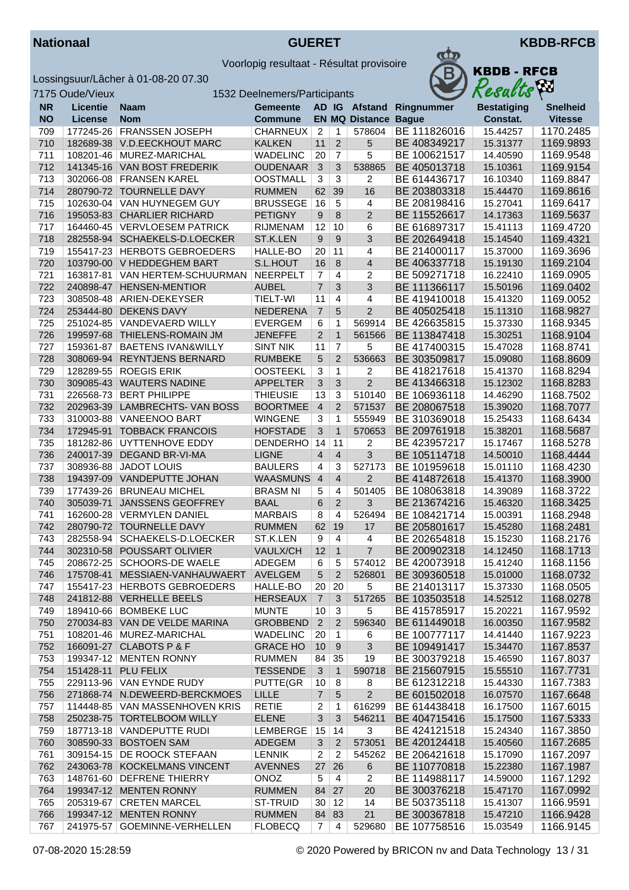

УZИ

Voorlopig resultaat - Résultat provisoire



|            | 7175 Oude/Vieux |                                                                  | 1532 Deelnemers/Participants    |                      |                      |                             |                              | Results              | $\mathbf{r}$           |
|------------|-----------------|------------------------------------------------------------------|---------------------------------|----------------------|----------------------|-----------------------------|------------------------------|----------------------|------------------------|
| <b>NR</b>  | <b>Licentie</b> | <b>Naam</b>                                                      | <b>Gemeente</b>                 |                      |                      |                             | AD IG Afstand Ringnummer     | <b>Bestatiging</b>   | <b>Snelheid</b>        |
| <b>NO</b>  | License         | <b>Nom</b>                                                       | <b>Commune</b>                  |                      |                      | <b>EN MQ Distance Bague</b> |                              | Constat.             | <b>Vitesse</b>         |
| 709        | 177245-26       | <b>FRANSSEN JOSEPH</b>                                           | CHARNEUX                        | $\overline{2}$       | 1                    | 578604                      | BE 111826016                 | 15.44257             | 1170.2485              |
| 710        |                 | 182689-38 V.D.EECKHOUT MARC                                      | <b>KALKEN</b>                   | 11                   | $\overline{2}$       | 5                           | BE 408349217                 | 15.31377             | 1169.9893              |
| 711        | 108201-46       | MUREZ-MARICHAL                                                   | <b>WADELINC</b>                 | 20                   | $\overline{7}$       | 5                           | BE 100621517                 | 14.40590             | 1169.9548              |
| 712        |                 | 141345-16 VAN BOST FREDERIK                                      | <b>OUDENAAR</b>                 | $\mathbf{3}$         | 3                    | 538865                      | BE 405013718                 | 15.10361             | 1169.9154              |
| 713        | 302066-08       | <b>FRANSEN KAREL</b>                                             | <b>OOSTMALL</b>                 | 3                    | 3                    | 2                           | BE 614436717                 | 16.10340             | 1169.8847              |
| 714        | 280790-72       | <b>TOURNELLE DAVY</b>                                            | <b>RUMMEN</b>                   | 62                   | 39                   | 16                          | BE 203803318                 | 15.44470             | 1169.8616              |
| 715        | 102630-04       | <b>VAN HUYNEGEM GUY</b>                                          | <b>BRUSSEGE</b>                 | 16                   | $\overline{5}$       | 4                           | BE 208198416                 | 15.27041             | 1169.6417              |
| 716        |                 | 195053-83 CHARLIER RICHARD                                       | <b>PETIGNY</b>                  | 9                    | 8                    | $\overline{2}$              | BE 115526617                 | 14.17363             | 1169.5637              |
| 717        |                 | 164460-45 VERVLOESEM PATRICK                                     | <b>RIJMENAM</b>                 | 12                   | 10                   | 6                           | BE 616897317                 | 15.41113             | 1169.4720              |
| 718        |                 | 282558-94 SCHAEKELS-D.LOECKER                                    | ST.K.LEN                        | 9                    | 9                    | 3                           | BE 202649418                 | 15.14540             | 1169.4321              |
| 719        |                 | 155417-23 HERBOTS GEBROEDERS                                     | HALLE-BO                        | 20                   | 11                   | 4                           | BE 214000117                 | 15.37000             | 1169.3696              |
| 720        |                 | 103790-00 V HEDDEGHEM BART                                       | S.L.HOUT                        | 16                   | 8                    | 4                           | BE 406337718                 | 15.19130             | 1169.2104              |
| 721        | 163817-81       | VAN HERTEM-SCHUURMAN                                             | <b>NEERPELT</b>                 | $\overline{7}$       | $\overline{4}$       | 2                           | BE 509271718                 | 16.22410             | 1169.0905              |
| 722        | 240898-47       | <b>HENSEN-MENTIOR</b>                                            | <b>AUBEL</b>                    | $\overline{7}$       | 3                    | 3                           | BE 111366117                 | 15.50196             | 1169.0402              |
| 723        |                 | 308508-48   ARIEN-DEKEYSER                                       | TIELT-WI                        | 11                   | 4                    | 4                           | BE 419410018                 | 15.41320             | 1169.0052              |
| 724        |                 | 253444-80 DEKENS DAVY                                            | <b>NEDERENA</b>                 | $\overline{7}$       | 5                    | $\overline{c}$              | BE 405025418                 | 15.11310             | 1168.9827              |
| 725        |                 | 251024-85 VANDEVAERD WILLY                                       | <b>EVERGEM</b>                  | 6                    | 1                    | 569914                      | BE 426635815                 | 15.37330             | 1168.9345              |
| 726        |                 | 199597-68 THIELENS-ROMAIN JM                                     | <b>JENEFFE</b>                  | $\overline{2}$       | $\mathbf{1}$         | 561566                      | BE 113847418                 | 15.30251             | 1168.9104              |
| 727        | 159361-87       | <b>BAETENS IVAN&amp;WILLY</b>                                    | <b>SINT NIK</b>                 | 11                   | $\overline{7}$       | 5                           | BE 417400315                 | 15.47028             | 1168.8741              |
| 728        |                 | 308069-94 REYNTJENS BERNARD                                      | <b>RUMBEKE</b>                  | 5                    | $\overline{2}$       | 536663                      | BE 303509817                 | 15.09080             | 1168.8609              |
| 729        | 128289-55       | <b>ROEGIS ERIK</b>                                               | <b>OOSTEEKL</b>                 | 3                    | $\mathbf{1}$         | $\overline{c}$              | BE 418217618                 | 15.41370             | 1168.8294              |
| 730        |                 | 309085-43 WAUTERS NADINE                                         | <b>APPELTER</b>                 | 3                    | 3                    | $\overline{2}$              | BE 413466318                 | 15.12302             | 1168.8283              |
| 731        | 226568-73       | <b>BERT PHILIPPE</b>                                             | <b>THIEUSIE</b>                 | 13                   | 3                    | 510140                      | BE 106936118                 | 14.46290             | 1168.7502              |
| 732        | 202963-39       | <b>LAMBRECHTS- VAN BOSS</b>                                      | <b>BOORTMEE</b>                 | $\overline{4}$       | $\overline{2}$       | 571537                      | BE 208067518                 | 15.39020             | 1168.7077              |
| 733        | 310003-88       | VANEENOO BART                                                    | <b>WINGENE</b>                  | 3                    | 1                    | 555949                      | BE 310369018                 | 15.25433             | 1168.6434              |
| 734        | 172945-91       | <b>TOBBACK FRANCOIS</b>                                          | <b>HOFSTADE</b>                 | $\mathbf{3}$         | $\mathbf{1}$         | 570653                      | BE 209761918                 | 15.38201             | 1168.5687              |
| 735        |                 | 181282-86 UYTTENHOVE EDDY                                        | DENDERHO                        | 14                   | 11                   | 2                           | BE 423957217                 | 15.17467             | 1168.5278              |
| 736        |                 | 240017-39 DEGAND BR-VI-MA                                        | <b>LIGNE</b>                    | $\overline{4}$       | $\overline{4}$       | 3                           | BE 105114718                 | 14.50010             | 1168.4444              |
| 737        | 308936-88       | <b>JADOT LOUIS</b>                                               | <b>BAULERS</b>                  | 4                    | 3                    | 527173                      | BE 101959618                 | 15.01110             | 1168.4230              |
| 738        |                 | 194397-09 VANDEPUTTE JOHAN                                       | <b>WAASMUNS</b>                 | $\overline{4}$       | $\overline{4}$       | $\overline{2}$              | BE 414872618                 | 15.41370             | 1168.3900              |
| 739        | 177439-26       | <b>BRUNEAU MICHEL</b>                                            | <b>BRASM NI</b>                 | 5                    | 4                    | 501405                      | BE 108063818                 | 14.39089             | 1168.3722              |
| 740        | 305039-71       | <b>JANSSENS GEOFFREY</b>                                         | <b>BAAL</b>                     | 6                    | $\overline{2}$       | 3                           | BE 213674216                 | 15.46320             | 1168.3425              |
| 741        |                 | 162600-28 VERMYLEN DANIEL                                        | <b>MARBAIS</b>                  | 8                    | 4                    | 526494                      | BE 108421714                 | 15.00391             | 1168.2948              |
| 742        |                 | 280790-72 TOURNELLE DAVY                                         | <b>RUMMEN</b>                   | 62                   | 19                   | 17                          | BE 205801617                 | 15.45280             | 1168.2481              |
| 743        | 282558-94       | SCHAEKELS-D.LOECKER                                              | ST.K.LEN                        | 9                    | $\overline{4}$       | 4<br>$\overline{7}$         | BE 202654818<br>BE 200902318 | 15.15230<br>14.12450 | 1168.2176<br>1168.1713 |
| 744        |                 | 302310-58 POUSSART OLIVIER                                       | VAULX/CH<br><b>ADEGEM</b>       | 12                   | $\overline{1}$       |                             |                              |                      |                        |
| 745        |                 | 208672-25 SCHOORS-DE WAELE                                       |                                 | $6 \mid$             | 5 <sup>1</sup>       | 526801                      | 574012 BE 420073918          | 15.41240             | 1168.1156              |
| 746<br>747 |                 | 175708-41   MESSIAEN-VANHAUWAERT<br>155417-23 HERBOTS GEBROEDERS | AVELGEM                         | 5                    | $\overline{2}$<br>20 | 5                           | BE 309360518<br>BE 214013117 | 15.01000             | 1168.0732<br>1168.0505 |
|            |                 | 241812-88 VERHELLE BEELS                                         | HALLE-BO                        | 20                   |                      |                             | BE 103503518                 | 15.37330             | 1168.0278              |
| 748<br>749 |                 | 189410-66   BOMBEKE LUC                                          | <b>HERSEAUX</b><br><b>MUNTE</b> | $\overline{7}$<br>10 | 3<br>3               | 517265<br>5                 | BE 415785917                 | 14.52512<br>15.20221 | 1167.9592              |
| 750        |                 | 270034-83 VAN DE VELDE MARINA                                    | <b>GROBBEND</b>                 | $\overline{2}$       | 2                    | 596340                      | BE 611449018                 | 16.00350             | 1167.9582              |
| 751        |                 | 108201-46 MUREZ-MARICHAL                                         | <b>WADELINC</b>                 | 20                   | 1                    | 6                           | BE 100777117                 | 14.41440             | 1167.9223              |
| 752        |                 | 166091-27 CLABOTS P & F                                          | <b>GRACE HO</b>                 | 10                   | 9                    | 3                           | BE 109491417                 | 15.34470             | 1167.8537              |
| 753        |                 | 199347-12 MENTEN RONNY                                           | <b>RUMMEN</b>                   | 84                   | 35                   | 19                          | BE 300379218                 | 15.46590             | 1167.8037              |
| 754        |                 | 151428-11 PLU FELIX                                              | <b>TESSENDE</b>                 | 3                    | $\mathbf{1}$         | 590718                      | BE 215607915                 | 15.55510             | 1167.7731              |
| 755        |                 | 229113-96 VAN EYNDE RUDY                                         | PUTTE(GR                        | 10                   | 8                    | 8                           | BE 612312218                 | 15.44330             | 1167.7383              |
| 756        |                 | 271868-74 N.DEWEERD-BERCKMOES                                    | <b>LILLE</b>                    | $\overline{7}$       | 5                    | $\overline{2}$              | BE 601502018                 | 16.07570             | 1167.6648              |
| 757        |                 | 114448-85 VAN MASSENHOVEN KRIS                                   | <b>RETIE</b>                    | 2                    | 1                    | 616299                      | BE 614438418                 | 16.17500             | 1167.6015              |
| 758        |                 | 250238-75 TORTELBOOM WILLY                                       | <b>ELENE</b>                    | 3                    | 3                    | 546211                      | BE 404715416                 | 15.17500             | 1167.5333              |
| 759        |                 | 187713-18 VANDEPUTTE RUDI                                        | LEMBERGE                        | 15                   | 14                   | 3                           | BE 424121518                 | 15.24340             | 1167.3850              |
| 760        |                 | 308590-33 BOSTOEN SAM                                            | <b>ADEGEM</b>                   | 3                    | $\overline{c}$       | 573051                      | BE 420124418                 | 15.40560             | 1167.2685              |
| 761        |                 | 309154-15 DE ROOCK STEFAAN                                       | <b>LENNIK</b>                   | $\overline{c}$       | $\overline{c}$       | 545262                      | BE 206421618                 | 15.17090             | 1167.2097              |
| 762        |                 | 243063-78 KOCKELMANS VINCENT                                     | <b>AVENNES</b>                  | 27                   | 26                   | 6                           | BE 110770818                 | 15.22380             | 1167.1987              |
| 763        |                 | 148761-60 DEFRENE THIERRY                                        | ONOZ                            | 5                    | 4                    | 2                           | BE 114988117                 | 14.59000             | 1167.1292              |
| 764        |                 | 199347-12 MENTEN RONNY                                           | <b>RUMMEN</b>                   | 84                   | 27                   | 20                          | BE 300376218                 | 15.47170             | 1167.0992              |
| 765        |                 | 205319-67 CRETEN MARCEL                                          | ST-TRUID                        | 30                   | 12                   | 14                          | BE 503735118                 | 15.41307             | 1166.9591              |
| 766        |                 | 199347-12 MENTEN RONNY                                           | <b>RUMMEN</b>                   | 84                   | 83                   | 21                          | BE 300367818                 | 15.47210             | 1166.9428              |
| 767        |                 | 241975-57 GOEMINNE-VERHELLEN                                     | <b>FLOBECQ</b>                  | $\overline{7}$       | 4                    | 529680                      | BE 107758516                 | 15.03549             | 1166.9145              |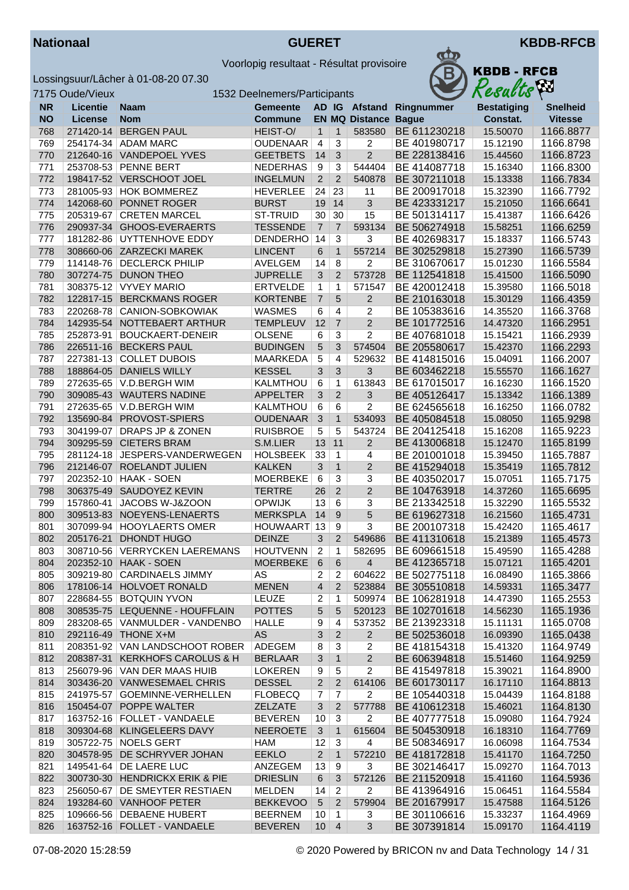



|            | 7175 Oude/Vieux |                                | 1532 Deelnemers/Participants |                 |                |                          |              | Resacus            | $\mathbf{r}$    |
|------------|-----------------|--------------------------------|------------------------------|-----------------|----------------|--------------------------|--------------|--------------------|-----------------|
| <b>NR</b>  | <b>Licentie</b> | <b>Naam</b>                    | <b>Gemeente</b>              |                 |                | AD IG Afstand            | Ringnummer   | <b>Bestatiging</b> | <b>Snelheid</b> |
| <b>NO</b>  | <b>License</b>  | <b>Nom</b>                     | <b>Commune</b>               |                 |                | <b>EN MQ Distance</b>    | <b>Bague</b> | Constat.           | <b>Vitesse</b>  |
| 768        | 271420-14       | <b>BERGEN PAUL</b>             | HEIST-O/                     | $\mathbf{1}$    | $\mathbf{1}$   | 583580                   | BE 611230218 | 15.50070           | 1166.8877       |
| 769        | 254174-34       | <b>ADAM MARC</b>               | <b>OUDENAAR</b>              | 4               | $\overline{3}$ | 2                        | BE 401980717 | 15.12190           | 1166.8798       |
| 770        |                 | 212640-16 VANDEPOEL YVES       | <b>GEETBETS</b>              | 14              | 3              | $\overline{c}$           | BE 228138416 | 15.44560           | 1166.8723       |
| 771        | 253708-53       | <b>PENNE BERT</b>              | <b>NEDERHAS</b>              | 9               | 3              | 544404                   | BE 414087718 | 15.16340           | 1166.8300       |
| 772        |                 | 198417-52 VERSCHOOT JOEL       | <b>INGELMUN</b>              | $\overline{2}$  | $\overline{2}$ | 540878                   | BE 307211018 | 15.13338           | 1166.7834       |
| 773        |                 | 281005-93 HOK BOMMEREZ         | <b>HEVERLEE</b>              | 24              | 23             | 11                       | BE 200917018 | 15.32390           | 1166.7792       |
| 774        |                 | 142068-60 PONNET ROGER         | <b>BURST</b>                 | 19              | 14             | 3                        | BE 423331217 | 15.21050           | 1166.6641       |
| 775        | 205319-67       | <b>CRETEN MARCEL</b>           | ST-TRUID                     | 30              | 30             | 15                       | BE 501314117 | 15.41387           | 1166.6426       |
| 776        |                 | 290937-34 GHOOS-EVERAERTS      | <b>TESSENDE</b>              | $\overline{7}$  | $\overline{7}$ | 593134                   | BE 506274918 | 15.58251           | 1166.6259       |
| 777        | 181282-86       | UYTTENHOVE EDDY                | DENDERHO                     | 14              | 3              | 3                        | BE 402698317 | 15.18337           | 1166.5743       |
| 778        |                 | 308660-06 ZARZECKI MAREK       | <b>LINCENT</b>               | 6               | $\mathbf{1}$   | 557214                   | BE 302529818 | 15.27390           | 1166.5739       |
| 779        |                 | 114148-76 DECLERCK PHILIP      | <b>AVELGEM</b>               | 14              | $\,8\,$        | 2                        | BE 310670617 | 15.01230           | 1166.5584       |
| 780        |                 | 307274-75 DUNON THEO           | <b>JUPRELLE</b>              | 3               | 2              | 573728                   | BE 112541818 | 15.41500           | 1166.5090       |
| 781        |                 | 308375-12 VYVEY MARIO          | <b>ERTVELDE</b>              | $\mathbf{1}$    | 1              | 571547                   | BE 420012418 | 15.39580           | 1166.5018       |
| 782        |                 | 122817-15 BERCKMANS ROGER      | <b>KORTENBE</b>              | $\overline{7}$  | 5              | $\overline{2}$           | BE 210163018 | 15.30129           | 1166.4359       |
| 783        |                 | 220268-78 CANION-SOBKOWIAK     | <b>WASMES</b>                | 6               | 4              | $\overline{2}$           | BE 105383616 | 14.35520           | 1166.3768       |
| 784        |                 | 142935-54 NOTTEBAERT ARTHUR    | <b>TEMPLEUV</b>              | 12              | $\overline{7}$ | $\overline{2}$           | BE 101772516 | 14.47320           | 1166.2951       |
| 785        | 252873-91       | <b>BOUCKAERT-DENEIR</b>        | <b>OLSENE</b>                | 6               | 3              | 2                        | BE 407681018 | 15.15421           | 1166.2939       |
| 786        |                 | 226511-16 BECKERS PAUL         | <b>BUDINGEN</b>              | 5               | 3              | 574504                   | BE 205580617 | 15.42370           | 1166.2293       |
| 787        | 227381-13       | <b>COLLET DUBOIS</b>           | <b>MAARKEDA</b>              | 5               | 4              | 529632                   | BE 414815016 | 15.04091           | 1166.2007       |
| 788        |                 | 188864-05 DANIELS WILLY        | <b>KESSEL</b>                | 3               | 3              | 3                        | BE 603462218 | 15.55570           | 1166.1627       |
| 789        |                 | 272635-65   V.D.BERGH WIM      | KALMTHOU                     | 6               | 1              | 613843                   | BE 617015017 | 16.16230           | 1166.1520       |
| 790        |                 | 309085-43 WAUTERS NADINE       | <b>APPELTER</b>              | 3               | $\overline{2}$ | 3                        | BE 405126417 | 15.13342           | 1166.1389       |
| 791        | 272635-65       | V.D.BERGH WIM                  | KALMTHOU                     | 6               | 6              | $\overline{2}$           | BE 624565618 | 16.16250           | 1166.0782       |
| 792        |                 | 135690-84 PROVOST-SPIERS       | <b>OUDENAAR</b>              | $\mathbf{3}$    | $\mathbf{1}$   | 534093                   | BE 405084518 | 15.08050           | 1165.9298       |
|            |                 |                                |                              |                 |                |                          |              |                    |                 |
| 793<br>794 | 304199-07       | DRAPS JP & ZONEN               | <b>RUISBROE</b>              | 5<br>13         | 5<br>11        | 543724<br>$\overline{2}$ | BE 204125418 | 15.16208           | 1165.9223       |
|            |                 | 309295-59 CIETERS BRAM         | S.M.LIER                     |                 |                |                          | BE 413006818 | 15.12470           | 1165.8199       |
| 795        | 281124-18       | JESPERS-VANDERWEGEN            | <b>HOLSBEEK</b>              | 33              | 1              | 4                        | BE 201001018 | 15.39450           | 1165.7887       |
| 796        | 212146-07       | ROELANDT JULIEN                | <b>KALKEN</b>                | 3               | $\mathbf{1}$   | $\overline{2}$           | BE 415294018 | 15.35419           | 1165.7812       |
| 797        |                 | 202352-10   HAAK - SOEN        | <b>MOERBEKE</b>              | 6               | 3              | 3                        | BE 403502017 | 15.07051           | 1165.7175       |
| 798        | 306375-49       | SAUDOYEZ KEVIN                 | <b>TERTRE</b>                | 26              | $\overline{2}$ | $\overline{c}$           | BE 104763918 | 14.37260           | 1165.6695       |
| 799        | 157860-41       | JACOBS W-J&ZOON                | <b>OPWIJK</b>                | 13              | 6              | 3                        | BE 213342518 | 15.32290           | 1165.5532       |
| 800        |                 | 309513-83 NOEYENS-LENAERTS     | <b>MERKSPLA</b>              | 14              | 9              | 5                        | BE 619627318 | 16.21560           | 1165.4731       |
| 801        |                 | 307099-94   HOOYLAERTS OMER    | HOUWAART 13                  |                 | 9              | 3                        | BE 200107318 | 15.42420           | 1165.4617       |
| 802        | 205176-21       | DHONDT HUGO                    | <b>DEINZE</b>                | 3               | 2              | 549686                   | BE 411310618 | 15.21389           | 1165.4573       |
| 803        |                 | 308710-56 VERRYCKEN LAEREMANS  | <b>HOUTVENN</b>              | $\overline{2}$  | 1              | 582695                   | BE 609661518 | 15.49590           | 1165.4288       |
| 804        |                 | 202352-10 HAAK - SOEN          | MOERBEKE 6                   |                 | $6 \mid$       | $\overline{4}$           | BE 412365718 | 15.07121           | 1165.4201       |
| 805        |                 | 309219-80 CARDINAELS JIMMY     | AS.                          | 2               | 2              | 604622                   | BE 502775118 | 16.08490           | 1165.3866       |
| 806        |                 | 178106-14 HOLVOET RONALD       | <b>MENEN</b>                 | $\overline{4}$  | $\overline{2}$ | 523884                   | BE 305510818 | 14.59331           | 1165.3477       |
| 807        |                 | 228684-55 BOTQUIN YVON         | LEUZE                        | 2               | 1              | 509974                   | BE 106281918 | 14.47390           | 1165.2553       |
| 808        |                 | 308535-75 LEQUENNE - HOUFFLAIN | <b>POTTES</b>                | $\sqrt{5}$      | 5              | 520123                   | BE 102701618 | 14.56230           | 1165.1936       |
| 809        |                 | 283208-65 VANMULDER - VANDENBO | <b>HALLE</b>                 | 9               | 4              | 537352                   | BE 213923318 | 15.11131           | 1165.0708       |
| 810        |                 | 292116-49 THONE X+M            | AS                           | $\sqrt{3}$      | $\overline{2}$ | $\overline{2}$           | BE 502536018 | 16.09390           | 1165.0438       |
| 811        |                 | 208351-92 VAN LANDSCHOOT ROBER | ADEGEM                       | 8               | 3              | $\overline{c}$           | BE 418154318 | 15.41320           | 1164.9749       |
| 812        |                 | 208387-31 KERKHOFS CAROLUS & H | <b>BERLAAR</b>               | 3               | $\mathbf{1}$   | $\overline{2}$           | BE 606394818 | 15.51460           | 1164.9259       |
| 813        |                 | 256079-96 VAN DER MAAS HUIB    | <b>LOKEREN</b>               | 9               | 5              | 2                        | BE 415497818 | 15.39021           | 1164.8900       |
| 814        |                 | 303436-20 VANWESEMAEL CHRIS    | <b>DESSEL</b>                | $\overline{2}$  | 2              | 614106                   | BE 601730117 | 16.17110           | 1164.8813       |
| 815        |                 | 241975-57 GOEMINNE-VERHELLEN   | <b>FLOBECQ</b>               | 7               | $\overline{7}$ | $\overline{2}$           | BE 105440318 | 15.04439           | 1164.8188       |
| 816        |                 | 150454-07 POPPE WALTER         | <b>ZELZATE</b>               | 3               | 2              | 577788                   | BE 410612318 | 15.46021           | 1164.8130       |
| 817        |                 | 163752-16   FOLLET - VANDAELE  | <b>BEVEREN</b>               | 10              | 3              | 2                        | BE 407777518 | 15.09080           | 1164.7924       |
| 818        |                 | 309304-68 KLINGELEERS DAVY     | <b>NEEROETE</b>              | 3               | $\mathbf{1}$   | 615604                   | BE 504530918 | 16.18310           | 1164.7769       |
| 819        |                 | 305722-75 NOELS GERT           | HAM                          | 12              | 3              | 4                        | BE 508346917 | 16.06098           | 1164.7534       |
| 820        |                 | 304578-95 DE SCHRYVER JOHAN    | <b>EEKLO</b>                 | $\overline{2}$  | $\mathbf{1}$   | 572210                   | BE 418172818 | 15.41170           | 1164.7250       |
| 821        |                 | 149541-64 DE LAERE LUC         | ANZEGEM                      | 13              | 9              | 3                        | BE 302146417 | 15.09270           | 1164.7013       |
| 822        |                 | 300730-30 HENDRICKX ERIK & PIE | <b>DRIESLIN</b>              | 6               | 3              | 572126                   | BE 211520918 | 15.41160           | 1164.5936       |
| 823        | 256050-67       | <b>DE SMEYTER RESTIAEN</b>     | MELDEN                       | 14              | $\overline{2}$ | $\overline{2}$           | BE 413964916 | 15.06451           | 1164.5584       |
| 824        |                 | 193284-60 VANHOOF PETER        | <b>BEKKEVOO</b>              | $5\overline{)}$ | $\overline{2}$ | 579904                   | BE 201679917 | 15.47588           | 1164.5126       |
| 825        |                 | 109666-56 DEBAENE HUBERT       | <b>BEERNEM</b>               | 10              | 1              | 3                        | BE 301106616 | 15.33237           | 1164.4969       |
| 826        |                 | 163752-16 FOLLET - VANDAELE    | <b>BEVEREN</b>               | 10              | $\overline{4}$ | 3                        | BE 307391814 | 15.09170           | 1164.4119       |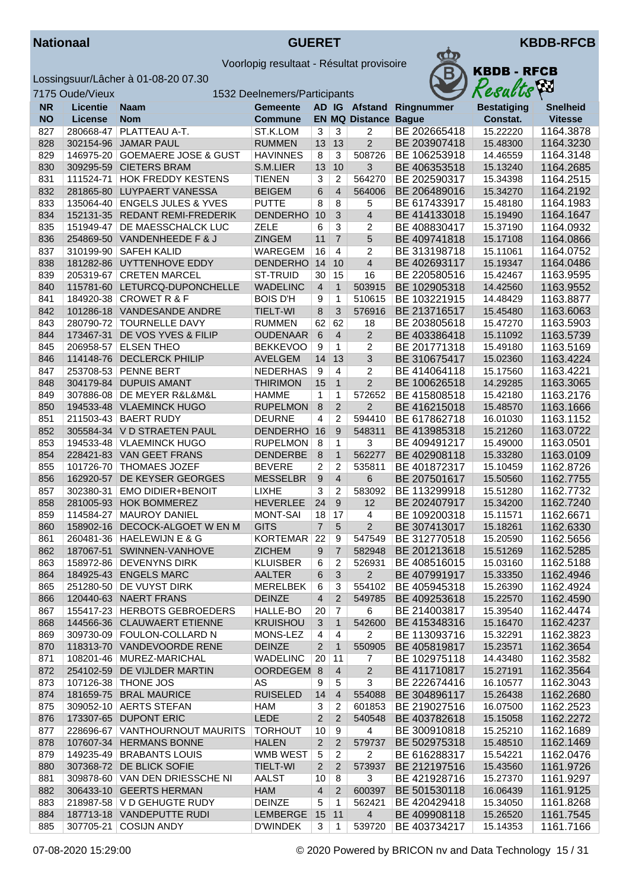



|           | 7175 Oude/Vieux |                                 | 1532 Deelnemers/Participants |                |                |                             |              | Resacus            | $\mathbf{r}$    |
|-----------|-----------------|---------------------------------|------------------------------|----------------|----------------|-----------------------------|--------------|--------------------|-----------------|
| <b>NR</b> | <b>Licentie</b> | <b>Naam</b>                     | <b>Gemeente</b>              |                |                | AD IG Afstand               | Ringnummer   | <b>Bestatiging</b> | <b>Snelheid</b> |
| <b>NO</b> | License         | <b>Nom</b>                      | <b>Commune</b>               |                |                | <b>EN MQ Distance Bague</b> |              | Constat.           | <b>Vitesse</b>  |
| 827       | 280668-47       | PLATTEAU A-T.                   | ST.K.LOM                     | 3              | 3              | 2                           | BE 202665418 | 15.22220           | 1164.3878       |
| 828       |                 | 302154-96 JAMAR PAUL            | <b>RUMMEN</b>                | 13             | 13             | $\overline{2}$              | BE 203907418 | 15.48300           | 1164.3230       |
| 829       | 146975-20       | <b>GOEMAERE JOSE &amp; GUST</b> | <b>HAVINNES</b>              | 8              | 3              | 508726                      | BE 106253918 | 14.46559           | 1164.3148       |
| 830       |                 | 309295-59 CIETERS BRAM          | S.M.LIER                     | 13             | 10             | 3                           | BE 406353518 | 15.13240           | 1164.2685       |
| 831       | 111524-71       | <b>HOK FREDDY KESTENS</b>       | <b>TIENEN</b>                | 3              | 2              | 564270                      | BE 202590317 | 15.34398           | 1164.2515       |
| 832       |                 | 281865-80 LUYPAERT VANESSA      | <b>BEIGEM</b>                | 6              | $\overline{4}$ | 564006                      | BE 206489016 | 15.34270           | 1164.2192       |
| 833       |                 | 135064-40   ENGELS JULES & YVES | <b>PUTTE</b>                 | 8              | 8              | 5                           | BE 617433917 | 15.48180           | 1164.1983       |
| 834       |                 | 152131-35 REDANT REMI-FREDERIK  | <b>DENDERHO</b>              | 10             | 3              | $\overline{4}$              | BE 414133018 | 15.19490           | 1164.1647       |
| 835       | 151949-47       | DE MAESSCHALCK LUC              | <b>ZELE</b>                  | 6              | 3              | 2                           | BE 408830417 | 15.37190           | 1164.0932       |
| 836       |                 | 254869-50 VANDENHEEDE F & J     | <b>ZINGEM</b>                | 11             | $\overline{7}$ | 5                           | BE 409741818 | 15.17108           | 1164.0866       |
| 837       |                 | 310199-90 SAFEH KALID           | WAREGEM                      | 16             | $\overline{4}$ | 2                           | BE 313198718 | 15.11061           | 1164.0752       |
| 838       |                 | 181282-86 UYTTENHOVE EDDY       | DENDERHO 14                  |                | 10             | $\overline{4}$              | BE 402693117 | 15.19347           | 1164.0486       |
| 839       |                 | 205319-67 CRETEN MARCEL         | <b>ST-TRUID</b>              | 30             | 15             | 16                          | BE 220580516 | 15.42467           | 1163.9595       |
| 840       |                 | 115781-60 LETURCQ-DUPONCHELLE   | <b>WADELINC</b>              | $\overline{4}$ | $\mathbf{1}$   | 503915                      | BE 102905318 | 14.42560           | 1163.9552       |
| 841       |                 | 184920-38 CROWET R & F          | <b>BOIS D'H</b>              | 9              | $\mathbf{1}$   | 510615                      | BE 103221915 | 14.48429           | 1163.8877       |
| 842       |                 | 101286-18 VANDESANDE ANDRE      | <b>TIELT-WI</b>              | $\bf 8$        | 3              | 576916                      | BE 213716517 | 15.45480           | 1163.6063       |
| 843       |                 | 280790-72 TOURNELLE DAVY        | <b>RUMMEN</b>                | 62             | 62             | 18                          | BE 203805618 | 15.47270           | 1163.5903       |
| 844       |                 | 173467-31 DE VOS YVES & FILIP   | <b>OUDENAAR</b>              | 6              | $\overline{4}$ | $\overline{2}$              | BE 403386418 | 15.11092           | 1163.5739       |
| 845       | 206958-57       | <b>ELSEN THEO</b>               | <b>BEKKEVOO</b>              | 9              | 1              | 2                           | BE 201771318 | 15.49180           | 1163.5169       |
| 846       |                 | 114148-76 DECLERCK PHILIP       | <b>AVELGEM</b>               | 14             | 13             | $\mathfrak{B}$              | BE 310675417 | 15.02360           | 1163.4224       |
| 847       | 253708-53       | <b>PENNE BERT</b>               | <b>NEDERHAS</b>              | $\overline{9}$ | 4              | 2                           | BE 414064118 | 15.17560           | 1163.4221       |
| 848       | 304179-84       | <b>DUPUIS AMANT</b>             | <b>THIRIMON</b>              | 15             | $\mathbf{1}$   | $\overline{2}$              | BE 100626518 | 14.29285           | 1163.3065       |
| 849       | 307886-08       | DE MEYER R&L&M&L                | <b>HAMME</b>                 | 1              | 1              | 572652                      | BE 415808518 | 15.42180           | 1163.2176       |
| 850       |                 | 194533-48 VLAEMINCK HUGO        | <b>RUPELMON</b>              | 8              | $\overline{2}$ | $\overline{c}$              | BE 416215018 | 15.48570           | 1163.1666       |
| 851       |                 | 211503-43   BAERT RUDY          | <b>DEURNE</b>                | $\overline{4}$ | 2              | 594410                      | BE 617862718 | 16.01030           | 1163.1152       |
| 852       |                 | 305584-34 V D STRAETEN PAUL     | DENDERHO 16                  |                | 9              | 548311                      | BE 413985318 | 15.21260           | 1163.0722       |
| 853       |                 | 194533-48   VLAEMINCK HUGO      | <b>RUPELMON</b>              | 8              | 1              | 3                           | BE 409491217 | 15.49000           | 1163.0501       |
| 854       |                 | 228421-83 VAN GEET FRANS        | <b>DENDERBE</b>              | $\,8\,$        | $\mathbf{1}$   | 562277                      | BE 402908118 | 15.33280           | 1163.0109       |
| 855       |                 | 101726-70 THOMAES JOZEF         | <b>BEVERE</b>                | $\overline{2}$ | $\overline{2}$ | 535811                      | BE 401872317 | 15.10459           | 1162.8726       |
| 856       | 162920-57       | DE KEYSER GEORGES               | <b>MESSELBR</b>              | 9              | $\overline{4}$ | 6                           | BE 207501617 | 15.50560           | 1162.7755       |
| 857       | 302380-31       | <b>EMO DIDIER+BENOIT</b>        | <b>LIXHE</b>                 | 3              | 2              | 583092                      | BE 113299918 | 15.51280           | 1162.7732       |
| 858       |                 | 281005-93 HOK BOMMEREZ          | <b>HEVERLEE</b>              | 24             | 9              | 12                          | BE 202407917 | 15.34200           | 1162.7240       |
| 859       | 114584-27       | <b>MAUROY DANIEL</b>            | <b>MONT-SAI</b>              | 18             | 17             | 4                           | BE 109200318 | 15.11571           | 1162.6671       |
| 860       |                 | 158902-16 DECOCK-ALGOET W EN M  | <b>GITS</b>                  | $\overline{7}$ | $5\phantom{1}$ | $\overline{2}$              | BE 307413017 | 15.18261           | 1162.6330       |
| 861       |                 | 260481-36   HAELEWIJN E & G     | <b>KORTEMAR</b>              | 22             | 9              | 547549                      | BE 312770518 | 15.20590           | 1162.5656       |
| 862       |                 | 187067-51 SWINNEN-VANHOVE       | <b>ZICHEM</b>                | 9              | $\overline{7}$ | 582948                      | BE 201213618 | 15.51269           | 1162.5285       |
| 863       |                 | 158972-86 DEVENYNS DIRK         | <b>KLUISBER</b>              | $6 \mid$       | $2 \mid$       | 526931                      | BE 408516015 | 15.03160           | 1162.5188       |
| 864       |                 | 184925-43 ENGELS MARC           | AALTER                       | 6              | 3              | $2^{\circ}$                 | BE 407991917 | 15.33350           | 1162.4946       |
| 865       |                 | 251280-50 DE VUYST DIRK         | MERELBEK                     | 6              | 3              | 554102                      | BE 405945318 | 15.26390           | 1162.4924       |
| 866       |                 | 120440-63 NAERT FRANS           | <b>DEINZE</b>                | $\overline{4}$ | $\overline{c}$ | 549785                      | BE 409253618 | 15.22570           | 1162.4590       |
| 867       |                 | 155417-23 HERBOTS GEBROEDERS    | HALLE-BO                     | 20             | 7              | 6                           | BE 214003817 | 15.39540           | 1162.4474       |
| 868       |                 | 144566-36 CLAUWAERT ETIENNE     | <b>KRUISHOU</b>              | 3              | 1              | 542600                      | BE 415348316 | 15.16470           | 1162.4237       |
| 869       |                 | 309730-09   FOULON-COLLARD N    | MONS-LEZ                     | 4              | $\overline{4}$ | $\overline{2}$              | BE 113093716 | 15.32291           | 1162.3823       |
| 870       |                 | 118313-70 VANDEVOORDE RENE      | <b>DEINZE</b>                | $\overline{2}$ | $\mathbf{1}$   | 550905                      | BE 405819817 | 15.23571           | 1162.3654       |
| 871       |                 | 108201-46 MUREZ-MARICHAL        | <b>WADELINC</b>              | 20             | 11             | 7                           | BE 102975118 | 14.43480           | 1162.3582       |
| 872       |                 | 254102-59 DE VIJLDER MARTIN     | OORDEGEM 8                   |                | $\overline{4}$ | $\overline{2}$              | BE 411710817 | 15.27191           | 1162.3564       |
| 873       |                 | 107126-38   THONE JOS           | AS                           | 9              | 5              | 3                           | BE 222674416 | 16.10577           | 1162.3043       |
| 874       |                 | 181659-75 BRAL MAURICE          | <b>RUISELED</b>              | 14             | $\overline{4}$ | 554088                      | BE 304896117 | 15.26438           | 1162.2680       |
| 875       |                 | 309052-10 AERTS STEFAN          | HAM                          | 3              | 2              | 601853                      | BE 219027516 | 16.07500           | 1162.2523       |
| 876       |                 | 173307-65 DUPONT ERIC           | LEDE                         | $\overline{c}$ | 2              | 540548                      | BE 403782618 | 15.15058           | 1162.2272       |
| 877       | 228696-67       | VANTHOURNOUT MAURITS            | <b>TORHOUT</b>               | 10             | 9              | 4                           | BE 300910818 | 15.25210           | 1162.1689       |
| 878       |                 | 107607-34 HERMANS BONNE         | <b>HALEN</b>                 | $\overline{2}$ | $\overline{2}$ | 579737                      | BE 502975318 | 15.48510           | 1162.1469       |
| 879       |                 | 149235-49 BRABANTS LOUIS        | WMB WEST                     | 5              | 2              | $\overline{2}$              | BE 616288317 | 15.54221           | 1162.0476       |
| 880       |                 | 307368-72 DE BLICK SOFIE        | <b>TIELT-WI</b>              | $\overline{2}$ | $\overline{2}$ | 573937                      | BE 212197516 | 15.43560           | 1161.9726       |
| 881       |                 | 309878-60 VAN DEN DRIESSCHE NI  | AALST                        | 10             | 8              | 3                           | BE 421928716 | 15.27370           | 1161.9297       |
| 882       |                 | 306433-10 GEERTS HERMAN         | HAM                          | $\overline{4}$ | $\overline{2}$ | 600397                      | BE 501530118 | 16.06439           | 1161.9125       |
| 883       |                 | 218987-58   V D GEHUGTE RUDY    | <b>DEINZE</b>                | 5              | $\mathbf{1}$   | 562421                      | BE 420429418 | 15.34050           | 1161.8268       |
| 884       |                 | 187713-18 VANDEPUTTE RUDI       | LEMBERGE 15 11               |                |                | 4                           | BE 409908118 | 15.26520           | 1161.7545       |
| 885       |                 | 307705-21 COSIJN ANDY           | <b>D'WINDEK</b>              | 3              | 1              | 539720                      | BE 403734217 | 15.14353           | 1161.7166       |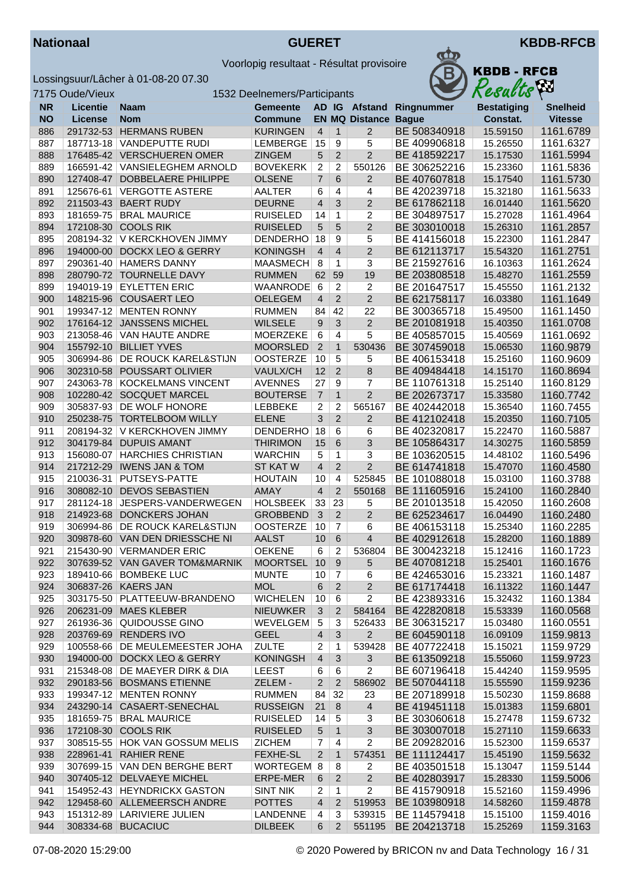7175 Oude/



Voorlopig resultaat - Résultat provisoire



|            |                 | ossingsuur/Lâcher à 01-08-20 07.30 |                              |                     |                   |                       | D            | RDVD - Krud        |                 |
|------------|-----------------|------------------------------------|------------------------------|---------------------|-------------------|-----------------------|--------------|--------------------|-----------------|
|            | 175 Oude/Vieux  |                                    | 1532 Deelnemers/Participants |                     |                   |                       |              | Results            |                 |
| <b>NR</b>  | <b>Licentie</b> | <b>Naam</b>                        | <b>Gemeente</b>              |                     |                   | AD IG Afstand         | Ringnummer   | <b>Bestatiging</b> | <b>Snelheid</b> |
| <b>NO</b>  | License         | <b>Nom</b>                         | <b>Commune</b>               |                     |                   | <b>EN MQ Distance</b> | <b>Bague</b> | Constat.           | <b>Vitesse</b>  |
| 886        | 291732-53       | <b>HERMANS RUBEN</b>               | <b>KURINGEN</b>              | $\overline{4}$      | $\mathbf{1}$      | $\overline{2}$        | BE 508340918 | 15.59150           | 1161.6789       |
| 887        |                 | 187713-18 VANDEPUTTE RUDI          | LEMBERGE                     | 15                  | 9                 | 5                     | BE 409906818 | 15.26550           | 1161.6327       |
| 888        |                 | 176485-42 VERSCHUEREN OMER         | <b>ZINGEM</b>                | 5                   | $\overline{2}$    | $\overline{2}$        | BE 418592217 | 15.17530           | 1161.5994       |
| 889        |                 | 166591-42 VANSIELEGHEM ARNOLD      | <b>BOVEKERK</b>              | $\overline{c}$      | 2                 | 550126                | BE 306252216 | 15.23360           | 1161.5836       |
| 890        |                 | 127408-47 DOBBELAERE PHILIPPE      | <b>OLSENE</b>                | $\overline{7}$      | 6                 | $\overline{2}$        | BE 407607818 | 15.17540           | 1161.5730       |
| 891        |                 | 125676-61 VERGOTTE ASTERE          | AALTER                       | 6                   | 4                 | 4                     | BE 420239718 | 15.32180           | 1161.5633       |
| 892        |                 | 211503-43 BAERT RUDY               | <b>DEURNE</b>                | $\overline{4}$      | 3                 | $\overline{2}$        | BE 617862118 | 16.01440           | 1161.5620       |
| 893        |                 | 181659-75 BRAL MAURICE             | <b>RUISELED</b>              | 14                  | $\mathbf{1}$      | 2                     | BE 304897517 | 15.27028           | 1161.4964       |
| 894        |                 | 172108-30 COOLS RIK                | <b>RUISELED</b>              | 5                   | 5                 | $\overline{2}$        | BE 303010018 | 15.26310           | 1161.2857       |
| 895        |                 | 208194-32 V KERCKHOVEN JIMMY       | <b>DENDERHO</b>              | 18                  | 9                 | 5                     | BE 414156018 | 15.22300           | 1161.2847       |
| 896        |                 | 194000-00 DOCKX LEO & GERRY        | <b>KONINGSH</b>              | $\overline{4}$      | $\overline{4}$    | $\overline{2}$        | BE 612113717 | 15.54320           | 1161.2751       |
| 897        |                 | 290361-40   HAMERS DANNY           | MAASMECH                     | 8                   | 1                 | 3                     | BE 215927616 | 16.10363           | 1161.2624       |
| 898        |                 | 280790-72 TOURNELLE DAVY           | <b>RUMMEN</b>                | 62                  | 59                | 19                    | BE 203808518 | 15.48270           | 1161.2559       |
| 899        | 194019-19       | <b>EYLETTEN ERIC</b>               | <b>WAANRODE</b>              | 6                   | $\overline{2}$    | 2                     | BE 201647517 | 15.45550           | 1161.2132       |
| 900        |                 | 148215-96 COUSAERT LEO             | <b>OELEGEM</b>               | $\overline{4}$      | $\overline{2}$    | $\overline{2}$        | BE 621758117 | 16.03380           | 1161.1649       |
| 901        |                 | 199347-12 MENTEN RONNY             | <b>RUMMEN</b>                | 84                  | 42                | 22                    | BE 300365718 | 15.49500           | 1161.1450       |
| 902        |                 | 176164-12 JANSSENS MICHEL          | <b>WILSELE</b>               | 9                   | 3                 | $\overline{2}$        | BE 201081918 | 15.40350           | 1161.0708       |
| 903        |                 | 213058-46 VAN HAUTE ANDRE          | <b>MOERZEKE</b>              | 6                   | $\overline{4}$    | 5                     | BE 405857015 | 15.40569           | 1161.0692       |
| 904        |                 | 155792-10 BILLIET YVES             | <b>MOORSLED</b>              | $\overline{2}$      | $\mathbf{1}$      | 530436                | BE 307459018 | 15.06530           | 1160.9879       |
| 905        |                 | 306994-86 DE ROUCK KAREL&STIJN     | <b>OOSTERZE</b>              | 10                  | $\overline{5}$    | 5                     | BE 406153418 | 15.25160           | 1160.9609       |
| 906        |                 | 302310-58 POUSSART OLIVIER         | VAULX/CH                     | 12                  | 2                 | 8                     | BE 409484418 | 14.15170           | 1160.8694       |
| 907        |                 | 243063-78 KOCKELMANS VINCENT       | <b>AVENNES</b>               | 27                  | 9                 | $\overline{7}$        | BE 110761318 | 15.25140           | 1160.8129       |
| 908        |                 | 102280-42 SOCQUET MARCEL           | <b>BOUTERSE</b>              | $\overline{7}$      | $\mathbf{1}$      | $\overline{2}$        | BE 202673717 | 15.33580           | 1160.7742       |
| 909        |                 | 305837-93 DE WOLF HONORE           | <b>LEBBEKE</b>               | $\overline{c}$      | $\overline{2}$    | 565167                | BE 402442018 | 15.36540           | 1160.7455       |
| 910        |                 | 250238-75 TORTELBOOM WILLY         | <b>ELENE</b>                 | 3                   | $\overline{2}$    | $\overline{2}$        | BE 412102418 | 15.20350           | 1160.7105       |
| 911        |                 | 208194-32   V KERCKHOVEN JIMMY     | DENDERHO                     | 18                  | 6                 | 6                     | BE 402320817 | 15.22470           | 1160.5887       |
| 912        |                 | 304179-84 DUPUIS AMANT             | <b>THIRIMON</b>              | 15                  | $6\phantom{1}6$   | $\overline{3}$        | BE 105864317 | 14.30275           | 1160.5859       |
| 913        |                 | 156080-07   HARCHIES CHRISTIAN     | <b>WARCHIN</b>               | 5                   | $\mathbf{1}$      | 3                     | BE 103620515 | 14.48102           | 1160.5496       |
| 914        |                 | 217212-29   IWENS JAN & TOM        | <b>ST KAT W</b>              | $\overline{4}$      | $\overline{2}$    | $\overline{2}$        | BE 614741818 | 15.47070           | 1160.4580       |
| 915        | 210036-31       | PUTSEYS-PATTE                      | <b>HOUTAIN</b>               | 10                  | 4                 | 525845                | BE 101088018 | 15.03100           | 1160.3788       |
| 916        |                 | 308082-10 DEVOS SEBASTIEN          | <b>AMAY</b>                  | $\overline{4}$      | $\overline{2}$    | 550168                | BE 111605916 | 15.24100           | 1160.2840       |
| 917        |                 | 281124-18 JESPERS-VANDERWEGEN      | <b>HOLSBEEK</b>              | 33                  | 23                | 5                     | BE 201013518 | 15.42050           | 1160.2608       |
| 918        |                 | 214923-68 DONCKERS JOHAN           | <b>GROBBEND</b>              | $\mathbf{3}$        | $\overline{2}$    | $\overline{2}$        | BE 625234617 | 16.04490           | 1160.2480       |
| 919        |                 | 306994-86   DE ROUCK KAREL&STIJN   | <b>OOSTERZE</b>              | 10                  | $\overline{7}$    | 6                     | BE 406153118 | 15.25340           | 1160.2285       |
| 920        |                 | 309878-60 VAN DEN DRIESSCHE NI     | <b>AALST</b>                 | 10                  | 6                 | $\overline{4}$        | BE 402912618 | 15.28200           | 1160.1889       |
| 921        |                 | 215430-90   VERMANDER ERIC         | <b>OEKENE</b>                | 6                   | $\overline{c}$    | 536804                | BE 300423218 | 15.12416           | 1160.1723       |
| 922        |                 | 307639-52 VAN GAVER TOM&MARNIK     | <b>MOORTSEL</b>              | 10                  | 9                 | 5                     | BE 407081218 | 15.25401           | 1160.1676       |
| 923        |                 | 189410-66 BOMBEKE LUC              | <b>MUNTE</b>                 | 10                  | 7                 | 6                     | BE 424653016 | 15.23321           | 1160.1487       |
| 924        |                 | 306837-26 KAERS JAN                | <b>MOL</b>                   | 6                   | $\overline{2}$    | $\overline{2}$        | BE 617174418 | 16.11322           | 1160.1447       |
| 925        |                 | 303175-50 PLATTEEUW-BRANDENO       | <b>WICHELEN</b>              | 10                  | 6                 | 2                     | BE 423893316 | 15.32432           | 1160.1384       |
| 926        |                 | 206231-09 MAES KLEBER              | <b>NIEUWKER</b>              | 3                   | $\overline{2}$    | 584164                | BE 422820818 | 15.53339           | 1160.0568       |
| 927        |                 | 261936-36 QUIDOUSSE GINO           | <b>WEVELGEM</b>              | 5                   | 3                 | 526433                | BE 306315217 | 15.03480           | 1160.0551       |
| 928        |                 | 203769-69 RENDERS IVO              | <b>GEEL</b>                  | 4                   | 3                 | $\overline{2}$        | BE 604590118 | 16.09109           | 1159.9813       |
|            |                 | 100558-66   DE MEULEMEESTER JOHA   | <b>ZULTE</b>                 |                     |                   | 539428                | BE 407722418 | 15.15021           | 1159.9729       |
| 929<br>930 |                 | 194000-00 DOCKX LEO & GERRY        | <b>KONINGSH</b>              | 2<br>4              | $\mathbf{1}$<br>3 | 3                     | BE 613509218 | 15.55060           | 1159.9723       |
| 931        |                 | 215348-08 DE MAEYER DIRK & DIA     | <b>LEEST</b>                 |                     | 6                 | 2                     | BE 607196418 | 15.44240           | 1159.9595       |
| 932        |                 | 290183-56 BOSMANS ETIENNE          | ZELEM-                       | 6<br>$\overline{2}$ | $\overline{2}$    | 586902                | BE 507044118 | 15.55590           | 1159.9236       |
| 933        |                 | 199347-12 MENTEN RONNY             | <b>RUMMEN</b>                | 84                  | 32                | 23                    | BE 207189918 | 15.50230           | 1159.8688       |
| 934        |                 | 243290-14 CASAERT-SENECHAL         | <b>RUSSEIGN</b>              | 21                  | 8                 | $\overline{4}$        | BE 419451118 | 15.01383           | 1159.6801       |
| 935        |                 | 181659-75 BRAL MAURICE             | <b>RUISELED</b>              | 14                  | 5                 | 3                     | BE 303060618 | 15.27478           | 1159.6732       |
|            |                 |                                    |                              |                     |                   |                       |              |                    |                 |

936 172108-30 COOLS RIK RUISELED 5 1 3 BE 303007018 15.27110 1159.6633 937 308515-55 HOK VAN GOSSUM MELIS ZICHEM 7 4 2 BE 209282016 15.52300 1159.6537 228961-41 RAHIER RENE FEXHE-SL 2 1 574351 BE 111124417 15.45190 1159.5632 939 307699-15 VAN DEN BERGHE BERT WORTEGEM 8 8 2 BE 403501518 15.13047 1159.5144 940 307405-12 DELVAEYE MICHEL **ERPE-MER 6 2 BE 402803917** 15.28330 1159.5006 941 | 154952-43 | HEYNDRICKX GASTON | SINT NIK | 2 | 1 | 2 | BE 415790918 | 15.52160 | 1159.4996 129458-60 ALLEMEERSCH ANDRE POTTES 4 2 519953 BE 103980918 14.58260 1159.4878 943 | 151312-89 | LARIVIERE JULIEN | LANDENNE | 4 | 3 | 539315 | BE 114579418 | 15.15100 | 1159.4016 944 308334-68 BUCACIUC DILBEEK 6 2 551195 BE 204213718 15.25269 1159.3163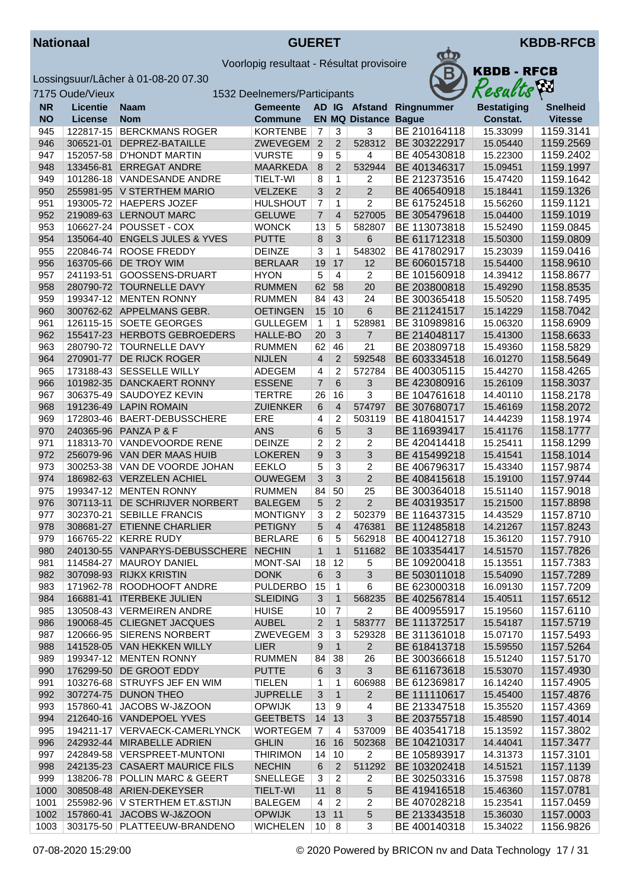



|           | 7175 Oude/Vieux |                                  | 1532 Deelnemers/Participants |                  |                         |                       |              | Resacus            | $\mathbf{r}$    |
|-----------|-----------------|----------------------------------|------------------------------|------------------|-------------------------|-----------------------|--------------|--------------------|-----------------|
| <b>NR</b> | <b>Licentie</b> | <b>Naam</b>                      | <b>Gemeente</b>              |                  |                         | AD IG Afstand         | Ringnummer   | <b>Bestatiging</b> | <b>Snelheid</b> |
| <b>NO</b> | <b>License</b>  | <b>Nom</b>                       | <b>Commune</b>               |                  |                         | <b>EN MQ Distance</b> | <b>Bague</b> | Constat.           | <b>Vitesse</b>  |
| 945       | 122817-15       | <b>BERCKMANS ROGER</b>           | <b>KORTENBE</b>              | $\overline{7}$   | 3                       | 3                     | BE 210164118 | 15.33099           | 1159.3141       |
| 946       | 306521-01       | DEPREZ-BATAILLE                  | ZWEVEGEM                     | $\overline{2}$   | $\overline{2}$          | 528312                | BE 303222917 | 15.05440           | 1159.2569       |
| 947       | 152057-58       | <b>D'HONDT MARTIN</b>            | <b>VURSTE</b>                | 9                | 5                       | 4                     | BE 405430818 | 15.22300           | 1159.2402       |
| 948       | 133456-81       | <b>ERREGAT ANDRE</b>             | <b>MAARKEDA</b>              | 8                | $\overline{2}$          | 532944                | BE 401346317 | 15.09451           | 1159.1997       |
| 949       | 101286-18       | <b>VANDESANDE ANDRE</b>          | <b>TIELT-WI</b>              | 8                | 1                       | 2                     | BE 212373516 | 15.47420           | 1159.1642       |
| 950       |                 | 255981-95 V STERTHEM MARIO       | VELZEKE                      | $\overline{3}$   | $\overline{2}$          | $\overline{2}$        | BE 406540918 | 15.18441           | 1159.1326       |
| 951       |                 | 193005-72 HAEPERS JOZEF          | <b>HULSHOUT</b>              | $\overline{7}$   | 1                       | $\overline{2}$        | BE 617524518 | 15.56260           | 1159.1121       |
| 952       |                 | 219089-63 LERNOUT MARC           | <b>GELUWE</b>                | $\overline{7}$   | 4                       | 527005                | BE 305479618 | 15.04400           | 1159.1019       |
| 953       | 106627-24       | POUSSET - COX                    | <b>WONCK</b>                 | 13               | 5                       | 582807                | BE 113073818 | 15.52490           | 1159.0845       |
| 954       | 135064-40       | <b>ENGELS JULES &amp; YVES</b>   | <b>PUTTE</b>                 | 8                | $\mathfrak{Z}$          | 6                     | BE 611712318 | 15.50300           | 1159.0809       |
| 955       | 220846-74       | <b>ROOSE FREDDY</b>              | <b>DEINZE</b>                | 3                | 1                       | 548302                | BE 417802917 | 15.23039           | 1159.0416       |
| 956       |                 | 163705-66 DE TROY WIM            | <b>BERLAAR</b>               | 19               | 17                      | 12                    | BE 606015718 | 15.54400           | 1158.9610       |
| 957       | 241193-51       | GOOSSENS-DRUART                  | <b>HYON</b>                  | 5                | 4                       | 2                     | BE 101560918 | 14.39412           | 1158.8677       |
| 958       |                 | 280790-72 TOURNELLE DAVY         | <b>RUMMEN</b>                | 62               | 58                      | 20                    | BE 203800818 | 15.49290           | 1158.8535       |
| 959       |                 | 199347-12 MENTEN RONNY           | <b>RUMMEN</b>                | 84               | 43                      | 24                    | BE 300365418 | 15.50520           | 1158.7495       |
| 960       |                 | 300762-62 APPELMANS GEBR.        | <b>OETINGEN</b>              | 15               | 10                      | 6                     | BE 211241517 | 15.14229           | 1158.7042       |
| 961       |                 | 126115-15 SOETE GEORGES          | <b>GULLEGEM</b>              | $\mathbf{1}$     | $\mathbf{1}$            | 528981                | BE 310989816 | 15.06320           | 1158.6909       |
| 962       |                 | 155417-23 HERBOTS GEBROEDERS     | <b>HALLE-BO</b>              | 20               | 3                       | $\overline{7}$        | BE 214048117 | 15.41300           | 1158.6633       |
| 963       | 280790-72       | <b>TOURNELLE DAVY</b>            | <b>RUMMEN</b>                | 62               | 46                      | 21                    | BE 203809718 | 15.49360           | 1158.5829       |
| 964       | 270901-77       | DE RIJCK ROGER                   | <b>NIJLEN</b>                | $\overline{4}$   | 2                       | 592548                | BE 603334518 | 16.01270           | 1158.5649       |
| 965       | 173188-43       | <b>SESSELLE WILLY</b>            | ADEGEM                       | 4                | $\overline{c}$          | 572784                | BE 400305115 | 15.44270           | 1158.4265       |
| 966       | 101982-35       | DANCKAERT RONNY                  | <b>ESSENE</b>                | $\overline{7}$   | 6                       | 3                     | BE 423080916 | 15.26109           | 1158.3037       |
| 967       | 306375-49       | SAUDOYEZ KEVIN                   | <b>TERTRE</b>                | 26               | 16                      | 3                     | BE 104761618 | 14.40110           | 1158.2178       |
| 968       |                 | 191236-49 LAPIN ROMAIN           | <b>ZUIENKER</b>              | $\,6\,$          | $\overline{4}$          | 574797                | BE 307680717 | 15.46169           | 1158.2072       |
| 969       |                 | 172803-46   BAERT-DEBUSSCHERE    | ERE                          | 4                | $\overline{\mathbf{c}}$ | 503119                | BE 418041517 | 14.44239           | 1158.1974       |
| 970       |                 | 240365-96 PANZA P & F            | <b>ANS</b>                   | 6                | 5                       | 3                     | BE 116939417 | 15.41176           | 1158.1777       |
| 971       |                 | 118313-70 VANDEVOORDE RENE       | <b>DEINZE</b>                | $\overline{c}$   | 2                       | 2                     | BE 420414418 | 15.25411           | 1158.1299       |
| 972       |                 | 256079-96 VAN DER MAAS HUIB      | <b>LOKEREN</b>               | $\boldsymbol{9}$ | 3                       | 3                     | BE 415499218 | 15.41541           | 1158.1014       |
| 973       |                 | 300253-38 VAN DE VOORDE JOHAN    | <b>EEKLO</b>                 | 5                | 3                       | 2                     | BE 406796317 | 15.43340           | 1157.9874       |
| 974       |                 | 186982-63 VERZELEN ACHIEL        | <b>OUWEGEM</b>               | $\mathfrak{Z}$   | 3                       | $\overline{2}$        | BE 408415618 | 15.19100           | 1157.9744       |
| 975       |                 | 199347-12 MENTEN RONNY           | <b>RUMMEN</b>                | 84               | 50                      | 25                    | BE 300364018 | 15.51140           | 1157.9018       |
| 976       | 307113-11       | DE SCHRIJVER NORBERT             | <b>BALEGEM</b>               | 5                | $\overline{2}$          | $\overline{2}$        | BE 403193517 | 15.21500           | 1157.8898       |
| 977       | 302370-21       | <b>SEBILLE FRANCIS</b>           | <b>MONTIGNY</b>              | 3                | $\overline{c}$          | 502379                | BE 116437315 | 14.43529           | 1157.8710       |
| 978       |                 | 308681-27 ETIENNE CHARLIER       | <b>PETIGNY</b>               | 5                | $\overline{4}$          | 476381                | BE 112485818 | 14.21267           | 1157.8243       |
| 979       |                 | 166765-22 KERRE RUDY             | <b>BERLARE</b>               | 6                | 5                       | 562918                | BE 400412718 | 15.36120           | 1157.7910       |
| 980       |                 | 240130-55 VANPARYS-DEBUSSCHERE   | <b>NECHIN</b>                | $\mathbf{1}$     | $\mathbf{1}$            | 511682                | BE 103354417 | 14.51570           | 1157.7826       |
| 981       |                 | 114584-27   MAUROY DANIEL        | <b>MONT-SAI</b>              | 18 12            |                         | 5                     | BE 109200418 | 15.13551           | 1157.7383       |
| 982       |                 | 307098-93 RIJKX KRISTIN          | <b>DONK</b>                  | 6                | 3                       | 3                     | BE 503011018 | 15.54090           | 1157.7289       |
| 983       |                 | 171962-78 ROODHOOFT ANDRE        | PULDERBO                     | 15               | 1                       | 6                     | BE 623000318 | 16.09130           | 1157.7209       |
| 984       |                 | 166881-41   ITERBEKE JULIEN      | <b>SLEIDING</b>              | 3                | $\mathbf{1}$            | 568235                | BE 402567814 | 15.40511           | 1157.6512       |
| 985       |                 | 130508-43 VERMEIREN ANDRE        | <b>HUISE</b>                 | 10               | 7                       | 2                     | BE 400955917 | 15.19560           | 1157.6110       |
| 986       |                 | 190068-45 CLIEGNET JACQUES       | <b>AUBEL</b>                 | $\overline{2}$   | $\mathbf{1}$            | 583777                | BE 111372517 | 15.54187           | 1157.5719       |
| 987       |                 | 120666-95 SIERENS NORBERT        | ZWEVEGEM                     | 3                | 3                       | 529328                | BE 311361018 | 15.07170           | 1157.5493       |
| 988       |                 | 141528-05 VAN HEKKEN WILLY       | <b>LIER</b>                  | 9                | $\mathbf{1}$            | $\overline{2}$        | BE 618413718 | 15.59550           | 1157.5264       |
| 989       |                 | 199347-12 MENTEN RONNY           | <b>RUMMEN</b>                | 84               | 38                      | 26                    | BE 300366618 | 15.51240           | 1157.5170       |
| 990       |                 | 176299-50 DE GROOT EDDY          | <b>PUTTE</b>                 | 6                | 3                       | $\overline{3}$        | BE 611673618 | 15.53070           | 1157.4930       |
| 991       |                 | 103276-68 STRUYFS JEF EN WIM     | <b>TIELEN</b>                | $\mathbf{1}$     | 1                       | 606988                | BE 612369817 | 16.14240           | 1157.4905       |
| 992       |                 | 307274-75 DUNON THEO             | <b>JUPRELLE</b>              | 3                | $\mathbf{1}$            | $\mathbf{2}$          | BE 111110617 | 15.45400           | 1157.4876       |
| 993       | 157860-41       | JACOBS W-J&ZOON                  | <b>OPWIJK</b>                | 13               | 9                       | 4                     | BE 213347518 | 15.35520           | 1157.4369       |
| 994       |                 | 212640-16 VANDEPOEL YVES         | <b>GEETBETS</b>              | 14               | 13                      | 3                     | BE 203755718 | 15.48590           | 1157.4014       |
| 995       |                 | 194211-17 VERVAECK-CAMERLYNCK    | WORTEGEM 7                   |                  | 4                       | 537009                | BE 403541718 | 15.13592           | 1157.3802       |
| 996       |                 | 242932-44 MIRABELLE ADRIEN       | <b>GHLIN</b>                 | 16               | 16                      | 502368                | BE 104210317 | 14.44041           | 1157.3477       |
| 997       |                 | 242849-58   VERSPREET-MUNTONI    | <b>THIRIMON</b>              | 14               | 10                      | 2                     | BE 105893917 | 14.31373           | 1157.3101       |
| 998       |                 | 242135-23 CASAERT MAURICE FILS   | <b>NECHIN</b>                | 6                | 2                       | 511292                | BE 103202418 | 14.51521           | 1157.1139       |
| 999       |                 | 138206-78 POLLIN MARC & GEERT    | SNELLEGE                     | 3                | 2                       | 2                     | BE 302503316 | 15.37598           | 1157.0878       |
| 1000      |                 | 308508-48 ARIEN-DEKEYSER         | <b>TIELT-WI</b>              | 11               | $\,8\,$                 | 5                     | BE 419416518 | 15.46360           | 1157.0781       |
| 1001      |                 | 255982-96   V STERTHEM ET.&STIJN | <b>BALEGEM</b>               | $\overline{4}$   | $\overline{2}$          | 2                     | BE 407028218 | 15.23541           | 1157.0459       |
| 1002      |                 | 157860-41 JACOBS W-J&ZOON        | <b>OPWIJK</b>                | $13$ 11          |                         | 5                     | BE 213343518 | 15.36030           | 1157.0003       |
| 1003      |                 | 303175-50 PLATTEEUW-BRANDENO     | <b>WICHELEN</b>              | $10 \mid 8$      |                         | 3                     | BE 400140318 | 15.34022           | 1156.9826       |
|           |                 |                                  |                              |                  |                         |                       |              |                    |                 |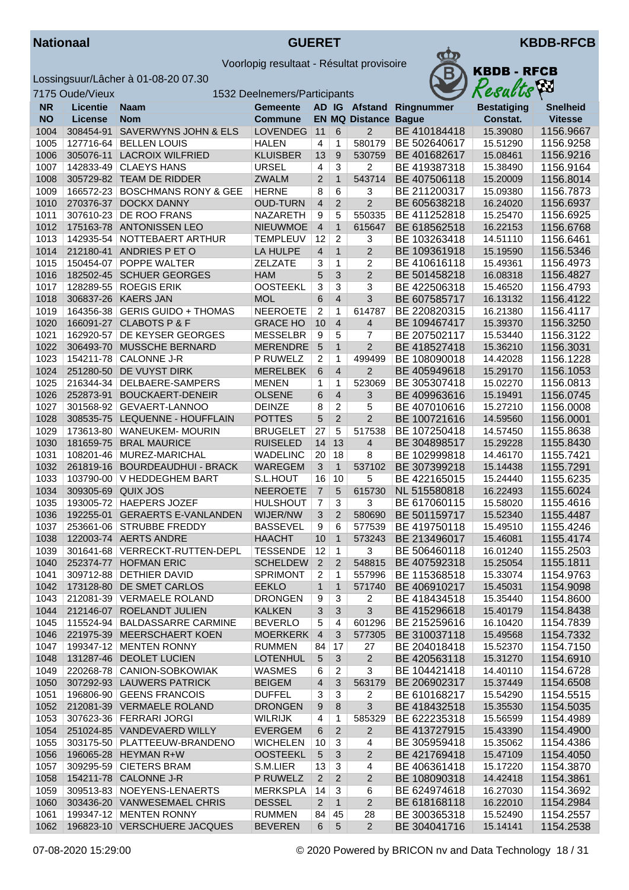



|     | <b>KBDB - RFCB</b><br>Results |              |
|-----|-------------------------------|--------------|
| ۱er | <b>Bestatiging</b>            | <b>Snell</b> |

|              | 7175 Oude/Vieux    |                                                            | 1532 Deelnemers/Participants       |                         |                                |                             |                              | Results              | VШ                     |
|--------------|--------------------|------------------------------------------------------------|------------------------------------|-------------------------|--------------------------------|-----------------------------|------------------------------|----------------------|------------------------|
| <b>NR</b>    | <b>Licentie</b>    | <b>Naam</b>                                                | <b>Gemeente</b>                    |                         |                                |                             | AD IG Afstand Ringnummer     | <b>Bestatiging</b>   | Snelheid               |
| <b>NO</b>    | License            | <b>Nom</b>                                                 | <b>Commune</b>                     |                         |                                | <b>EN MQ Distance Bague</b> |                              | Constat.             | <b>Vitesse</b>         |
| 1004         | 308454-91          | SAVERWYNS JOHN & ELS                                       | LOVENDEG                           | 11                      | 6                              | 2                           | BE 410184418                 | 15.39080             | 1156.9667              |
| 1005         |                    | 127716-64   BELLEN LOUIS                                   | <b>HALEN</b>                       | $\overline{4}$          | $\mathbf{1}$                   | 580179                      | BE 502640617                 | 15.51290             | 1156.9258              |
| 1006         |                    | 305076-11 LACROIX WILFRIED                                 | <b>KLUISBER</b>                    | 13                      | 9                              | 530759                      | BE 401682617                 | 15.08461             | 1156.9216              |
| 1007         |                    | 142833-49 CLAEYS HANS                                      | <b>URSEL</b>                       | $\overline{\mathbf{4}}$ | $\overline{3}$                 | $\overline{2}$              | BE 419387318                 | 15.38490             | 1156.9164              |
| 1008         |                    | 305729-82 TEAM DE RIDDER                                   | <b>ZWALM</b>                       | $\overline{2}$          | $\mathbf{1}$                   | 543714                      | BE 407506118                 | 15.20009             | 1156.8014              |
| 1009         |                    | 166572-23 BOSCHMANS RONY & GEE                             | <b>HERNE</b>                       | 8                       | 6                              | 3                           | BE 211200317                 | 15.09380             | 1156.7873              |
| 1010         |                    | 270376-37 DOCKX DANNY                                      | <b>OUD-TURN</b>                    | $\overline{4}$          | 2                              | 2                           | BE 605638218                 | 16.24020             | 1156.6937              |
| 1011         |                    | 307610-23 DE ROO FRANS                                     | <b>NAZARETH</b>                    | 9                       | 5                              | 550335                      | BE 411252818                 | 15.25470             | 1156.6925              |
| 1012<br>1013 |                    | 175163-78 ANTONISSEN LEO<br>142935-54 NOTTEBAERT ARTHUR    | <b>NIEUWMOE</b><br><b>TEMPLEUV</b> | $\overline{4}$<br>12    | $\mathbf{1}$<br>$\overline{2}$ | 615647<br>3                 | BE 618562518<br>BE 103263418 | 16.22153<br>14.51110 | 1156.6768<br>1156.6461 |
| 1014         |                    | 212180-41 ANDRIES P ET O                                   | LA HULPE                           | $\overline{4}$          | $\mathbf{1}$                   | $\overline{2}$              | BE 109361918                 | 15.19590             | 1156.5346              |
| 1015         |                    | 150454-07 POPPE WALTER                                     | <b>ZELZATE</b>                     | 3                       | $\overline{1}$                 | 2                           | BE 410616118                 | 15.49361             | 1156.4973              |
| 1016         |                    | 182502-45 SCHUER GEORGES                                   | <b>HAM</b>                         | 5                       | 3                              | 2                           | BE 501458218                 | 16.08318             | 1156.4827              |
| 1017         |                    | 128289-55 ROEGIS ERIK                                      | <b>OOSTEEKL</b>                    | 3                       | 3                              | 3                           | BE 422506318                 | 15.46520             | 1156.4793              |
| 1018         |                    | 306837-26 KAERS JAN                                        | <b>MOL</b>                         | 6                       | $\overline{4}$                 | 3                           | BE 607585717                 | 16.13132             | 1156.4122              |
| 1019         |                    | 164356-38 GERIS GUIDO + THOMAS                             | <b>NEEROETE</b>                    | 2                       | $\mathbf{1}$                   | 614787                      | BE 220820315                 | 16.21380             | 1156.4117              |
| 1020         |                    | 166091-27 CLABOTS P & F                                    | <b>GRACE HO</b>                    | 10                      | $\overline{4}$                 | $\overline{4}$              | BE 109467417                 | 15.39370             | 1156.3250              |
| 1021         |                    | 162920-57 DE KEYSER GEORGES                                | <b>MESSELBR</b>                    | 9                       | 5                              | 7                           | BE 207502117                 | 15.53440             | 1156.3122              |
| 1022         |                    | 306493-70 MUSSCHE BERNARD                                  | <b>MERENDRE</b>                    | 5                       | $\mathbf{1}$                   | 2                           | BE 418527418                 | 15.36210             | 1156.3031              |
| 1023         |                    | 154211-78 CALONNE J-R                                      | P RUWELZ                           | $\overline{c}$          | $\mathbf{1}$                   | 499499                      | BE 108090018                 | 14.42028             | 1156.1228              |
| 1024         |                    | 251280-50 DE VUYST DIRK                                    | <b>MERELBEK</b>                    | 6                       | $\overline{4}$                 | 2                           | BE 405949618                 | 15.29170             | 1156.1053              |
| 1025         |                    | 216344-34   DELBAERE-SAMPERS                               | <b>MENEN</b>                       | 1                       | $\mathbf{1}$                   | 523069                      | BE 305307418                 | 15.02270             | 1156.0813              |
| 1026         | 252873-91          | <b>BOUCKAERT-DENEIR</b>                                    | <b>OLSENE</b>                      | 6                       | $\overline{4}$                 | 3                           | BE 409963616                 | 15.19491             | 1156.0745              |
| 1027         |                    | 301568-92 GEVAERT-LANNOO                                   | <b>DEINZE</b>                      | 8                       | $\overline{2}$                 | 5                           | BE 407010616                 | 15.27210             | 1156.0008              |
| 1028         |                    | 308535-75 LEQUENNE - HOUFFLAIN                             | <b>POTTES</b>                      | 5                       | 2                              | 2                           | BE 100721616                 | 14.59560             | 1156.0001              |
| 1029         |                    | 173613-80 WANEUKEM- MOURIN                                 | <b>BRUGELET</b>                    | 27                      | 5                              | 517538                      | BE 107250418                 | 14.57450             | 1155.8638              |
| 1030         | 181659-75          | <b>BRAL MAURICE</b>                                        | <b>RUISELED</b>                    | 14                      | 13                             | 4                           | BE 304898517                 | 15.29228             | 1155.8430              |
| 1031         |                    | 108201-46 MUREZ-MARICHAL                                   | <b>WADELINC</b>                    | 20                      | 18                             | 8                           | BE 102999818                 | 14.46170             | 1155.7421              |
| 1032         |                    | 261819-16 BOURDEAUDHUI - BRACK                             | WAREGEM                            | $\mathbf{3}$            | $\mathbf{1}$                   | 537102                      | BE 307399218                 | 15.14438             | 1155.7291              |
| 1033         |                    | 103790-00 V HEDDEGHEM BART                                 | S.L.HOUT                           | 16                      | 10                             | 5                           | BE 422165015                 | 15.24440             | 1155.6235              |
| 1034         | 309305-69 QUIX JOS |                                                            | <b>NEEROETE</b>                    | $\overline{7}$          | 5                              | 615730                      | NL 515580818                 | 16.22493             | 1155.6024              |
| 1035         |                    | 193005-72 HAEPERS JOZEF                                    | <b>HULSHOUT</b>                    | $\overline{7}$          | 3                              | 3                           | BE 617060115                 | 15.58020             | 1155.4616              |
| 1036<br>1037 |                    | 192255-01 GERAERTS E-VANLANDEN<br>253661-06 STRUBBE FREDDY | WIJER/NW<br><b>BASSEVEL</b>        | 3<br>9                  | 2<br>6                         | 580690<br>577539            | BE 501159717<br>BE 419750118 | 15.52340<br>15.49510 | 1155.4487<br>1155.4246 |
| 1038         |                    | 122003-74 AERTS ANDRE                                      | <b>HAACHT</b>                      | 10                      | $\mathbf{1}$                   | 573243                      | BE 213496017                 | 15.46081             | 1155.4174              |
| 1039         |                    | 301641-68 VERRECKT-RUTTEN-DEPL                             | <b>TESSENDE</b>                    | 12                      | $\mathbf{1}$                   | 3                           | BE 506460118                 | 16.01240             | 1155.2503              |
| 1040         |                    | 252374-77 HOFMAN ERIC                                      | SCHELDEW 2                         |                         | $\overline{2}$                 |                             | 548815 BE 407592318          | 15.25054             | 1155.1811              |
| 1041         |                    | 309712-88 DETHIER DAVID                                    | <b>SPRIMONT</b>                    | 2                       | $\mathbf{1}$                   | 557996                      | BE 115368518                 | 15.33074             | 1154.9763              |
| 1042         |                    | 173128-80 DE SMET CARLOS                                   | <b>EEKLO</b>                       | $\mathbf{1}$            | $\mathbf{1}$                   | 571740                      | BE 406910217                 | 15.45031             | 1154.9098              |
| 1043         |                    | 212081-39 VERMAELE ROLAND                                  | <b>DRONGEN</b>                     | 9                       | 3                              | 2                           | BE 418434518                 | 15.35440             | 1154.8600              |
| 1044         |                    | 212146-07 ROELANDT JULIEN                                  | <b>KALKEN</b>                      | $\sqrt{3}$              | $\mathbf{3}$                   | 3                           | BE 415296618                 | 15.40179             | 1154.8438              |
| 1045         |                    | 115524-94 BALDASSARRE CARMINE                              | <b>BEVERLO</b>                     | 5                       | 4                              | 601296                      | BE 215259616                 | 16.10420             | 1154.7839              |
| 1046         |                    | 221975-39 MEERSCHAERT KOEN                                 | <b>MOERKERK</b>                    | $\overline{4}$          | 3                              | 577305                      | BE 310037118                 | 15.49568             | 1154.7332              |
| 1047         |                    | 199347-12 MENTEN RONNY                                     | <b>RUMMEN</b>                      | 84                      | 17                             | 27                          | BE 204018418                 | 15.52370             | 1154.7150              |
| 1048         |                    | 131287-46 DEOLET LUCIEN                                    | <b>LOTENHUL</b>                    | $\sqrt{5}$              | 3                              | $\mathbf{2}$                | BE 420563118                 | 15.31270             | 1154.6910              |
| 1049         |                    | 220268-78 CANION-SOBKOWIAK                                 | <b>WASMES</b>                      | 6                       | $\overline{2}$                 | 3                           | BE 104421418                 | 14.40110             | 1154.6728              |
| 1050         |                    | 307292-93 LAUWERS PATRICK                                  | <b>BEIGEM</b>                      | $\overline{4}$          | 3                              | 563179                      | BE 206902317                 | 15.37449             | 1154.6508              |
| 1051         |                    | 196806-90 GEENS FRANCOIS                                   | <b>DUFFEL</b>                      | 3                       | $\mathbf{3}$                   | 2                           | BE 610168217                 | 15.54290             | 1154.5515              |
| 1052         |                    | 212081-39 VERMAELE ROLAND                                  | <b>DRONGEN</b>                     | 9                       | 8                              | 3                           | BE 418432518                 | 15.35530             | 1154.5035              |
| 1053         |                    | 307623-36   FERRARI JORGI                                  | <b>WILRIJK</b>                     | 4                       | 1                              | 585329                      | BE 622235318                 | 15.56599             | 1154.4989              |
| 1054         |                    | 251024-85 VANDEVAERD WILLY                                 | <b>EVERGEM</b>                     | 6                       | $\overline{2}$                 | $\overline{2}$              | BE 413727915                 | 15.43390             | 1154.4900              |
| 1055         |                    | 303175-50 PLATTEEUW-BRANDENO                               | <b>WICHELEN</b>                    | 10                      | 3                              | 4                           | BE 305959418                 | 15.35062             | 1154.4386              |
| 1056         |                    | 196065-28 HEYMAN R+W                                       | <b>OOSTEEKL</b>                    | $\sqrt{5}$              | 3                              | $\overline{2}$              | BE 421769418                 | 15.47109             | 1154.4050              |
| 1057         |                    | 309295-59 CIETERS BRAM                                     | S.M.LIER                           | 13                      | 3                              | 4                           | BE 406361418                 | 15.17220             | 1154.3870              |
| 1058         |                    | 154211-78 CALONNE J-R                                      | P RUWELZ                           | $\overline{2}$          | $\overline{2}$                 | $\sqrt{2}$                  | BE 108090318                 | 14.42418             | 1154.3861              |
| 1059         |                    | 309513-83 NOEYENS-LENAERTS                                 | <b>MERKSPLA</b>                    | 14                      | 3                              | 6                           | BE 624974618                 | 16.27030             | 1154.3692              |
| 1060<br>1061 |                    | 303436-20 VANWESEMAEL CHRIS<br>199347-12 MENTEN RONNY      | <b>DESSEL</b><br><b>RUMMEN</b>     | $\overline{2}$<br>84    | $\mathbf{1}$<br>45             | $\overline{2}$<br>28        | BE 618168118<br>BE 300365318 | 16.22010<br>15.52490 | 1154.2984<br>1154.2557 |
| 1062         |                    | 196823-10 VERSCHUERE JACQUES                               | <b>BEVEREN</b>                     | 6                       | $\sqrt{5}$                     | $\overline{2}$              | BE 304041716                 | 15.14141             | 1154.2538              |
|              |                    |                                                            |                                    |                         |                                |                             |                              |                      |                        |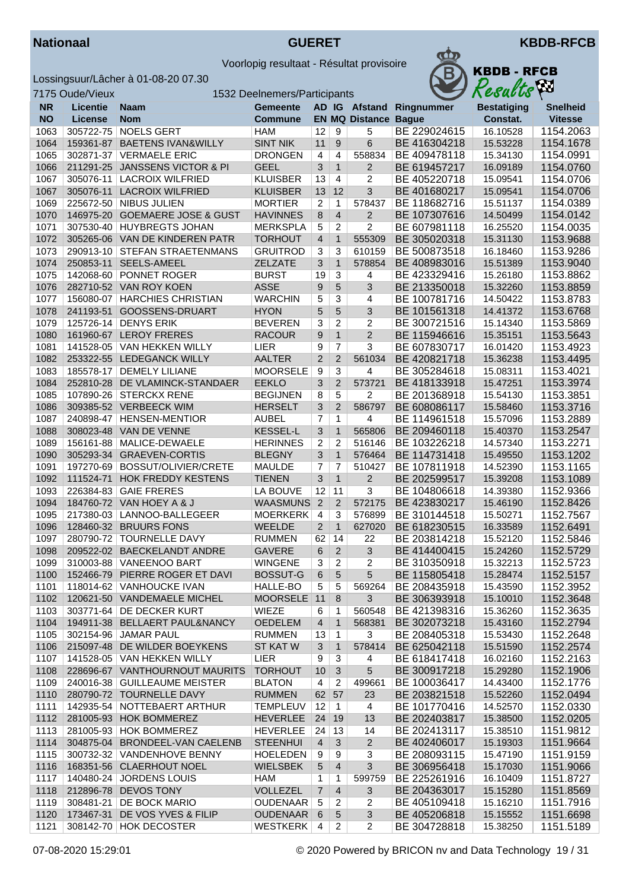



|           | 7175 Oude/Vieux |                                 | 1532 Deelnemers/Participants |                         |                |                         |              | Resacus            | $\mathbf{r}$    |
|-----------|-----------------|---------------------------------|------------------------------|-------------------------|----------------|-------------------------|--------------|--------------------|-----------------|
| <b>NR</b> | <b>Licentie</b> | <b>Naam</b>                     | <b>Gemeente</b>              |                         |                | AD IG Afstand           | Ringnummer   | <b>Bestatiging</b> | <b>Snelheid</b> |
| <b>NO</b> | <b>License</b>  | <b>Nom</b>                      | <b>Commune</b>               |                         |                | <b>EN MQ Distance</b>   | <b>Bague</b> | Constat.           | <b>Vitesse</b>  |
| 1063      | 305722-75       | <b>NOELS GERT</b>               | <b>HAM</b>                   | 12                      | 9              | 5                       | BE 229024615 | 16.10528           | 1154.2063       |
| 1064      | 159361-87       | <b>BAETENS IVAN&amp;WILLY</b>   | <b>SINT NIK</b>              | 11                      | 9              | 6                       | BE 416304218 | 15.53228           | 1154.1678       |
| 1065      | 302871-37       | <b>VERMAELE ERIC</b>            | <b>DRONGEN</b>               | $\overline{4}$          | 4              | 558834                  | BE 409478118 | 15.34130           | 1154.0991       |
| 1066      | 211291-25       | <b>JANSSENS VICTOR &amp; PI</b> | <b>GEEL</b>                  | 3                       | $\mathbf{1}$   | $\overline{2}$          | BE 619457217 | 16.09189           | 1154.0760       |
| 1067      | 305076-11       | <b>LACROIX WILFRIED</b>         | <b>KLUISBER</b>              | 13                      | 4              | $\overline{c}$          | BE 405220718 | 15.09541           | 1154.0706       |
| 1067      |                 | 305076-11 LACROIX WILFRIED      | <b>KLUISBER</b>              | 13                      | 12             | 3                       | BE 401680217 | 15.09541           | 1154.0706       |
| 1069      |                 | 225672-50 NIBUS JULIEN          | <b>MORTIER</b>               | $\overline{2}$          | 1              | 578437                  | BE 118682716 | 15.51137           | 1154.0389       |
| 1070      |                 | 146975-20 GOEMAERE JOSE & GUST  | <b>HAVINNES</b>              | 8                       | $\overline{4}$ | $\overline{2}$          | BE 107307616 | 14.50499           | 1154.0142       |
| 1071      | 307530-40       | <b>HUYBREGTS JOHAN</b>          | <b>MERKSPLA</b>              | 5                       | 2              | 2                       | BE 607981118 | 16.25520           | 1154.0035       |
| 1072      |                 | 305265-06 VAN DE KINDEREN PATR  | <b>TORHOUT</b>               | $\overline{4}$          | $\mathbf{1}$   | 555309                  | BE 305020318 | 15.31130           | 1153.9688       |
| 1073      |                 | 290913-10 STEFAN STRAETENMANS   | <b>GRUITROD</b>              | 3                       | 3              | 610159                  | BE 500873518 | 16.18460           | 1153.9286       |
| 1074      |                 | 250853-11 SEELS-AMEEL           | <b>ZELZATE</b>               | 3                       | $\mathbf{1}$   | 578854                  | BE 408983016 | 15.51389           | 1153.9040       |
| 1075      | 142068-60       | <b>PONNET ROGER</b>             | <b>BURST</b>                 | 19                      | 3              | 4                       | BE 423329416 | 15.26180           | 1153.8862       |
| 1076      |                 | 282710-52 VAN ROY KOEN          | <b>ASSE</b>                  | 9                       | 5              | 3                       | BE 213350018 | 15.32260           | 1153.8859       |
| 1077      | 156080-07       | <b>HARCHIES CHRISTIAN</b>       | <b>WARCHIN</b>               | 5                       | $\overline{3}$ | $\overline{4}$          | BE 100781716 | 14.50422           | 1153.8783       |
| 1078      |                 | 241193-51 GOOSSENS-DRUART       | <b>HYON</b>                  | 5                       | 5              | 3                       | BE 101561318 | 14.41372           | 1153.6768       |
| 1079      | 125726-14       | <b>DENYS ERIK</b>               | <b>BEVEREN</b>               | 3                       | $\overline{c}$ | 2                       | BE 300721516 | 15.14340           | 1153.5869       |
| 1080      |                 | 161960-67 LEROY FRERES          | <b>RACOUR</b>                | $\boldsymbol{9}$        | $\mathbf{1}$   | $\overline{2}$          | BE 115946616 | 15.35151           | 1153.5643       |
| 1081      | 141528-05       | <b>VAN HEKKEN WILLY</b>         | LIER                         | 9                       | $\overline{7}$ | $\overline{3}$          | BE 607830717 | 16.01420           | 1153.4923       |
| 1082      |                 | 253322-55 LEDEGANCK WILLY       | <b>AALTER</b>                | $\overline{2}$          | $\overline{2}$ | 561034                  | BE 420821718 | 15.36238           | 1153.4495       |
| 1083      | 185578-17       | <b>DEMELY LILIANE</b>           | <b>MOORSELE</b>              | 9                       | 3              | 4                       | BE 305284618 | 15.08311           | 1153.4021       |
| 1084      | 252810-28       | DE VLAMINCK-STANDAER            | <b>EEKLO</b>                 | 3                       | $\overline{c}$ | 573721                  | BE 418133918 | 15.47251           | 1153.3974       |
| 1085      | 107890-26       | <b>STERCKX RENE</b>             | <b>BEGIJNEN</b>              | 8                       | 5              | 2                       | BE 201368918 | 15.54130           | 1153.3851       |
| 1086      |                 | 309385-52 VERBEECK WIM          | <b>HERSELT</b>               | $\mathbf{3}$            | $\overline{2}$ | 586797                  | BE 608086117 | 15.58460           | 1153.3716       |
| 1087      | 240898-47       | <b>HENSEN-MENTIOR</b>           | <b>AUBEL</b>                 | $\overline{7}$          | 1              | 4                       | BE 114961518 | 15.57096           | 1153.2889       |
| 1088      |                 | 308023-48 VAN DE VENNE          | <b>KESSEL-L</b>              | 3                       | $\mathbf{1}$   | 565806                  | BE 209460118 | 15.40370           | 1153.2547       |
| 1089      | 156161-88       | MALICE-DEWAELE                  | <b>HERINNES</b>              | $\overline{c}$          | $\overline{c}$ | 516146                  | BE 103226218 | 14.57340           | 1153.2271       |
| 1090      |                 | 305293-34 GRAEVEN-CORTIS        | <b>BLEGNY</b>                | 3                       | $\mathbf{1}$   | 576464                  | BE 114731418 | 15.49550           | 1153.1202       |
| 1091      | 197270-69       | BOSSUT/OLIVIER/CRETE            | <b>MAULDE</b>                | $\overline{7}$          | $\overline{7}$ | 510427                  | BE 107811918 | 14.52390           | 1153.1165       |
| 1092      | 111524-71       | <b>HOK FREDDY KESTENS</b>       | <b>TIENEN</b>                | 3                       | $\mathbf{1}$   | $\overline{2}$          | BE 202599517 | 15.39208           | 1153.1089       |
| 1093      | 226384-83       | <b>GAIE FRERES</b>              | LA BOUVE                     | 12                      | 11             | 3                       | BE 104806618 | 14.39380           | 1152.9366       |
| 1094      |                 | 184760-72 VAN HOEY A & J        | <b>WAASMUNS</b>              | $\overline{2}$          | 2              | 572175                  | BE 423830217 | 15.46190           | 1152.8426       |
| 1095      |                 | 217380-03   LANNOO-BALLEGEER    | <b>MOERKERK</b>              | $\overline{a}$          | 3              | 576899                  | BE 310144518 | 15.50271           | 1152.7567       |
| 1096      |                 | 128460-32 BRUURS FONS           | <b>WEELDE</b>                | $\overline{2}$          | $\mathbf{1}$   | 627020                  | BE 618230515 | 16.33589           | 1152.6491       |
| 1097      |                 | 280790-72   TOURNELLE DAVY      | <b>RUMMEN</b>                | 62                      | 14             | 22                      | BE 203814218 | 15.52120           | 1152.5846       |
| 1098      |                 | 209522-02 BAECKELANDT ANDRE     | <b>GAVERE</b>                | 6                       | 2              | 3                       | BE 414400415 | 15.24260           | 1152.5729       |
|           |                 | 1099 310003-88 VANEENOO BART    | <b>WINGENE</b>               | $\overline{3}$          | $\overline{2}$ | $\overline{\mathbf{c}}$ | BE 310350918 | 15.32213           | 1152.5723       |
| 1100      |                 | 152466-79 PIERRE ROGER ET DAVI  | BOSSUT-G                     | 6                       | 5              | 5                       | BE 115805418 | 15.28474           | 1152.5157       |
| 1101      |                 | 118014-62 VANHOUCKE IVAN        | HALLE-BO                     | 5                       | 5              | 569264                  | BE 208435918 | 15.43590           | 1152.3952       |
| 1102      |                 | 120621-50 VANDEMAELE MICHEL     | <b>MOORSELE</b>              | 11                      | 8              | 3                       | BE 306393918 | 15.10010           | 1152.3648       |
| 1103      |                 | 303771-64 DE DECKER KURT        | WIEZE                        | 6                       | 1              | 560548                  | BE 421398316 | 15.36260           | 1152.3635       |
| 1104      |                 | 194911-38 BELLAERT PAUL&NANCY   | <b>OEDELEM</b>               | $\overline{4}$          | $\mathbf{1}$   | 568381                  | BE 302073218 | 15.43160           | 1152.2794       |
| 1105      |                 | 302154-96 JAMAR PAUL            | <b>RUMMEN</b>                | 13                      | $\mathbf{1}$   | 3                       | BE 208405318 | 15.53430           | 1152.2648       |
| 1106      |                 | 215097-48 DE WILDER BOEYKENS    | <b>ST KAT W</b>              | 3                       | $\mathbf{1}$   | 578414                  | BE 625042118 | 15.51590           | 1152.2574       |
| 1107      |                 | 141528-05 VAN HEKKEN WILLY      | LIER                         | 9                       | 3              | 4                       | BE 618417418 | 16.02160           | 1152.2163       |
| 1108      |                 | 228696-67 VANTHOURNOUT MAURITS  | <b>TORHOUT</b>               | 10                      | $\mathbf{3}$   | 5                       | BE 300917218 | 15.29280           | 1152.1906       |
| 1109      |                 | 240016-38 GUILLEAUME MEISTER    | <b>BLATON</b>                | $\overline{\mathbf{4}}$ | 2              | 499661                  | BE 100036417 | 14.43400           | 1152.1776       |
| 1110      |                 | 280790-72 TOURNELLE DAVY        | <b>RUMMEN</b>                | 62                      | 57             | 23                      | BE 203821518 | 15.52260           | 1152.0494       |
| 1111      |                 | 142935-54 NOTTEBAERT ARTHUR     | <b>TEMPLEUV</b>              | 12                      | $\mathbf{1}$   | 4                       | BE 101770416 | 14.52570           | 1152.0330       |
| 1112      |                 | 281005-93 HOK BOMMEREZ          | <b>HEVERLEE</b>              | 24                      | 19             | 13                      | BE 202403817 | 15.38500           | 1152.0205       |
| 1113      |                 | 281005-93 HOK BOMMEREZ          | <b>HEVERLEE</b>              | 24                      | 13             | 14                      | BE 202413117 | 15.38510           | 1151.9812       |
| 1114      |                 | 304875-04 BRONDEEL-VAN CAELENB  | <b>STEENHUI</b>              | $\overline{4}$          | 3              | $\overline{2}$          | BE 402406017 | 15.19303           | 1151.9664       |
| 1115      |                 | 300732-32 VANDENHOVE BENNY      | <b>HOELEDEN</b>              | 9                       | 9              | 3                       | BE 208093115 | 15.47190           | 1151.9159       |
| 1116      |                 | 168351-56 CLAERHOUT NOEL        | <b>WIELSBEK</b>              | 5                       | 4              | 3                       | BE 306956418 | 15.17030           | 1151.9066       |
| 1117      |                 | 140480-24 JORDENS LOUIS         | HAM                          | 1                       | 1              | 599759                  | BE 225261916 | 16.10409           | 1151.8727       |
| 1118      |                 | 212896-78 DEVOS TONY            | <b>VOLLEZEL</b>              | $\overline{7}$          | 4              | 3                       | BE 204363017 | 15.15280           | 1151.8569       |
| 1119      | 308481-21       | <b>DE BOCK MARIO</b>            | <b>OUDENAAR</b>              | 5                       | $\overline{2}$ | 2                       | BE 405109418 | 15.16210           | 1151.7916       |
| 1120      |                 | 173467-31 DE VOS YVES & FILIP   | <b>OUDENAAR</b>              | 6                       | 5              | 3                       | BE 405206818 | 15.15552           | 1151.6698       |
| 1121      |                 | 308142-70 HOK DECOSTER          | <b>WESTKERK</b>              | 4                       | 2              | 2                       | BE 304728818 | 15.38250           | 1151.5189       |
|           |                 |                                 |                              |                         |                |                         |              |                    |                 |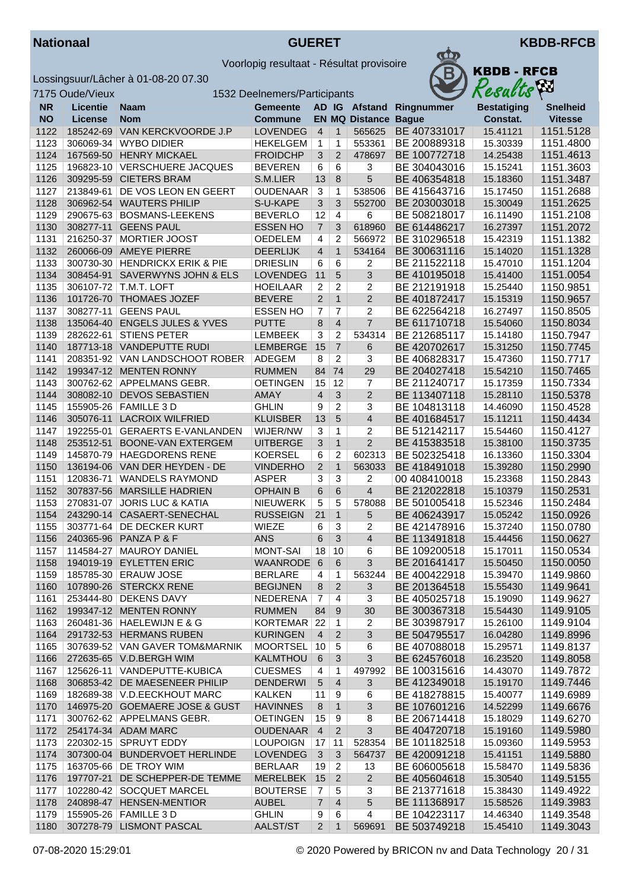



|           | 7175 Oude/Vieux |                                | 1532 Deelnemers/Participants |                |                |                             |              | Resacis            | $\mathbf{r}$    |
|-----------|-----------------|--------------------------------|------------------------------|----------------|----------------|-----------------------------|--------------|--------------------|-----------------|
| <b>NR</b> | <b>Licentie</b> | Naam                           | <b>Gemeente</b>              |                |                | AD IG Afstand               | Ringnummer   | <b>Bestatiging</b> | <b>Snelheid</b> |
| <b>NO</b> | <b>License</b>  | <b>Nom</b>                     | <b>Commune</b>               |                |                | <b>EN MQ Distance Bague</b> |              | Constat.           | <b>Vitesse</b>  |
| 1122      | 185242-69       | VAN KERCKVOORDE J.P            | <b>LOVENDEG</b>              | $\overline{4}$ | $\mathbf{1}$   | 565625                      | BE 407331017 | 15.41121           | 1151.5128       |
| 1123      | 306069-34       | <b>WYBO DIDIER</b>             | <b>HEKELGEM</b>              | $\mathbf{1}$   | 1              | 553361                      | BE 200889318 | 15.30339           | 1151.4800       |
| 1124      | 167569-50       | <b>HENRY MICKAEL</b>           | <b>FROIDCHP</b>              | 3              | 2              | 478697                      | BE 100772718 | 14.25438           | 1151.4613       |
| 1125      | 196823-10       | <b>VERSCHUERE JACQUES</b>      | <b>BEVEREN</b>               | 6              | 6              | 3                           | BE 304043016 | 15.15241           | 1151.3603       |
| 1126      | 309295-59       | <b>CIETERS BRAM</b>            | S.M.LIER                     | 13             | 8              | 5                           | BE 406354818 | 15.18360           | 1151.3487       |
| 1127      | 213849-61       | DE VOS LEON EN GEERT           | <b>OUDENAAR</b>              | 3              | 1              | 538506                      | BE 415643716 | 15.17450           | 1151.2688       |
| 1128      |                 | 306962-54 WAUTERS PHILIP       | S-U-KAPE                     | $\mathbf{3}$   | 3              | 552700                      | BE 203003018 | 15.30049           | 1151.2625       |
| 1129      |                 | 290675-63 BOSMANS-LEEKENS      | <b>BEVERLO</b>               | 12             | $\overline{4}$ | 6                           | BE 508218017 | 16.11490           | 1151.2108       |
| 1130      |                 | 308277-11 GEENS PAUL           | <b>ESSEN HO</b>              | $\overline{7}$ | 3              | 618960                      | BE 614486217 | 16.27397           | 1151.2072       |
| 1131      | 216250-37       | <b>MORTIER JOOST</b>           | <b>OEDELEM</b>               | $\overline{4}$ | $\overline{2}$ | 566972                      | BE 310296518 | 15.42319           | 1151.1382       |
| 1132      |                 | 260066-09 AMEYE PIERRE         | <b>DEERLIJK</b>              | $\overline{4}$ | $\mathbf{1}$   | 534164                      | BE 300631116 | 15.14020           | 1151.1328       |
| 1133      |                 | 300730-30 HENDRICKX ERIK & PIE | <b>DRIESLIN</b>              | 6              | 6              | 2                           | BE 211522118 | 15.47010           | 1151.1204       |
| 1134      | 308454-91       | SAVERWYNS JOHN & ELS           | <b>LOVENDEG</b>              | 11             | 5              | 3                           | BE 410195018 | 15.41400           | 1151.0054       |
| 1135      |                 | 306107-72 T.M.T. LOFT          | <b>HOEILAAR</b>              | $\overline{2}$ | $\overline{c}$ | 2                           | BE 212191918 | 15.25440           | 1150.9851       |
| 1136      |                 | 101726-70 THOMAES JOZEF        | <b>BEVERE</b>                | $\overline{2}$ | $\mathbf{1}$   | $\overline{2}$              | BE 401872417 | 15.15319           | 1150.9657       |
| 1137      |                 | 308277-11 GEENS PAUL           | <b>ESSEN HO</b>              | 7              | $\overline{7}$ | 2                           | BE 622564218 | 16.27497           | 1150.8505       |
| 1138      |                 | 135064-40 ENGELS JULES & YVES  | <b>PUTTE</b>                 | 8              | $\overline{4}$ | $\overline{7}$              | BE 611710718 | 15.54060           | 1150.8034       |
| 1139      | 282622-61       | <b>STIENS PETER</b>            | <b>LEMBEEK</b>               | 3              | $\overline{c}$ | 534314                      | BE 212685117 | 15.14180           | 1150.7947       |
| 1140      |                 | 187713-18 VANDEPUTTE RUDI      | <b>LEMBERGE</b>              | 15             | $\overline{7}$ | 6                           | BE 420702617 | 15.31250           | 1150.7745       |
| 1141      |                 | 208351-92 VAN LANDSCHOOT ROBER | ADEGEM                       | 8              | $\overline{2}$ | 3                           | BE 406828317 | 15.47360           | 1150.7717       |
| 1142      |                 | 199347-12 MENTEN RONNY         | <b>RUMMEN</b>                | 84             | 74             | 29                          | BE 204027418 | 15.54210           | 1150.7465       |
| 1143      |                 | 300762-62 APPELMANS GEBR.      | <b>OETINGEN</b>              | 15             | 12             | 7                           | BE 211240717 | 15.17359           | 1150.7334       |
| 1144      |                 | 308082-10 DEVOS SEBASTIEN      | AMAY                         | $\overline{4}$ | 3              | $\overline{c}$              | BE 113407118 | 15.28110           | 1150.5378       |
| 1145      |                 | 155905-26   FAMILLE 3 D        | <b>GHLIN</b>                 | 9              | $\overline{2}$ | 3                           | BE 104813118 | 14.46090           | 1150.4528       |
| 1146      |                 | 305076-11 LACROIX WILFRIED     | <b>KLUISBER</b>              | 13             | 5              | $\overline{4}$              | BE 401684517 | 15.11211           | 1150.4434       |
| 1147      |                 | 192255-01 GERAERTS E-VANLANDEN | WIJER/NW                     | 3              | 1              | 2                           | BE 512142117 | 15.54460           | 1150.4127       |
| 1148      | 253512-51       | BOONE-VAN EXTERGEM             | <b>UITBERGE</b>              | 3              | $\mathbf{1}$   | $\overline{2}$              | BE 415383518 | 15.38100           | 1150.3735       |
| 1149      | 145870-79       | <b>HAEGDORENS RENE</b>         | <b>KOERSEL</b>               | 6              | $\overline{c}$ | 602313                      | BE 502325418 | 16.13360           | 1150.3304       |
| 1150      |                 | 136194-06 VAN DER HEYDEN - DE  | <b>VINDERHO</b>              | 2              | $\mathbf{1}$   | 563033                      | BE 418491018 | 15.39280           | 1150.2990       |
| 1151      | 120836-71       | <b>WANDELS RAYMOND</b>         | <b>ASPER</b>                 | 3              | 3              | 2                           | 00 408410018 | 15.23368           | 1150.2843       |
| 1152      |                 | 307837-56 MARSILLE HADRIEN     | <b>OPHAIN B</b>              | 6              | 6              | $\overline{4}$              | BE 212022818 | 15.10379           | 1150.2531       |
| 1153      | 270831-07       | <b>JORIS LUC &amp; KATIA</b>   | <b>NIEUWERK</b>              | 5              | 5              | 578088                      | BE 501005418 | 15.52346           | 1150.2484       |
| 1154      |                 | 243290-14 CASAERT-SENECHAL     | <b>RUSSEIGN</b>              | 21             | $\mathbf{1}$   | 5                           | BE 406243917 | 15.05242           | 1150.0926       |
| 1155      |                 | 303771-64 DE DECKER KURT       | <b>WIEZE</b>                 | 6              | 3              | 2                           | BE 421478916 | 15.37240           | 1150.0780       |
| 1156      |                 | 240365-96 PANZA P & F          | <b>ANS</b>                   | 6              | 3              | $\overline{4}$              | BE 113491818 | 15.44456           | 1150.0627       |
| 1157      |                 | 114584-27   MAUROY DANIEL      | <b>MONT-SAI</b>              | 18             | 10             | 6                           | BE 109200518 | 15.17011           | 1150.0534       |
| 1158      |                 | 194019-19 EYLETTEN ERIC        | WAANRODE 6                   |                | 6              | 3                           | BE 201641417 | 15.50450           | 1150.0050       |
| 1159      |                 | 185785-30 ERAUW JOSE           | <b>BERLARE</b>               | 4              | $\mathbf{1}$   | 563244                      | BE 400422918 | 15.39470           | 1149.9860       |
| 1160      |                 | 107890-26 STERCKX RENE         | <b>BEGIJNEN</b>              | 8              | $\overline{2}$ | 3                           | BE 201364518 | 15.55430           | 1149.9641       |
| 1161      |                 | 253444-80 DEKENS DAVY          | NEDERENA                     | $\overline{7}$ | 4              | 3                           | BE 405025718 | 15.19090           | 1149.9627       |
| 1162      |                 | 199347-12 MENTEN RONNY         | <b>RUMMEN</b>                | 84             | 9              | 30                          | BE 300367318 | 15.54430           | 1149.9105       |
| 1163      |                 | 260481-36   HAELEWIJN E & G    | KORTEMAR 22                  |                | $\mathbf{1}$   | 2                           | BE 303987917 | 15.26100           | 1149.9104       |
| 1164      |                 | 291732-53 HERMANS RUBEN        | <b>KURINGEN</b>              | $\overline{4}$ | $\overline{2}$ | 3                           | BE 504795517 | 16.04280           | 1149.8996       |
| 1165      |                 | 307639-52 VAN GAVER TOM&MARNIK | MOORTSEL                     | 10             | $\overline{5}$ | 6                           | BE 407088018 | 15.29571           | 1149.8137       |
| 1166      |                 | 272635-65 V.D.BERGH WIM        | <b>KALMTHOU</b>              | 6              | 3              | 3                           | BE 624576018 | 16.23520           | 1149.8058       |
| 1167      |                 | 125626-11 VANDEPUTTE-KUBICA    | <b>CUESMES</b>               | $\overline{4}$ | 1              | 497992                      | BE 100315616 | 14.43070           | 1149.7872       |
| 1168      |                 | 306853-42 DE MAESENEER PHILIP  | <b>DENDERWI</b>              | 5              | $\overline{4}$ | 3                           | BE 412349018 | 15.19170           | 1149.7446       |
| 1169      |                 | 182689-38 V.D.EECKHOUT MARC    | <b>KALKEN</b>                | 11             | 9              | 6                           | BE 418278815 | 15.40077           | 1149.6989       |
| 1170      |                 | 146975-20 GOEMAERE JOSE & GUST | <b>HAVINNES</b>              | 8              | $\mathbf 1$    | 3                           | BE 107601216 | 14.52299           | 1149.6676       |
| 1171      |                 | 300762-62 APPELMANS GEBR.      | <b>OETINGEN</b>              | 15             | 9              | 8                           | BE 206714418 | 15.18029           | 1149.6270       |
| 1172      |                 | 254174-34 ADAM MARC            | <b>OUDENAAR</b>              | $\overline{4}$ | $\overline{2}$ | 3                           | BE 404720718 | 15.19160           | 1149.5980       |
| 1173      |                 | 220302-15 SPRUYT EDDY          | <b>LOUPOIGN</b>              | 17             | 11             | 528354                      | BE 101182518 | 15.09360           | 1149.5953       |
| 1174      |                 | 307300-04 BUNDERVOET HERLINDE  | <b>LOVENDEG</b>              | 3              | 3              | 564737                      | BE 420091218 | 15.41151           | 1149.5880       |
| 1175      |                 | 163705-66 DE TROY WIM          | <b>BERLAAR</b>               | 19             | $\overline{2}$ | 13                          | BE 606005618 | 15.58470           | 1149.5836       |
| 1176      |                 | 197707-21 DE SCHEPPER-DE TEMME | MERELBEK                     | 15             | $\overline{2}$ | $\overline{2}$              | BE 405604618 | 15.30540           | 1149.5155       |
| 1177      |                 | 102280-42 SOCQUET MARCEL       | <b>BOUTERSE</b>              | $\overline{7}$ | 5              | 3                           | BE 213771618 | 15.38430           | 1149.4922       |
| 1178      |                 | 240898-47 HENSEN-MENTIOR       | <b>AUBEL</b>                 | $\overline{7}$ | $\overline{4}$ | 5                           | BE 111368917 | 15.58526           | 1149.3983       |
| 1179      |                 | 155905-26   FAMILLE 3 D        | <b>GHLIN</b>                 | 9              | 6              | 4                           | BE 104223117 | 14.46340           | 1149.3548       |
| 1180      |                 | 307278-79 LISMONT PASCAL       | AALST/ST                     | 2 <sup>7</sup> | $\mathbf{1}$   | 569691                      | BE 503749218 | 15.45410           | 1149.3043       |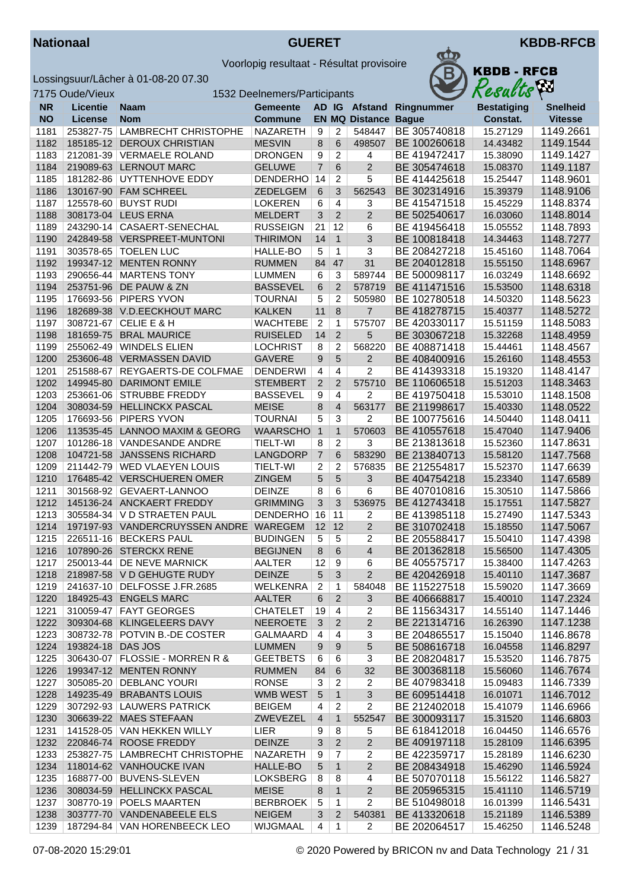



|           | 7175 Oude/Vieux   |                                        | 1532 Deelnemers/Participants |                |                |                             |                          | Resacus            | $\mathbf{r}$    |
|-----------|-------------------|----------------------------------------|------------------------------|----------------|----------------|-----------------------------|--------------------------|--------------------|-----------------|
| <b>NR</b> | <b>Licentie</b>   | <b>Naam</b>                            | Gemeente                     |                |                |                             | AD IG Afstand Ringnummer | <b>Bestatiging</b> | <b>Snelheid</b> |
| <b>NO</b> | License           | <b>Nom</b>                             | <b>Commune</b>               |                |                | <b>EN MQ Distance Bague</b> |                          | Constat.           | <b>Vitesse</b>  |
| 1181      | 253827-75         | <b>LAMBRECHT CHRISTOPHE</b>            | <b>NAZARETH</b>              | 9              | 2              | 548447                      | BE 305740818             | 15.27129           | 1149.2661       |
| 1182      |                   | 185185-12 DEROUX CHRISTIAN             | <b>MESVIN</b>                | 8              | 6              | 498507                      | BE 100260618             | 14.43482           | 1149.1544       |
| 1183      |                   | 212081-39 VERMAELE ROLAND              | <b>DRONGEN</b>               | 9              | 2              | 4                           | BE 419472417             | 15.38090           | 1149.1427       |
| 1184      |                   | 219089-63 LERNOUT MARC                 | <b>GELUWE</b>                | $\overline{7}$ | 6              | $\overline{2}$              | BE 305474618             | 15.08370           | 1149.1187       |
| 1185      |                   | 181282-86 UYTTENHOVE EDDY              | <b>DENDERHO</b>              | 14             | $\overline{c}$ | 5                           | BE 414425618             | 15.25447           | 1148.9601       |
| 1186      |                   | 130167-90 FAM SCHREEL                  | ZEDELGEM                     | 6              | 3              | 562543                      | BE 302314916             | 15.39379           | 1148.9106       |
| 1187      |                   | 125578-60 BUYST RUDI                   | <b>LOKEREN</b>               | 6              | 4              | 3                           | BE 415471518             | 15.45229           | 1148.8374       |
| 1188      |                   | 308173-04 LEUS ERNA                    | <b>MELDERT</b>               | 3              | 2              | $\overline{2}$              | BE 502540617             | 16.03060           | 1148.8014       |
| 1189      |                   | 243290-14 CASAERT-SENECHAL             | <b>RUSSEIGN</b>              | 21             | 12             | 6                           | BE 419456418             | 15.05552           | 1148.7893       |
| 1190      |                   | 242849-58 VERSPREET-MUNTONI            | <b>THIRIMON</b>              | 14             | $\mathbf{1}$   | 3                           | BE 100818418             | 14.34463           | 1148.7277       |
| 1191      |                   | 303578-65   TOELEN LUC                 | HALLE-BO                     | 5              | 1              | 3                           | BE 208427218             | 15.45160           | 1148.7064       |
| 1192      |                   | 199347-12 MENTEN RONNY                 | <b>RUMMEN</b>                | 84             | 47             | 31                          | BE 204012818             | 15.55150           | 1148.6967       |
| 1193      |                   | 290656-44   MARTENS TONY               | <b>LUMMEN</b>                | 6              | 3              | 589744                      | BE 500098117             | 16.03249           | 1148.6692       |
| 1194      |                   | 253751-96 DE PAUW & ZN                 | <b>BASSEVEL</b>              | 6              | $\overline{2}$ | 578719                      | BE 411471516             | 15.53500           | 1148.6318       |
| 1195      |                   | 176693-56 PIPERS YVON                  | <b>TOURNAI</b>               | 5              | $\overline{c}$ | 505980                      | BE 102780518             | 14.50320           | 1148.5623       |
| 1196      |                   | 182689-38 V.D.EECKHOUT MARC            | <b>KALKEN</b>                | 11             | 8              | $\overline{7}$              | BE 418278715             | 15.40377           | 1148.5272       |
| 1197      |                   | 308721-67 CELIE E & H                  | <b>WACHTEBE</b>              | $\overline{2}$ | 1              | 575707                      | BE 420330117             | 15.51159           | 1148.5083       |
| 1198      |                   | 181659-75 BRAL MAURICE                 | <b>RUISELED</b>              | 14             | $\overline{2}$ | 5                           | BE 303067218             | 15.32268           | 1148.4959       |
| 1199      | 255062-49         | <b>WINDELS ELIEN</b>                   | <b>LOCHRIST</b>              | 8              | $\overline{c}$ | 568220                      | BE 408871418             | 15.44461           | 1148.4567       |
| 1200      |                   | 253606-48 VERMASSEN DAVID              | <b>GAVERE</b>                | 9              | $5\phantom{.}$ | $\overline{2}$              | BE 408400916             | 15.26160           | 1148.4553       |
| 1201      | 251588-67         | REYGAERTS-DE COLFMAE                   | <b>DENDERWI</b>              | 4              | $\overline{4}$ | $\overline{2}$              | BE 414393318             | 15.19320           | 1148.4147       |
| 1202      | 149945-80         | <b>DARIMONT EMILE</b>                  | <b>STEMBERT</b>              | $\overline{2}$ | 2              | 575710                      | BE 110606518             | 15.51203           | 1148.3463       |
| 1203      | 253661-06         | <b>STRUBBE FREDDY</b>                  | <b>BASSEVEL</b>              | 9              | 4              | 2                           | BE 419750418             | 15.53010           | 1148.1508       |
| 1204      | 308034-59         | <b>HELLINCKX PASCAL</b>                | <b>MEISE</b>                 | 8              | $\overline{4}$ | 563177                      | BE 211998617             | 15.40330           | 1148.0522       |
| 1205      |                   | 176693-56   PIPERS YVON                | <b>TOURNAI</b>               | 5              | 3              | 2                           | BE 100775616             | 14.50440           | 1148.0411       |
| 1206      |                   | 113535-45 LANNOO MAXIM & GEORG         | <b>WAARSCHO</b>              | $\overline{1}$ | $\mathbf{1}$   | 570603                      | BE 410557618             | 15.47040           | 1147.9406       |
| 1207      |                   | 101286-18 VANDESANDE ANDRE             | <b>TIELT-WI</b>              | 8              | $\overline{c}$ | 3                           | BE 213813618             | 15.52360           | 1147.8631       |
| 1208      |                   | 104721-58 JANSSENS RICHARD             | LANGDORP                     | $\overline{7}$ | 6              | 583290                      | BE 213840713             | 15.58120           | 1147.7568       |
| 1209      |                   | 211442-79   WED VLAEYEN LOUIS          | <b>TIELT-WI</b>              | 2              | $\overline{2}$ | 576835                      | BE 212554817             | 15.52370           | 1147.6639       |
| 1210      |                   | 176485-42 VERSCHUEREN OMER             | <b>ZINGEM</b>                | 5              | $\overline{5}$ | 3                           | BE 404754218             | 15.23340           | 1147.6589       |
| 1211      |                   | 301568-92 GEVAERT-LANNOO               | <b>DEINZE</b>                | 8              | 6              | 6                           | BE 407010816             | 15.30510           | 1147.5866       |
| 1212      |                   | 145136-24 ANCKAERT FREDDY              | <b>GRIMMING</b>              | 3              | 3              | 536975                      | BE 412743418             | 15.17551           | 1147.5827       |
| 1213      |                   | 305584-34   V D STRAETEN PAUL          | DENDERHO                     | 16             | 11             | 2                           | BE 413985118             | 15.27490           | 1147.5343       |
| 1214      |                   | 197197-93 VANDERCRUYSSEN ANDRE WAREGEM |                              | 12             | 12             | $\overline{2}$              | BE 310702418             | 15.18550           | 1147.5067       |
| 1215      |                   | 226511-16 BECKERS PAUL                 | <b>BUDINGEN</b>              | 5              | 5              | $\overline{2}$              | BE 205588417             | 15.50410           | 1147.4398       |
| 1216      |                   | 107890-26 STERCKX RENE                 | <b>BEGIJNEN</b>              | 8              | 6              | $\overline{4}$              | BE 201362818             | 15.56500           | 1147.4305       |
| 1217      |                   | 250013-44 DE NEVE MARNICK              | AALTER                       | $12$ 9         |                | 6                           | BE 405575717             | 15.38400           | 1147.4263       |
| 1218      |                   | 218987-58 V D GEHUGTE RUDY             | <b>DEINZE</b>                | 5              | 3              | $\overline{2}$              | BE 420426918             | 15.40110           | 1147.3687       |
| 1219      |                   | 241637-10 DELFOSSE J.FR.2685           | WELKENRA                     | $\overline{2}$ | $\mathbf{1}$   | 584048                      | BE 115227518             | 15.59020           | 1147.3669       |
| 1220      |                   | 184925-43 ENGELS MARC                  | <b>AALTER</b>                | 6              | $\overline{2}$ | 3                           | BE 406668817             | 15.40010           | 1147.2324       |
| 1221      |                   | 310059-47 FAYT GEORGES                 | <b>CHATELET</b>              | 19             | 4              | 2                           | BE 115634317             | 14.55140           | 1147.1446       |
| 1222      |                   | 309304-68 KLINGELEERS DAVY             | <b>NEEROETE</b>              | 3              | $\overline{2}$ | $\overline{c}$              | BE 221314716             | 16.26390           | 1147.1238       |
| 1223      |                   | 308732-78 POTVIN B.-DE COSTER          | GALMAARD                     | $\overline{4}$ | 4              | 3                           | BE 204865517             | 15.15040           | 1146.8678       |
| 1224      | 193824-18 DAS JOS |                                        | <b>LUMMEN</b>                | 9              | 9              | 5                           | BE 508616718             | 16.04558           | 1146.8297       |
| 1225      |                   | 306430-07   FLOSSIE - MORREN R &       | <b>GEETBETS</b>              | 6              | 6              | 3                           | BE 208204817             | 15.53520           | 1146.7875       |
| 1226      |                   | 199347-12 MENTEN RONNY                 | <b>RUMMEN</b>                | 84             | 6              | 32                          | BE 300368118             | 15.56060           | 1146.7674       |
| 1227      |                   | 305085-20   DEBLANC YOURI              | <b>RONSE</b>                 | 3              | $\overline{2}$ | $\overline{c}$              | BE 407983418             | 15.09483           | 1146.7339       |
| 1228      |                   | 149235-49 BRABANTS LOUIS               | WMB WEST                     | 5              | $\mathbf{1}$   | 3                           | BE 609514418             | 16.01071           | 1146.7012       |
| 1229      |                   | 307292-93   LAUWERS PATRICK            | <b>BEIGEM</b>                | 4              | 2              | $\overline{2}$              | BE 212402018             | 15.41079           | 1146.6966       |
| 1230      |                   | 306639-22 MAES STEFAAN                 | ZWEVEZEL                     | 4              | $\mathbf 1$    | 552547                      | BE 300093117             | 15.31520           | 1146.6803       |
| 1231      |                   | 141528-05 VAN HEKKEN WILLY             | LIER                         | 9              | 8              | 5                           | BE 618412018             | 16.04450           | 1146.6576       |
| 1232      |                   | 220846-74 ROOSE FREDDY                 | <b>DEINZE</b>                | 3              | $\overline{2}$ | $\overline{c}$              | BE 409197118             | 15.28109           | 1146.6395       |
| 1233      |                   | 253827-75   LAMBRECHT CHRISTOPHE       | NAZARETH                     | 9              | 7              | 2                           | BE 422359717             | 15.28189           | 1146.6230       |
| 1234      |                   | 118014-62 VANHOUCKE IVAN               | HALLE-BO                     | 5              | $\mathbf{1}$   | 2                           | BE 208434918             | 15.46290           | 1146.5924       |
| 1235      |                   | 168877-00 BUVENS-SLEVEN                | LOKSBERG                     | 8              | 8              | 4                           | BE 507070118             | 15.56122           | 1146.5827       |
| 1236      |                   | 308034-59 HELLINCKX PASCAL             | <b>MEISE</b>                 | 8              | $\mathbf{1}$   | $\overline{2}$              | BE 205965315             | 15.41110           | 1146.5719       |
| 1237      |                   | 308770-19 POELS MAARTEN                | <b>BERBROEK</b>              | 5              | 1              | $\overline{2}$              | BE 510498018             | 16.01399           | 1146.5431       |
| 1238      |                   | 303777-70 VANDENABEELE ELS             | <b>NEIGEM</b>                | 3              | $\overline{2}$ | 540381                      | BE 413320618             | 15.21189           | 1146.5389       |
| 1239      |                   | 187294-84 VAN HORENBEECK LEO           | WIJGMAAL                     | 4              | 1              | 2                           | BE 202064517             | 15.46250           | 1146.5248       |
|           |                   |                                        |                              |                |                |                             |                          |                    |                 |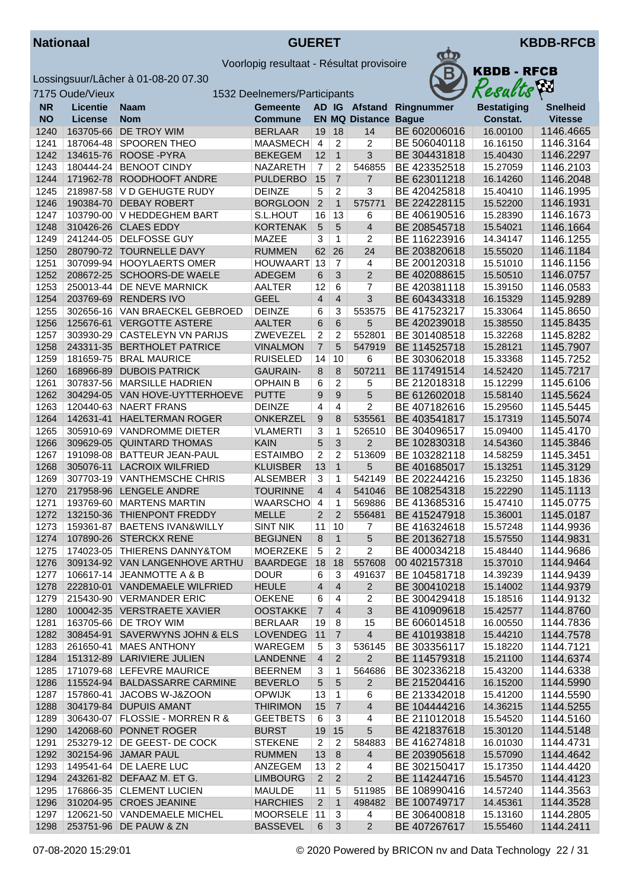



|              | 7175 Oude/Vieux |                                                                | 1532 Deelnemers/Participants          |                         |                                |                       |                              | Results              | Æп                     |
|--------------|-----------------|----------------------------------------------------------------|---------------------------------------|-------------------------|--------------------------------|-----------------------|------------------------------|----------------------|------------------------|
| <b>NR</b>    | <b>Licentie</b> | <b>Naam</b>                                                    | <b>Gemeente</b>                       |                         |                                | AD IG Afstand         | Ringnummer                   | <b>Bestatiging</b>   | <b>Snelheid</b>        |
| <b>NO</b>    | License         | Nom                                                            | <b>Commune</b>                        |                         |                                | <b>EN MQ Distance</b> | <b>Bague</b>                 | Constat.             | <b>Vitesse</b>         |
| 1240         | 163705-66       | DE TROY WIM                                                    | <b>BERLAAR</b>                        | 19                      | 18                             | 14                    | BE 602006016                 | 16.00100             | 1146.4665              |
| 1241         |                 | 187064-48 SPOOREN THEO                                         | MAASMECH                              | $\overline{4}$          | $\overline{c}$                 | 2                     | BE 506040118                 | 16.16150             | 1146.3164              |
| 1242         | 134615-76       | ROOSE-PYRA                                                     | <b>BEKEGEM</b>                        | 12                      | $\overline{1}$                 | 3                     | BE 304431818                 | 15.40430             | 1146.2297              |
| 1243         |                 | 180444-24 BENOOT CINDY                                         | <b>NAZARETH</b>                       | $\overline{7}$          | $\overline{c}$                 | 546855                | BE 423352518                 | 15.27059             | 1146.2103              |
| 1244         |                 | 171962-78 ROODHOOFT ANDRE                                      | <b>PULDERBO</b>                       | 15                      | $\overline{7}$                 | $\overline{7}$        | BE 623011218                 | 16.14260             | 1146.2048              |
| 1245         |                 | 218987-58   V D GEHUGTE RUDY                                   | <b>DEINZE</b>                         | 5                       | $\overline{c}$                 | 3                     | BE 420425818                 | 15.40410             | 1146.1995              |
| 1246         | 190384-70       | <b>DEBAY ROBERT</b>                                            | <b>BORGLOON</b>                       | $\overline{2}$          | $\mathbf{1}$                   | 575771                | BE 224228115                 | 15.52200             | 1146.1931              |
| 1247         |                 | 103790-00   V HEDDEGHEM BART                                   | S.L.HOUT                              | 16                      | 13                             | 6                     | BE 406190516                 | 15.28390             | 1146.1673              |
| 1248         |                 | 310426-26 CLAES EDDY                                           | <b>KORTENAK</b>                       | $\sqrt{5}$              | 5                              | $\overline{4}$        | BE 208545718                 | 15.54021             | 1146.1664              |
| 1249         |                 | 241244-05 DELFOSSE GUY                                         | MAZEE                                 | 3                       | 1                              | 2                     | BE 116223916                 | 14.34147             | 1146.1255              |
| 1250         |                 | 280790-72 TOURNELLE DAVY                                       | <b>RUMMEN</b>                         | 62                      | 26<br>$\overline{7}$           | 24                    | BE 203820618                 | 15.55020             | 1146.1184              |
| 1251<br>1252 | 208672-25       | 307099-94   HOOYLAERTS OMER<br><b>SCHOORS-DE WAELE</b>         | <b>HOUWAART</b><br><b>ADEGEM</b>      | 13<br>6                 | 3                              | 4<br>$\overline{2}$   | BE 200120318<br>BE 402088615 | 15.51010<br>15.50510 | 1146.1156<br>1146.0757 |
| 1253         |                 | 250013-44 DE NEVE MARNICK                                      | <b>AALTER</b>                         | 12                      | 6                              | $\overline{7}$        | BE 420381118                 | 15.39150             | 1146.0583              |
| 1254         | 203769-69       | <b>RENDERS IVO</b>                                             | <b>GEEL</b>                           | $\overline{4}$          | $\overline{4}$                 | 3                     | BE 604343318                 | 16.15329             | 1145.9289              |
| 1255         | 302656-16       | VAN BRAECKEL GEBROED                                           | <b>DEINZE</b>                         | 6                       | 3                              | 553575                | BE 417523217                 | 15.33064             | 1145.8650              |
| 1256         | 125676-61       | <b>VERGOTTE ASTERE</b>                                         | <b>AALTER</b>                         | 6                       | 6                              | 5                     | BE 420239018                 | 15.38550             | 1145.8435              |
| 1257         |                 | 303930-29 CASTELEYN VN PARIJS                                  | ZWEVEZEL                              | 2                       | $\overline{2}$                 | 552801                | BE 301408518                 | 15.32268             | 1145.8282              |
| 1258         | 243311-35       | <b>BERTHOLET PATRICE</b>                                       | <b>VINALMON</b>                       | $\overline{7}$          | 5                              | 547919                | BE 114525718                 | 15.28121             | 1145.7907              |
| 1259         | 181659-75       | <b>BRAL MAURICE</b>                                            | <b>RUISELED</b>                       | 14                      | 10                             | 6                     | BE 303062018                 | 15.33368             | 1145.7252              |
| 1260         | 168966-89       | <b>DUBOIS PATRICK</b>                                          | <b>GAURAIN-</b>                       | 8                       | 8                              | 507211                | BE 117491514                 | 14.52420             | 1145.7217              |
| 1261         |                 | 307837-56   MARSILLE HADRIEN                                   | <b>OPHAIN B</b>                       | 6                       | $\overline{c}$                 | 5                     | BE 212018318                 | 15.12299             | 1145.6106              |
| 1262         |                 | 304294-05 VAN HOVE-UYTTERHOEVE                                 | <b>PUTTE</b>                          | 9                       | 9                              | 5                     | BE 612602018                 | 15.58140             | 1145.5624              |
| 1263         |                 | 120440-63 NAERT FRANS                                          | <b>DEINZE</b>                         | 4                       | $\overline{4}$                 | $\overline{2}$        | BE 407182616                 | 15.29560             | 1145.5445              |
| 1264         | 142631-41       | <b>HAELTERMAN ROGER</b>                                        | <b>ONKERZEL</b>                       | 9                       | 8                              | 535561                | BE 403541817                 | 15.17319             | 1145.5074              |
| 1265         | 305910-69       | <b>VANDROMME DIETER</b>                                        | <b>VLAMERTI</b>                       | 3                       | 1                              | 526510                | BE 304096517                 | 15.09400             | 1145.4170              |
| 1266         | 309629-05       | <b>QUINTARD THOMAS</b>                                         | <b>KAIN</b>                           | 5                       | 3                              | $\overline{c}$        | BE 102830318                 | 14.54360             | 1145.3846              |
| 1267         |                 | 191098-08   BATTEUR JEAN-PAUL                                  | <b>ESTAIMBO</b>                       | 2                       | $\overline{2}$                 | 513609                | BE 103282118                 | 14.58259             | 1145.3451              |
| 1268         | 305076-11       | <b>LACROIX WILFRIED</b>                                        | <b>KLUISBER</b>                       | 13                      | $\mathbf{1}$                   | 5                     | BE 401685017                 | 15.13251             | 1145.3129              |
| 1269         | 307703-19       | <b>VANTHEMSCHE CHRIS</b>                                       | <b>ALSEMBER</b>                       | 3                       | 1                              | 542149                | BE 202244216                 | 15.23250             | 1145.1836              |
| 1270         | 217958-96       | LENGELE ANDRE                                                  | <b>TOURINNE</b>                       | $\overline{4}$          | $\overline{4}$                 | 541046                | BE 108254318                 | 15.22290             | 1145.1113              |
| 1271         |                 | 193769-60   MARTENS MARTIN                                     | <b>WAARSCHO</b>                       | $\overline{4}$          | 1                              | 569886                | BE 413685316                 | 15.47410             | 1145.0775              |
| 1272         | 132150-36       | THIENPONT FREDDY                                               | <b>MELLE</b>                          | $\overline{2}$          | $\overline{2}$                 | 556481                | BE 415247918                 | 15.36001             | 1145.0187              |
| 1273         | 159361-87       | <b>BAETENS IVAN&amp;WILLY</b>                                  | <b>SINT NIK</b>                       | 11                      | 10                             | 7                     | BE 416324618                 | 15.57248             | 1144.9936              |
| 1274<br>1275 |                 | 107890-26 STERCKX RENE                                         | <b>BEGIJNEN</b>                       | 8<br>5                  | $\mathbf{1}$<br>$\overline{2}$ | 5<br>$\overline{2}$   | BE 201362718                 | 15.57550             | 1144.9831<br>1144.9686 |
| 1276         |                 | 174023-05 THIERENS DANNY&TOM<br>309134-92 VAN LANGENHOVE ARTHU | <b>MOERZEKE</b><br>BAARDEGE   18   18 |                         |                                | 557608                | BE 400034218                 | 15.48440<br>15.37010 |                        |
| 1277         |                 | 106617-14 JEANMOTTE A & B                                      | <b>DOUR</b>                           | 6                       | 3                              | 491637                | 00 402157318<br>BE 104581718 | 14.39239             | 1144.9464<br>1144.9439 |
| 1278         |                 | 222810-01 VANDEMAELE WILFRIED                                  | <b>HEULE</b>                          | $\overline{\mathbf{4}}$ | $\overline{4}$                 | $\overline{2}$        | BE 300410218                 | 15.14002             | 1144.9379              |
| 1279         |                 | 215430-90   VERMANDER ERIC                                     | <b>OEKENE</b>                         | 6                       | 4                              | 2                     | BE 300429418                 | 15.18516             | 1144.9132              |
| 1280         |                 | 100042-35 VERSTRAETE XAVIER                                    | <b>OOSTAKKE</b>                       | $\overline{7}$          | $\overline{4}$                 | 3                     | BE 410909618                 | 15.42577             | 1144.8760              |
| 1281         |                 | 163705-66   DE TROY WIM                                        | <b>BERLAAR</b>                        | 19                      | 8                              | 15                    | BE 606014518                 | 16.00550             | 1144.7836              |
| 1282         |                 | 308454-91 SAVERWYNS JOHN & ELS                                 | LOVENDEG                              | 11                      | $\overline{7}$                 | 4                     | BE 410193818                 | 15.44210             | 1144.7578              |
| 1283         |                 | 261650-41   MAES ANTHONY                                       | WAREGEM                               | 5                       | 3                              | 536145                | BE 303356117                 | 15.18220             | 1144.7121              |
| 1284         |                 | 151312-89 LARIVIERE JULIEN                                     | LANDENNE                              | $\overline{4}$          | $\overline{2}$                 | $\overline{2}$        | BE 114579318                 | 15.21100             | 1144.6374              |
| 1285         |                 | 171079-68 LEFEVRE MAURICE                                      | <b>BEERNEM</b>                        | 3                       | 1                              | 564686                | BE 302336218                 | 15.43200             | 1144.6338              |
| 1286         |                 | 115524-94 BALDASSARRE CARMINE                                  | <b>BEVERLO</b>                        | 5                       | 5                              | $\overline{2}$        | BE 215204416                 | 16.15200             | 1144.5990              |
| 1287         |                 | 157860-41 JACOBS W-J&ZOON                                      | <b>OPWIJK</b>                         | 13                      | 1                              | 6                     | BE 213342018                 | 15.41200             | 1144.5590              |
| 1288         |                 | 304179-84 DUPUIS AMANT                                         | <b>THIRIMON</b>                       | 15                      | $\overline{7}$                 | $\overline{4}$        | BE 104444216                 | 14.36215             | 1144.5255              |
| 1289         |                 | 306430-07   FLOSSIE - MORREN R &                               | <b>GEETBETS</b>                       | 6                       | 3                              | 4                     | BE 211012018                 | 15.54520             | 1144.5160              |
| 1290         |                 | 142068-60 PONNET ROGER                                         | <b>BURST</b>                          | 19                      | 15                             | 5                     | BE 421837618                 | 15.30120             | 1144.5148              |
| 1291         |                 | 253279-12 DE GEEST- DE COCK                                    | <b>STEKENE</b>                        | $\overline{c}$          | $\overline{\mathbf{c}}$        | 584883                | BE 416274818                 | 16.01030             | 1144.4731              |
| 1292         |                 | 302154-96 JAMAR PAUL                                           | <b>RUMMEN</b>                         | 13                      | 8                              | $\overline{4}$        | BE 203905618                 | 15.57090             | 1144.4642              |
| 1293         |                 | 149541-64 DE LAERE LUC                                         | ANZEGEM                               | 13                      | $\overline{2}$                 | 4                     | BE 302150417                 | 15.17350             | 1144.4420              |
| 1294         |                 | 243261-82 DEFAAZ M. ET G.                                      | <b>LIMBOURG</b>                       | $\overline{2}$          | $\overline{2}$                 | 2                     | BE 114244716                 | 15.54570             | 1144.4123              |
| 1295         |                 | 176866-35 CLEMENT LUCIEN                                       | <b>MAULDE</b>                         | 11                      | 5                              | 511985                | BE 108990416                 | 14.57240             | 1144.3563              |
| 1296         |                 | 310204-95 CROES JEANINE                                        | <b>HARCHIES</b>                       | $\overline{2}$          | $\mathbf{1}$                   | 498482                | BE 100749717                 | 14.45361             | 1144.3528              |
| 1297         |                 | 120621-50 VANDEMAELE MICHEL                                    | MOORSELE 11                           |                         | 3                              | 4                     | BE 306400818                 | 15.13160             | 1144.2805              |
| 1298         |                 | 253751-96 DE PAUW & ZN                                         | <b>BASSEVEL</b>                       | 6                       | 3                              | $\overline{2}$        | BE 407267617                 | 15.55460             | 1144.2411              |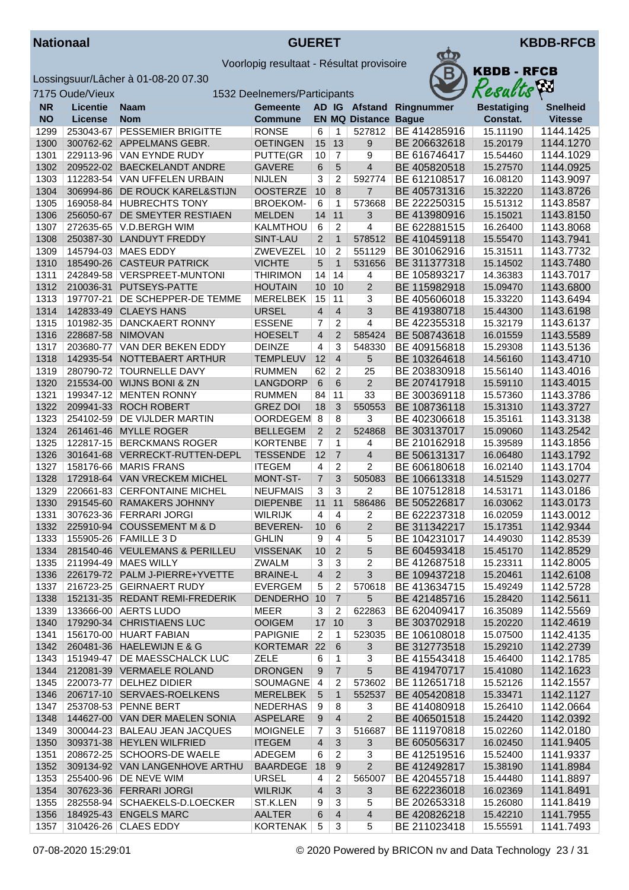



|           | 7175 Oude/Vieux   |                                | 1532 Deelnemers/Participants |                |                 |                         |              | Resacus            | $\mathbf{r}$    |
|-----------|-------------------|--------------------------------|------------------------------|----------------|-----------------|-------------------------|--------------|--------------------|-----------------|
| <b>NR</b> | <b>Licentie</b>   | <b>Naam</b>                    | <b>Gemeente</b>              |                |                 | AD IG Afstand           | Ringnummer   | <b>Bestatiging</b> | <b>Snelheid</b> |
| <b>NO</b> | License           | <b>Nom</b>                     | <b>Commune</b>               |                |                 | <b>EN MQ Distance</b>   | <b>Bague</b> | Constat.           | <b>Vitesse</b>  |
| 1299      | 253043-67         | <b>PESSEMIER BRIGITTE</b>      | <b>RONSE</b>                 | 6              | 1               | 527812                  | BE 414285916 | 15.11190           | 1144.1425       |
| 1300      |                   | 300762-62 APPELMANS GEBR.      | <b>OETINGEN</b>              | 15             | 13              | $\boldsymbol{9}$        | BE 206632618 | 15.20179           | 1144.1270       |
| 1301      |                   | 229113-96 VAN EYNDE RUDY       | <b>PUTTE(GR</b>              | 10             | 7               | 9                       | BE 616746417 | 15.54460           | 1144.1029       |
| 1302      | 209522-02         | <b>BAECKELANDT ANDRE</b>       | <b>GAVERE</b>                | 6              | 5               | $\overline{\mathbf{4}}$ | BE 405820518 | 15.27570           | 1144.0925       |
| 1303      | 112283-54         | VAN UFFELEN URBAIN             | <b>NIJLEN</b>                | 3              | $\overline{c}$  | 592774                  | BE 612108517 | 16.08120           | 1143.9097       |
| 1304      | 306994-86         | DE ROUCK KAREL&STIJN           | <b>OOSTERZE</b>              | 10             | 8               | $\overline{7}$          | BE 405731316 | 15.32220           | 1143.8726       |
| 1305      |                   | 169058-84 HUBRECHTS TONY       | <b>BROEKOM-</b>              | 6              | 1               | 573668                  | BE 222250315 | 15.51312           | 1143.8587       |
| 1306      | 256050-67         | DE SMEYTER RESTIAEN            | <b>MELDEN</b>                | 14             | 11              | 3                       | BE 413980916 | 15.15021           | 1143.8150       |
| 1307      |                   | 272635-65 V.D.BERGH WIM        | KALMTHOU                     | 6              | 2               | 4                       | BE 622881515 | 16.26400           | 1143.8068       |
| 1308      |                   | 250387-30 LANDUYT FREDDY       | SINT-LAU                     | $\overline{2}$ | $\mathbf{1}$    | 578512                  | BE 410459118 | 15.55470           | 1143.7941       |
| 1309      |                   | 145794-03   MAES EDDY          | ZWEVEZEL                     | 10             | $\overline{c}$  | 551129                  | BE 301062916 | 15.31511           | 1143.7732       |
| 1310      |                   | 185490-26 CASTEUR PATRICK      | <b>VICHTE</b>                | 5              | $\mathbf{1}$    | 531656                  | BE 311377318 | 15.14502           | 1143.7480       |
| 1311      |                   | 242849-58   VERSPREET-MUNTONI  | <b>THIRIMON</b>              | 14             | 14              | 4                       | BE 105893217 | 14.36383           | 1143.7017       |
| 1312      | 210036-31         | PUTSEYS-PATTE                  | <b>HOUTAIN</b>               | 10             | 10              | $\overline{2}$          | BE 115982918 | 15.09470           | 1143.6800       |
| 1313      | 197707-21         | <b>DE SCHEPPER-DE TEMME</b>    | <b>MERELBEK</b>              | 15             | 11              | 3                       | BE 405606018 | 15.33220           | 1143.6494       |
| 1314      |                   | 142833-49 CLAEYS HANS          | <b>URSEL</b>                 | $\overline{4}$ | $\overline{4}$  | 3                       | BE 419380718 | 15.44300           | 1143.6198       |
| 1315      |                   | 101982-35 DANCKAERT RONNY      | <b>ESSENE</b>                | $\overline{7}$ | $\overline{2}$  | 4                       | BE 422355318 | 15.32179           | 1143.6137       |
| 1316      | 228687-58 NIMOVAN |                                | <b>HOESELT</b>               | $\overline{4}$ | $\overline{2}$  | 585424                  | BE 508743618 | 16.01559           | 1143.5589       |
| 1317      | 203680-77         | VAN DER BEKEN EDDY             | <b>DEINZE</b>                | 4              | 3               | 548330                  | BE 409156818 | 15.29308           | 1143.5136       |
| 1318      | 142935-54         | NOTTEBAERT ARTHUR              | <b>TEMPLEUV</b>              | 12             | $\overline{4}$  | 5                       | BE 103264618 | 14.56160           | 1143.4710       |
| 1319      | 280790-72         | <b>TOURNELLE DAVY</b>          | <b>RUMMEN</b>                | 62             | $\overline{2}$  | 25                      | BE 203830918 | 15.56140           | 1143.4016       |
| 1320      |                   | 215534-00 WIJNS BONI & ZN      | LANGDORP                     | 6              | 6               | $\overline{c}$          | BE 207417918 | 15.59110           | 1143.4015       |
| 1321      | 199347-12         | <b>MENTEN RONNY</b>            | <b>RUMMEN</b>                | 84             | 11              | 33                      | BE 300369118 | 15.57360           | 1143.3786       |
| 1322      |                   | 209941-33 ROCH ROBERT          | <b>GREZ DOI</b>              | 18             | 3               | 550553                  | BE 108736118 | 15.31310           | 1143.3727       |
| 1323      |                   | 254102-59   DE VIJLDER MARTIN  | OORDEGEM 8                   |                | 8               | 3                       | BE 402306618 | 15.35161           | 1143.3138       |
| 1324      |                   | 261461-46 MYLLE ROGER          | <b>BELLEGEM</b>              | $\overline{2}$ | 2               | 524868                  | BE 303137017 | 15.09060           | 1143.2542       |
| 1325      |                   | 122817-15 BERCKMANS ROGER      | <b>KORTENBE</b>              | $\overline{7}$ | 1               | 4                       | BE 210162918 | 15.39589           | 1143.1856       |
| 1326      |                   | 301641-68 VERRECKT-RUTTEN-DEPL | <b>TESSENDE</b>              | 12             | $\overline{7}$  | $\overline{\mathbf{4}}$ | BE 506131317 | 16.06480           | 1143.1792       |
| 1327      |                   | 158176-66   MARIS FRANS        | <b>ITEGEM</b>                | 4              | $\overline{2}$  | $\overline{c}$          | BE 606180618 | 16.02140           | 1143.1704       |
| 1328      |                   | 172918-64 VAN VRECKEM MICHEL   | MONT-ST-                     | $\overline{7}$ | 3               | 505083                  | BE 106613318 | 14.51529           | 1143.0277       |
| 1329      |                   | 220661-83 CERFONTAINE MICHEL   | <b>NEUFMAIS</b>              | 3              | 3               | 2                       | BE 107512818 | 14.53171           | 1143.0186       |
| 1330      |                   | 291545-60 RAMAKERS JOHNNY      | <b>DIEPENBE</b>              | 11             | 11              | 586486                  | BE 505226817 | 16.03062           | 1143.0173       |
| 1331      |                   | 307623-36 FERRARI JORGI        | <b>WILRIJK</b>               | $\overline{4}$ | 4               | 2                       | BE 622237318 | 16.02059           | 1143.0012       |
| 1332      |                   | 225910-94 COUSSEMENT M & D     | <b>BEVEREN-</b>              | 10             | 6               | $\overline{2}$          | BE 311342217 | 15.17351           | 1142.9344       |
| 1333      |                   | 155905-26   FAMILLE 3 D        | <b>GHLIN</b>                 | 9              | 4               | 5                       | BE 104231017 | 14.49030           | 1142.8539       |
| 1334      |                   | 281540-46 VEULEMANS & PERILLEU | <b>VISSENAK</b>              | 10             | $\overline{2}$  | 5                       | BE 604593418 | 15.45170           | 1142.8529       |
| 1335      |                   | 211994-49   MAES WILLY         | ZWALM                        | $\overline{3}$ | $\vert 3 \vert$ | $\overline{\mathbf{c}}$ | BE 412687518 | 15.23311           | 1142.8005       |
| 1336      |                   | 226179-72 PALM J-PIERRE+YVETTE | <b>BRAINE-L</b>              | 4              | $\overline{2}$  | 3                       | BE 109437218 | 15.20461           | 1142.6108       |
| 1337      |                   | 216723-25 GEIRNAERT RUDY       | EVERGEM                      | 5              | 2               | 570618                  | BE 413634715 | 15.49249           | 1142.5728       |
| 1338      |                   | 152131-35 REDANT REMI-FREDERIK | <b>DENDERHO</b>              | 10             | $\overline{7}$  | 5                       | BE 421485716 | 15.28420           | 1142.5611       |
| 1339      |                   | 133666-00 AERTS LUDO           | MEER                         | 3              | 2               | 622863                  | BE 620409417 | 16.35089           | 1142.5569       |
| 1340      |                   | 179290-34 CHRISTIAENS LUC      | <b>OOIGEM</b>                | 17             | 10              | 3                       | BE 303702918 | 15.20220           | 1142.4619       |
| 1341      |                   | 156170-00 HUART FABIAN         | <b>PAPIGNIE</b>              | $\overline{2}$ | $\mathbf{1}$    | 523035                  | BE 106108018 | 15.07500           | 1142.4135       |
| 1342      |                   | 260481-36 HAELEWIJN E & G      | KORTEMAR 22                  |                | 6               | 3                       | BE 312773518 | 15.29210           | 1142.2739       |
| 1343      |                   | 151949-47 DE MAESSCHALCK LUC   | <b>ZELE</b>                  | 6              | 1               | 3                       | BE 415543418 | 15.46400           | 1142.1785       |
| 1344      |                   | 212081-39 VERMAELE ROLAND      | <b>DRONGEN</b>               | 9              | $\overline{7}$  | 5                       | BE 419470717 | 15.41080           | 1142.1623       |
| 1345      |                   | 220073-77   DELHEZ DIDIER      | <b>SOUMAGNE</b>              | $\overline{4}$ | 2               | 573602                  | BE 112651718 | 15.52126           | 1142.1557       |
| 1346      |                   | 206717-10 SERVAES-ROELKENS     | <b>MERELBEK</b>              | 5              | $\mathbf{1}$    | 552537                  | BE 405420818 | 15.33471           | 1142.1127       |
| 1347      |                   | 253708-53 PENNE BERT           | NEDERHAS                     | 9              | 8               | 3                       | BE 414080918 | 15.26410           | 1142.0664       |
| 1348      |                   | 144627-00 VAN DER MAELEN SONIA | ASPELARE                     | 9              | 4               | $\overline{2}$          | BE 406501518 | 15.24420           | 1142.0392       |
| 1349      |                   | 300044-23 BALEAU JEAN JACQUES  | <b>MOIGNELE</b>              | 7              | 3               | 516687                  | BE 111970818 | 15.02260           | 1142.0180       |
| 1350      |                   | 309371-38 HEYLEN WILFRIED      | <b>ITEGEM</b>                | $\overline{4}$ | 3               | 3                       | BE 605056317 | 16.02450           | 1141.9405       |
| 1351      |                   | 208672-25 SCHOORS-DE WAELE     | ADEGEM                       | 6              | 2               | 3                       | BE 412519516 | 15.52400           | 1141.9337       |
| 1352      |                   | 309134-92 VAN LANGENHOVE ARTHU | <b>BAARDEGE</b>              | 18             | 9               | $\overline{2}$          | BE 412492817 | 15.38190           | 1141.8984       |
| 1353      |                   | 255400-96 DE NEVE WIM          | <b>URSEL</b>                 | 4              | 2               | 565007                  | BE 420455718 | 15.44480           | 1141.8897       |
| 1354      |                   | 307623-36 FERRARI JORGI        | <b>WILRIJK</b>               | $\overline{4}$ | $\mathbf{3}$    | 3                       | BE 622236018 | 16.02369           | 1141.8491       |
| 1355      |                   | 282558-94 SCHAEKELS-D.LOECKER  | ST.K.LEN                     | 9              | 3               | 5                       | BE 202653318 | 15.26080           | 1141.8419       |
| 1356      |                   | 184925-43 ENGELS MARC          | <b>AALTER</b>                | 6              | 4               | 4                       | BE 420826218 | 15.42210           | 1141.7955       |
| 1357      |                   | 310426-26 CLAES EDDY           | <b>KORTENAK</b>              | 5              | 3               | 5                       | BE 211023418 | 15.55591           | 1141.7493       |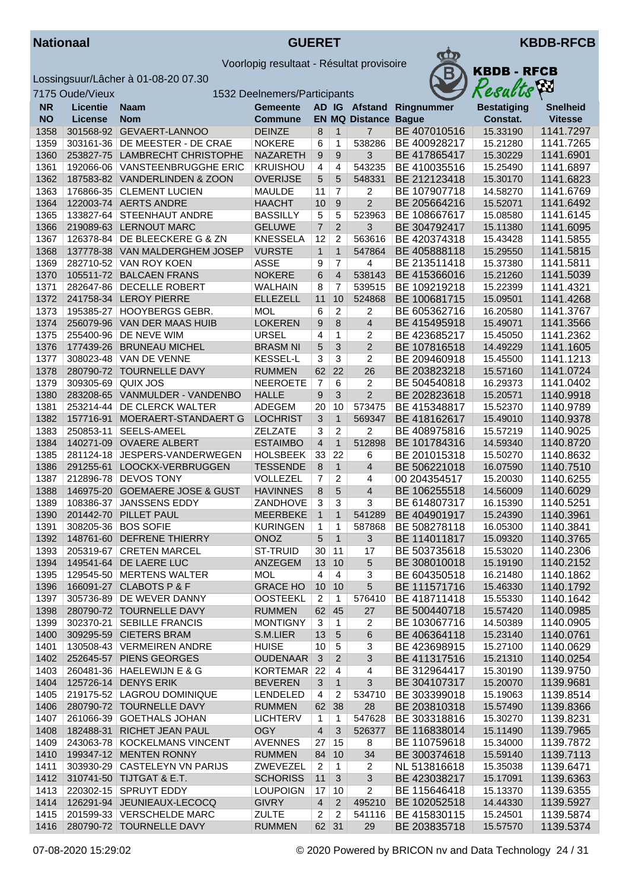



|              | 7175 Oude/Vieux                 | 1532 Deelnemers/Participants                            |                                  |                      |                      |                             |                              | Results              | <b>box</b>             |
|--------------|---------------------------------|---------------------------------------------------------|----------------------------------|----------------------|----------------------|-----------------------------|------------------------------|----------------------|------------------------|
| <b>NR</b>    | <b>Licentie</b>                 | <b>Naam</b>                                             | <b>Gemeente</b>                  |                      |                      |                             | AD IG Afstand Ringnummer     | <b>Bestatiging</b>   | <b>Snelheid</b>        |
| <b>NO</b>    | <b>License</b>                  | <b>Nom</b>                                              | <b>Commune</b>                   |                      |                      | <b>EN MQ Distance Bague</b> |                              | Constat.             | <b>Vitesse</b>         |
| 1358         |                                 | 301568-92 GEVAERT-LANNOO                                | <b>DEINZE</b>                    | 8                    | $\overline{1}$       | $\overline{7}$              | BE 407010516                 | 15.33190             | 1141.7297              |
| 1359         | 303161-36                       | DE MEESTER - DE CRAE                                    | <b>NOKERE</b>                    | 6                    | $\overline{1}$       | 538286                      | BE 400928217                 | 15.21280             | 1141.7265              |
| 1360         | 253827-75                       | <b>LAMBRECHT CHRISTOPHE</b>                             | <b>NAZARETH</b>                  | 9                    | 9                    | 3                           | BE 417865417                 | 15.30229             | 1141.6901              |
| 1361         | 192066-06                       | VANSTEENBRUGGHE ERIC                                    | <b>KRUISHOU</b>                  | 4                    | $\overline{a}$       | 543235                      | BE 410035516                 | 15.25490             | 1141.6897              |
| 1362         |                                 | 187583-82 VANDERLINDEN & ZOON                           | <b>OVERIJSE</b>                  | 5                    | 5                    | 548331                      | BE 212123418                 | 15.30170             | 1141.6823              |
| 1363         |                                 | 176866-35 CLEMENT LUCIEN                                | <b>MAULDE</b>                    | 11                   | $\overline{7}$       | $\overline{2}$              | BE 107907718                 | 14.58270             | 1141.6769              |
| 1364         |                                 | 122003-74 AERTS ANDRE                                   | <b>HAACHT</b>                    | 10                   | 9                    | $\overline{2}$              | BE 205664216                 | 15.52071             | 1141.6492              |
| 1365         | 133827-64                       | STEENHAUT ANDRE                                         | <b>BASSILLY</b>                  | 5                    | 5                    | 523963                      | BE 108667617                 | 15.08580             | 1141.6145              |
| 1366         |                                 | 219089-63 LERNOUT MARC                                  | <b>GELUWE</b>                    | $\overline{7}$       | $\overline{2}$       | 3                           | BE 304792417                 | 15.11380             | 1141.6095              |
| 1367         |                                 | 126378-84 DE BLEECKERE G & ZN                           | <b>KNESSELA</b>                  | 12                   | $\overline{2}$       | 563616                      | BE 420374318                 | 15.43428             | 1141.5855              |
| 1368         |                                 | 137778-38 VAN MALDERGHEM JOSEP                          | <b>VURSTE</b>                    | $\mathbf{1}$         | $\mathbf{1}$         | 547864                      | BE 405888118                 | 15.29550             | 1141.5815              |
| 1369         |                                 | 282710-52 VAN ROY KOEN                                  | <b>ASSE</b>                      | 9                    | $\overline{7}$       | $\overline{4}$              | BE 213511418                 | 15.37380             | 1141.5811              |
| 1370         | 105511-72                       | <b>BALCAEN FRANS</b>                                    | <b>NOKERE</b>                    | 6                    | $\overline{4}$       | 538143                      | BE 415366016                 | 15.21260             | 1141.5039              |
| 1371         | 282647-86                       | <b>DECELLE ROBERT</b>                                   | <b>WALHAIN</b>                   | 8                    | $\overline{7}$       | 539515                      | BE 109219218                 | 15.22399             | 1141.4321              |
| 1372         |                                 | 241758-34 LEROY PIERRE                                  | <b>ELLEZELL</b>                  | 11                   | 10                   | 524868                      | BE 100681715                 | 15.09501             | 1141.4268              |
| 1373         | 195385-27                       | <b>HOOYBERGS GEBR.</b>                                  | <b>MOL</b>                       | 6                    | $\overline{c}$       | 2                           | BE 605362716                 | 16.20580             | 1141.3767              |
| 1374         | 256079-96                       | VAN DER MAAS HUIB                                       | <b>LOKEREN</b>                   | 9                    | 8                    | $\overline{4}$              | BE 415495918                 | 15.49071             | 1141.3566              |
| 1375         | 255400-96<br>177439-26          | DE NEVE WIM<br><b>BRUNEAU MICHEL</b>                    | <b>URSEL</b>                     | 4                    | $\mathbf{1}$<br>3    | 2<br>$\overline{2}$         | BE 423685217                 | 15.45050             | 1141.2362              |
| 1376         |                                 |                                                         | <b>BRASM NI</b>                  | 5                    |                      |                             | BE 107816518                 | 14.49229             | 1141.1605              |
| 1377         |                                 | 308023-48 VAN DE VENNE                                  | <b>KESSEL-L</b>                  | 3<br>62              | $\overline{3}$<br>22 | $\overline{2}$<br>26        | BE 209460918<br>BE 203823218 | 15.45500             | 1141.1213              |
| 1378<br>1379 | 280790-72<br>309305-69 QUIX JOS | <b>TOURNELLE DAVY</b>                                   | <b>RUMMEN</b><br><b>NEEROETE</b> | $\overline{7}$       | 6                    | $\overline{2}$              | BE 504540818                 | 15.57160<br>16.29373 | 1141.0724<br>1141.0402 |
| 1380         | 283208-65                       | VANMULDER - VANDENBO                                    | <b>HALLE</b>                     | 9                    | 3                    | $\overline{2}$              | BE 202823618                 | 15.20571             | 1140.9918              |
| 1381         |                                 | 253214-44 DE CLERCK WALTER                              | ADEGEM                           | 20                   | 10                   | 573475                      | BE 415348817                 | 15.52370             | 1140.9789              |
| 1382         | 157716-91                       | MOERAERT-STANDAERT G                                    | <b>LOCHRIST</b>                  | 3                    | $\mathbf{1}$         | 569347                      | BE 418162617                 | 15.49010             | 1140.9378              |
| 1383         | 250853-11                       | SEELS-AMEEL                                             | <b>ZELZATE</b>                   | 3                    | 2                    | 2                           | BE 408975816                 | 15.57219             | 1140.9025              |
| 1384         | 140271-09                       | <b>OVAERE ALBERT</b>                                    | <b>ESTAIMBO</b>                  | $\overline{4}$       | $\mathbf{1}$         | 512898                      | BE 101784316                 | 14.59340             | 1140.8720              |
| 1385         | 281124-18                       | JESPERS-VANDERWEGEN                                     | <b>HOLSBEEK</b>                  | 33                   | 22                   | 6                           | BE 201015318                 | 15.50270             | 1140.8632              |
| 1386         |                                 | 291255-61 LOOCKX-VERBRUGGEN                             | <b>TESSENDE</b>                  | 8                    | $\overline{1}$       | $\overline{4}$              | BE 506221018                 | 16.07590             | 1140.7510              |
| 1387         | 212896-78                       | <b>DEVOS TONY</b>                                       | <b>VOLLEZEL</b>                  | $\overline{7}$       | $\overline{2}$       | 4                           | 00 204354517                 | 15.20030             | 1140.6255              |
| 1388         | 146975-20                       | <b>GOEMAERE JOSE &amp; GUST</b>                         | <b>HAVINNES</b>                  | 8                    | 5                    | $\overline{4}$              | BE 106255518                 | 14.56009             | 1140.6029              |
| 1389         | 108386-37                       | <b>JANSSENS EDDY</b>                                    | ZANDHOVE                         | 3                    | 3                    | 3                           | BE 614807317                 | 16.15390             | 1140.5251              |
| 1390         | 201442-70                       | <b>PILLET PAUL</b>                                      | <b>MEERBEKE</b>                  | $\mathbf{1}$         | $\mathbf{1}$         | 541289                      | BE 404901917                 | 15.24390             | 1140.3961              |
| 1391         | 308205-36                       | <b>BOS SOFIE</b>                                        | <b>KURINGEN</b>                  | $\mathbf{1}$         | 1                    | 587868                      | BE 508278118                 | 16.05300             | 1140.3841              |
| 1392         | 148761-60                       | <b>DEFRENE THIERRY</b>                                  | <b>ONOZ</b>                      | 5                    | $\mathbf{1}$         | 3                           | BE 114011817                 | 15.09320             | 1140.3765              |
| 1393         |                                 | 205319-67 CRETEN MARCEL                                 | <b>ST-TRUID</b>                  | 30                   | 11                   | 17                          | BE 503735618                 | 15.53020             | 1140.2306              |
| 1394         |                                 | 149541-64 DE LAERE LUC                                  | ANZEGEM                          |                      | 13 10                | 5                           | BE 308010018                 | 15.19190             | 1140.2152              |
| 1395         |                                 | 129545-50 MERTENS WALTER                                | MOL                              | 4                    | $\overline{4}$       | 3                           | BE 604350518                 | 16.21480             | 1140.1862              |
| 1396         |                                 | 166091-27 CLABOTS P & F                                 | <b>GRACE HO</b>                  | $10$ 10              |                      | 5                           | BE 111571716                 | 15.46330             | 1140.1792              |
| 1397         |                                 | 305736-89   DE WEVER DANNY                              | <b>OOSTEEKL</b>                  | $\overline{2}$       | $\mathbf{1}$         | 576410                      | BE 418711418                 | 15.55330             | 1140.1642              |
| 1398         |                                 | 280790-72 TOURNELLE DAVY                                | <b>RUMMEN</b>                    | 62                   | 45                   | 27                          | BE 500440718                 | 15.57420             | 1140.0985              |
| 1399         |                                 | 302370-21 SEBILLE FRANCIS                               | <b>MONTIGNY</b>                  | 3                    | $\mathbf{1}$         | $\overline{2}$              | BE 103067716                 | 14.50389             | 1140.0905              |
| 1400         |                                 | 309295-59 CIETERS BRAM                                  | S.M.LIER                         | 13                   | $\sqrt{5}$           | 6                           | BE 406364118                 | 15.23140             | 1140.0761              |
| 1401         |                                 | 130508-43 VERMEIREN ANDRE                               | <b>HUISE</b>                     | 10                   | $\sqrt{5}$           | 3                           | BE 423698915                 | 15.27100             | 1140.0629              |
| 1402         |                                 | 252645-57 PIENS GEORGES                                 | <b>OUDENAAR</b>                  | $\mathbf{3}$         | $\overline{2}$       | 3                           | BE 411317516                 | 15.21310             | 1140.0254              |
| 1403         |                                 | 260481-36 HAELEWIJN E & G                               | KORTEMAR 22                      |                      | $\overline{a}$       | 4                           | BE 312964417                 | 15.30190             | 1139.9750              |
| 1404         |                                 | 125726-14 DENYS ERIK                                    | <b>BEVEREN</b>                   | 3                    | $\overline{1}$       | $\mathbf{3}$                | BE 304107317                 | 15.20070             | 1139.9681              |
| 1405         |                                 | 219175-52 LAGROU DOMINIQUE                              | LENDELED                         | 4                    | $\overline{2}$       | 534710                      | BE 303399018                 | 15.19063             | 1139.8514              |
| 1406         |                                 | 280790-72 TOURNELLE DAVY                                | <b>RUMMEN</b>                    | 62                   | 38                   | 28                          | BE 203810318                 | 15.57490             | 1139.8366              |
| 1407         |                                 | 261066-39 GOETHALS JOHAN                                | <b>LICHTERV</b>                  | 1                    | $\mathbf{1}$         | 547628                      | BE 303318816                 | 15.30270             | 1139.8231              |
| 1408         | 182488-31                       | RICHET JEAN PAUL                                        | OGY                              | $\overline{4}$       | 3                    | 526377                      | BE 116838014                 | 15.11490             | 1139.7965              |
| 1409         |                                 | 243063-78 KOCKELMANS VINCENT                            | <b>AVENNES</b>                   | 27                   | 15                   | 8                           | BE 110759618                 | 15.34000             | 1139.7872              |
| 1410<br>1411 |                                 | 199347-12 MENTEN RONNY<br>303930-29 CASTELEYN VN PARIJS | <b>RUMMEN</b><br>ZWEVEZEL        | 84                   | 10                   | 34                          | BE 300374618<br>NL 513816618 | 15.59140             | 1139.7113              |
| 1412         |                                 | 310741-50 TIJTGAT & E.T.                                | <b>SCHORISS</b>                  | $\overline{2}$<br>11 | 1<br>$\mathbf{3}$    | 2<br>$\mathfrak{S}$         | BE 423038217                 | 15.35038<br>15.17091 | 1139.6471<br>1139.6363 |
| 1413         |                                 | 220302-15 SPRUYT EDDY                                   | <b>LOUPOIGN</b>                  | 17                   | 10                   | $\overline{2}$              | BE 115646418                 | 15.13370             | 1139.6355              |
| 1414         |                                 | 126291-94 JEUNIEAUX-LECOCQ                              | <b>GIVRY</b>                     | $\overline{4}$       | $\overline{2}$       | 495210                      | BE 102052518                 | 14.44330             | 1139.5927              |
| 1415         |                                 | 201599-33 VERSCHELDE MARC                               | <b>ZULTE</b>                     | $\overline{2}$       | $\overline{2}$       | 541116                      | BE 415830115                 | 15.24501             | 1139.5874              |
| 1416         |                                 | 280790-72 TOURNELLE DAVY                                | <b>RUMMEN</b>                    |                      | 62 31                | 29                          | BE 203835718                 | 15.57570             | 1139.5374              |
|              |                                 |                                                         |                                  |                      |                      |                             |                              |                      |                        |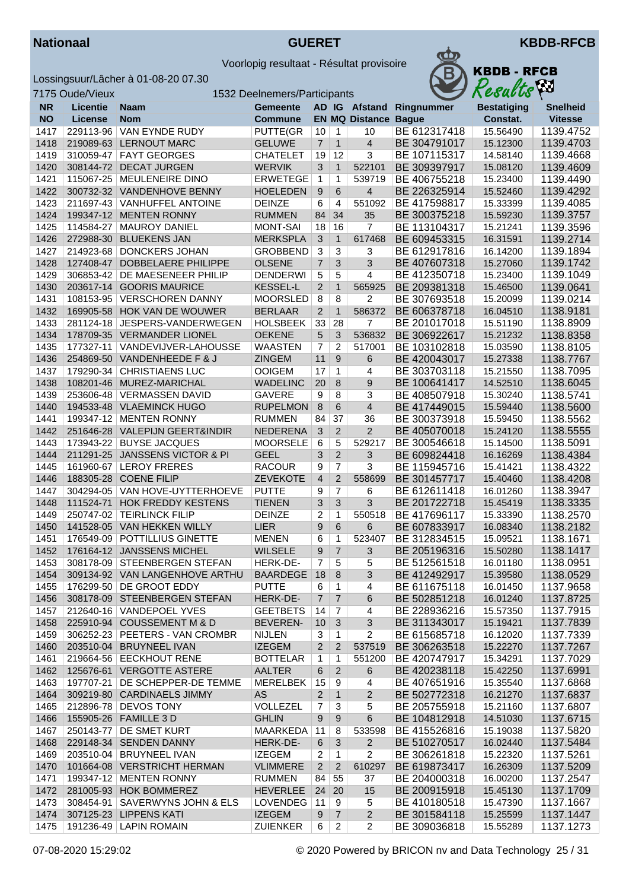

Lossingsuur/Lâcher à 01-08-20 07.30<br>7175 Qude/Vieux



| <b>KBDB - RFCB</b><br>Results |
|-------------------------------|
|                               |

|              | 7175 Oude/Vieux        |                                                     | 1532 Deelnemers/Participants   |                |                                  |                         |                              | Áю<br>Results        |                        |  |
|--------------|------------------------|-----------------------------------------------------|--------------------------------|----------------|----------------------------------|-------------------------|------------------------------|----------------------|------------------------|--|
| <b>NR</b>    | <b>Licentie</b>        | <b>Naam</b>                                         | <b>Gemeente</b>                |                |                                  | AD IG Afstand           | Ringnummer                   | <b>Bestatiging</b>   | <b>Snelheid</b>        |  |
| <b>NO</b>    | <b>License</b>         | <b>Nom</b>                                          | <b>Commune</b>                 |                |                                  | <b>EN MQ Distance</b>   | <b>Bague</b>                 | Constat.             | <b>Vitesse</b>         |  |
| 1417         | 229113-96              | VAN EYNDE RUDY                                      | PUTTE(GR                       | 10             | $\overline{1}$                   | 10                      | BE 612317418                 | 15.56490             | 1139.4752              |  |
| 1418         | 219089-63              | <b>LERNOUT MARC</b>                                 | <b>GELUWE</b>                  | $\overline{7}$ | $\mathbf{1}$                     | $\overline{4}$          | BE 304791017                 | 15.12300             | 1139.4703              |  |
| 1419         | 310059-47              | <b>FAYT GEORGES</b>                                 | <b>CHATELET</b>                | 19             | 12                               | 3                       | BE 107115317                 | 14.58140             | 1139.4668              |  |
| 1420         | 308144-72              | <b>DECAT JURGEN</b>                                 | <b>WERVIK</b>                  | 3              | $\mathbf{1}$                     | 522101                  | BE 309397917                 | 15.08120             | 1139.4609              |  |
| 1421         | 115067-25              | <b>MEULENEIRE DINO</b>                              | <b>ERWETEGE</b>                | 1              | 1                                | 539719                  | BE 406755218                 | 15.23400             | 1139.4490              |  |
| 1422         |                        | 300732-32 VANDENHOVE BENNY                          | <b>HOELEDEN</b>                | 9              | 6                                | 4                       | BE 226325914                 | 15.52460             | 1139.4292              |  |
| 1423         | 211697-43              | VANHUFFEL ANTOINE                                   | <b>DEINZE</b>                  | 6              | 4                                | 551092                  | BE 417598817                 | 15.33399             | 1139.4085              |  |
| 1424         | 199347-12              | <b>MENTEN RONNY</b>                                 | <b>RUMMEN</b>                  | 84             | 34                               | 35                      | BE 300375218                 | 15.59230             | 1139.3757              |  |
| 1425         | 114584-27              | <b>MAUROY DANIEL</b>                                | <b>MONT-SAI</b>                | 18             | 16                               | 7                       | BE 113104317                 | 15.21241             | 1139.3596              |  |
| 1426         | 272988-30              | <b>BLUEKENS JAN</b>                                 | <b>MERKSPLA</b>                | $\mathbf{3}$   | $\mathbf{1}$                     | 617468                  | BE 609453315                 | 16.31591             | 1139.2714              |  |
| 1427         | 214923-68              | DONCKERS JOHAN                                      | <b>GROBBEND</b>                | 3              | 3                                | 3                       | BE 612917816                 | 16.14200             | 1139.1894              |  |
| 1428         | 127408-47              | DOBBELAERE PHILIPPE                                 | <b>OLSENE</b>                  | $\overline{7}$ | 3                                | 3                       | BE 407607318                 | 15.27060             | 1139.1742              |  |
| 1429         | 306853-42              | DE MAESENEER PHILIP                                 | <b>DENDERWI</b>                | $\overline{5}$ | 5                                | 4                       | BE 412350718                 | 15.23400             | 1139.1049              |  |
| 1430         | 203617-14              | <b>GOORIS MAURICE</b>                               | <b>KESSEL-L</b>                | $\overline{2}$ | $\mathbf{1}$                     | 565925                  | BE 209381318                 | 15.46500             | 1139.0641              |  |
| 1431         | 108153-95              | <b>VERSCHOREN DANNY</b>                             | <b>MOORSLED</b>                | 8              | 8                                | 2                       | BE 307693518                 | 15.20099             | 1139.0214              |  |
| 1432         | 169905-58              | HOK VAN DE WOUWER                                   | <b>BERLAAR</b>                 | $\overline{2}$ | $\mathbf{1}$                     | 586372                  | BE 606378718                 | 16.04510             | 1138.9181              |  |
| 1433         | 281124-18              | JESPERS-VANDERWEGEN                                 | <b>HOLSBEEK</b>                | 33             | 28                               | 7                       | BE 201017018                 | 15.51190             | 1138.8909              |  |
| 1434         |                        | 178709-35 VERMANDER LIONEL                          | <b>OEKENE</b>                  | 5              | 3                                | 536832                  | BE 306922617                 | 15.21232             | 1138.8358              |  |
| 1435         | 177327-11              | VANDEVIJVER-LAHOUSSE                                | <b>WAASTEN</b>                 | $\overline{7}$ | $\overline{2}$                   | 517001                  | BE 103102818                 | 15.03590             | 1138.8105              |  |
| 1436         |                        | 254869-50 VANDENHEEDE F & J                         | <b>ZINGEM</b>                  | 11             | 9                                | 6                       | BE 420043017                 | 15.27338             | 1138.7767              |  |
| 1437         | 179290-34              | <b>CHRISTIAENS LUC</b>                              | <b>OOIGEM</b>                  | 17             | $\mathbf{1}$                     | 4                       | BE 303703118                 | 15.21550             | 1138.7095              |  |
| 1438         | 108201-46              | MUREZ-MARICHAL                                      | <b>WADELINC</b>                | 20             | $\bf 8$                          | 9                       | BE 100641417                 | 14.52510             | 1138.6045              |  |
| 1439         | 253606-48              | <b>VERMASSEN DAVID</b>                              | <b>GAVERE</b>                  | 9              | 8                                | 3                       | BE 408507918                 | 15.30240             | 1138.5741              |  |
| 1440         | 194533-48              | <b>VLAEMINCK HUGO</b>                               | <b>RUPELMON</b>                | 8              | 6                                | $\overline{\mathbf{4}}$ | BE 417449015                 | 15.59440             | 1138.5600              |  |
| 1441         | 199347-12              | <b>MENTEN RONNY</b>                                 | <b>RUMMEN</b>                  | 84             | 37                               | 36                      | BE 300373918                 | 15.59450             | 1138.5562              |  |
| 1442         | 251646-28              | <b>VALEPIJN GEERT&amp;INDIR</b>                     | <b>NEDERENA</b>                | 3              | $\overline{2}$                   | $\overline{c}$          | BE 405070018                 | 15.24120             | 1138.5555              |  |
| 1443         | 173943-22              | <b>BUYSE JACQUES</b>                                | <b>MOORSELE</b>                | 6              | 5                                | 529217                  | BE 300546618                 | 15.14500             | 1138.5091              |  |
| 1444         | 211291-25              | <b>JANSSENS VICTOR &amp; PI</b>                     | <b>GEEL</b>                    | 3              | $\overline{2}$                   | 3                       | BE 609824418                 | 16.16269             | 1138.4384              |  |
| 1445         | 161960-67              | <b>LEROY FRERES</b>                                 | <b>RACOUR</b>                  | 9              | $\overline{7}$                   | 3                       | BE 115945716                 | 15.41421             | 1138.4322              |  |
| 1446<br>1447 | 188305-28              | <b>COENE FILIP</b>                                  | <b>ZEVEKOTE</b>                | $\overline{4}$ | $\overline{2}$<br>$\overline{7}$ | 558699                  | BE 301457717                 | 15.40460             | 1138.4208              |  |
|              | 304294-05              | VAN HOVE-UYTTERHOEVE                                | <b>PUTTE</b>                   | 9              | 3                                | 6<br>3                  | BE 612611418<br>BE 201722718 | 16.01260             | 1138.3947              |  |
| 1448<br>1449 | 111524-71<br>250747-02 | <b>HOK FREDDY KESTENS</b><br><b>TEIRLINCK FILIP</b> | <b>TIENEN</b><br><b>DEINZE</b> | 3<br>2         | $\mathbf{1}$                     | 550518                  | BE 417696117                 | 15.45419<br>15.33390 | 1138.3335<br>1138.2570 |  |
| 1450         | 141528-05              | <b>VAN HEKKEN WILLY</b>                             | <b>LIER</b>                    | 9              | 6                                | 6                       | BE 607833917                 | 16.08340             | 1138.2182              |  |
| 1451         | 176549-09              | <b>POTTILLIUS GINETTE</b>                           | <b>MENEN</b>                   | 6              | $\mathbf{1}$                     | 523407                  | BE 312834515                 | 15.09521             | 1138.1671              |  |
| 1452         |                        | 176164-12 JANSSENS MICHEL                           | <b>WILSELE</b>                 | 9              | $\overline{7}$                   | 3                       | BE 205196316                 | 15.50280             | 1138.1417              |  |
| 1453         |                        | 308178-09 STEENBERGEN STEFAN                        | HERK-DE-                       | $\overline{7}$ | $\sqrt{5}$                       | $\overline{5}$          | BE 512561518                 | 16.01180             | 1138.0951              |  |
| 1454         |                        | 309134-92 VAN LANGENHOVE ARTHU                      | BAARDEGE 18                    |                | 8                                | 3                       | BE 412492917                 | 15.39580             | 1138.0529              |  |
| 1455         |                        | 176299-50 DE GROOT EDDY                             | <b>PUTTE</b>                   | 6              | 1                                | 4                       | BE 611675118                 | 16.01450             | 1137.9658              |  |
| 1456         |                        | 308178-09 STEENBERGEN STEFAN                        | HERK-DE-                       | $\overline{7}$ | $\overline{7}$                   | 6                       | BE 502851218                 | 16.01240             | 1137.8725              |  |
| 1457         |                        | 212640-16 VANDEPOEL YVES                            | <b>GEETBETS</b>                | 14             | 7                                | 4                       | BE 228936216                 | 15.57350             | 1137.7915              |  |
| 1458         |                        | 225910-94 COUSSEMENT M & D                          | <b>BEVEREN-</b>                | 10             | 3                                | 3                       | BE 311343017                 | 15.19421             | 1137.7839              |  |
| 1459         |                        | 306252-23 PEETERS - VAN CROMBR                      | <b>NIJLEN</b>                  | 3              | 1                                | 2                       | BE 615685718                 | 16.12020             | 1137.7339              |  |
| 1460         | 203510-04              | <b>BRUYNEEL IVAN</b>                                | <b>IZEGEM</b>                  | $\overline{2}$ | 2                                | 537519                  | BE 306263518                 | 15.22270             | 1137.7267              |  |
| 1461         |                        | 219664-56 EECKHOUT RENE                             | <b>BOTTELAR</b>                | 1              | 1                                | 551200                  | BE 420747917                 | 15.34291             | 1137.7029              |  |
| 1462         |                        | 125676-61 VERGOTTE ASTERE                           | <b>AALTER</b>                  | 6              | $\overline{2}$                   | 6                       | BE 420238118                 | 15.42250             | 1137.6991              |  |
| 1463         |                        | 197707-21 DE SCHEPPER-DE TEMME                      | MERELBEK                       | 15             | 9                                | 4                       | BE 407651916                 | 15.35540             | 1137.6868              |  |
| 1464         |                        | 309219-80 CARDINAELS JIMMY                          | AS                             | $\overline{2}$ | $\mathbf{1}$                     | 2                       | BE 502772318                 | 16.21270             | 1137.6837              |  |
| 1465         |                        | 212896-78   DEVOS TONY                              | VOLLEZEL                       | 7              | 3                                | 5                       | BE 205755918                 | 15.21160             | 1137.6807              |  |
| 1466         |                        | 155905-26 FAMILLE 3 D                               | <b>GHLIN</b>                   | 9              | 9                                | 6                       | BE 104812918                 | 14.51030             | 1137.6715              |  |
| 1467         | 250143-77              | DE SMET KURT                                        | <b>MAARKEDA</b>                | 11             | 8                                | 533598                  | BE 415526816                 | 15.19038             | 1137.5820              |  |
| 1468         | 229148-34              | <b>SENDEN DANNY</b>                                 | HERK-DE-                       | 6              | 3                                | $\overline{2}$          | BE 510270517                 | 16.02440             | 1137.5484              |  |
| 1469         |                        | 203510-04 BRUYNEEL IVAN                             | <b>IZEGEM</b>                  | 2              | 1                                | 2                       | BE 306261818                 | 15.22320             | 1137.5261              |  |
| 1470         |                        | 101664-08 VERSTRICHT HERMAN                         | <b>VLIMMERE</b>                | $\sqrt{2}$     | 2                                | 610297                  | BE 619873417                 | 16.26309             | 1137.5209              |  |
| 1471         |                        | 199347-12 MENTEN RONNY                              | <b>RUMMEN</b>                  | 84             | 55                               | 37                      | BE 204000318                 | 16.00200             | 1137.2547              |  |
| 1472         |                        | 281005-93 HOK BOMMEREZ                              | <b>HEVERLEE</b>                | 24             | 20                               | 15                      | BE 200915918                 | 15.45130             | 1137.1709              |  |
| 1473         | 308454-91              | SAVERWYNS JOHN & ELS                                | LOVENDEG                       | 11             | 9                                | 5                       | BE 410180518                 | 15.47390             | 1137.1667              |  |
| 1474         | 307125-23              | <b>LIPPENS KATI</b>                                 | <b>IZEGEM</b>                  | 9              | $\overline{7}$                   | $\overline{2}$          | BE 301584118                 | 15.25599             | 1137.1447              |  |
| 1475         |                        | 191236-49 LAPIN ROMAIN                              | <b>ZUIENKER</b>                | 6              | $\overline{c}$                   | 2                       | BE 309036818                 | 15.55289             | 1137.1273              |  |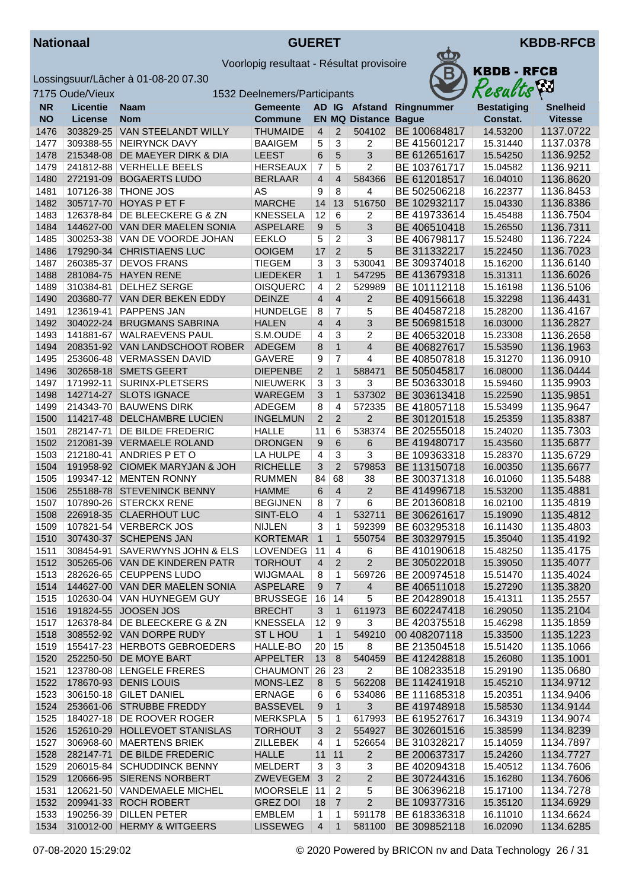



|              | 7175 Oude/Vieux |                                | 1532 Deelnemers/Participants |                    |                   |                         |              | Resacus              | $\mathbf{r}$           |
|--------------|-----------------|--------------------------------|------------------------------|--------------------|-------------------|-------------------------|--------------|----------------------|------------------------|
| <b>NR</b>    | <b>Licentie</b> | <b>Naam</b>                    | <b>Gemeente</b>              |                    |                   | AD IG Afstand           | Ringnummer   | <b>Bestatiging</b>   | <b>Snelheid</b>        |
| <b>NO</b>    | License         | <b>Nom</b>                     | <b>Commune</b>               |                    |                   | <b>EN MQ Distance</b>   | <b>Bague</b> | Constat.             | <b>Vitesse</b>         |
| 1476         | 303829-25       | VAN STEELANDT WILLY            | <b>THUMAIDE</b>              | $\overline{4}$     | $\overline{2}$    | 504102                  | BE 100684817 | 14.53200             | 1137.0722              |
| 1477         | 309388-55       | <b>NEIRYNCK DAVY</b>           | <b>BAAIGEM</b>               | 5                  | 3                 | $\overline{c}$          | BE 415601217 | 15.31440             | 1137.0378              |
| 1478         | 215348-08       | DE MAEYER DIRK & DIA           | <b>LEEST</b>                 | 6                  | 5                 | 3                       | BE 612651617 | 15.54250             | 1136.9252              |
| 1479         |                 | 241812-88 VERHELLE BEELS       | <b>HERSEAUX</b>              | 7                  | 5                 | 2                       | BE 103761717 | 15.04582             | 1136.9211              |
| 1480         | 272191-09       | <b>BOGAERTS LUDO</b>           | <b>BERLAAR</b>               | $\overline{4}$     | $\overline{4}$    | 584366                  | BE 612018517 | 16.04010             | 1136.8620              |
| 1481         |                 | 107126-38   THONE JOS          | AS                           | 9                  | $\overline{8}$    | 4                       | BE 502506218 | 16.22377             | 1136.8453              |
| 1482         |                 | 305717-70 HOYAS P ET F         | <b>MARCHE</b>                | 14                 | 13                | 516750                  | BE 102932117 | 15.04330             | 1136.8386              |
| 1483         |                 | 126378-84 DE BLEECKERE G & ZN  | <b>KNESSELA</b>              | 12                 | 6                 | 2                       | BE 419733614 | 15.45488             | 1136.7504              |
| 1484         |                 | 144627-00 VAN DER MAELEN SONIA | <b>ASPELARE</b>              | $\boldsymbol{9}$   | 5                 | 3                       | BE 406510418 | 15.26550             | 1136.7311              |
| 1485         |                 | 300253-38 VAN DE VOORDE JOHAN  | <b>EEKLO</b>                 | 5                  | 2                 | 3                       | BE 406798117 | 15.52480             | 1136.7224              |
| 1486         |                 | 179290-34 CHRISTIAENS LUC      | <b>OOIGEM</b>                | 17                 | $\overline{2}$    | 5                       | BE 311332217 | 15.22450             | 1136.7023              |
| 1487         | 260385-37       | <b>DEVOS FRANS</b>             | <b>TIEGEM</b>                | 3                  | 3                 | 530041                  | BE 309374018 | 15.16200             | 1136.6140              |
| 1488         |                 | 281084-75 HAYEN RENE           | <b>LIEDEKER</b>              | $\mathbf{1}$       | $\mathbf{1}$      | 547295                  | BE 413679318 | 15.31311             | 1136.6026              |
| 1489         | 310384-81       | <b>DELHEZ SERGE</b>            | <b>OISQUERC</b>              | 4                  | $\overline{c}$    | 529989                  | BE 101112118 | 15.16198             | 1136.5106              |
| 1490         |                 | 203680-77 VAN DER BEKEN EDDY   | <b>DEINZE</b>                | $\overline{4}$     | $\overline{4}$    | $\overline{2}$          | BE 409156618 | 15.32298             | 1136.4431              |
| 1491         | 123619-41       | <b>PAPPENS JAN</b>             | <b>HUNDELGE</b>              | 8                  | $\overline{7}$    | 5                       | BE 404587218 | 15.28200             | 1136.4167              |
| 1492         | 304022-24       | <b>BRUGMANS SABRINA</b>        | <b>HALEN</b>                 | $\overline{4}$     | 4                 | 3                       | BE 506981518 | 16.03000             | 1136.2827              |
| 1493         | 141881-67       | <b>WALRAEVENS PAUL</b>         | S.M.OUDE                     | 4                  | 3                 | 2                       | BE 406532018 | 15.23308             | 1136.2658              |
| 1494         |                 | 208351-92 VAN LANDSCHOOT ROBER | <b>ADEGEM</b>                | 8                  | $\mathbf{1}$      | $\overline{\mathbf{4}}$ | BE 406827617 | 15.53590             | 1136.1963              |
| 1495         |                 | 253606-48   VERMASSEN DAVID    | <b>GAVERE</b>                | 9                  | $\overline{7}$    | 4                       | BE 408507818 | 15.31270             | 1136.0910              |
| 1496         |                 | 302658-18 SMETS GEERT          | <b>DIEPENBE</b>              | $\overline{2}$     | $\mathbf{1}$      | 588471                  | BE 505045817 | 16.08000             | 1136.0444              |
| 1497         | 171992-11       | SURINX-PLETSERS                | <b>NIEUWERK</b>              | 3                  | 3                 | 3                       | BE 503633018 | 15.59460             | 1135.9903              |
| 1498         |                 | 142714-27 SLOTS IGNACE         | WAREGEM                      | 3                  | $\mathbf{1}$      | 537302                  | BE 303613418 | 15.22590             | 1135.9851              |
| 1499         | 214343-70       | <b>BAUWENS DIRK</b>            | ADEGEM                       | 8                  | 4                 | 572335                  | BE 418057118 | 15.53499             | 1135.9647              |
| 1500         |                 | 114217-48 DELCHAMBRE LUCIEN    | <b>INGELMUN</b>              | $\overline{2}$     | 2                 | $\overline{2}$          | BE 301201518 | 15.25359             | 1135.8387              |
| 1501         |                 | 282147-71   DE BILDE FREDERIC  | <b>HALLE</b>                 | 11                 | 6                 | 538374                  | BE 202555018 | 15.24020             | 1135.7303              |
| 1502         |                 | 212081-39 VERMAELE ROLAND      | <b>DRONGEN</b>               | 9                  | 6                 | 6                       | BE 419480717 | 15.43560             | 1135.6877              |
| 1503         | 212180-41       | ANDRIES P ET O                 | LA HULPE                     | 4                  | 3                 | 3                       | BE 109363318 | 15.28370             | 1135.6729              |
| 1504         |                 | 191958-92 CIOMEK MARYJAN & JOH | <b>RICHELLE</b>              | 3                  | $\overline{2}$    | 579853                  | BE 113150718 | 16.00350             | 1135.6677              |
| 1505         |                 | 199347-12 MENTEN RONNY         | <b>RUMMEN</b>                | 84                 | 68                | 38                      | BE 300371318 | 16.01060             | 1135.5488              |
| 1506         |                 | 255188-78 STEVENINCK BENNY     | <b>HAMME</b>                 | 6                  | $\overline{4}$    | $\overline{2}$          | BE 414996718 | 15.53200             | 1135.4881              |
| 1507         |                 | 107890-26 STERCKX RENE         | <b>BEGIJNEN</b>              | 8                  | 7                 | 6                       | BE 201360818 | 16.02100             | 1135.4819              |
| 1508         |                 | 226918-35 CLAERHOUT LUC        | SINT-ELO                     | $\overline{4}$     | $\mathbf{1}$      | 532711                  | BE 306261617 | 15.19090             | 1135.4812              |
| 1509         |                 | 107821-54 VERBERCK JOS         | <b>NIJLEN</b>                | 3                  | 1                 | 592399                  | BE 603295318 | 16.11430             | 1135.4803              |
| 1510         |                 | 307430-37 SCHEPENS JAN         | <b>KORTEMAR</b>              | $\mathbf{1}$       | $\mathbf{1}$      | 550754                  | BE 303297915 | 15.35040             | 1135.4192              |
| 1511         |                 | 308454-91 SAVERWYNS JOHN & ELS | LOVENDEG   11                |                    | $\overline{4}$    | 6                       | BE 410190618 | 15.48250             | 1135.4175              |
| 1512         |                 | 305265-06 VAN DE KINDEREN PATR | <b>TORHOUT</b>               | $\overline{4}$     | $\overline{2}$    | 2                       | BE 305022018 | 15.39050             | 1135.4077              |
| 1513         |                 | 282626-65 CEUPPENS LUDO        | WIJGMAAL                     | 8                  | 1                 | 569726                  | BE 200974518 | 15.51470             | 1135.4024              |
| 1514         |                 | 144627-00 VAN DER MAELEN SONIA | <b>ASPELARE</b>              | 9                  | $\overline{7}$    | $\overline{4}$          | BE 406511018 | 15.27290             | 1135.3820              |
|              |                 | 102630-04 VAN HUYNEGEM GUY     | <b>BRUSSEGE</b>              |                    |                   |                         | BE 204289018 |                      | 1135.2557              |
| 1515<br>1516 |                 | 191824-55 JOOSEN JOS           | <b>BRECHT</b>                | 16<br>3            | 14                | 5<br>611973             | BE 602247418 | 15.41311<br>16.29050 | 1135.2104              |
| 1517         |                 | 126378-84 DE BLEECKERE G & ZN  | <b>KNESSELA</b>              |                    | $\mathbf{1}$      | 3                       | BE 420375518 | 15.46298             |                        |
| 1518         |                 | 308552-92 VAN DORPE RUDY       | ST L HOU                     | 12<br>$\mathbf{1}$ | 9<br>$\mathbf{1}$ | 549210                  | 00 408207118 | 15.33500             | 1135.1859<br>1135.1223 |
|              |                 | 155417-23 HERBOTS GEBROEDERS   |                              |                    |                   |                         | BE 213504518 | 15.51420             |                        |
| 1519         |                 |                                | HALLE-BO                     | 20                 | 15                | 8                       | BE 412428818 |                      | 1135.1066              |
| 1520         |                 | 252250-50 DE MOYE BART         | <b>APPELTER</b>              | 13                 | 8                 | 540459                  |              | 15.26080             | 1135.1001              |
| 1521         |                 | 123780-08 LENGELE FRERES       | CHAUMONT 26                  |                    | 23                | $\overline{c}$          | BE 108233518 | 15.29190             | 1135.0680              |
| 1522         |                 | 178670-93 DENIS LOUIS          | MONS-LEZ                     | 8                  | 5                 | 562208                  | BE 114241918 | 15.45210             | 1134.9712              |
| 1523         |                 | 306150-18 GILET DANIEL         | <b>ERNAGE</b>                | 6                  | 6                 | 534086                  | BE 111685318 | 15.20351             | 1134.9406              |
| 1524         |                 | 253661-06 STRUBBE FREDDY       | <b>BASSEVEL</b>              | 9                  | $\mathbf 1$       | 3                       | BE 419748918 | 15.58530             | 1134.9144              |
| 1525         |                 | 184027-18 DE ROOVER ROGER      | <b>MERKSPLA</b>              | 5                  | 1                 | 617993                  | BE 619527617 | 16.34319             | 1134.9074              |
| 1526         |                 | 152610-29 HOLLEVOET STANISLAS  | <b>TORHOUT</b>               | $\sqrt{3}$         | $\overline{2}$    | 554927                  | BE 302601516 | 15.38599             | 1134.8239              |
| 1527         |                 | 306968-60   MAERTENS BRIEK     | <b>ZILLEBEK</b>              | $\overline{4}$     | 1                 | 526654                  | BE 310328217 | 15.14059             | 1134.7897              |
| 1528         |                 | 282147-71 DE BILDE FREDERIC    | <b>HALLE</b>                 | 11                 | 11                | $\overline{2}$          | BE 200637317 | 15.24260             | 1134.7727              |
| 1529         |                 | 206015-84   SCHUDDINCK BENNY   | <b>MELDERT</b>               | 3                  | 3                 | 3                       | BE 402094318 | 15.40512             | 1134.7606              |
| 1529         |                 | 120666-95 SIERENS NORBERT      | ZWEVEGEM 3                   |                    | $\overline{2}$    | $\overline{2}$          | BE 307244316 | 15.16280             | 1134.7606              |
| 1531         |                 | 120621-50 VANDEMAELE MICHEL    | MOORSELE 11                  |                    | $\overline{2}$    | 5                       | BE 306396218 | 15.17100             | 1134.7278              |
| 1532         |                 | 209941-33 ROCH ROBERT          | <b>GREZ DOI</b>              | 18                 | $\overline{7}$    | $\overline{2}$          | BE 109377316 | 15.35120             | 1134.6929              |
| 1533         |                 | 190256-39 DILLEN PETER         | <b>EMBLEM</b>                | $\mathbf{1}$       | 1                 | 591178                  | BE 618336318 | 16.11010             | 1134.6624              |
| 1534         |                 | 310012-00 HERMY & WITGEERS     | <b>LISSEWEG</b>              | $\overline{4}$     | $\mathbf{1}$      | 581100                  | BE 309852118 | 16.02090             | 1134.6285              |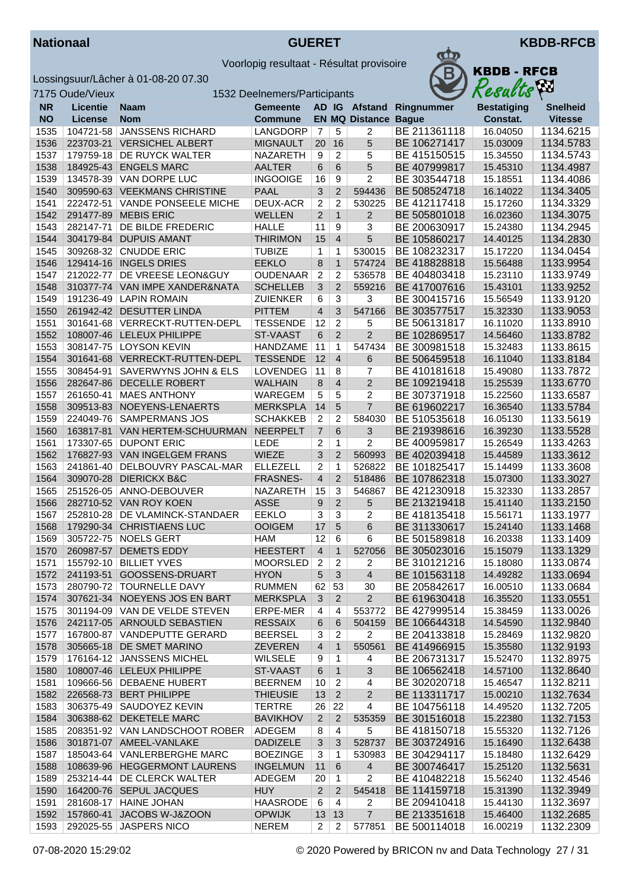



| <b>KBDB - RFCB</b><br>Results |
|-------------------------------|
|                               |

|              | 7175 Oude/Vieux        | 1532 Deelnemers/Participants                        |                                  | Results        | VШ                  |                          |                              |                      |                        |
|--------------|------------------------|-----------------------------------------------------|----------------------------------|----------------|---------------------|--------------------------|------------------------------|----------------------|------------------------|
| <b>NR</b>    | <b>Licentie</b>        | Naam                                                | <b>Gemeente</b>                  |                |                     | AD IG Afstand            | Ringnummer                   | <b>Bestatiging</b>   | <b>Snelheid</b>        |
| <b>NO</b>    | <b>License</b>         | <b>Nom</b>                                          | <b>Commune</b>                   |                |                     | <b>EN MQ Distance</b>    | <b>Bague</b>                 | Constat.             | <b>Vitesse</b>         |
| 1535         | 104721-58              | <b>JANSSENS RICHARD</b>                             | LANGDORP                         | 7              | 5                   | 2                        | BE 211361118                 | 16.04050             | 1134.6215              |
| 1536         | 223703-21              | <b>VERSICHEL ALBERT</b>                             | <b>MIGNAULT</b>                  | 20             | 16                  | 5                        | BE 106271417                 | 15.03009             | 1134.5783              |
| 1537         |                        | 179759-18 DE RUYCK WALTER                           | NAZARETH                         | 9              | $\overline{2}$      | 5                        | BE 415150515                 | 15.34550             | 1134.5743              |
| 1538         | 184925-43              | <b>ENGELS MARC</b>                                  | <b>AALTER</b>                    | 6              | 6                   | 5                        | BE 407999817                 | 15.45310             | 1134.4987              |
| 1539         |                        | 134578-39 VAN DORPE LUC                             | <b>INGOOIGE</b>                  | 16             | 9                   | $\overline{2}$           | BE 303544718                 | 15.18551             | 1134.4086              |
| 1540         |                        | 309590-63 VEEKMANS CHRISTINE                        | <b>PAAL</b>                      | 3              | $\overline{2}$      | 594436                   | BE 508524718                 | 16.14022             | 1134.3405              |
| 1541         | 222472-51              | <b>VANDE PONSEELE MICHE</b>                         | <b>DEUX-ACR</b>                  | 2              | $\overline{2}$      | 530225                   | BE 412117418                 | 15.17260             | 1134.3329              |
| 1542         | 291477-89              | <b>MEBIS ERIC</b>                                   | <b>WELLEN</b>                    | $\overline{2}$ | $\mathbf{1}$        | $\overline{2}$           | BE 505801018                 | 16.02360             | 1134.3075              |
| 1543         | 282147-71              | DE BILDE FREDERIC                                   | <b>HALLE</b>                     | 11             | 9                   | 3                        | BE 200630917                 | 15.24380             | 1134.2945              |
| 1544<br>1545 | 304179-84<br>309268-32 | <b>DUPUIS AMANT</b><br><b>CNUDDE ERIC</b>           | <b>THIRIMON</b><br><b>TUBIZE</b> | 15             | $\overline{4}$<br>1 | 5<br>530015              | BE 105860217<br>BE 108232317 | 14.40125<br>15.17220 | 1134.2830<br>1134.0454 |
| 1546         | 129414-16              | <b>INGELS DRIES</b>                                 | <b>EEKLO</b>                     | 1<br>8         | $\mathbf{1}$        | 574724                   | BE 418828818                 | 15.56488             | 1133.9954              |
| 1547         |                        | 212022-77   DE VREESE LEON&GUY                      | <b>OUDENAAR</b>                  | $\overline{2}$ | $\overline{2}$      | 536578                   | BE 404803418                 | 15.23110             | 1133.9749              |
| 1548         |                        | 310377-74 VAN IMPE XANDER&NATA                      | <b>SCHELLEB</b>                  | 3              | $\overline{2}$      | 559216                   | BE 417007616                 | 15.43101             | 1133.9252              |
| 1549         |                        | 191236-49 LAPIN ROMAIN                              | <b>ZUIENKER</b>                  | 6              | $\overline{3}$      | 3                        | BE 300415716                 | 15.56549             | 1133.9120              |
| 1550         |                        | 261942-42 DESUTTER LINDA                            | <b>PITTEM</b>                    | $\overline{4}$ | 3                   | 547166                   | BE 303577517                 | 15.32330             | 1133.9053              |
| 1551         |                        | 301641-68 VERRECKT-RUTTEN-DEPL                      | <b>TESSENDE</b>                  | 12             | $\overline{2}$      | 5                        | BE 506131817                 | 16.11020             | 1133.8910              |
| 1552         |                        | 108007-46 LELEUX PHILIPPE                           | <b>ST-VAAST</b>                  | 6              | 2                   | 2                        | BE 102869517                 | 14.56460             | 1133.8782              |
| 1553         |                        | 308147-75   LOYSON KEVIN                            | <b>HANDZAME</b>                  | 11             | 1                   | 547434                   | BE 300981518                 | 15.32483             | 1133.8615              |
| 1554         |                        | 301641-68 VERRECKT-RUTTEN-DEPL                      | <b>TESSENDE</b>                  | 12             | $\overline{4}$      | 6                        | BE 506459518                 | 16.11040             | 1133.8184              |
| 1555         | 308454-91              | SAVERWYNS JOHN & ELS                                | <b>LOVENDEG</b>                  | 11             | 8                   | $\overline{7}$           | BE 410181618                 | 15.49080             | 1133.7872              |
| 1556         | 282647-86              | DECELLE ROBERT                                      | <b>WALHAIN</b>                   | 8              | $\overline{4}$      | $\overline{2}$           | BE 109219418                 | 15.25539             | 1133.6770              |
| 1557         |                        | 261650-41   MAES ANTHONY                            | WAREGEM                          | 5              | 5                   | $\overline{2}$           | BE 307371918                 | 15.22560             | 1133.6587              |
| 1558         | 309513-83              | NOEYENS-LENAERTS                                    | <b>MERKSPLA</b>                  | 14             | 5                   | $\overline{7}$           | BE 619602217                 | 16.36540             | 1133.5784              |
| 1559         | 224049-76              | <b>SAMPERMANS JOS</b>                               | <b>SCHAKKEB</b>                  | $\overline{c}$ | $\overline{c}$      | 584030                   | BE 510535618                 | 16.05130             | 1133.5619              |
| 1560         | 163817-81              | <b>VAN HERTEM-SCHUURMAN</b>                         | <b>NEERPELT</b>                  | $\overline{7}$ | 6                   | $\overline{3}$           | BE 219398616                 | 16.39230             | 1133.5528              |
| 1561         |                        | 173307-65   DUPONT ERIC                             | <b>LEDE</b>                      | $\overline{c}$ | 1                   | $\overline{2}$           | BE 400959817                 | 15.26549             | 1133.4263              |
| 1562         | 176827-93              | <b>VAN INGELGEM FRANS</b>                           | <b>WIEZE</b>                     | 3              | 2                   | 560993                   | BE 402039418                 | 15.44589             | 1133.3612              |
| 1563         | 241861-40              | DELBOUVRY PASCAL-MAR                                | <b>ELLEZELL</b>                  | 2              | 1                   | 526822                   | BE 101825417                 | 15.14499             | 1133.3608              |
| 1564         | 309070-28              | <b>DIERICKX B&amp;C</b>                             | <b>FRASNES-</b>                  | $\overline{4}$ | $\overline{2}$      | 518486                   | BE 107862318                 | 15.07300             | 1133.3027              |
| 1565         |                        | 251526-05 ANNO-DEBOUVER                             | NAZARETH                         | 15             | $\overline{3}$      | 546867                   | BE 421230918                 | 15.32330             | 1133.2857              |
| 1566         |                        | 282710-52 VAN ROY KOEN                              | <b>ASSE</b>                      | 9              | $\overline{2}$      | 5                        | BE 213219418                 | 15.41140             | 1133.2150              |
| 1567         |                        | 252810-28 DE VLAMINCK-STANDAER                      | <b>EEKLO</b>                     | 3              | 3                   | 2                        | BE 418135418                 | 15.56171             | 1133.1977              |
| 1568<br>1569 |                        | 179290-34 CHRISTIAENS LUC<br>305722-75 NOELS GERT   | <b>OOIGEM</b><br><b>HAM</b>      | 17<br>12       | 5<br>6              | 6<br>6                   | BE 311330617<br>BE 501589818 | 15.24140<br>16.20338 | 1133.1468<br>1133.1409 |
| 1570         |                        | 260987-57 DEMETS EDDY                               | <b>HEESTERT</b>                  | $\overline{4}$ | $\mathbf{1}$        | 527056                   | BE 305023016                 | 15.15079             | 1133.1329              |
| 1571         |                        | 155792-10   BILLIET YVES                            | <b>MOORSLED</b>                  | 2              | 2                   | 2                        | BE 310121216                 | 15.18080             | 1133.0874              |
| 1572         |                        | 241193-51 GOOSSENS-DRUART                           | <b>HYON</b>                      | 5              | 3                   | $\overline{4}$           | BE 101563118                 | 14.49282             | 1133.0694              |
| 1573         |                        | 280790-72 TOURNELLE DAVY                            | <b>RUMMEN</b>                    | 62             | 53                  | 30                       | BE 205842617                 | 16.00510             | 1133.0684              |
| 1574         |                        | 307621-34 NOEYENS JOS EN BART                       | <b>MERKSPLA</b>                  | 3              | $\overline{2}$      | $\overline{2}$           | BE 619630418                 | 16.35520             | 1133.0551              |
| 1575         |                        | 301194-09 VAN DE VELDE STEVEN                       | ERPE-MER                         | $\overline{4}$ | 4                   | 553772                   | BE 427999514                 | 15.38459             | 1133.0026              |
| 1576         |                        | 242117-05 ARNOULD SEBASTIEN                         | <b>RESSAIX</b>                   | 6              | 6                   | 504159                   | BE 106644318                 | 14.54590             | 1132.9840              |
| 1577         |                        | 167800-87 VANDEPUTTE GERARD                         | <b>BEERSEL</b>                   | 3              | 2                   | $\overline{2}$           | BE 204133818                 | 15.28469             | 1132.9820              |
| 1578         |                        | 305665-18 DE SMET MARINO                            | <b>ZEVEREN</b>                   | $\overline{4}$ | $\mathbf{1}$        | 550561                   | BE 414966915                 | 15.35580             | 1132.9193              |
| 1579         |                        | 176164-12 JANSSENS MICHEL                           | <b>WILSELE</b>                   | 9              | $\mathbf{1}$        | 4                        | BE 206731317                 | 15.52470             | 1132.8975              |
| 1580         |                        | 108007-46 LELEUX PHILIPPE                           | ST-VAAST                         | 6              | $\mathbf{1}$        | 3                        | BE 106562418                 | 14.57100             | 1132.8640              |
| 1581         |                        | 109666-56 DEBAENE HUBERT                            | <b>BEERNEM</b>                   | 10             | 2                   | 4                        | BE 302020718                 | 15.46547             | 1132.8211              |
| 1582         |                        | 226568-73 BERT PHILIPPE                             | <b>THIEUSIE</b>                  | 13             | $\sqrt{2}$          | $\overline{2}$           | BE 113311717                 | 15.00210             | 1132.7634              |
| 1583         |                        | 306375-49 SAUDOYEZ KEVIN                            | <b>TERTRE</b>                    | 26             | 22                  | 4                        | BE 104756118                 | 14.49520             | 1132.7205              |
| 1584         |                        | 306388-62 DEKETELE MARC                             | <b>BAVIKHOV</b>                  | $\overline{2}$ | $\overline{2}$      | 535359                   | BE 301516018                 | 15.22380             | 1132.7153              |
| 1585         |                        | 208351-92 VAN LANDSCHOOT ROBER                      | ADEGEM                           | 8              | $\overline{4}$      | 5                        | BE 418150718                 | 15.55320             | 1132.7126              |
| 1586         |                        | 301871-07 AMEEL-VANLAKE                             | <b>DADIZELE</b>                  | $\sqrt{3}$     | $\mathbf{3}$        | 528737                   | BE 303724916                 | 15.16490             | 1132.6438              |
| 1587         |                        | 185043-64 VANLERBERGHE MARC                         | <b>BOEZINGE</b>                  | 3              | 1                   | 530983                   | BE 304294117                 | 15.18480             | 1132.6429              |
| 1588         |                        | 108639-96 HEGGERMONT LAURENS                        | <b>INGELMUN</b>                  | 11             | 6                   | $\overline{4}$           | BE 300746417                 | 15.25120             | 1132.5631              |
| 1589         |                        | 253214-44   DE CLERCK WALTER                        | <b>ADEGEM</b>                    | 20             | $\mathbf{1}$        | $\overline{2}$           | BE 410482218                 | 15.56240             | 1132.4546              |
| 1590         |                        | 164200-76 SEPUL JACQUES                             | <b>HUY</b>                       | $\overline{2}$ | 2                   | 545418                   | BE 114159718                 | 15.31390             | 1132.3949              |
| 1591         |                        | 281608-17 HAINE JOHAN                               | <b>HAASRODE</b>                  | 6              | 4                   | 2                        | BE 209410418                 | 15.44130             | 1132.3697              |
| 1592<br>1593 |                        | 157860-41 JACOBS W-J&ZOON<br>292025-55 JASPERS NICO | <b>OPWIJK</b><br><b>NEREM</b>    | 13             | 13                  | $\overline{7}$<br>577851 | BE 213351618<br>BE 500114018 | 15.46400             | 1132.2685              |
|              |                        |                                                     |                                  | $\overline{2}$ | 2                   |                          |                              | 16.00219             | 1132.2309              |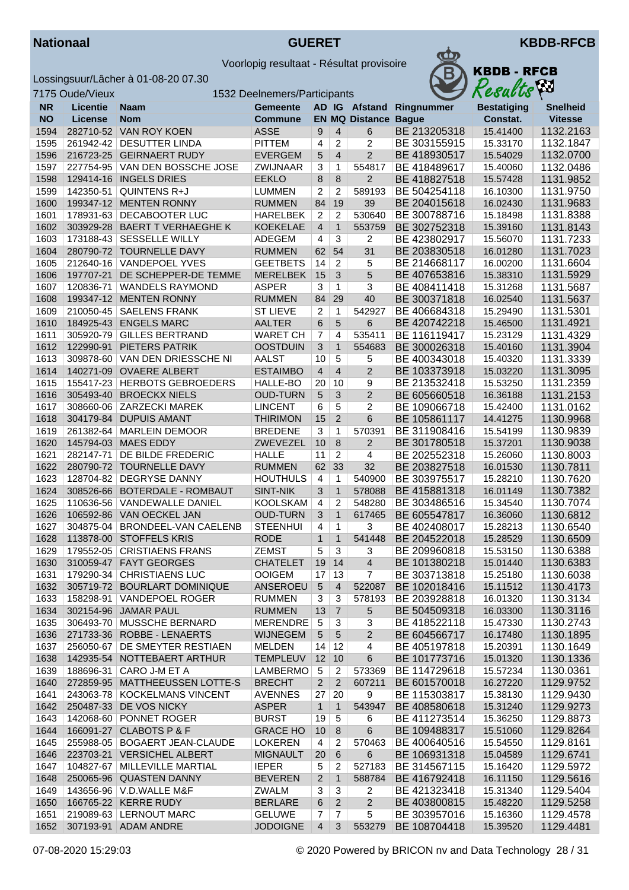



|           | 7175 Oude/Vieux |                                 | 1532 Deelnemers/Participants |                |                 |                       |              | Resacus            | $\mathbf{r}$    |
|-----------|-----------------|---------------------------------|------------------------------|----------------|-----------------|-----------------------|--------------|--------------------|-----------------|
| <b>NR</b> | <b>Licentie</b> | Naam                            | <b>Gemeente</b>              |                |                 | AD IG Afstand         | Ringnummer   | <b>Bestatiging</b> | <b>Snelheid</b> |
| <b>NO</b> | License         | <b>Nom</b>                      | <b>Commune</b>               |                |                 | <b>EN MQ Distance</b> | <b>Bague</b> | Constat.           | <b>Vitesse</b>  |
| 1594      |                 | 282710-52 VAN ROY KOEN          | <b>ASSE</b>                  | 9              | 4               | $6\phantom{1}6$       | BE 213205318 | 15.41400           | 1132.2163       |
| 1595      |                 | 261942-42 DESUTTER LINDA        | <b>PITTEM</b>                | 4              | 2               | $\overline{2}$        | BE 303155915 | 15.33170           | 1132.1847       |
| 1596      |                 | 216723-25 GEIRNAERT RUDY        | <b>EVERGEM</b>               | 5              | 4               | $\overline{2}$        | BE 418930517 | 15.54029           | 1132.0700       |
| 1597      |                 | 227754-95 VAN DEN BOSSCHE JOSE  | ZWIJNAAR                     | 3              | 1               | 554817                | BE 418489617 | 15.40060           | 1132.0486       |
| 1598      |                 | 129414-16   INGELS DRIES        | <b>EEKLO</b>                 | 8              | 8               | $\mathbf 2$           | BE 418827518 | 15.57428           | 1131.9852       |
| 1599      | 142350-51       | <b>QUINTENS R+J</b>             | <b>LUMMEN</b>                | $\overline{2}$ | $\overline{c}$  | 589193                | BE 504254118 | 16.10300           | 1131.9750       |
| 1600      |                 | 199347-12 MENTEN RONNY          | <b>RUMMEN</b>                | 84             | 19              | 39                    | BE 204015618 | 16.02430           | 1131.9683       |
| 1601      |                 | 178931-63 DECABOOTER LUC        | <b>HARELBEK</b>              | $\overline{2}$ | 2               | 530640                | BE 300788716 | 15.18498           | 1131.8388       |
| 1602      |                 | 303929-28 BAERT T VERHAEGHE K   | <b>KOEKELAE</b>              | $\overline{4}$ | $\mathbf{1}$    | 553759                | BE 302752318 | 15.39160           | 1131.8143       |
| 1603      | 173188-43       | <b>SESSELLE WILLY</b>           | ADEGEM                       | $\overline{4}$ | $\overline{3}$  | $\overline{c}$        | BE 423802917 | 15.56070           | 1131.7233       |
| 1604      |                 | 280790-72 TOURNELLE DAVY        | <b>RUMMEN</b>                | 62             | 54              | 31                    | BE 203830518 | 16.01280           | 1131.7023       |
| 1605      |                 | 212640-16 VANDEPOEL YVES        | <b>GEETBETS</b>              | 14             | $\overline{c}$  | 5                     | BE 214668117 | 16.00200           | 1131.6604       |
| 1606      | 197707-21       | DE SCHEPPER-DE TEMME            | <b>MERELBEK</b>              | 15             | 3               | 5                     | BE 407653816 | 15.38310           | 1131.5929       |
| 1607      | 120836-71       | <b>WANDELS RAYMOND</b>          | <b>ASPER</b>                 | 3              | 1               | 3                     | BE 408411418 | 15.31268           | 1131.5687       |
| 1608      |                 | 199347-12 MENTEN RONNY          | <b>RUMMEN</b>                | 84             | 29              | 40                    | BE 300371818 | 16.02540           | 1131.5637       |
| 1609      |                 | 210050-45   SAELENS FRANK       | <b>ST LIEVE</b>              | $\overline{2}$ | $\mathbf{1}$    | 542927                | BE 406684318 | 15.29490           | 1131.5301       |
| 1610      |                 | 184925-43 ENGELS MARC           | <b>AALTER</b>                | 6              | 5               | 6                     | BE 420742218 | 15.46500           | 1131.4921       |
| 1611      |                 | 305920-79 GILLES BERTRAND       | <b>WARET CH</b>              | $\overline{7}$ | 4               | 535411                | BE 116119417 | 15.23129           | 1131.4329       |
| 1612      | 122990-91       | PIETERS PATRIK                  | <b>OOSTDUIN</b>              | 3              | $\mathbf{1}$    | 554683                | BE 300026318 | 15.40160           | 1131.3904       |
| 1613      |                 | 309878-60 VAN DEN DRIESSCHE NI  | <b>AALST</b>                 | 10             | 5               | 5                     | BE 400343018 | 15.40320           | 1131.3339       |
| 1614      |                 | 140271-09 OVAERE ALBERT         | <b>ESTAIMBO</b>              | $\overline{4}$ | 4               | $\overline{2}$        | BE 103373918 | 15.03220           | 1131.3095       |
| 1615      |                 | 155417-23 HERBOTS GEBROEDERS    | HALLE-BO                     | 20             | 10              | 9                     | BE 213532418 | 15.53250           | 1131.2359       |
| 1616      |                 | 305493-40 BROECKX NIELS         | <b>OUD-TURN</b>              | 5              | 3               | $\overline{2}$        | BE 605660518 | 16.36188           | 1131.2153       |
|           |                 | <b>ZARZECKI MAREK</b>           |                              |                | 5               |                       | BE 109066718 |                    | 1131.0162       |
| 1617      | 308660-06       |                                 | <b>LINCENT</b>               | 6              |                 | 2                     |              | 15.42400           |                 |
| 1618      |                 | 304179-84 DUPUIS AMANT          | <b>THIRIMON</b>              | 15             | $\overline{2}$  | 6                     | BE 105861117 | 14.41275           | 1130.9968       |
| 1619      |                 | 261382-64   MARLEIN DEMOOR      | <b>BREDENE</b>               | 3              | $\mathbf{1}$    | 570391                | BE 311908416 | 15.54199           | 1130.9839       |
| 1620      |                 | 145794-03 MAES EDDY             | ZWEVEZEL                     | 10             | 8               | $\overline{2}$        | BE 301780518 | 15.37201           | 1130.9038       |
| 1621      | 282147-71       | DE BILDE FREDERIC               | <b>HALLE</b>                 | 11             | $\overline{c}$  | 4                     | BE 202552318 | 15.26060           | 1130.8003       |
| 1622      |                 | 280790-72 TOURNELLE DAVY        | <b>RUMMEN</b>                | 62             | 33              | 32                    | BE 203827518 | 16.01530           | 1130.7811       |
| 1623      |                 | 128704-82   DEGRYSE DANNY       | <b>HOUTHULS</b>              | 4              | $\mathbf{1}$    | 540900                | BE 303975517 | 15.28210           | 1130.7620       |
| 1624      |                 | 308526-66 BOTERDALE - ROMBAUT   | SINT-NIK                     | 3              | $\mathbf{1}$    | 578088                | BE 415881318 | 16.01149           | 1130.7382       |
| 1625      |                 | 110636-56 VANDEWALLE DANIEL     | <b>KOOLSKAM</b>              | 4              | 2               | 548280                | BE 303486516 | 15.34540           | 1130.7074       |
| 1626      |                 | 106592-86 VAN OECKEL JAN        | <b>OUD-TURN</b>              | $\mathfrak{S}$ | $\mathbf{1}$    | 617465                | BE 605547817 | 16.36060           | 1130.6812       |
| 1627      |                 | 304875-04 BRONDEEL-VAN CAELENB  | <b>STEENHUI</b>              | 4              | $\mathbf{1}$    | 3                     | BE 402408017 | 15.28213           | 1130.6540       |
| 1628      |                 | 113878-00 STOFFELS KRIS         | <b>RODE</b>                  | $\mathbf{1}$   | $\mathbf{1}$    | 541448                | BE 204522018 | 15.28529           | 1130.6509       |
| 1629      |                 | 179552-05 CRISTIAENS FRANS      | <b>ZEMST</b>                 | 5              | 3               | 3                     | BE 209960818 | 15.53150           | 1130.6388       |
| 1630      |                 | 310059-47 FAYT GEORGES          | <b>CHATELET</b>              |                | 19 14           | $\overline{4}$        | BE 101380218 | 15.01440           | 1130.6383       |
| 1631      |                 | 179290-34 CHRISTIAENS LUC       | <b>OOIGEM</b>                | 17             | 13              | $\overline{7}$        | BE 303713818 | 15.25180           | 1130.6038       |
| 1632      |                 | 305719-72 BOURLART DOMINIQUE    | ANSEROEU                     | $\sqrt{5}$     | 4               | 522087                | BE 102018416 | 15.11512           | 1130.4173       |
| 1633      |                 | 158298-91 VANDEPOEL ROGER       | <b>RUMMEN</b>                | 3              | 3               | 578193                | BE 203928818 | 16.01320           | 1130.3134       |
| 1634      |                 | 302154-96 JAMAR PAUL            | <b>RUMMEN</b>                | 13             | $\overline{7}$  | 5                     | BE 504509318 | 16.03300           | 1130.3116       |
| 1635      |                 | 306493-70 MUSSCHE BERNARD       | MERENDRE                     | 5              | 3               | 3                     | BE 418522118 | 15.47330           | 1130.2743       |
| 1636      |                 | 271733-36 ROBBE - LENAERTS      | <b>WIJNEGEM</b>              | $\sqrt{5}$     | $\overline{5}$  | $\boldsymbol{2}$      | BE 604566717 | 16.17480           | 1130.1895       |
| 1637      |                 | 256050-67 DE SMEYTER RESTIAEN   | <b>MELDEN</b>                | 14             | 12              | 4                     | BE 405197818 | 15.20391           | 1130.1649       |
| 1638      |                 | 142935-54 NOTTEBAERT ARTHUR     | <b>TEMPLEUV</b>              | 12             | 10              | 6                     | BE 101773716 | 15.01320           | 1130.1336       |
| 1639      | 188696-31       | CARO J-M ET A                   | LAMBERMO                     | 5              | $\overline{c}$  | 573369                | BE 114729618 | 15.57234           | 1130.0361       |
| 1640      |                 | 272859-95 MATTHEEUSSEN LOTTE-S  | <b>BRECHT</b>                | $\overline{2}$ | $\overline{2}$  | 607211                | BE 601570018 | 16.27220           | 1129.9752       |
| 1641      |                 | 243063-78 KOCKELMANS VINCENT    | <b>AVENNES</b>               | 27             | 20              | 9                     | BE 115303817 | 15.38130           | 1129.9430       |
| 1642      |                 | 250487-33 DE VOS NICKY          | <b>ASPER</b>                 | $\mathbf{1}$   | $\mathbf{1}$    | 543947                | BE 408580618 | 15.31240           | 1129.9273       |
| 1643      |                 | 142068-60 PONNET ROGER          | <b>BURST</b>                 | 19             | 5               | 6                     | BE 411273514 | 15.36250           | 1129.8873       |
| 1644      |                 | 166091-27 CLABOTS P & F         | <b>GRACE HO</b>              | 10             | $\, 8$          | 6                     | BE 109488317 | 15.51060           | 1129.8264       |
| 1645      |                 | 255988-05   BOGAERT JEAN-CLAUDE | <b>LOKEREN</b>               | 4              | 2               | 570463                | BE 400640516 | 15.54550           | 1129.8161       |
| 1646      |                 | 223703-21 VERSICHEL ALBERT      | <b>MIGNAULT</b>              | 20             | $6\phantom{1}6$ | 6                     | BE 106931318 | 15.04589           | 1129.6741       |
| 1647      |                 | 104827-67   MILLEVILLE MARTIAL  | <b>IEPER</b>                 | 5              | 2               | 527183                | BE 314567115 | 15.16420           | 1129.5972       |
| 1648      |                 | 250065-96 QUASTEN DANNY         | <b>BEVEREN</b>               | $\overline{2}$ | $\mathbf{1}$    | 588784                | BE 416792418 | 16.11150           | 1129.5616       |
| 1649      |                 | 143656-96   V.D.WALLE M&F       | <b>ZWALM</b>                 | 3              | 3               | 2                     | BE 421323418 | 15.31340           | 1129.5404       |
| 1650      |                 | 166765-22 KERRE RUDY            | <b>BERLARE</b>               | 6              | $\overline{2}$  | $\overline{2}$        | BE 403800815 | 15.48220           | 1129.5258       |
| 1651      |                 | 219089-63   LERNOUT MARC        | <b>GELUWE</b>                | 7              | 7               | 5                     | BE 303957016 | 15.16360           | 1129.4578       |
| 1652      |                 | 307193-91 ADAM ANDRE            | <b>JODOIGNE</b>              | $\overline{4}$ | 3               | 553279                | BE 108704418 | 15.39520           | 1129.4481       |
|           |                 |                                 |                              |                |                 |                       |              |                    |                 |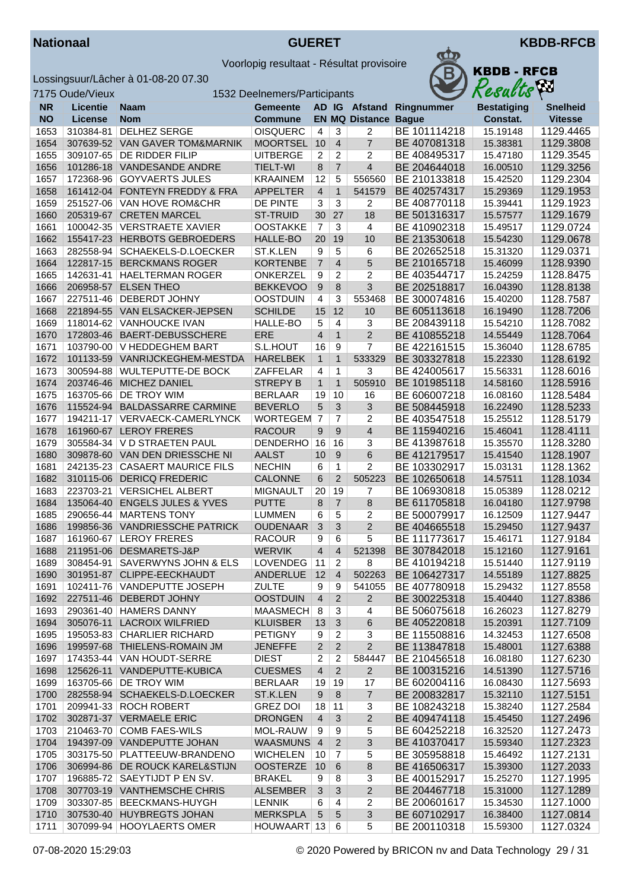



| <b>KBDB - RFCB</b><br><b>Results</b> |
|--------------------------------------|
|                                      |

|              | 7175 Oude/Vieux<br>1532 Deelnemers/Participants |                                                            |                               |                |                     |                             |                              | Results              | <b>Ass</b>             |
|--------------|-------------------------------------------------|------------------------------------------------------------|-------------------------------|----------------|---------------------|-----------------------------|------------------------------|----------------------|------------------------|
| <b>NR</b>    | <b>Licentie</b>                                 | <b>Naam</b>                                                | <b>Gemeente</b>               |                |                     |                             | AD IG Afstand Ringnummer     | <b>Bestatiging</b>   | <b>Snelheid</b>        |
| <b>NO</b>    | <b>License</b>                                  | <b>Nom</b>                                                 | <b>Commune</b>                |                |                     | <b>EN MQ Distance Bague</b> |                              | Constat.             | <b>Vitesse</b>         |
| 1653         | 310384-81                                       | DELHEZ SERGE                                               | <b>OISQUERC</b>               | $\overline{4}$ | 3                   | 2                           | BE 101114218                 | 15.19148             | 1129.4465              |
| 1654         |                                                 | 307639-52 VAN GAVER TOM&MARNIK                             | <b>MOORTSEL</b>               | 10             | $\overline{4}$      | $\overline{7}$              | BE 407081318                 | 15.38381             | 1129.3808              |
| 1655         | 309107-65                                       | DE RIDDER FILIP                                            | <b>UITBERGE</b>               | $\overline{2}$ | $\overline{c}$      | $\overline{2}$              | BE 408495317                 | 15.47180             | 1129.3545              |
| 1656         | 101286-18                                       | VANDESANDE ANDRE                                           | <b>TIELT-WI</b>               | 8              | $\overline{7}$      | $\overline{4}$              | BE 204644018                 | 16.00510             | 1129.3256              |
| 1657         | 172368-96                                       | <b>GOYVAERTS JULES</b>                                     | <b>KRAAINEM</b>               | 12             | 5                   | 556560                      | BE 210133818                 | 15.42520             | 1129.2304              |
| 1658         | 161412-04                                       | <b>FONTEYN FREDDY &amp; FRA</b>                            | <b>APPELTER</b>               | $\overline{4}$ | $\mathbf{1}$        | 541579                      | BE 402574317                 | 15.29369             | 1129.1953              |
| 1659         | 251527-06                                       | VAN HOVE ROM&CHR                                           | DE PINTE                      | 3              | 3                   | 2                           | BE 408770118                 | 15.39441             | 1129.1923              |
| 1660         | 205319-67                                       | <b>CRETEN MARCEL</b>                                       | <b>ST-TRUID</b>               | 30             | 27                  | 18                          | BE 501316317                 | 15.57577             | 1129.1679              |
| 1661         | 100042-35                                       | <b>VERSTRAETE XAVIER</b>                                   | <b>OOSTAKKE</b>               | $\overline{7}$ | 3                   | $\overline{4}$              | BE 410902318                 | 15.49517             | 1129.0724              |
| 1662         | 155417-23                                       | <b>HERBOTS GEBROEDERS</b>                                  | HALLE-BO                      | 20             | 19                  | 10                          | BE 213530618                 | 15.54230             | 1129.0678              |
| 1663         | 282558-94                                       | SCHAEKELS-D.LOECKER                                        | ST.K.LEN                      | 9              | 5                   | 6                           | BE 202652518                 | 15.31320             | 1129.0371              |
| 1664         | 122817-15                                       | <b>BERCKMANS ROGER</b>                                     | <b>KORTENBE</b>               | $\overline{7}$ | $\overline{4}$      | 5                           | BE 210165718                 | 15.46099             | 1128.9390              |
| 1665         |                                                 | 142631-41   HAELTERMAN ROGER                               | ONKERZEL                      | 9              | $\overline{c}$      | 2                           | BE 403544717                 | 15.24259             | 1128.8475              |
| 1666         | 206958-57                                       | <b>ELSEN THEO</b>                                          | <b>BEKKEVOO</b>               | 9              | $\bf 8$             | 3                           | BE 202518817                 | 16.04390             | 1128.8138              |
| 1667         |                                                 | 227511-46 DEBERDT JOHNY                                    | <b>OOSTDUIN</b>               | $\overline{4}$ | 3                   | 553468                      | BE 300074816                 | 15.40200             | 1128.7587              |
| 1668         | 221894-55                                       | <b>VAN ELSACKER-JEPSEN</b>                                 | <b>SCHILDE</b>                | 15             | 12                  | 10                          | BE 605113618                 | 16.19490             | 1128.7206              |
| 1669         |                                                 | 118014-62 VANHOUCKE IVAN                                   | HALLE-BO                      | 5              | 4                   | 3                           | BE 208439118                 | 15.54210             | 1128.7082              |
| 1670         | 172803-46                                       | BAERT-DEBUSSCHERE                                          | ERE                           | $\overline{4}$ | $\mathbf{1}$        | $\overline{2}$              | BE 410855218                 | 14.55449             | 1128.7064              |
| 1671         |                                                 | 103790-00 V HEDDEGHEM BART                                 | S.L.HOUT                      | 16             | 9                   | $\overline{7}$              | BE 422161515                 | 15.36040             | 1128.6785              |
| 1672         | 101133-59                                       | VANRIJCKEGHEM-MESTDA                                       | <b>HARELBEK</b>               | $\mathbf{1}$   | $\mathbf{1}$        | 533329                      | BE 303327818                 | 15.22330             | 1128.6192              |
| 1673         | 300594-88                                       | WULTEPUTTE-DE BOCK                                         | ZAFFELAR                      | 4              | $\overline{1}$      | 3                           | BE 424005617                 | 15.56331             | 1128.6016              |
| 1674         | 203746-46                                       | MICHEZ DANIEL                                              | <b>STREPY B</b>               | $\mathbf{1}$   | $\mathbf{1}$        | 505910                      | BE 101985118                 | 14.58160             | 1128.5916              |
| 1675         | 163705-66                                       | DE TROY WIM                                                | <b>BERLAAR</b>                | 19             | 10                  | 16                          | BE 606007218                 | 16.08160             | 1128.5484              |
| 1676         | 115524-94                                       | <b>BALDASSARRE CARMINE</b>                                 | <b>BEVERLO</b>                | 5              | 3                   | 3                           | BE 508445918                 | 16.22490             | 1128.5233              |
| 1677         | 194211-17                                       | VERVAECK-CAMERLYNCK                                        | WORTEGEM 7                    |                | 7                   | 2                           | BE 403547518                 | 15.25512             | 1128.5179              |
| 1678         | 161960-67                                       | <b>LEROY FRERES</b>                                        | <b>RACOUR</b>                 | 9              | 9                   | $\overline{4}$              | BE 115940216                 | 15.46041             | 1128.4111              |
| 1679         | 305584-34                                       | V D STRAETEN PAUL                                          | <b>DENDERHO</b>               | 16             | 16                  | 3                           | BE 413987618                 | 15.35570             | 1128.3280              |
| 1680         | 309878-60                                       | VAN DEN DRIESSCHE NI                                       | <b>AALST</b>                  | 10             | 9                   | 6                           | BE 412179517                 | 15.41540             | 1128.1907              |
| 1681         | 242135-23                                       | <b>CASAERT MAURICE FILS</b>                                | <b>NECHIN</b>                 | 6              | $\mathbf{1}$        | $\overline{2}$              | BE 103302917                 | 15.03131             | 1128.1362              |
| 1682         | 310115-06                                       | <b>DERICQ FREDERIC</b>                                     | <b>CALONNE</b>                | 6              | $\overline{2}$      | 505223                      | BE 102650618                 | 14.57511             | 1128.1034              |
| 1683         | 223703-21                                       | <b>VERSICHEL ALBERT</b>                                    | <b>MIGNAULT</b>               | 20             | 19                  | 7                           | BE 106930818<br>BE 611705818 | 15.05389             | 1128.0212<br>1127.9798 |
| 1684<br>1685 | 135064-40                                       | <b>ENGELS JULES &amp; YVES</b><br>290656-44   MARTENS TONY | <b>PUTTE</b><br><b>LUMMEN</b> | 8<br>6         | $\overline{7}$<br>5 | 8<br>$\overline{2}$         | BE 500079917                 | 16.04180<br>16.12509 | 1127.9447              |
| 1686         | 199856-36                                       | <b>VANDRIESSCHE PATRICK</b>                                | <b>OUDENAAR</b>               | 3              | 3                   | $\overline{2}$              | BE 404665518                 | 15.29450             | 1127.9437              |
| 1687         |                                                 | 161960-67 LEROY FRERES                                     | <b>RACOUR</b>                 | 9              | 6                   | 5                           | BE 111773617                 | 15.46171             | 1127.9184              |
| 1688         |                                                 | 211951-06 DESMARETS-J&P                                    | <b>WERVIK</b>                 | $\overline{4}$ | $\overline{4}$      | 521398                      | BE 307842018                 | 15.12160             | 1127.9161              |
| 1689         |                                                 | 308454-91 SAVERWYNS JOHN & ELS                             | LOVENDEG 11 2                 |                |                     | ୪                           | BE 410194218                 | 15.51440             | 1127.9119              |
| 1690         |                                                 | 301951-87 CLIPPE-EECKHAUDT                                 | ANDERLUE                      | 12             |                     | 502263                      | BE 106427317                 | 14.55189             | 1127.8825              |
| 1691         |                                                 | 102411-76   VANDEPUTTE JOSEPH                              | <b>ZULTE</b>                  | 9              | 9                   | 541055                      | BE 407780918                 | 15.29432             | 1127.8558              |
| 1692         |                                                 | 227511-46 DEBERDT JOHNY                                    | <b>OOSTDUIN</b>               | $\overline{4}$ | $\overline{2}$      | $\overline{2}$              | BE 300225318                 | 15.40440             | 1127.8386              |
| 1693         |                                                 | 290361-40   HAMERS DANNY                                   | MAASMECH                      | 8              | 3                   | 4                           | BE 506075618                 | 16.26023             | 1127.8279              |
| 1694         |                                                 | 305076-11 LACROIX WILFRIED                                 | <b>KLUISBER</b>               | 13             | 3                   | 6                           | BE 405220818                 | 15.20391             | 1127.7109              |
| 1695         |                                                 | 195053-83 CHARLIER RICHARD                                 | <b>PETIGNY</b>                | 9              | $\overline{2}$      | 3                           | BE 115508816                 | 14.32453             | 1127.6508              |
| 1696         | 199597-68                                       | <b>THIELENS-ROMAIN JM</b>                                  | <b>JENEFFE</b>                | $\overline{2}$ | $\overline{2}$      | 2                           | BE 113847818                 | 15.48001             | 1127.6388              |
| 1697         |                                                 | 174353-44 VAN HOUDT-SERRE                                  | <b>DIEST</b>                  | 2              | 2                   | 584447                      | BE 210456518                 | 16.08180             | 1127.6230              |
| 1698         |                                                 | 125626-11 VANDEPUTTE-KUBICA                                | <b>CUESMES</b>                | $\overline{4}$ | $\overline{2}$      | $\overline{2}$              | BE 100315216                 | 14.51390             | 1127.5716              |
| 1699         |                                                 | 163705-66   DE TROY WIM                                    | <b>BERLAAR</b>                | 19             | 19                  | 17                          | BE 602004116                 | 16.08430             | 1127.5693              |
| 1700         |                                                 | 282558-94 SCHAEKELS-D.LOECKER                              | ST.K.LEN                      | 9              | $\boldsymbol{8}$    | $\overline{7}$              | BE 200832817                 | 15.32110             | 1127.5151              |
| 1701         |                                                 | 209941-33 ROCH ROBERT                                      | <b>GREZ DOI</b>               | 18             | 11                  | 3                           | BE 108243218                 | 15.38240             | 1127.2584              |
| 1702         |                                                 | 302871-37 VERMAELE ERIC                                    | <b>DRONGEN</b>                | $\overline{4}$ | 3                   | $\overline{2}$              | BE 409474118                 | 15.45450             | 1127.2496              |
| 1703         |                                                 | 210463-70 COMB FAES-WILS                                   | MOL-RAUW                      | 9              | 9                   | 5                           | BE 604252218                 | 16.32520             | 1127.2473              |
| 1704         |                                                 | 194397-09 VANDEPUTTE JOHAN                                 | WAASMUNS 4                    |                | $\overline{2}$      | 3                           | BE 410370417                 | 15.59340             | 1127.2323              |
| 1705         |                                                 | 303175-50 PLATTEEUW-BRANDENO                               | <b>WICHELEN</b>               | 10             | 7                   | 5                           | BE 305958818                 | 15.46492             | 1127.2131              |
| 1706         |                                                 | 306994-86 DE ROUCK KAREL&STIJN                             | <b>OOSTERZE</b>               | 10             | 6                   | 8                           | BE 416506317                 | 15.39300             | 1127.2033              |
| 1707         | 196885-72                                       | SAEYTIJDT P EN SV.                                         | <b>BRAKEL</b>                 | 9              | 8                   | 3                           | BE 400152917                 | 15.25270             | 1127.1995              |
| 1708         |                                                 | 307703-19 VANTHEMSCHE CHRIS                                | <b>ALSEMBER</b>               | 3              | 3                   | $\overline{2}$              | BE 204467718                 | 15.31000             | 1127.1289              |
| 1709         | 303307-85                                       | BEECKMANS-HUYGH                                            | <b>LENNIK</b>                 | 6              | $\overline{4}$      | 2                           | BE 200601617                 | 15.34530             | 1127.1000              |
| 1710         |                                                 | 307530-40 HUYBREGTS JOHAN                                  | <b>MERKSPLA</b>               | 5              | 5                   | $\overline{3}$              | BE 607102917                 | 16.38400             | 1127.0814              |
| 1711         |                                                 | 307099-94   HOOYLAERTS OMER                                | HOUWAART 13                   |                | 6                   | 5                           | BE 200110318                 | 15.59300             | 1127.0324              |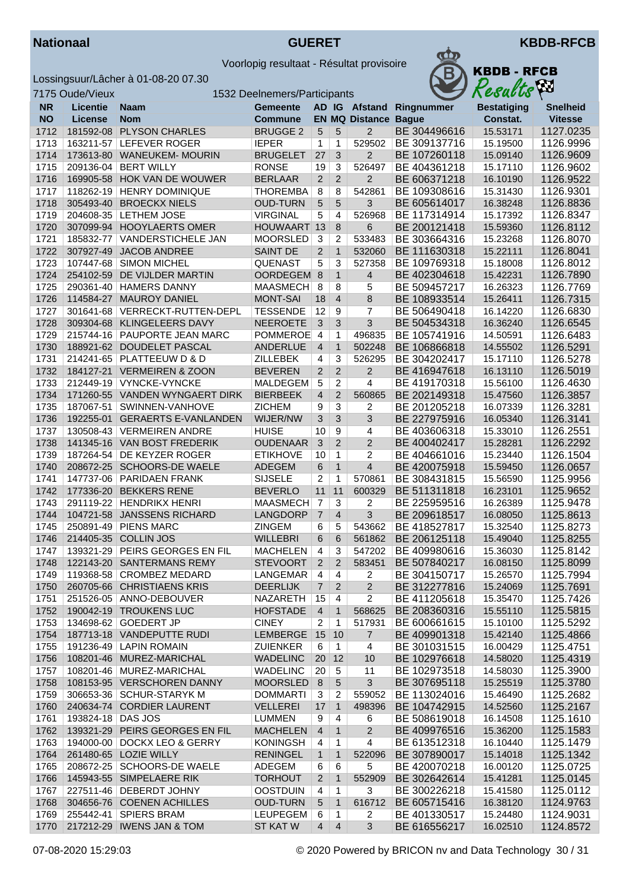



|           | 7175 Oude/Vieux   | 1532 Deelnemers/Participants   |                 |                |                |                       | Resacus      | $\mathcal{L}$      |                 |
|-----------|-------------------|--------------------------------|-----------------|----------------|----------------|-----------------------|--------------|--------------------|-----------------|
| <b>NR</b> | <b>Licentie</b>   | <b>Naam</b>                    | Gemeente        |                |                | AD IG Afstand         | Ringnummer   | <b>Bestatiging</b> | <b>Snelheid</b> |
| <b>NO</b> | License           | <b>Nom</b>                     | <b>Commune</b>  |                |                | <b>EN MQ Distance</b> | <b>Bague</b> | Constat.           | <b>Vitesse</b>  |
| 1712      |                   | 181592-08 PLYSON CHARLES       | <b>BRUGGE 2</b> | 5              | 5              | $\overline{2}$        | BE 304496616 | 15.53171           | 1127.0235       |
| 1713      |                   | 163211-57 LEFEVER ROGER        | <b>IEPER</b>    | 1              | 1              | 529502                | BE 309137716 | 15.19500           | 1126.9996       |
| 1714      |                   | 173613-80 WANEUKEM- MOURIN     | <b>BRUGELET</b> | 27             | 3              | $\overline{c}$        | BE 107260118 | 15.09140           | 1126.9609       |
| 1715      | 209136-04         | <b>BERT WILLY</b>              | <b>RONSE</b>    | 19             | 3              | 526497                | BE 404361218 | 15.17110           | 1126.9602       |
| 1716      |                   | 169905-58 HOK VAN DE WOUWER    | <b>BERLAAR</b>  | $\overline{2}$ | $\overline{2}$ | $\mathbf 2$           | BE 606371218 | 16.10190           | 1126.9522       |
| 1717      |                   | 118262-19 HENRY DOMINIQUE      | <b>THOREMBA</b> | $\overline{8}$ | 8              | 542861                | BE 109308616 | 15.31430           | 1126.9301       |
| 1718      |                   | 305493-40 BROECKX NIELS        | <b>OUD-TURN</b> | 5              | 5              | 3                     | BE 605614017 | 16.38248           | 1126.8836       |
| 1719      |                   | 204608-35   LETHEM JOSE        | <b>VIRGINAL</b> | 5              | 4              | 526968                | BE 117314914 | 15.17392           | 1126.8347       |
| 1720      |                   | 307099-94 HOOYLAERTS OMER      | HOUWAART 13     |                | 8              | 6                     | BE 200121418 | 15.59360           | 1126.8112       |
| 1721      | 185832-77         | VANDERSTICHELE JAN             | <b>MOORSLED</b> | 3              | 2              | 533483                | BE 303664316 | 15.23268           | 1126.8070       |
| 1722      | 307927-49         | <b>JACOB ANDREE</b>            | <b>SAINT DE</b> | $\overline{2}$ | $\mathbf{1}$   | 532060                | BE 111630318 | 15.22111           | 1126.8041       |
| 1723      | 107447-68         | <b>SIMON MICHEL</b>            | <b>QUENAST</b>  | 5              | 3              | 527358                | BE 109769318 | 15.18008           | 1126.8012       |
| 1724      |                   | 254102-59 DE VIJLDER MARTIN    | OORDEGEM 8      |                | $\mathbf{1}$   | 4                     | BE 402304618 | 15.42231           | 1126.7890       |
| 1725      |                   | 290361-40   HAMERS DANNY       | MAASMECH        | 8              | 8              | 5                     | BE 509457217 | 16.26323           | 1126.7769       |
| 1726      |                   | 114584-27 MAUROY DANIEL        | <b>MONT-SAI</b> | 18             | $\overline{4}$ | 8                     | BE 108933514 | 15.26411           | 1126.7315       |
| 1727      |                   | 301641-68 VERRECKT-RUTTEN-DEPL | <b>TESSENDE</b> | 12             | 9              | $\overline{7}$        | BE 506490418 | 16.14220           | 1126.6830       |
| 1728      |                   | 309304-68 KLINGELEERS DAVY     | <b>NEEROETE</b> | 3              | 3              | 3                     | BE 504534318 | 16.36240           | 1126.6545       |
| 1729      |                   | 215744-16 PAUPORTE JEAN MARC   | <b>POMMEROE</b> | $\overline{4}$ | 1              | 496835                | BE 105741916 | 14.50591           | 1126.6483       |
| 1730      | 188921-62         | DOUDELET PASCAL                | <b>ANDERLUE</b> | $\overline{4}$ | $\mathbf{1}$   | 502248                | BE 106866818 | 14.55502           | 1126.5291       |
| 1731      |                   | 214241-65 PLATTEEUW D & D      | <b>ZILLEBEK</b> | 4              | 3              | 526295                | BE 304202417 | 15.17110           | 1126.5278       |
| 1732      |                   | 184127-21 VERMEIREN & ZOON     | <b>BEVEREN</b>  | $\overline{2}$ | $\overline{2}$ | $\mathbf 2$           | BE 416947618 | 16.13110           | 1126.5019       |
| 1733      |                   | 212449-19 VYNCKE-VYNCKE        | <b>MALDEGEM</b> | 5              | 2              | 4                     | BE 419170318 | 15.56100           | 1126.4630       |
| 1734      |                   | 171260-55 VANDEN WYNGAERT DIRK | <b>BIERBEEK</b> | $\overline{4}$ | $\overline{2}$ | 560865                | BE 202149318 | 15.47560           | 1126.3857       |
| 1735      | 187067-51         | SWINNEN-VANHOVE                | <b>ZICHEM</b>   | 9              | $\overline{3}$ | 2                     | BE 201205218 | 16.07339           | 1126.3281       |
| 1736      |                   | 192255-01 GERAERTS E-VANLANDEN | WIJER/NW        | $\overline{3}$ | 3              | 3                     | BE 227975916 | 16.05340           | 1126.3141       |
| 1737      |                   | 130508-43 VERMEIREN ANDRE      | <b>HUISE</b>    | 10             | 9              | 4                     | BE 403606318 | 15.33010           | 1126.2551       |
| 1738      |                   | 141345-16 VAN BOST FREDERIK    | <b>OUDENAAR</b> | $\mathfrak{S}$ | 2              | $\overline{2}$        | BE 400402417 | 15.28281           | 1126.2292       |
| 1739      | 187264-54         | DE KEYZER ROGER                | <b>ETIKHOVE</b> | 10             | 1              | $\overline{c}$        | BE 404661016 | 15.23440           | 1126.1504       |
| 1740      |                   | 208672-25 SCHOORS-DE WAELE     | <b>ADEGEM</b>   | 6              | $\mathbf{1}$   | $\overline{4}$        | BE 420075918 | 15.59450           | 1126.0657       |
| 1741      |                   | 147737-06 PARIDAEN FRANK       | <b>SIJSELE</b>  | 2              | 1              | 570861                | BE 308431815 | 15.56590           | 1125.9956       |
| 1742      |                   | 177336-20 BEKKERS RENE         | <b>BEVERLO</b>  | 11             | 11             | 600329                | BE 511311818 | 16.23101           | 1125.9652       |
| 1743      |                   | 291119-22 HENDRIKX HENRI       | <b>MAASMECH</b> | $\overline{7}$ | 3              | 2                     | BE 225959516 | 16.26389           | 1125.9478       |
| 1744      |                   | 104721-58 JANSSENS RICHARD     | LANGDORP        | $\overline{7}$ | $\overline{4}$ | 3                     | BE 209618517 | 16.08050           | 1125.8613       |
| 1745      |                   | 250891-49 PIENS MARC           | ZINGEM          | 6              | 5              | 543662                | BE 418527817 | 15.32540           | 1125.8273       |
| 1746      |                   | 214405-35 COLLIN JOS           | <b>WILLEBRI</b> | 6              | 6              | 561862                | BE 206125118 | 15.49040           | 1125.8255       |
| 1747      |                   | 139321-29 PEIRS GEORGES EN FIL | <b>MACHELEN</b> | 4              | 3              | 547202                | BE 409980616 | 15.36030           | 1125.8142       |
| 1748      |                   | 122143-20 SANTERMANS REMY      | <b>STEVOORT</b> | $\overline{2}$ | $\sqrt{2}$     | 583451                | BE 507840217 | 16.08150           | 1125.8099       |
| 1749      |                   | 119368-58 CROMBEZ MEDARD       | <b>LANGEMAR</b> | 4              | 4              | 2                     | BE 304150717 | 15.26570           | 1125.7994       |
| 1750      |                   | 260705-66 CHRISTIAENS KRIS     | <b>DEERLIJK</b> | $\overline{7}$ | $\overline{2}$ | $\overline{2}$        | BE 312277816 | 15.24069           | 1125.7691       |
| 1751      |                   | 251526-05 ANNO-DEBOUVER        | NAZARETH        | 15             | 4              | 2                     | BE 411205618 | 15.35470           | 1125.7426       |
| 1752      |                   | 190042-19 TROUKENS LUC         | <b>HOFSTADE</b> | $\overline{4}$ | $\mathbf{1}$   | 568625                | BE 208360316 | 15.55110           | 1125.5815       |
| 1753      |                   | 134698-62 GOEDERT JP           | <b>CINEY</b>    | 2              | 1              | 517931                | BE 600661615 | 15.10100           | 1125.5292       |
| 1754      |                   | 187713-18 VANDEPUTTE RUDI      | LEMBERGE        | 15             | 10             | $\overline{7}$        | BE 409901318 | 15.42140           | 1125.4866       |
| 1755      |                   | 191236-49 LAPIN ROMAIN         | <b>ZUIENKER</b> | 6              | $\mathbf{1}$   | 4                     | BE 301031515 | 16.00429           | 1125.4751       |
| 1756      |                   | 108201-46 MUREZ-MARICHAL       | <b>WADELINC</b> | 20             | 12             | 10                    | BE 102976618 | 14.58020           | 1125.4319       |
| 1757      |                   | 108201-46 MUREZ-MARICHAL       | <b>WADELINC</b> | 20             | 5              | 11                    | BE 102973518 | 14.58030           | 1125.3900       |
| 1758      |                   | 108153-95 VERSCHOREN DANNY     | MOORSLED 8      |                | 5              | $\mathbf{3}$          | BE 307695118 | 15.25519           | 1125.3780       |
| 1759      |                   | 306653-36 SCHUR-STARYK M       | <b>DOMMARTI</b> | 3              | 2              | 559052                | BE 113024016 | 15.46490           | 1125.2682       |
| 1760      |                   | 240634-74 CORDIER LAURENT      | <b>VELLEREI</b> | 17             | $\mathbf{1}$   | 498396                | BE 104742915 | 14.52560           | 1125.2167       |
| 1761      | 193824-18 DAS JOS |                                | <b>LUMMEN</b>   | 9              | 4              | 6                     | BE 508619018 | 16.14508           | 1125.1610       |
| 1762      |                   | 139321-29 PEIRS GEORGES EN FIL | <b>MACHELEN</b> | $\overline{4}$ | $\mathbf{1}$   | $\overline{2}$        | BE 409976516 | 15.36200           | 1125.1583       |
| 1763      |                   | 194000-00   DOCKX LEO & GERRY  | <b>KONINGSH</b> | 4              | 1              | $\overline{4}$        | BE 613512318 | 16.10440           | 1125.1479       |
| 1764      |                   | 261480-65 LOZIE WILLY          | <b>RENINGEL</b> | $\mathbf{1}$   | $\mathbf{1}$   | 522096                | BE 307890017 | 15.14018           | 1125.1342       |
| 1765      |                   | 208672-25 SCHOORS-DE WAELE     | ADEGEM          | 6              | $\,6$          | 5                     | BE 420070218 | 16.00120           | 1125.0725       |
| 1766      |                   | 145943-55 SIMPELAERE RIK       | <b>TORHOUT</b>  | $\overline{2}$ | $\mathbf{1}$   | 552909                | BE 302642614 | 15.41281           | 1125.0145       |
| 1767      |                   | 227511-46   DEBERDT JOHNY      | <b>OOSTDUIN</b> | 4              | $\mathbf{1}$   | 3                     | BE 300226218 | 15.41580           | 1125.0112       |
| 1768      |                   | 304656-76 COENEN ACHILLES      | <b>OUD-TURN</b> | 5              | $\mathbf{1}$   | 616712                | BE 605715416 | 16.38120           | 1124.9763       |
| 1769      |                   | 255442-41 SPIERS BRAM          | <b>LEUPEGEM</b> | 6              | 1              | 2                     | BE 401330517 | 15.24480           | 1124.9031       |
| 1770      |                   | 217212-29   IWENS JAN & TOM    | ST KAT W        | $\overline{4}$ | $\overline{4}$ | 3                     | BE 616556217 | 16.02510           | 1124.8572       |
|           |                   |                                |                 |                |                |                       |              |                    |                 |